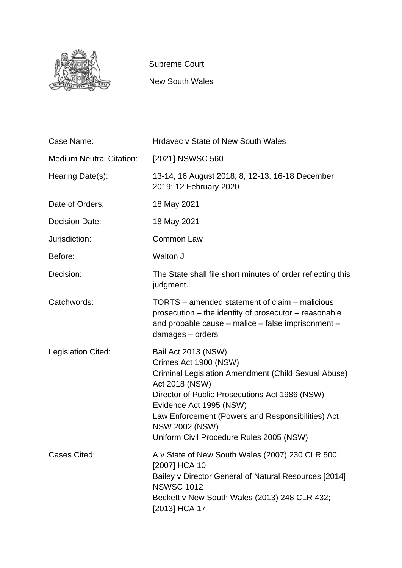

Supreme Court

New South Wales

| Case Name:                      | <b>Hrdavec v State of New South Wales</b>                                                                                                                                                                                                                                                                                    |
|---------------------------------|------------------------------------------------------------------------------------------------------------------------------------------------------------------------------------------------------------------------------------------------------------------------------------------------------------------------------|
| <b>Medium Neutral Citation:</b> | [2021] NSWSC 560                                                                                                                                                                                                                                                                                                             |
| Hearing Date(s):                | 13-14, 16 August 2018; 8, 12-13, 16-18 December<br>2019; 12 February 2020                                                                                                                                                                                                                                                    |
| Date of Orders:                 | 18 May 2021                                                                                                                                                                                                                                                                                                                  |
| <b>Decision Date:</b>           | 18 May 2021                                                                                                                                                                                                                                                                                                                  |
| Jurisdiction:                   | Common Law                                                                                                                                                                                                                                                                                                                   |
| Before:                         | Walton J                                                                                                                                                                                                                                                                                                                     |
| Decision:                       | The State shall file short minutes of order reflecting this<br>judgment.                                                                                                                                                                                                                                                     |
| Catchwords:                     | TORTS – amended statement of claim – malicious<br>prosecution – the identity of prosecutor – reasonable<br>and probable cause - malice - false imprisonment -<br>damages - orders                                                                                                                                            |
| Legislation Cited:              | Bail Act 2013 (NSW)<br>Crimes Act 1900 (NSW)<br>Criminal Legislation Amendment (Child Sexual Abuse)<br>Act 2018 (NSW)<br>Director of Public Prosecutions Act 1986 (NSW)<br>Evidence Act 1995 (NSW)<br>Law Enforcement (Powers and Responsibilities) Act<br><b>NSW 2002 (NSW)</b><br>Uniform Civil Procedure Rules 2005 (NSW) |
| Cases Cited:                    | A v State of New South Wales (2007) 230 CLR 500;<br>[2007] HCA 10<br>Bailey v Director General of Natural Resources [2014]<br><b>NSWSC 1012</b><br>Beckett v New South Wales (2013) 248 CLR 432;<br>[2013] HCA 17                                                                                                            |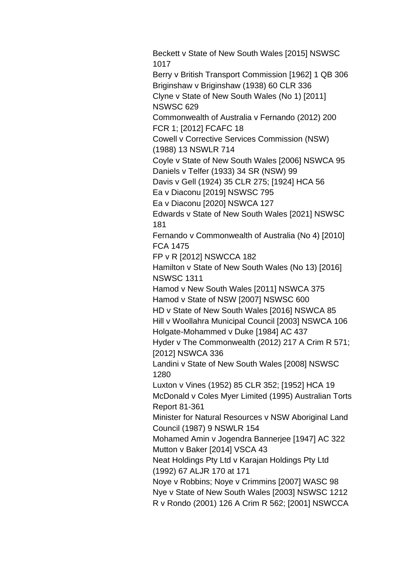Beckett v State of New South Wales [2015] NSWSC 1017

Berry v British Transport Commission [1962] 1 QB 306 Briginshaw v Briginshaw (1938) 60 CLR 336 Clyne v State of New South Wales (No 1) [2011] NSWSC 629

Commonwealth of Australia v Fernando (2012) 200 FCR 1; [2012] FCAFC 18

Cowell v Corrective Services Commission (NSW) (1988) 13 NSWLR 714

Coyle v State of New South Wales [2006] NSWCA 95 Daniels v Telfer (1933) 34 SR (NSW) 99

Davis v Gell (1924) 35 CLR 275; [1924] HCA 56

Ea v Diaconu [2019] NSWSC 795

Ea v Diaconu [2020] NSWCA 127

Edwards v State of New South Wales [2021] NSWSC 181

Fernando v Commonwealth of Australia (No 4) [2010] FCA 1475

FP v R [2012] NSWCCA 182

Hamilton v State of New South Wales (No 13) [2016] NSWSC 1311

Hamod v New South Wales [2011] NSWCA 375 Hamod v State of NSW [2007] NSWSC 600

HD v State of New South Wales [2016] NSWCA 85 Hill v Woollahra Municipal Council [2003] NSWCA 106 Holgate-Mohammed v Duke [1984] AC 437

Hyder v The Commonwealth (2012) 217 A Crim R 571; [2012] NSWCA 336

Landini v State of New South Wales [2008] NSWSC 1280

Luxton v Vines (1952) 85 CLR 352; [1952] HCA 19 McDonald v Coles Myer Limited (1995) Australian Torts Report 81-361

Minister for Natural Resources v NSW Aboriginal Land Council (1987) 9 NSWLR 154

Mohamed Amin v Jogendra Bannerjee [1947] AC 322 Mutton v Baker [2014] VSCA 43

Neat Holdings Pty Ltd v Karajan Holdings Pty Ltd (1992) 67 ALJR 170 at 171

Noye v Robbins; Noye v Crimmins [2007] WASC 98 Nye v State of New South Wales [2003] NSWSC 1212 R v Rondo (2001) 126 A Crim R 562; [2001] NSWCCA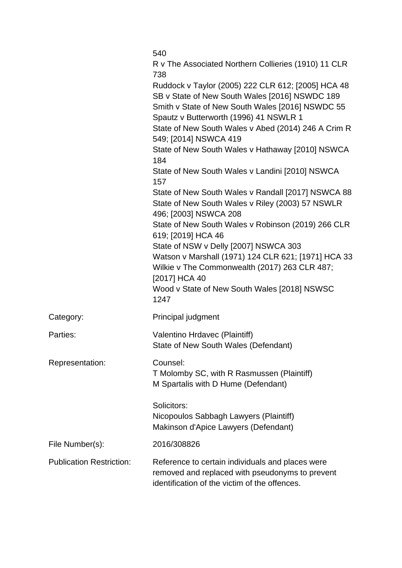|                                 | 540                                                                                                                                                                                                                                                       |
|---------------------------------|-----------------------------------------------------------------------------------------------------------------------------------------------------------------------------------------------------------------------------------------------------------|
|                                 | R v The Associated Northern Collieries (1910) 11 CLR<br>738                                                                                                                                                                                               |
|                                 | Ruddock v Taylor (2005) 222 CLR 612; [2005] HCA 48<br>SB v State of New South Wales [2016] NSWDC 189<br>Smith v State of New South Wales [2016] NSWDC 55<br>Spautz v Butterworth (1996) 41 NSWLR 1<br>State of New South Wales v Abed (2014) 246 A Crim R |
|                                 | 549; [2014] NSWCA 419<br>State of New South Wales v Hathaway [2010] NSWCA                                                                                                                                                                                 |
|                                 | 184                                                                                                                                                                                                                                                       |
|                                 | State of New South Wales v Landini [2010] NSWCA<br>157                                                                                                                                                                                                    |
|                                 | State of New South Wales v Randall [2017] NSWCA 88<br>State of New South Wales v Riley (2003) 57 NSWLR<br>496; [2003] NSWCA 208                                                                                                                           |
|                                 | State of New South Wales v Robinson (2019) 266 CLR<br>619; [2019] HCA 46                                                                                                                                                                                  |
|                                 | State of NSW v Delly [2007] NSWCA 303<br>Watson v Marshall (1971) 124 CLR 621; [1971] HCA 33<br>Wilkie v The Commonwealth (2017) 263 CLR 487;<br>[2017] HCA 40                                                                                            |
|                                 | Wood v State of New South Wales [2018] NSWSC<br>1247                                                                                                                                                                                                      |
| Category:                       | Principal judgment                                                                                                                                                                                                                                        |
| Parties:                        | Valentino Hrdavec (Plaintiff)<br>State of New South Wales (Defendant)                                                                                                                                                                                     |
| Representation:                 | Counsel:<br>T Molomby SC, with R Rasmussen (Plaintiff)<br>M Spartalis with D Hume (Defendant)                                                                                                                                                             |
|                                 | Solicitors:<br>Nicopoulos Sabbagh Lawyers (Plaintiff)<br>Makinson d'Apice Lawyers (Defendant)                                                                                                                                                             |
| File Number(s):                 | 2016/308826                                                                                                                                                                                                                                               |
| <b>Publication Restriction:</b> | Reference to certain individuals and places were<br>removed and replaced with pseudonyms to prevent<br>identification of the victim of the offences.                                                                                                      |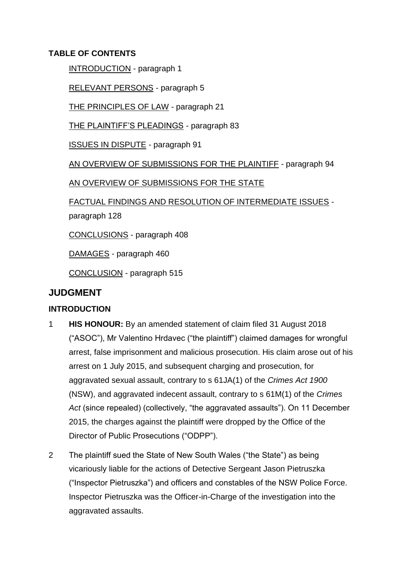# **TABLE OF CONTENTS**

INTRODUCTION - paragraph 1

RELEVANT PERSONS - paragraph 5

THE PRINCIPLES OF LAW - paragraph 21

THE PLAINTIFF'S PLEADINGS - paragraph 83

ISSUES IN DISPUTE - paragraph 91

AN OVERVIEW OF SUBMISSIONS FOR THE PLAINTIFF - paragraph 94

AN OVERVIEW OF SUBMISSIONS FOR THE STATE

FACTUAL FINDINGS AND RESOLUTION OF INTERMEDIATE ISSUES paragraph 128

CONCLUSIONS - paragraph 408

DAMAGES - paragraph 460

CONCLUSION - paragraph 515

# **JUDGMENT**

# **INTRODUCTION**

- 1 **HIS HONOUR:** By an amended statement of claim filed 31 August 2018 ("ASOC"), Mr Valentino Hrdavec ("the plaintiff") claimed damages for wrongful arrest, false imprisonment and malicious prosecution. His claim arose out of his arrest on 1 July 2015, and subsequent charging and prosecution, for aggravated sexual assault, contrary to s 61JA(1) of the *Crimes Act 1900*  (NSW), and aggravated indecent assault, contrary to s 61M(1) of the *Crimes Act* (since repealed) (collectively, "the aggravated assaults"). On 11 December 2015, the charges against the plaintiff were dropped by the Office of the Director of Public Prosecutions ("ODPP").
- 2 The plaintiff sued the State of New South Wales ("the State") as being vicariously liable for the actions of Detective Sergeant Jason Pietruszka ("Inspector Pietruszka") and officers and constables of the NSW Police Force. Inspector Pietruszka was the Officer-in-Charge of the investigation into the aggravated assaults.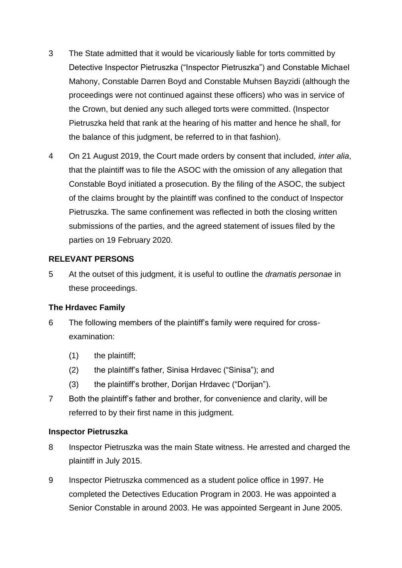- 3 The State admitted that it would be vicariously liable for torts committed by Detective Inspector Pietruszka ("Inspector Pietruszka") and Constable Michael Mahony, Constable Darren Boyd and Constable Muhsen Bayzidi (although the proceedings were not continued against these officers) who was in service of the Crown, but denied any such alleged torts were committed. (Inspector Pietruszka held that rank at the hearing of his matter and hence he shall, for the balance of this judgment, be referred to in that fashion).
- 4 On 21 August 2019, the Court made orders by consent that included, *inter alia*, that the plaintiff was to file the ASOC with the omission of any allegation that Constable Boyd initiated a prosecution. By the filing of the ASOC, the subject of the claims brought by the plaintiff was confined to the conduct of Inspector Pietruszka. The same confinement was reflected in both the closing written submissions of the parties, and the agreed statement of issues filed by the parties on 19 February 2020.

# **RELEVANT PERSONS**

5 At the outset of this judgment, it is useful to outline the *dramatis personae* in these proceedings.

# **The Hrdavec Family**

- 6 The following members of the plaintiff's family were required for crossexamination:
	- (1) the plaintiff;
	- (2) the plaintiff's father, Sinisa Hrdavec ("Sinisa"); and
	- (3) the plaintiff's brother, Dorijan Hrdavec ("Dorijan").
- 7 Both the plaintiff's father and brother, for convenience and clarity, will be referred to by their first name in this judgment.

### **Inspector Pietruszka**

- 8 Inspector Pietruszka was the main State witness. He arrested and charged the plaintiff in July 2015.
- 9 Inspector Pietruszka commenced as a student police office in 1997. He completed the Detectives Education Program in 2003. He was appointed a Senior Constable in around 2003. He was appointed Sergeant in June 2005.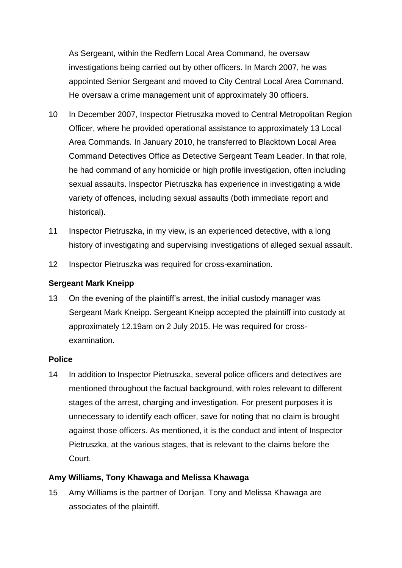As Sergeant, within the Redfern Local Area Command, he oversaw investigations being carried out by other officers. In March 2007, he was appointed Senior Sergeant and moved to City Central Local Area Command. He oversaw a crime management unit of approximately 30 officers.

- 10 In December 2007, Inspector Pietruszka moved to Central Metropolitan Region Officer, where he provided operational assistance to approximately 13 Local Area Commands. In January 2010, he transferred to Blacktown Local Area Command Detectives Office as Detective Sergeant Team Leader. In that role, he had command of any homicide or high profile investigation, often including sexual assaults. Inspector Pietruszka has experience in investigating a wide variety of offences, including sexual assaults (both immediate report and historical).
- 11 Inspector Pietruszka, in my view, is an experienced detective, with a long history of investigating and supervising investigations of alleged sexual assault.
- 12 Inspector Pietruszka was required for cross-examination.

### **Sergeant Mark Kneipp**

13 On the evening of the plaintiff's arrest, the initial custody manager was Sergeant Mark Kneipp. Sergeant Kneipp accepted the plaintiff into custody at approximately 12.19am on 2 July 2015. He was required for crossexamination.

### **Police**

14 In addition to Inspector Pietruszka, several police officers and detectives are mentioned throughout the factual background, with roles relevant to different stages of the arrest, charging and investigation. For present purposes it is unnecessary to identify each officer, save for noting that no claim is brought against those officers. As mentioned, it is the conduct and intent of Inspector Pietruszka, at the various stages, that is relevant to the claims before the Court.

# **Amy Williams, Tony Khawaga and Melissa Khawaga**

15 Amy Williams is the partner of Dorijan. Tony and Melissa Khawaga are associates of the plaintiff.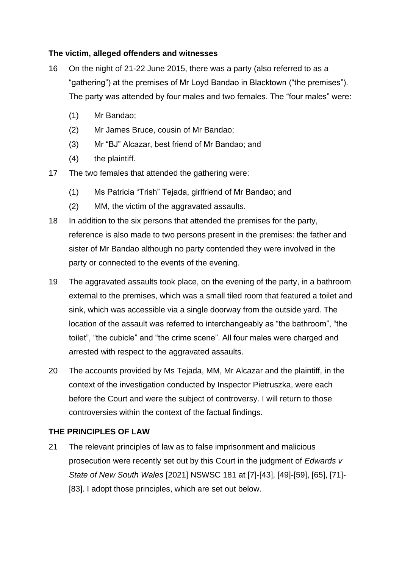# **The victim, alleged offenders and witnesses**

- 16 On the night of 21-22 June 2015, there was a party (also referred to as a "gathering") at the premises of Mr Loyd Bandao in Blacktown ("the premises"). The party was attended by four males and two females. The "four males" were:
	- (1) Mr Bandao;
	- (2) Mr James Bruce, cousin of Mr Bandao;
	- (3) Mr "BJ" Alcazar, best friend of Mr Bandao; and
	- (4) the plaintiff.
- 17 The two females that attended the gathering were:
	- (1) Ms Patricia "Trish" Tejada, girlfriend of Mr Bandao; and
	- (2) MM, the victim of the aggravated assaults.
- 18 In addition to the six persons that attended the premises for the party, reference is also made to two persons present in the premises: the father and sister of Mr Bandao although no party contended they were involved in the party or connected to the events of the evening.
- 19 The aggravated assaults took place, on the evening of the party, in a bathroom external to the premises, which was a small tiled room that featured a toilet and sink, which was accessible via a single doorway from the outside yard. The location of the assault was referred to interchangeably as "the bathroom", "the toilet", "the cubicle" and "the crime scene". All four males were charged and arrested with respect to the aggravated assaults.
- 20 The accounts provided by Ms Tejada, MM, Mr Alcazar and the plaintiff, in the context of the investigation conducted by Inspector Pietruszka, were each before the Court and were the subject of controversy. I will return to those controversies within the context of the factual findings.

### **THE PRINCIPLES OF LAW**

21 The relevant principles of law as to false imprisonment and malicious prosecution were recently set out by this Court in the judgment of *Edwards v State of New South Wales* [2021] NSWSC 181 at [7]-[43], [49]-[59], [65], [71]- [83]. I adopt those principles, which are set out below.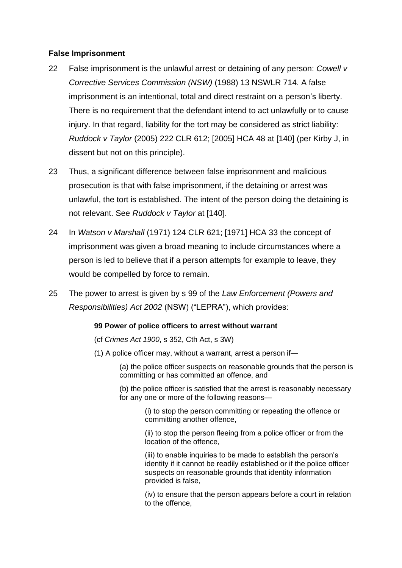# **False Imprisonment**

- 22 False imprisonment is the unlawful arrest or detaining of any person: *Cowell v Corrective Services Commission (NSW)* (1988) 13 NSWLR 714. A false imprisonment is an intentional, total and direct restraint on a person's liberty. There is no requirement that the defendant intend to act unlawfully or to cause injury. In that regard, liability for the tort may be considered as strict liability: *Ruddock v Taylor* (2005) 222 CLR 612; [2005] HCA 48 at [140] (per Kirby J, in dissent but not on this principle).
- 23 Thus, a significant difference between false imprisonment and malicious prosecution is that with false imprisonment, if the detaining or arrest was unlawful, the tort is established. The intent of the person doing the detaining is not relevant. See *Ruddock v Taylor* at [140].
- 24 In *Watson v Marshall* (1971) 124 CLR 621; [1971] HCA 33 the concept of imprisonment was given a broad meaning to include circumstances where a person is led to believe that if a person attempts for example to leave, they would be compelled by force to remain.
- 25 The power to arrest is given by s 99 of the *Law Enforcement (Powers and Responsibilities) Act 2002* (NSW) ("LEPRA"), which provides:

#### **99 Power of police officers to arrest without warrant**

(cf *Crimes Act 1900*, s 352, Cth Act, s 3W)

(1) A police officer may, without a warrant, arrest a person if—

(a) the police officer suspects on reasonable grounds that the person is committing or has committed an offence, and

(b) the police officer is satisfied that the arrest is reasonably necessary for any one or more of the following reasons—

> (i) to stop the person committing or repeating the offence or committing another offence,

(ii) to stop the person fleeing from a police officer or from the location of the offence,

(iii) to enable inquiries to be made to establish the person's identity if it cannot be readily established or if the police officer suspects on reasonable grounds that identity information provided is false,

(iv) to ensure that the person appears before a court in relation to the offence,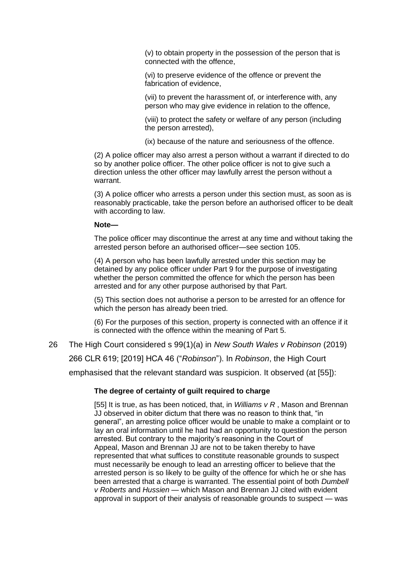(v) to obtain property in the possession of the person that is connected with the offence,

(vi) to preserve evidence of the offence or prevent the fabrication of evidence,

(vii) to prevent the harassment of, or interference with, any person who may give evidence in relation to the offence,

(viii) to protect the safety or welfare of any person (including the person arrested),

(ix) because of the nature and seriousness of the offence.

(2) A police officer may also arrest a person without a warrant if directed to do so by another police officer. The other police officer is not to give such a direction unless the other officer may lawfully arrest the person without a warrant.

(3) A police officer who arrests a person under this section must, as soon as is reasonably practicable, take the person before an authorised officer to be dealt with according to law.

#### **Note—**

The police officer may discontinue the arrest at any time and without taking the arrested person before an authorised officer—see section 105.

(4) A person who has been lawfully arrested under this section may be detained by any police officer under Part 9 for the purpose of investigating whether the person committed the offence for which the person has been arrested and for any other purpose authorised by that Part.

(5) This section does not authorise a person to be arrested for an offence for which the person has already been tried.

(6) For the purposes of this section, property is connected with an offence if it is connected with the offence within the meaning of Part 5.

26 The High Court considered s 99(1)(a) in *New South Wales v Robinson* (2019) 266 CLR 619; [2019] HCA 46 ("*Robinson*"). In *Robinson*, the High Court emphasised that the relevant standard was suspicion. It observed (at [55]):

#### **The degree of certainty of guilt required to charge**

[55] It is true, as has been noticed, that, in *Williams v R* , Mason and Brennan JJ observed in obiter dictum that there was no reason to think that, "in general", an arresting police officer would be unable to make a complaint or to lay an oral information until he had had an opportunity to question the person arrested. But contrary to the majority's reasoning in the Court of Appeal, Mason and Brennan JJ are not to be taken thereby to have represented that what suffices to constitute reasonable grounds to suspect must necessarily be enough to lead an arresting officer to believe that the arrested person is so likely to be guilty of the offence for which he or she has been arrested that a charge is warranted. The essential point of both *Dumbell v Roberts* and *Hussien* — which Mason and Brennan JJ cited with evident approval in support of their analysis of reasonable grounds to suspect — was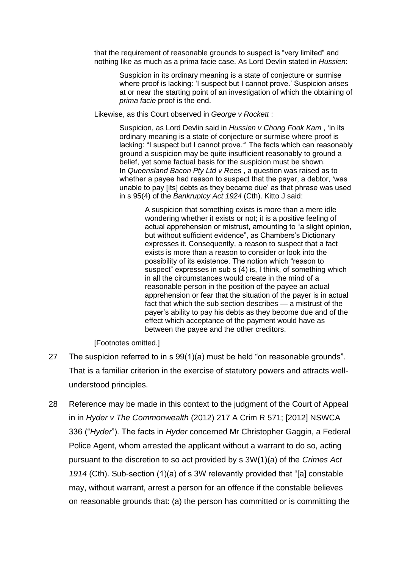that the requirement of reasonable grounds to suspect is "very limited" and nothing like as much as a prima facie case. As Lord Devlin stated in *Hussien*:

Suspicion in its ordinary meaning is a state of conjecture or surmise where proof is lacking: 'I suspect but I cannot prove.' Suspicion arises at or near the starting point of an investigation of which the obtaining of *prima facie* proof is the end.

Likewise, as this Court observed in *George v Rockett* :

Suspicion, as Lord Devlin said in *Hussien v Chong Fook Kam* , 'in its ordinary meaning is a state of conjecture or surmise where proof is lacking: "I suspect but I cannot prove."' The facts which can reasonably ground a suspicion may be quite insufficient reasonably to ground a belief, yet some factual basis for the suspicion must be shown. In *Queensland Bacon Pty Ltd v Rees* , a question was raised as to whether a payee had reason to suspect that the payer, a debtor, 'was unable to pay [its] debts as they became due' as that phrase was used in s 95(4) of the *Bankruptcy Act 1924* (Cth). Kitto J said:

> A suspicion that something exists is more than a mere idle wondering whether it exists or not; it is a positive feeling of actual apprehension or mistrust, amounting to "a slight opinion, but without sufficient evidence", as Chambers's Dictionary expresses it. Consequently, a reason to suspect that a fact exists is more than a reason to consider or look into the possibility of its existence. The notion which "reason to suspect" expresses in sub s (4) is, I think, of something which in all the circumstances would create in the mind of a reasonable person in the position of the payee an actual apprehension or fear that the situation of the payer is in actual fact that which the sub section describes — a mistrust of the payer's ability to pay his debts as they become due and of the effect which acceptance of the payment would have as between the payee and the other creditors.

[Footnotes omitted.]

- 27 The suspicion referred to in s 99(1)(a) must be held "on reasonable grounds". That is a familiar criterion in the exercise of statutory powers and attracts wellunderstood principles.
- 28 Reference may be made in this context to the judgment of the Court of Appeal in in *Hyder v The Commonwealth* (2012) 217 A Crim R 571; [2012] NSWCA 336 ("*Hyder*"). The facts in *Hyder* concerned Mr Christopher Gaggin, a Federal Police Agent, whom arrested the applicant without a warrant to do so, acting pursuant to the discretion to so act provided by s 3W(1)(a) of the *Crimes Act 1914* (Cth). Sub-section (1)(a) of s 3W relevantly provided that "[a] constable may, without warrant, arrest a person for an offence if the constable believes on reasonable grounds that: (a) the person has committed or is committing the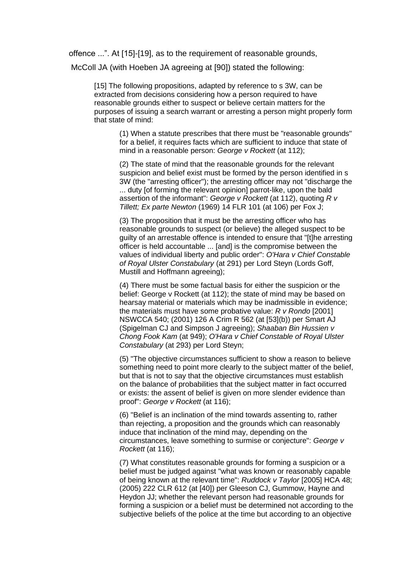offence ...". At [15]-[19], as to the requirement of reasonable grounds,

McColl JA (with Hoeben JA agreeing at [90]) stated the following:

[15] The following propositions, adapted by reference to s 3W, can be extracted from decisions considering how a person required to have reasonable grounds either to suspect or believe certain matters for the purposes of issuing a search warrant or arresting a person might properly form that state of mind:

(1) When a statute prescribes that there must be "reasonable grounds" for a belief, it requires facts which are sufficient to induce that state of mind in a reasonable person: *George v Rockett* (at 112);

(2) The state of mind that the reasonable grounds for the relevant suspicion and belief exist must be formed by the person identified in s 3W (the "arresting officer"); the arresting officer may not "discharge the ... duty [of forming the relevant opinion] parrot-like, upon the bald assertion of the informant": *George v Rockett* (at 112), quoting *R v Tillett; Ex parte Newton* (1969) 14 FLR 101 (at 106) per Fox J;

(3) The proposition that it must be the arresting officer who has reasonable grounds to suspect (or believe) the alleged suspect to be guilty of an arrestable offence is intended to ensure that "[t]he arresting officer is held accountable ... [and] is the compromise between the values of individual liberty and public order": *O'Hara v Chief Constable of Royal Ulster Constabulary* (at 291) per Lord Steyn (Lords Goff, Mustill and Hoffmann agreeing);

(4) There must be some factual basis for either the suspicion or the belief: George v Rockett (at 112); the state of mind may be based on hearsay material or materials which may be inadmissible in evidence; the materials must have some probative value: *R v Rondo* [2001] NSWCCA 540; (2001) 126 A Crim R 562 (at [53](b)) per Smart AJ (Spigelman CJ and Simpson J agreeing); *Shaaban Bin Hussien v Chong Fook Kam* (at 949); *O'Hara v Chief Constable of Royal Ulster Constabulary* (at 293) per Lord Steyn;

(5) "The objective circumstances sufficient to show a reason to believe something need to point more clearly to the subject matter of the belief, but that is not to say that the objective circumstances must establish on the balance of probabilities that the subject matter in fact occurred or exists: the assent of belief is given on more slender evidence than proof": *George v Rockett* (at 116);

(6) "Belief is an inclination of the mind towards assenting to, rather than rejecting, a proposition and the grounds which can reasonably induce that inclination of the mind may, depending on the circumstances, leave something to surmise or conjecture": *George v Rockett* (at 116);

(7) What constitutes reasonable grounds for forming a suspicion or a belief must be judged against "what was known or reasonably capable of being known at the relevant time": *Ruddock v Taylor* [2005] HCA 48; (2005) 222 CLR 612 (at [40]) per Gleeson CJ, Gummow, Hayne and Heydon JJ; whether the relevant person had reasonable grounds for forming a suspicion or a belief must be determined not according to the subjective beliefs of the police at the time but according to an objective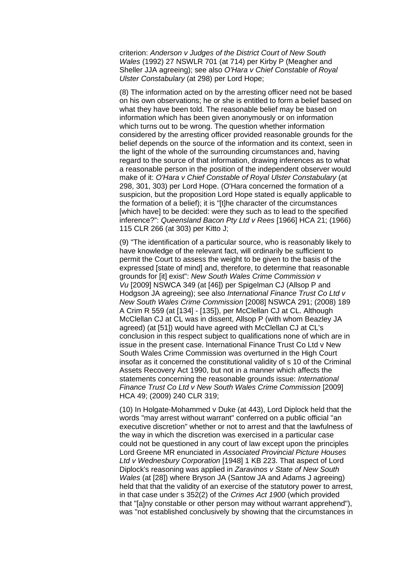criterion: *Anderson v Judges of the District Court of New South Wales* (1992) 27 NSWLR 701 (at 714) per Kirby P (Meagher and Sheller JJA agreeing); see also *O'Hara v Chief Constable of Royal Ulster Constabulary* (at 298) per Lord Hope;

(8) The information acted on by the arresting officer need not be based on his own observations; he or she is entitled to form a belief based on what they have been told. The reasonable belief may be based on information which has been given anonymously or on information which turns out to be wrong. The question whether information considered by the arresting officer provided reasonable grounds for the belief depends on the source of the information and its context, seen in the light of the whole of the surrounding circumstances and, having regard to the source of that information, drawing inferences as to what a reasonable person in the position of the independent observer would make of it: *O'Hara v Chief Constable of Royal Ulster Constabulary* (at 298, 301, 303) per Lord Hope. (O'Hara concerned the formation of a suspicion, but the proposition Lord Hope stated is equally applicable to the formation of a belief); it is "[t]he character of the circumstances [which have] to be decided: were they such as to lead to the specified inference?": *Queensland Bacon Pty Ltd v Rees* [1966] HCA 21; (1966) 115 CLR 266 (at 303) per Kitto J;

(9) "The identification of a particular source, who is reasonably likely to have knowledge of the relevant fact, will ordinarily be sufficient to permit the Court to assess the weight to be given to the basis of the expressed [state of mind] and, therefore, to determine that reasonable grounds for [it] exist": *New South Wales Crime Commission v Vu* [2009] NSWCA 349 (at [46]) per Spigelman CJ (Allsop P and Hodgson JA agreeing); see also *International Finance Trust Co Ltd v New South Wales Crime Commission* [2008] NSWCA 291; (2008) 189 A Crim R 559 (at [134] - [135]), per McClellan CJ at CL. Although McClellan CJ at CL was in dissent, Allsop P (with whom Beazley JA agreed) (at [51]) would have agreed with McClellan CJ at CL's conclusion in this respect subject to qualifications none of which are in issue in the present case. International Finance Trust Co Ltd v New South Wales Crime Commission was overturned in the High Court insofar as it concerned the constitutional validity of s 10 of the Criminal Assets Recovery Act 1990, but not in a manner which affects the statements concerning the reasonable grounds issue: *International Finance Trust Co Ltd v New South Wales Crime Commission* [2009] HCA 49; (2009) 240 CLR 319;

(10) In Holgate-Mohammed v Duke (at 443), Lord Diplock held that the words "may arrest without warrant" conferred on a public official "an executive discretion" whether or not to arrest and that the lawfulness of the way in which the discretion was exercised in a particular case could not be questioned in any court of law except upon the principles Lord Greene MR enunciated in *Associated Provincial Picture Houses Ltd v Wednesbury Corporation* [1948] 1 KB 223. That aspect of Lord Diplock's reasoning was applied in *Zaravinos v State of New South Wales* (at [28]) where Bryson JA (Santow JA and Adams J agreeing) held that that the validity of an exercise of the statutory power to arrest, in that case under s 352(2) of the *Crimes Act 1900* (which provided that "[a]ny constable or other person may without warrant apprehend"), was "not established conclusively by showing that the circumstances in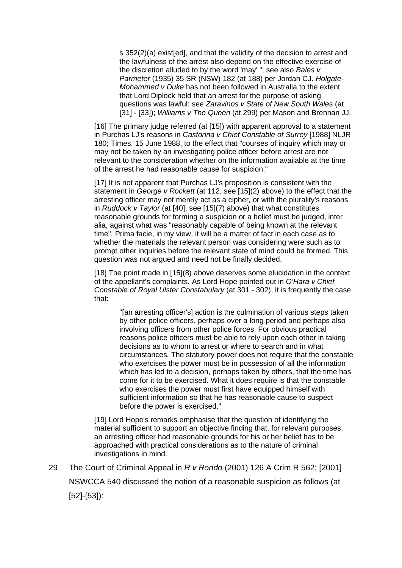s 352(2)(a) exist[ed], and that the validity of the decision to arrest and the lawfulness of the arrest also depend on the effective exercise of the discretion alluded to by the word 'may' "; see also *Bales v Parmeter* (1935) 35 SR (NSW) 182 (at 188) per Jordan CJ. *Holgate-Mohammed v Duke* has not been followed in Australia to the extent that Lord Diplock held that an arrest for the purpose of asking questions was lawful: see *Zaravinos v State of New South Wales* (at [31] - [33]); *Williams v The Queen* (at 299) per Mason and Brennan JJ.

[16] The primary judge referred (at [15]) with apparent approval to a statement in Purchas LJ's reasons in *Castorina v Chief Constable of Surrey* [1988] NLJR 180; Times, 15 June 1988, to the effect that "courses of inquiry which may or may not be taken by an investigating police officer before arrest are not relevant to the consideration whether on the information available at the time of the arrest he had reasonable cause for suspicion."

[17] It is not apparent that Purchas LJ's proposition is consistent with the statement in *George v Rockett* (at 112, see [15](2) above) to the effect that the arresting officer may not merely act as a cipher, or with the plurality's reasons in *Ruddock v Taylor* (at [40], see [15](7) above) that what constitutes reasonable grounds for forming a suspicion or a belief must be judged, inter alia, against what was "reasonably capable of being known at the relevant time". Prima facie, in my view, it will be a matter of fact in each case as to whether the materials the relevant person was considering were such as to prompt other inquiries before the relevant state of mind could be formed. This question was not argued and need not be finally decided.

[18] The point made in [15](8) above deserves some elucidation in the context of the appellant's complaints. As Lord Hope pointed out in *O'Hara v Chief Constable of Royal Ulster Constabulary* (at 301 - 302), it is frequently the case that:

"[an arresting officer's] action is the culmination of various steps taken by other police officers, perhaps over a long period and perhaps also involving officers from other police forces. For obvious practical reasons police officers must be able to rely upon each other in taking decisions as to whom to arrest or where to search and in what circumstances. The statutory power does not require that the constable who exercises the power must be in possession of all the information which has led to a decision, perhaps taken by others, that the time has come for it to be exercised. What it does require is that the constable who exercises the power must first have equipped himself with sufficient information so that he has reasonable cause to suspect before the power is exercised."

[19] Lord Hope's remarks emphasise that the question of identifying the material sufficient to support an objective finding that, for relevant purposes, an arresting officer had reasonable grounds for his or her belief has to be approached with practical considerations as to the nature of criminal investigations in mind.

29 The Court of Criminal Appeal in *R v Rondo* (2001) 126 A Crim R 562; [2001] NSWCCA 540 discussed the notion of a reasonable suspicion as follows (at [52]-[53]):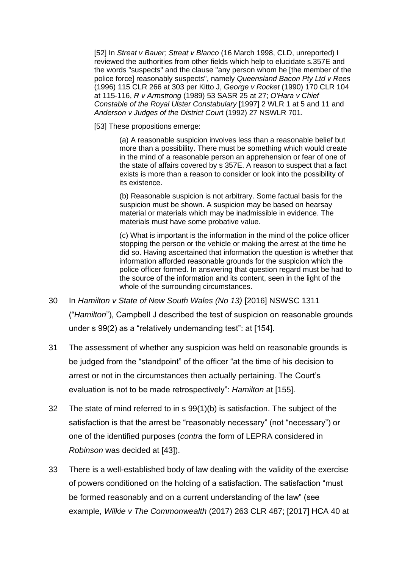[52] In *Streat v Bauer; Streat v Blanco* (16 March 1998, CLD, unreported) I reviewed the authorities from other fields which help to elucidate s.357E and the words "suspects" and the clause "any person whom he [the member of the police force] reasonably suspects", namely *Queensland Bacon Pty Ltd v Rees*  (1996) 115 CLR 266 at 303 per Kitto J, *George v Rocket* (1990) 170 CLR 104 at 115-116, *R v Armstrong* (1989) 53 SASR 25 at 27; *O'Hara v Chief Constable of the Royal Ulster Constabulary* [1997] 2 WLR 1 at 5 and 11 and *Anderson v Judges of the District Cour*t (1992) 27 NSWLR 701.

[53] These propositions emerge:

(a) A reasonable suspicion involves less than a reasonable belief but more than a possibility. There must be something which would create in the mind of a reasonable person an apprehension or fear of one of the state of affairs covered by s 357E. A reason to suspect that a fact exists is more than a reason to consider or look into the possibility of its existence.

(b) Reasonable suspicion is not arbitrary. Some factual basis for the suspicion must be shown. A suspicion may be based on hearsay material or materials which may be inadmissible in evidence. The materials must have some probative value.

(c) What is important is the information in the mind of the police officer stopping the person or the vehicle or making the arrest at the time he did so. Having ascertained that information the question is whether that information afforded reasonable grounds for the suspicion which the police officer formed. In answering that question regard must be had to the source of the information and its content, seen in the light of the whole of the surrounding circumstances.

- 30 In *Hamilton v State of New South Wales (No 13)* [2016] NSWSC 1311 ("*Hamilton*"), Campbell J described the test of suspicion on reasonable grounds under s 99(2) as a "relatively undemanding test": at [154].
- 31 The assessment of whether any suspicion was held on reasonable grounds is be judged from the "standpoint" of the officer "at the time of his decision to arrest or not in the circumstances then actually pertaining. The Court's evaluation is not to be made retrospectively": *Hamilton* at [155].
- 32 The state of mind referred to in s 99(1)(b) is satisfaction. The subject of the satisfaction is that the arrest be "reasonably necessary" (not "necessary") or one of the identified purposes (*contra* the form of LEPRA considered in *Robinson* was decided at [43]).
- 33 There is a well-established body of law dealing with the validity of the exercise of powers conditioned on the holding of a satisfaction. The satisfaction "must be formed reasonably and on a current understanding of the law" (see example, *Wilkie v The Commonwealth* (2017) 263 CLR 487; [2017] HCA 40 at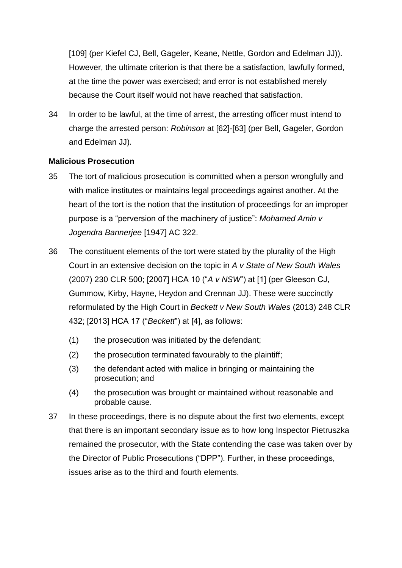[109] (per Kiefel CJ, Bell, Gageler, Keane, Nettle, Gordon and Edelman JJ)). However, the ultimate criterion is that there be a satisfaction, lawfully formed, at the time the power was exercised; and error is not established merely because the Court itself would not have reached that satisfaction.

34 In order to be lawful, at the time of arrest, the arresting officer must intend to charge the arrested person: *Robinson* at [62]-[63] (per Bell, Gageler, Gordon and Edelman JJ).

# **Malicious Prosecution**

- 35 The tort of malicious prosecution is committed when a person wrongfully and with malice institutes or maintains legal proceedings against another. At the heart of the tort is the notion that the institution of proceedings for an improper purpose is a "perversion of the machinery of justice": *Mohamed Amin v Jogendra Bannerjee* [1947] AC 322.
- 36 The constituent elements of the tort were stated by the plurality of the High Court in an extensive decision on the topic in *A v State of New South Wales* (2007) 230 CLR 500; [2007] HCA 10 ("*A v NSW*") at [1] (per Gleeson CJ, Gummow, Kirby, Hayne, Heydon and Crennan JJ). These were succinctly reformulated by the High Court in *Beckett v New South Wales* (2013) 248 CLR 432; [2013] HCA 17 ("*Beckett*") at [4], as follows:
	- (1) the prosecution was initiated by the defendant;
	- (2) the prosecution terminated favourably to the plaintiff;
	- (3) the defendant acted with malice in bringing or maintaining the prosecution; and
	- (4) the prosecution was brought or maintained without reasonable and probable cause.
- 37 In these proceedings, there is no dispute about the first two elements, except that there is an important secondary issue as to how long Inspector Pietruszka remained the prosecutor, with the State contending the case was taken over by the Director of Public Prosecutions ("DPP"). Further, in these proceedings, issues arise as to the third and fourth elements.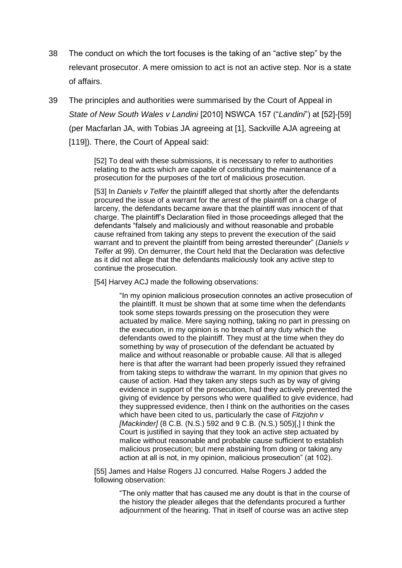- 38 The conduct on which the tort focuses is the taking of an "active step" by the relevant prosecutor. A mere omission to act is not an active step. Nor is a state of affairs.
- 39 The principles and authorities were summarised by the Court of Appeal in *State of New South Wales v Landini* [2010] NSWCA 157 ("*Landini*") at [52]-[59] (per Macfarlan JA, with Tobias JA agreeing at [1], Sackville AJA agreeing at [119]). There, the Court of Appeal said:

[52] To deal with these submissions, it is necessary to refer to authorities relating to the acts which are capable of constituting the maintenance of a prosecution for the purposes of the tort of malicious prosecution.

[53] In *Daniels v Telfer* the plaintiff alleged that shortly after the defendants procured the issue of a warrant for the arrest of the plaintiff on a charge of larceny, the defendants became aware that the plaintiff was innocent of that charge. The plaintiff's Declaration filed in those proceedings alleged that the defendants "falsely and maliciously and without reasonable and probable cause refrained from taking any steps to prevent the execution of the said warrant and to prevent the plaintiff from being arrested thereunder" (*Daniels v Telfer* at 99). On demurrer, the Court held that the Declaration was defective as it did not allege that the defendants maliciously took any active step to continue the prosecution.

[54] Harvey ACJ made the following observations:

"In my opinion malicious prosecution connotes an active prosecution of the plaintiff. It must be shown that at some time when the defendants took some steps towards pressing on the prosecution they were actuated by malice. Mere saying nothing, taking no part in pressing on the execution, in my opinion is no breach of any duty which the defendants owed to the plaintiff. They must at the time when they do something by way of prosecution of the defendant be actuated by malice and without reasonable or probable cause. All that is alleged here is that after the warrant had been properly issued they refrained from taking steps to withdraw the warrant. In my opinion that gives no cause of action. Had they taken any steps such as by way of giving evidence in support of the prosecution, had they actively prevented the giving of evidence by persons who were qualified to give evidence, had they suppressed evidence, then I think on the authorities on the cases which have been cited to us, particularly the case of *Fitzjohn v [Mackinder]* (8 C.B. (N.S.) 592 and 9 C.B. (N.S.) 505)[,] I think the Court is justified in saying that they took an active step actuated by malice without reasonable and probable cause sufficient to establish malicious prosecution; but mere abstaining from doing or taking any action at all is not, in my opinion, malicious prosecution" (at 102).

[55] James and Halse Rogers JJ concurred. Halse Rogers J added the following observation:

> "The only matter that has caused me any doubt is that in the course of the history the pleader alleges that the defendants procured a further adjournment of the hearing. That in itself of course was an active step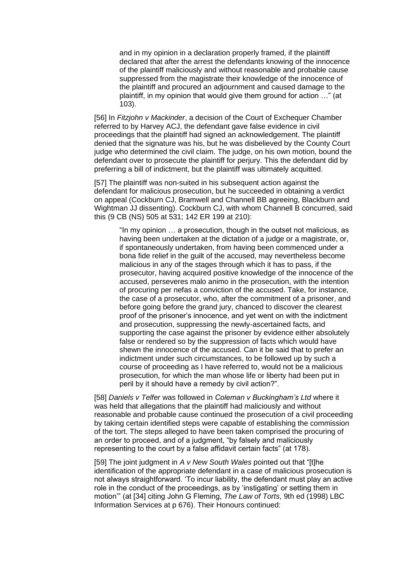and in my opinion in a declaration properly framed, if the plaintiff declared that after the arrest the defendants knowing of the innocence of the plaintiff maliciously and without reasonable and probable cause suppressed from the magistrate their knowledge of the innocence of the plaintiff and procured an adjournment and caused damage to the plaintiff, in my opinion that would give them ground for action …" (at 103).

[56] In *Fitzjohn v Mackinder*, a decision of the Court of Exchequer Chamber referred to by Harvey ACJ, the defendant gave false evidence in civil proceedings that the plaintiff had signed an acknowledgement. The plaintiff denied that the signature was his, but he was disbelieved by the County Court judge who determined the civil claim. The judge, on his own motion, bound the defendant over to prosecute the plaintiff for perjury. This the defendant did by preferring a bill of indictment, but the plaintiff was ultimately acquitted.

[57] The plaintiff was non-suited in his subsequent action against the defendant for malicious prosecution, but he succeeded in obtaining a verdict on appeal (Cockburn CJ, Bramwell and Channell BB agreeing, Blackburn and Wightman JJ dissenting). Cockburn CJ, with whom Channell B concurred, said this (9 CB (NS) 505 at 531; 142 ER 199 at 210):

"In my opinion … a prosecution, though in the outset not malicious, as having been undertaken at the dictation of a judge or a magistrate, or, if spontaneously undertaken, from having been commenced under a bona fide relief in the guilt of the accused, may nevertheless become malicious in any of the stages through which it has to pass, if the prosecutor, having acquired positive knowledge of the innocence of the accused, perseveres malo animo in the prosecution, with the intention of procuring per nefas a conviction of the accused. Take, for instance, the case of a prosecutor, who, after the commitment of a prisoner, and before going before the grand jury, chanced to discover the clearest proof of the prisoner's innocence, and yet went on with the indictment and prosecution, suppressing the newly-ascertained facts, and supporting the case against the prisoner by evidence either absolutely false or rendered so by the suppression of facts which would have shewn the innocence of the accused. Can it be said that to prefer an indictment under such circumstances, to be followed up by such a course of proceeding as I have referred to, would not be a malicious prosecution, for which the man whose life or liberty had been put in peril by it should have a remedy by civil action?".

[58] *Daniels v Telfer* was followed in *Coleman v Buckingham's Ltd* where it was held that allegations that the plaintiff had maliciously and without reasonable and probable cause continued the prosecution of a civil proceeding by taking certain identified steps were capable of establishing the commission of the tort. The steps alleged to have been taken comprised the procuring of an order to proceed, and of a judgment, "by falsely and maliciously representing to the court by a false affidavit certain facts" (at 178).

[59] The joint judgment in *A v New South Wales* pointed out that "[t]he identification of the appropriate defendant in a case of malicious prosecution is not always straightforward. 'To incur liability, the defendant must play an active role in the conduct of the proceedings, as by 'instigating' or setting them in motion'" (at [34] citing John G Fleming, *The Law of Torts*, 9th ed (1998) LBC Information Services at p 676). Their Honours continued: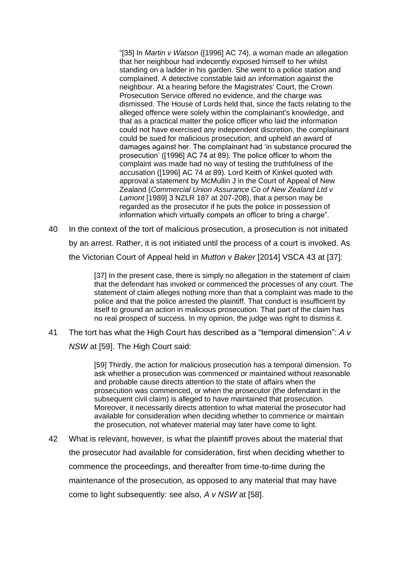"[35] In *Martin v Watson* ([1996] AC 74), a woman made an allegation that her neighbour had indecently exposed himself to her whilst standing on a ladder in his garden. She went to a police station and complained. A detective constable laid an information against the neighbour. At a hearing before the Magistrates' Court, the Crown Prosecution Service offered no evidence, and the charge was dismissed. The House of Lords held that, since the facts relating to the alleged offence were solely within the complainant's knowledge, and that as a practical matter the police officer who laid the information could not have exercised any independent discretion, the complainant could be sued for malicious prosecution, and upheld an award of damages against her. The complainant had 'in substance procured the prosecution' ([1996] AC 74 at 89). The police officer to whom the complaint was made had no way of testing the truthfulness of the accusation ([1996] AC 74 at 89). Lord Keith of Kinkel quoted with approval a statement by McMullin J in the Court of Appeal of New Zealand (*Commercial Union Assurance Co of New Zealand Ltd v Lamont* [1989] 3 NZLR 187 at 207-208), that a person may be regarded as the prosecutor if he puts the police in possession of information which virtually compels an officer to bring a charge".

40 In the context of the tort of malicious prosecution, a prosecution is not initiated by an arrest. Rather, it is not initiated until the process of a court is invoked. As the Victorian Court of Appeal held in *Mutton v Baker* [2014] VSCA 43 at [37]:

> [37] In the present case, there is simply no allegation in the statement of claim that the defendant has invoked or commenced the processes of any court. The statement of claim alleges nothing more than that a complaint was made to the police and that the police arrested the plaintiff. That conduct is insufficient by itself to ground an action in malicious prosecution. That part of the claim has no real prospect of success. In my opinion, the judge was right to dismiss it.

41 The tort has what the High Court has described as a "temporal dimension": *A v NSW* at [59]. The High Court said:

> [59] Thirdly, the action for malicious prosecution has a temporal dimension. To ask whether a prosecution was commenced or maintained without reasonable and probable cause directs attention to the state of affairs when the prosecution was commenced, or when the prosecutor (the defendant in the subsequent civil claim) is alleged to have maintained that prosecution. Moreover, it necessarily directs attention to what material the prosecutor had available for consideration when deciding whether to commence or maintain the prosecution, not whatever material may later have come to light.

42 What is relevant, however, is what the plaintiff proves about the material that the prosecutor had available for consideration, first when deciding whether to commence the proceedings, and thereafter from time-to-time during the maintenance of the prosecution, as opposed to any material that may have come to light subsequently: see also, *A v NSW* at [58].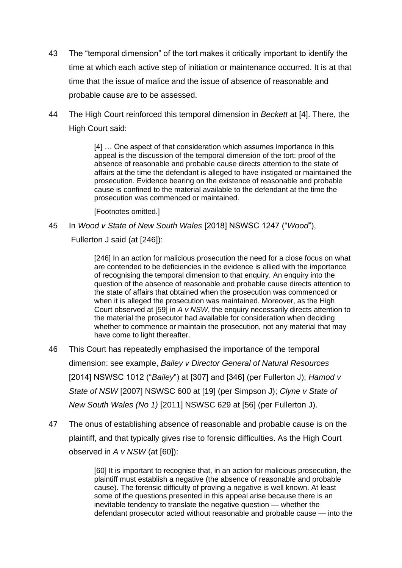- 43 The "temporal dimension" of the tort makes it critically important to identify the time at which each active step of initiation or maintenance occurred. It is at that time that the issue of malice and the issue of absence of reasonable and probable cause are to be assessed.
- 44 The High Court reinforced this temporal dimension in *Beckett* at [4]. There, the High Court said:

[4] … One aspect of that consideration which assumes importance in this appeal is the discussion of the temporal dimension of the tort: proof of the absence of reasonable and probable cause directs attention to the state of affairs at the time the defendant is alleged to have instigated or maintained the prosecution. Evidence bearing on the existence of reasonable and probable cause is confined to the material available to the defendant at the time the prosecution was commenced or maintained.

[Footnotes omitted.]

45 In *Wood v State of New South Wales* [2018] NSWSC 1247 ("*Wood*"),

Fullerton J said (at [246]):

[246] In an action for malicious prosecution the need for a close focus on what are contended to be deficiencies in the evidence is allied with the importance of recognising the temporal dimension to that enquiry. An enquiry into the question of the absence of reasonable and probable cause directs attention to the state of affairs that obtained when the prosecution was commenced or when it is alleged the prosecution was maintained. Moreover, as the High Court observed at [59] in *A v NSW*, the enquiry necessarily directs attention to the material the prosecutor had available for consideration when deciding whether to commence or maintain the prosecution, not any material that may have come to light thereafter.

- 46 This Court has repeatedly emphasised the importance of the temporal dimension: see example, *Bailey v Director General of Natural Resources*  [2014] NSWSC 1012 ("*Bailey*") at [307] and [346] (per Fullerton J); *Hamod v State of NSW* [2007] NSWSC 600 at [19] (per Simpson J); *Clyne v State of New South Wales (No 1)* [2011] NSWSC 629 at [56] (per Fullerton J).
- 47 The onus of establishing absence of reasonable and probable cause is on the plaintiff, and that typically gives rise to forensic difficulties. As the High Court observed in *A v NSW* (at [60]):

[60] It is important to recognise that, in an action for malicious prosecution, the plaintiff must establish a negative (the absence of reasonable and probable cause). The forensic difficulty of proving a negative is well known. At least some of the questions presented in this appeal arise because there is an inevitable tendency to translate the negative question — whether the defendant prosecutor acted without reasonable and probable cause — into the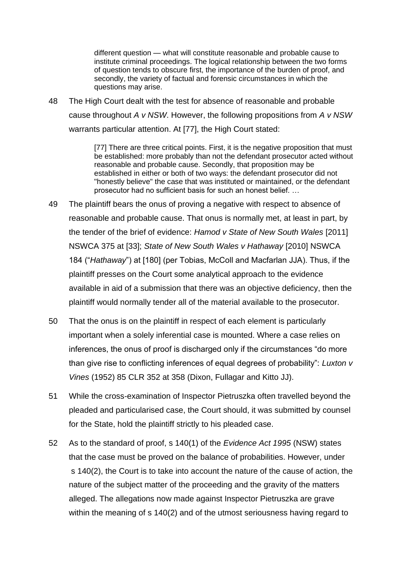different question — what will constitute reasonable and probable cause to institute criminal proceedings. The logical relationship between the two forms of question tends to obscure first, the importance of the burden of proof, and secondly, the variety of factual and forensic circumstances in which the questions may arise.

48 The High Court dealt with the test for absence of reasonable and probable cause throughout *A v NSW*. However, the following propositions from *A v NSW* warrants particular attention. At [77], the High Court stated:

> [77] There are three critical points. First, it is the negative proposition that must be established: more probably than not the defendant prosecutor acted without reasonable and probable cause. Secondly, that proposition may be established in either or both of two ways: the defendant prosecutor did not "honestly believe" the case that was instituted or maintained, or the defendant prosecutor had no sufficient basis for such an honest belief. …

- 49 The plaintiff bears the onus of proving a negative with respect to absence of reasonable and probable cause. That onus is normally met, at least in part, by the tender of the brief of evidence: *Hamod v State of New South Wales* [2011] NSWCA 375 at [33]; *State of New South Wales v Hathaway* [2010] NSWCA 184 ("*Hathaway*") at [180] (per Tobias, McColl and Macfarlan JJA). Thus, if the plaintiff presses on the Court some analytical approach to the evidence available in aid of a submission that there was an objective deficiency, then the plaintiff would normally tender all of the material available to the prosecutor.
- 50 That the onus is on the plaintiff in respect of each element is particularly important when a solely inferential case is mounted. Where a case relies on inferences, the onus of proof is discharged only if the circumstances "do more than give rise to conflicting inferences of equal degrees of probability": *Luxton v Vines* (1952) 85 CLR 352 at 358 (Dixon, Fullagar and Kitto JJ).
- 51 While the cross-examination of Inspector Pietruszka often travelled beyond the pleaded and particularised case, the Court should, it was submitted by counsel for the State, hold the plaintiff strictly to his pleaded case.
- 52 As to the standard of proof, s 140(1) of the *Evidence Act 1995* (NSW) states that the case must be proved on the balance of probabilities. However, under s 140(2), the Court is to take into account the nature of the cause of action, the nature of the subject matter of the proceeding and the gravity of the matters alleged. The allegations now made against Inspector Pietruszka are grave within the meaning of s 140(2) and of the utmost seriousness having regard to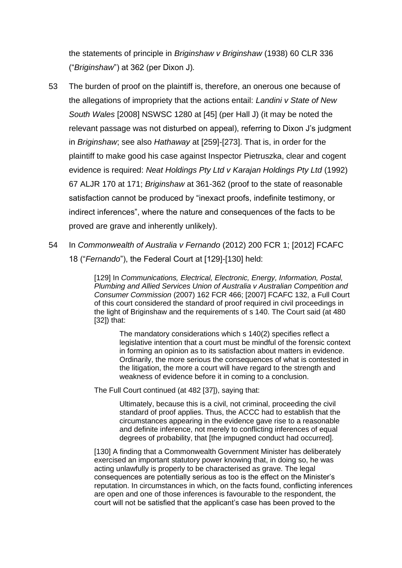the statements of principle in *Briginshaw v Briginshaw* (1938) 60 CLR 336 ("*Briginshaw*") at 362 (per Dixon J)*.*

- 53 The burden of proof on the plaintiff is, therefore, an onerous one because of the allegations of impropriety that the actions entail: *Landini v State of New South Wales* [2008] NSWSC 1280 at [45] (per Hall J) (it may be noted the relevant passage was not disturbed on appeal), referring to Dixon J's judgment in *Briginshaw*; see also *Hathaway* at [259]-[273]. That is, in order for the plaintiff to make good his case against Inspector Pietruszka, clear and cogent evidence is required: *Neat Holdings Pty Ltd v Karajan Holdings Pty Ltd* (1992) 67 ALJR 170 at 171; *Briginshaw* at 361-362 (proof to the state of reasonable satisfaction cannot be produced by "inexact proofs, indefinite testimony, or indirect inferences", where the nature and consequences of the facts to be proved are grave and inherently unlikely).
- 54 In *Commonwealth of Australia v Fernando* (2012) 200 FCR 1; [2012] FCAFC 18 ("*Fernando*"), the Federal Court at [129]-[130] held:

[129] In *Communications, Electrical, Electronic, Energy, Information, Postal, Plumbing and Allied Services Union of Australia v Australian Competition and Consumer Commission* (2007) 162 FCR 466; [2007] FCAFC 132, a Full Court of this court considered the standard of proof required in civil proceedings in the light of Briginshaw and the requirements of s 140. The Court said (at 480 [32]) that:

The mandatory considerations which s 140(2) specifies reflect a legislative intention that a court must be mindful of the forensic context in forming an opinion as to its satisfaction about matters in evidence. Ordinarily, the more serious the consequences of what is contested in the litigation, the more a court will have regard to the strength and weakness of evidence before it in coming to a conclusion.

The Full Court continued (at 482 [37]), saying that:

Ultimately, because this is a civil, not criminal, proceeding the civil standard of proof applies. Thus, the ACCC had to establish that the circumstances appearing in the evidence gave rise to a reasonable and definite inference, not merely to conflicting inferences of equal degrees of probability, that [the impugned conduct had occurred].

[130] A finding that a Commonwealth Government Minister has deliberately exercised an important statutory power knowing that, in doing so, he was acting unlawfully is properly to be characterised as grave. The legal consequences are potentially serious as too is the effect on the Minister's reputation. In circumstances in which, on the facts found, conflicting inferences are open and one of those inferences is favourable to the respondent, the court will not be satisfied that the applicant's case has been proved to the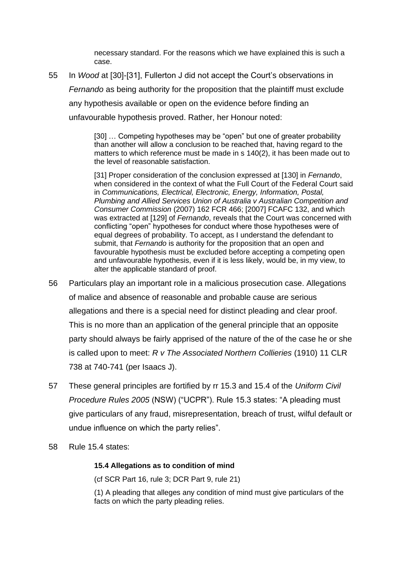necessary standard. For the reasons which we have explained this is such a case.

55 In *Wood* at [30]-[31], Fullerton J did not accept the Court's observations in *Fernando* as being authority for the proposition that the plaintiff must exclude any hypothesis available or open on the evidence before finding an unfavourable hypothesis proved. Rather, her Honour noted:

> [30] … Competing hypotheses may be "open" but one of greater probability than another will allow a conclusion to be reached that, having regard to the matters to which reference must be made in s 140(2), it has been made out to the level of reasonable satisfaction.

> [31] Proper consideration of the conclusion expressed at [130] in *Fernando*, when considered in the context of what the Full Court of the Federal Court said in *Communications, Electrical, Electronic, Energy, Information, Postal, Plumbing and Allied Services Union of Australia v Australian Competition and Consumer Commission* (2007) 162 FCR 466; [2007] FCAFC 132, and which was extracted at [129] of *Fernando*, reveals that the Court was concerned with conflicting "open" hypotheses for conduct where those hypotheses were of equal degrees of probability. To accept, as I understand the defendant to submit, that *Fernando* is authority for the proposition that an open and favourable hypothesis must be excluded before accepting a competing open and unfavourable hypothesis, even if it is less likely, would be, in my view, to alter the applicable standard of proof.

- 56 Particulars play an important role in a malicious prosecution case. Allegations of malice and absence of reasonable and probable cause are serious allegations and there is a special need for distinct pleading and clear proof. This is no more than an application of the general principle that an opposite party should always be fairly apprised of the nature of the of the case he or she is called upon to meet: *R v The Associated Northern Collieries* (1910) 11 CLR 738 at 740-741 (per Isaacs J).
- 57 These general principles are fortified by rr 15.3 and 15.4 of the *Uniform Civil Procedure Rules 2005* (NSW) ("UCPR"). Rule 15.3 states: "A pleading must give particulars of any fraud, misrepresentation, breach of trust, wilful default or undue influence on which the party relies".
- 58 Rule 15.4 states:

#### **15.4 Allegations as to condition of mind**

(cf SCR Part 16, rule 3; DCR Part 9, rule 21)

(1) A pleading that alleges any condition of mind must give particulars of the facts on which the party pleading relies.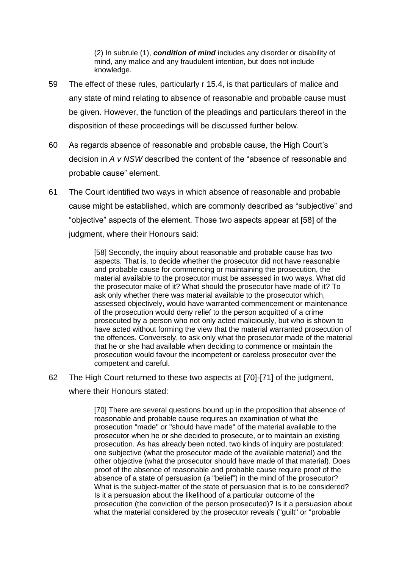(2) In subrule (1), *condition of mind* includes any disorder or disability of mind, any malice and any fraudulent intention, but does not include knowledge.

- 59 The effect of these rules, particularly r 15.4, is that particulars of malice and any state of mind relating to absence of reasonable and probable cause must be given. However, the function of the pleadings and particulars thereof in the disposition of these proceedings will be discussed further below.
- 60 As regards absence of reasonable and probable cause, the High Court's decision in *A v NSW* described the content of the "absence of reasonable and probable cause" element.
- 61 The Court identified two ways in which absence of reasonable and probable cause might be established, which are commonly described as "subjective" and "objective" aspects of the element. Those two aspects appear at [58] of the judgment, where their Honours said:

[58] Secondly, the inquiry about reasonable and probable cause has two aspects. That is, to decide whether the prosecutor did not have reasonable and probable cause for commencing or maintaining the prosecution, the material available to the prosecutor must be assessed in two ways. What did the prosecutor make of it? What should the prosecutor have made of it? To ask only whether there was material available to the prosecutor which, assessed objectively, would have warranted commencement or maintenance of the prosecution would deny relief to the person acquitted of a crime prosecuted by a person who not only acted maliciously, but who is shown to have acted without forming the view that the material warranted prosecution of the offences. Conversely, to ask only what the prosecutor made of the material that he or she had available when deciding to commence or maintain the prosecution would favour the incompetent or careless prosecutor over the competent and careful.

62 The High Court returned to these two aspects at [70]-[71] of the judgment,

where their Honours stated:

[70] There are several questions bound up in the proposition that absence of reasonable and probable cause requires an examination of what the prosecution "made" or "should have made" of the material available to the prosecutor when he or she decided to prosecute, or to maintain an existing prosecution. As has already been noted, two kinds of inquiry are postulated: one subjective (what the prosecutor made of the available material) and the other objective (what the prosecutor should have made of that material). Does proof of the absence of reasonable and probable cause require proof of the absence of a state of persuasion (a "belief") in the mind of the prosecutor? What is the subject-matter of the state of persuasion that is to be considered? Is it a persuasion about the likelihood of a particular outcome of the prosecution (the conviction of the person prosecuted)? Is it a persuasion about what the material considered by the prosecutor reveals ("guilt" or "probable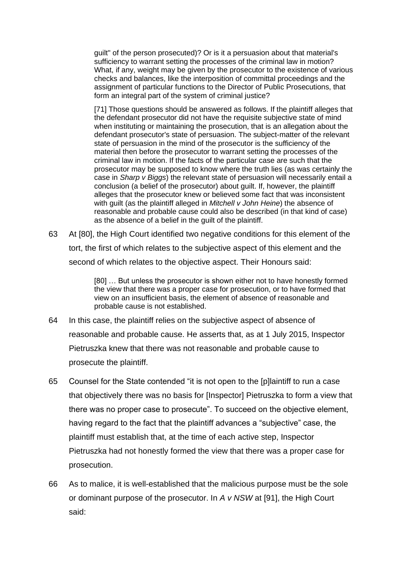guilt" of the person prosecuted)? Or is it a persuasion about that material's sufficiency to warrant setting the processes of the criminal law in motion? What, if any, weight may be given by the prosecutor to the existence of various checks and balances, like the interposition of committal proceedings and the assignment of particular functions to the Director of Public Prosecutions, that form an integral part of the system of criminal justice?

[71] Those questions should be answered as follows. If the plaintiff alleges that the defendant prosecutor did not have the requisite subjective state of mind when instituting or maintaining the prosecution, that is an allegation about the defendant prosecutor's state of persuasion. The subject-matter of the relevant state of persuasion in the mind of the prosecutor is the sufficiency of the material then before the prosecutor to warrant setting the processes of the criminal law in motion. If the facts of the particular case are such that the prosecutor may be supposed to know where the truth lies (as was certainly the case in *Sharp v Biggs*) the relevant state of persuasion will necessarily entail a conclusion (a belief of the prosecutor) about guilt. If, however, the plaintiff alleges that the prosecutor knew or believed some fact that was inconsistent with guilt (as the plaintiff alleged in *Mitchell v John Heine*) the absence of reasonable and probable cause could also be described (in that kind of case) as the absence of a belief in the guilt of the plaintiff.

63 At [80], the High Court identified two negative conditions for this element of the tort, the first of which relates to the subjective aspect of this element and the second of which relates to the objective aspect. Their Honours said:

> [80] … But unless the prosecutor is shown either not to have honestly formed the view that there was a proper case for prosecution, or to have formed that view on an insufficient basis, the element of absence of reasonable and probable cause is not established.

- 64 In this case, the plaintiff relies on the subjective aspect of absence of reasonable and probable cause. He asserts that, as at 1 July 2015, Inspector Pietruszka knew that there was not reasonable and probable cause to prosecute the plaintiff.
- 65 Counsel for the State contended "it is not open to the [p]laintiff to run a case that objectively there was no basis for [Inspector] Pietruszka to form a view that there was no proper case to prosecute". To succeed on the objective element, having regard to the fact that the plaintiff advances a "subjective" case, the plaintiff must establish that, at the time of each active step, Inspector Pietruszka had not honestly formed the view that there was a proper case for prosecution.
- 66 As to malice, it is well-established that the malicious purpose must be the sole or dominant purpose of the prosecutor. In *A v NSW* at [91], the High Court said: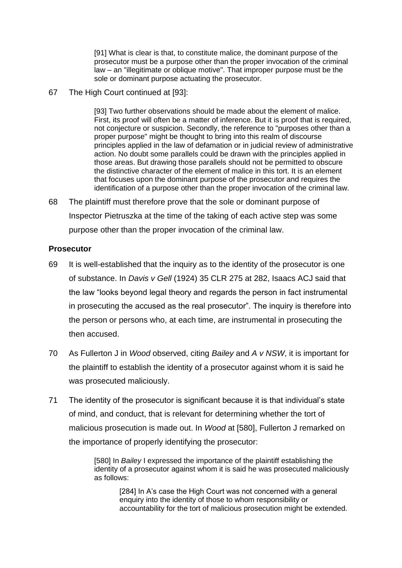[91] What is clear is that, to constitute malice, the dominant purpose of the prosecutor must be a purpose other than the proper invocation of the criminal law – an "illegitimate or oblique motive". That improper purpose must be the sole or dominant purpose actuating the prosecutor.

67 The High Court continued at [93]:

[93] Two further observations should be made about the element of malice. First, its proof will often be a matter of inference. But it is proof that is required, not conjecture or suspicion. Secondly, the reference to "purposes other than a proper purpose" might be thought to bring into this realm of discourse principles applied in the law of defamation or in judicial review of administrative action. No doubt some parallels could be drawn with the principles applied in those areas. But drawing those parallels should not be permitted to obscure the distinctive character of the element of malice in this tort. It is an element that focuses upon the dominant purpose of the prosecutor and requires the identification of a purpose other than the proper invocation of the criminal law.

68 The plaintiff must therefore prove that the sole or dominant purpose of Inspector Pietruszka at the time of the taking of each active step was some purpose other than the proper invocation of the criminal law.

### **Prosecutor**

- 69 It is well-established that the inquiry as to the identity of the prosecutor is one of substance. In *Davis v Gell* (1924) 35 CLR 275 at 282, Isaacs ACJ said that the law "looks beyond legal theory and regards the person in fact instrumental in prosecuting the accused as the real prosecutor". The inquiry is therefore into the person or persons who, at each time, are instrumental in prosecuting the then accused.
- 70 As Fullerton J in *Wood* observed, citing *Bailey* and *A v NSW*, it is important for the plaintiff to establish the identity of a prosecutor against whom it is said he was prosecuted maliciously.
- 71 The identity of the prosecutor is significant because it is that individual's state of mind, and conduct, that is relevant for determining whether the tort of malicious prosecution is made out. In *Wood* at [580], Fullerton J remarked on the importance of properly identifying the prosecutor:

[580] In *Bailey* I expressed the importance of the plaintiff establishing the identity of a prosecutor against whom it is said he was prosecuted maliciously as follows:

[284] In A's case the High Court was not concerned with a general enquiry into the identity of those to whom responsibility or accountability for the tort of malicious prosecution might be extended.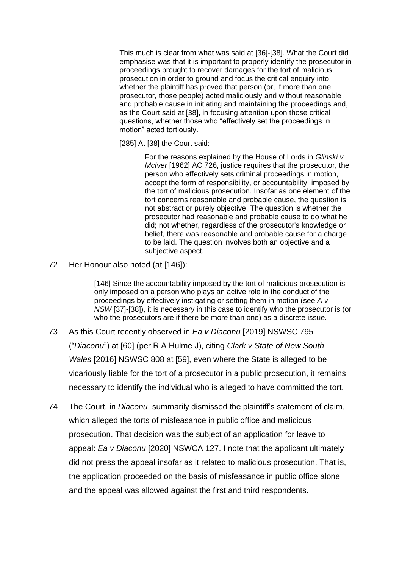This much is clear from what was said at [36]-[38]. What the Court did emphasise was that it is important to properly identify the prosecutor in proceedings brought to recover damages for the tort of malicious prosecution in order to ground and focus the critical enquiry into whether the plaintiff has proved that person (or, if more than one prosecutor, those people) acted maliciously and without reasonable and probable cause in initiating and maintaining the proceedings and, as the Court said at [38], in focusing attention upon those critical questions, whether those who "effectively set the proceedings in motion" acted tortiously.

[285] At [38] the Court said:

For the reasons explained by the House of Lords in *Glinski v McIver* [1962] AC 726, justice requires that the prosecutor, the person who effectively sets criminal proceedings in motion, accept the form of responsibility, or accountability, imposed by the tort of malicious prosecution. Insofar as one element of the tort concerns reasonable and probable cause, the question is not abstract or purely objective. The question is whether the prosecutor had reasonable and probable cause to do what he did; not whether, regardless of the prosecutor's knowledge or belief, there was reasonable and probable cause for a charge to be laid. The question involves both an objective and a subjective aspect.

72 Her Honour also noted (at [146]):

[146] Since the accountability imposed by the tort of malicious prosecution is only imposed on a person who plays an active role in the conduct of the proceedings by effectively instigating or setting them in motion (see *A v NSW* [37]-[38]), it is necessary in this case to identify who the prosecutor is (or who the prosecutors are if there be more than one) as a discrete issue.

- 73 As this Court recently observed in *Ea v Diaconu* [2019] NSWSC 795 ("*Diaconu*") at [60] (per R A Hulme J), citing *Clark v State of New South Wales* [2016] NSWSC 808 at [59], even where the State is alleged to be vicariously liable for the tort of a prosecutor in a public prosecution, it remains necessary to identify the individual who is alleged to have committed the tort.
- 74 The Court, in *Diaconu*, summarily dismissed the plaintiff's statement of claim, which alleged the torts of misfeasance in public office and malicious prosecution. That decision was the subject of an application for leave to appeal: *Ea v Diaconu* [2020] NSWCA 127. I note that the applicant ultimately did not press the appeal insofar as it related to malicious prosecution. That is, the application proceeded on the basis of misfeasance in public office alone and the appeal was allowed against the first and third respondents.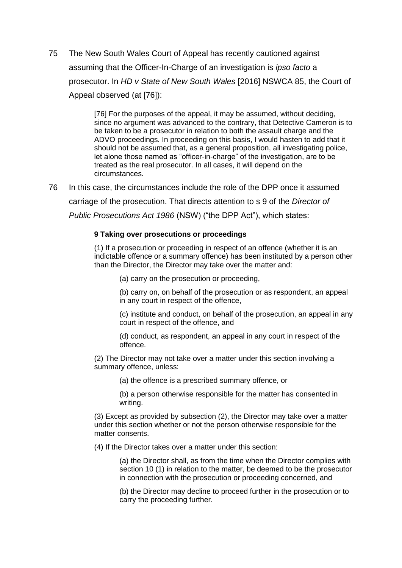75 The New South Wales Court of Appeal has recently cautioned against assuming that the Officer-In-Charge of an investigation is *ipso facto* a prosecutor. In *HD v State of New South Wales* [2016] NSWCA 85, the Court of Appeal observed (at [76]):

> [76] For the purposes of the appeal, it may be assumed, without deciding, since no argument was advanced to the contrary, that Detective Cameron is to be taken to be a prosecutor in relation to both the assault charge and the ADVO proceedings. In proceeding on this basis, I would hasten to add that it should not be assumed that, as a general proposition, all investigating police, let alone those named as "officer-in-charge" of the investigation, are to be treated as the real prosecutor. In all cases, it will depend on the circumstances.

76 In this case, the circumstances include the role of the DPP once it assumed carriage of the prosecution. That directs attention to s 9 of the *Director of Public Prosecutions Act 1986* (NSW) ("the DPP Act"), which states:

#### **9 Taking over prosecutions or proceedings**

(1) If a prosecution or proceeding in respect of an offence (whether it is an indictable offence or a summary offence) has been instituted by a person other than the Director, the Director may take over the matter and:

(a) carry on the prosecution or proceeding,

(b) carry on, on behalf of the prosecution or as respondent, an appeal in any court in respect of the offence,

(c) institute and conduct, on behalf of the prosecution, an appeal in any court in respect of the offence, and

(d) conduct, as respondent, an appeal in any court in respect of the offence.

(2) The Director may not take over a matter under this section involving a summary offence, unless:

(a) the offence is a prescribed summary offence, or

(b) a person otherwise responsible for the matter has consented in writing.

(3) Except as provided by subsection (2), the Director may take over a matter under this section whether or not the person otherwise responsible for the matter consents.

(4) If the Director takes over a matter under this section:

(a) the Director shall, as from the time when the Director complies with section 10 (1) in relation to the matter, be deemed to be the prosecutor in connection with the prosecution or proceeding concerned, and

(b) the Director may decline to proceed further in the prosecution or to carry the proceeding further.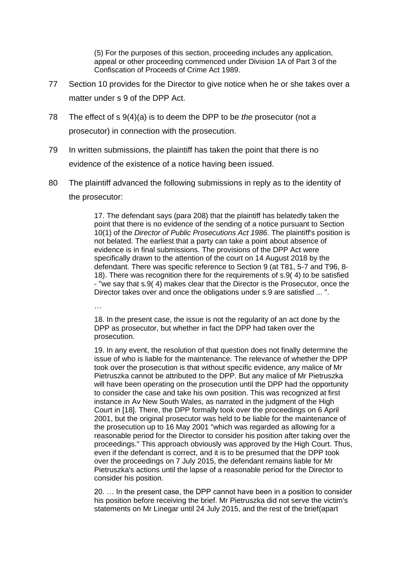(5) For the purposes of this section, proceeding includes any application, appeal or other proceeding commenced under Division 1A of Part 3 of the Confiscation of Proceeds of Crime Act 1989.

- 77 Section 10 provides for the Director to give notice when he or she takes over a matter under s 9 of the DPP Act.
- 78 The effect of s 9(4)(a) is to deem the DPP to be *the* prosecutor (not *a* prosecutor) in connection with the prosecution.
- 79 In written submissions, the plaintiff has taken the point that there is no evidence of the existence of a notice having been issued.
- 80 The plaintiff advanced the following submissions in reply as to the identity of the prosecutor:

17. The defendant says (para 208) that the plaintiff has belatedly taken the point that there is no evidence of the sending of a notice pursuant to Section 10(1) of the *Director of Public Prosecutions Act 1986*. The plaintiff's position is not belated. The earliest that a party can take a point about absence of evidence is in final submissions. The provisions of the DPP Act were specifically drawn to the attention of the court on 14 August 2018 by the defendant. There was specific reference to Section 9 (at T81, 5-7 and T96, 8- 18). There was recognition there for the requirements of s.9( 4) to be satisfied - "we say that s.9( 4) makes clear that the Director is the Prosecutor, once the Director takes over and once the obligations under s.9 are satisfied ... ".

…

18. In the present case, the issue is not the regularity of an act done by the DPP as prosecutor, but whether in fact the DPP had taken over the prosecution.

19. In any event, the resolution of that question does not finally determine the issue of who is liable for the maintenance. The relevance of whether the DPP took over the prosecution is that without specific evidence, any malice of Mr Pietruszka cannot be attributed to the DPP. But any malice of Mr Pietruszka will have been operating on the prosecution until the DPP had the opportunity to consider the case and take his own position. This was recognized at first instance in Av New South Wales, as narrated in the judgment of the High Court in [18]. There, the DPP formally took over the proceedings on 6 April 2001, but the original prosecutor was held to be liable for the maintenance of the prosecution up to 16 May 2001 "which was regarded as allowing for a reasonable period for the Director to consider his position after taking over the proceedings." This approach obviously was approved by the High Court. Thus, even if the defendant is correct, and it is to be presumed that the DPP took over the proceedings on 7 July 2015, the defendant remains liable for Mr Pietruszka's actions until the lapse of a reasonable period for the Director to consider his position.

20. … In the present case, the DPP cannot have been in a position to consider his position before receiving the brief. Mr Pietruszka did not serve the victim's statements on Mr Linegar until 24 July 2015, and the rest of the brief(apart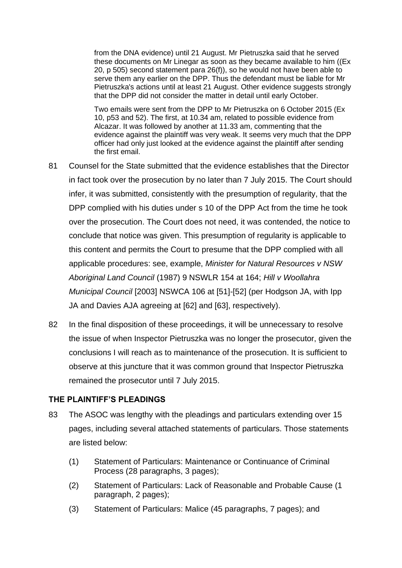from the DNA evidence) until 21 August. Mr Pietruszka said that he served these documents on Mr Linegar as soon as they became available to him ((Ex 20, p 505) second statement para 26(f)), so he would not have been able to serve them any earlier on the DPP. Thus the defendant must be liable for Mr Pietruszka's actions until at least 21 August. Other evidence suggests strongly that the DPP did not consider the matter in detail until early October.

Two emails were sent from the DPP to Mr Pietruszka on 6 October 2015 (Ex 10, p53 and 52). The first, at 10.34 am, related to possible evidence from Alcazar. It was followed by another at 11.33 am, commenting that the evidence against the plaintiff was very weak. It seems very much that the DPP officer had only just looked at the evidence against the plaintiff after sending the first email.

- 81 Counsel for the State submitted that the evidence establishes that the Director in fact took over the prosecution by no later than 7 July 2015. The Court should infer, it was submitted, consistently with the presumption of regularity, that the DPP complied with his duties under s 10 of the DPP Act from the time he took over the prosecution. The Court does not need, it was contended, the notice to conclude that notice was given. This presumption of regularity is applicable to this content and permits the Court to presume that the DPP complied with all applicable procedures: see, example, *Minister for Natural Resources v NSW Aboriginal Land Council* (1987) 9 NSWLR 154 at 164; *Hill v Woollahra Municipal Council* [2003] NSWCA 106 at [51]-[52] (per Hodgson JA, with Ipp JA and Davies AJA agreeing at [62] and [63], respectively).
- 82 In the final disposition of these proceedings, it will be unnecessary to resolve the issue of when Inspector Pietruszka was no longer the prosecutor, given the conclusions I will reach as to maintenance of the prosecution. It is sufficient to observe at this juncture that it was common ground that Inspector Pietruszka remained the prosecutor until 7 July 2015.

### **THE PLAINTIFF'S PLEADINGS**

- 83 The ASOC was lengthy with the pleadings and particulars extending over 15 pages, including several attached statements of particulars. Those statements are listed below:
	- (1) Statement of Particulars: Maintenance or Continuance of Criminal Process (28 paragraphs, 3 pages);
	- (2) Statement of Particulars: Lack of Reasonable and Probable Cause (1 paragraph, 2 pages);
	- (3) Statement of Particulars: Malice (45 paragraphs, 7 pages); and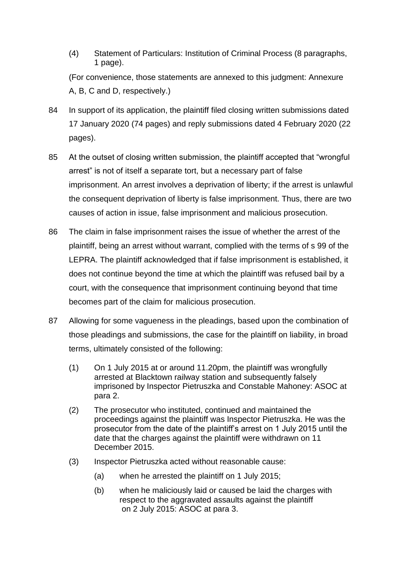- (4) Statement of Particulars: Institution of Criminal Process (8 paragraphs, 1 page). (For convenience, those statements are annexed to this judgment: Annexure A, B, C and D, respectively.)
- 84 In support of its application, the plaintiff filed closing written submissions dated 17 January 2020 (74 pages) and reply submissions dated 4 February 2020 (22 pages).
- 85 At the outset of closing written submission, the plaintiff accepted that "wrongful arrest" is not of itself a separate tort, but a necessary part of false imprisonment. An arrest involves a deprivation of liberty; if the arrest is unlawful the consequent deprivation of liberty is false imprisonment. Thus, there are two causes of action in issue, false imprisonment and malicious prosecution.
- 86 The claim in false imprisonment raises the issue of whether the arrest of the plaintiff, being an arrest without warrant, complied with the terms of s 99 of the LEPRA. The plaintiff acknowledged that if false imprisonment is established, it does not continue beyond the time at which the plaintiff was refused bail by a court, with the consequence that imprisonment continuing beyond that time becomes part of the claim for malicious prosecution.
- 87 Allowing for some vagueness in the pleadings, based upon the combination of those pleadings and submissions, the case for the plaintiff on liability, in broad terms, ultimately consisted of the following:
	- (1) On 1 July 2015 at or around 11.20pm, the plaintiff was wrongfully arrested at Blacktown railway station and subsequently falsely imprisoned by Inspector Pietruszka and Constable Mahoney: ASOC at para 2.
	- (2) The prosecutor who instituted, continued and maintained the proceedings against the plaintiff was Inspector Pietruszka. He was the prosecutor from the date of the plaintiff's arrest on 1 July 2015 until the date that the charges against the plaintiff were withdrawn on 11 December 2015.
	- (3) Inspector Pietruszka acted without reasonable cause:
		- (a) when he arrested the plaintiff on 1 July 2015;
		- (b) when he maliciously laid or caused be laid the charges with respect to the aggravated assaults against the plaintiff on 2 July 2015: ASOC at para 3.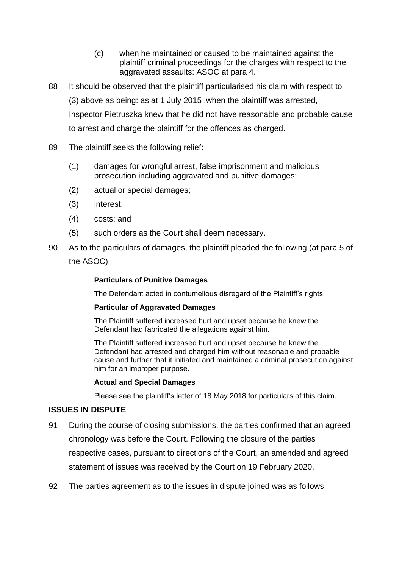- (c) when he maintained or caused to be maintained against the plaintiff criminal proceedings for the charges with respect to the aggravated assaults: ASOC at para 4.
- 88 It should be observed that the plaintiff particularised his claim with respect to (3) above as being: as at 1 July 2015 ,when the plaintiff was arrested, Inspector Pietruszka knew that he did not have reasonable and probable cause to arrest and charge the plaintiff for the offences as charged.
- 89 The plaintiff seeks the following relief:
	- (1) damages for wrongful arrest, false imprisonment and malicious prosecution including aggravated and punitive damages;
	- (2) actual or special damages;
	- (3) interest;
	- (4) costs; and
	- (5) such orders as the Court shall deem necessary.
- 90 As to the particulars of damages, the plaintiff pleaded the following (at para 5 of the ASOC):

### **Particulars of Punitive Damages**

The Defendant acted in contumelious disregard of the Plaintiff's rights.

#### **Particular of Aggravated Damages**

The Plaintiff suffered increased hurt and upset because he knew the Defendant had fabricated the allegations against him.

The Plaintiff suffered increased hurt and upset because he knew the Defendant had arrested and charged him without reasonable and probable cause and further that it initiated and maintained a criminal prosecution against him for an improper purpose.

#### **Actual and Special Damages**

Please see the plaintiff's letter of 18 May 2018 for particulars of this claim.

### **ISSUES IN DISPUTE**

- 91 During the course of closing submissions, the parties confirmed that an agreed chronology was before the Court. Following the closure of the parties respective cases, pursuant to directions of the Court, an amended and agreed statement of issues was received by the Court on 19 February 2020.
- 92 The parties agreement as to the issues in dispute joined was as follows: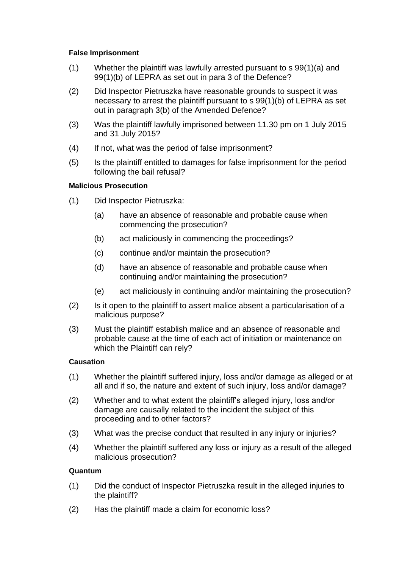### **False Imprisonment**

- $(1)$  Whether the plaintiff was lawfully arrested pursuant to s  $99(1)(a)$  and 99(1)(b) of LEPRA as set out in para 3 of the Defence?
- (2) Did Inspector Pietruszka have reasonable grounds to suspect it was necessary to arrest the plaintiff pursuant to s 99(1)(b) of LEPRA as set out in paragraph 3(b) of the Amended Defence?
- (3) Was the plaintiff lawfully imprisoned between 11.30 pm on 1 July 2015 and 31 July 2015?
- (4) If not, what was the period of false imprisonment?
- (5) Is the plaintiff entitled to damages for false imprisonment for the period following the bail refusal?

# **Malicious Prosecution**

- (1) Did Inspector Pietruszka:
	- (a) have an absence of reasonable and probable cause when commencing the prosecution?
	- (b) act maliciously in commencing the proceedings?
	- (c) continue and/or maintain the prosecution?
	- (d) have an absence of reasonable and probable cause when continuing and/or maintaining the prosecution?
	- (e) act maliciously in continuing and/or maintaining the prosecution?
- (2) Is it open to the plaintiff to assert malice absent a particularisation of a malicious purpose?
- (3) Must the plaintiff establish malice and an absence of reasonable and probable cause at the time of each act of initiation or maintenance on which the Plaintiff can rely?

### **Causation**

- (1) Whether the plaintiff suffered injury, loss and/or damage as alleged or at all and if so, the nature and extent of such injury, loss and/or damage?
- (2) Whether and to what extent the plaintiff's alleged injury, loss and/or damage are causally related to the incident the subject of this proceeding and to other factors?
- (3) What was the precise conduct that resulted in any injury or injuries?
- (4) Whether the plaintiff suffered any loss or injury as a result of the alleged malicious prosecution?

### **Quantum**

- (1) Did the conduct of Inspector Pietruszka result in the alleged injuries to the plaintiff?
- (2) Has the plaintiff made a claim for economic loss?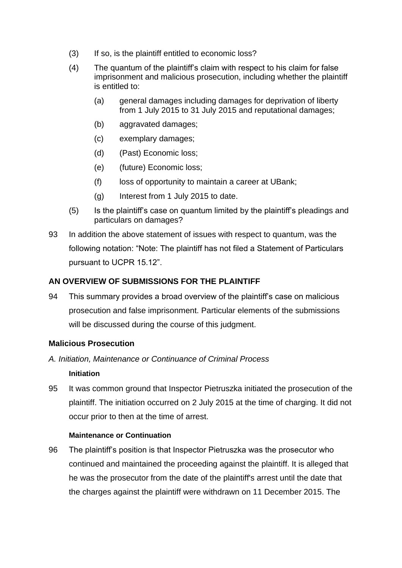- (3) If so, is the plaintiff entitled to economic loss?
- (4) The quantum of the plaintiff's claim with respect to his claim for false imprisonment and malicious prosecution, including whether the plaintiff is entitled to:
	- (a) general damages including damages for deprivation of liberty from 1 July 2015 to 31 July 2015 and reputational damages;
	- (b) aggravated damages;
	- (c) exemplary damages;
	- (d) (Past) Economic loss;
	- (e) (future) Economic loss;
	- (f) loss of opportunity to maintain a career at UBank;
	- (g) Interest from 1 July 2015 to date.
- (5) Is the plaintiff's case on quantum limited by the plaintiff's pleadings and particulars on damages?
- 93 In addition the above statement of issues with respect to quantum, was the following notation: "Note: The plaintiff has not filed a Statement of Particulars pursuant to UCPR 15.12".

# **AN OVERVIEW OF SUBMISSIONS FOR THE PLAINTIFF**

94 This summary provides a broad overview of the plaintiff's case on malicious prosecution and false imprisonment. Particular elements of the submissions will be discussed during the course of this judgment.

### **Malicious Prosecution**

*A. Initiation, Maintenance or Continuance of Criminal Process*

### **Initiation**

95 It was common ground that Inspector Pietruszka initiated the prosecution of the plaintiff. The initiation occurred on 2 July 2015 at the time of charging. It did not occur prior to then at the time of arrest.

### **Maintenance or Continuation**

96 The plaintiff's position is that Inspector Pietruszka was the prosecutor who continued and maintained the proceeding against the plaintiff. It is alleged that he was the prosecutor from the date of the plaintiff's arrest until the date that the charges against the plaintiff were withdrawn on 11 December 2015. The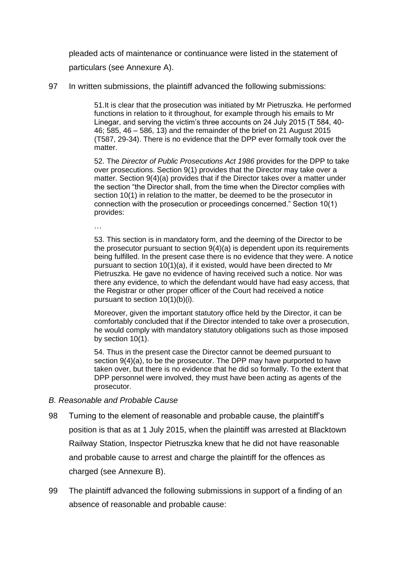pleaded acts of maintenance or continuance were listed in the statement of particulars (see Annexure A).

97 In written submissions, the plaintiff advanced the following submissions:

51.It is clear that the prosecution was initiated by Mr Pietruszka. He performed functions in relation to it throughout, for example through his emails to Mr Linegar, and serving the victim's three accounts on 24 July 2015 (T 584, 40- 46; 585, 46 – 586, 13) and the remainder of the brief on 21 August 2015 (T587, 29-34). There is no evidence that the DPP ever formally took over the matter.

52. The *Director of Public Prosecutions Act 1986* provides for the DPP to take over prosecutions. Section 9(1) provides that the Director may take over a matter. Section 9(4)(a) provides that if the Director takes over a matter under the section "the Director shall, from the time when the Director complies with section 10(1) in relation to the matter, be deemed to be the prosecutor in connection with the prosecution or proceedings concerned." Section 10(1) provides:

…

53. This section is in mandatory form, and the deeming of the Director to be the prosecutor pursuant to section 9(4)(a) is dependent upon its requirements being fulfilled. In the present case there is no evidence that they were. A notice pursuant to section 10(1)(a), if it existed, would have been directed to Mr Pietruszka. He gave no evidence of having received such a notice. Nor was there any evidence, to which the defendant would have had easy access, that the Registrar or other proper officer of the Court had received a notice pursuant to section 10(1)(b)(i).

Moreover, given the important statutory office held by the Director, it can be comfortably concluded that if the Director intended to take over a prosecution, he would comply with mandatory statutory obligations such as those imposed by section 10(1).

54. Thus in the present case the Director cannot be deemed pursuant to section  $9(4)(a)$ , to be the prosecutor. The DPP may have purported to have taken over, but there is no evidence that he did so formally. To the extent that DPP personnel were involved, they must have been acting as agents of the prosecutor.

### *B. Reasonable and Probable Cause*

- 98 Turning to the element of reasonable and probable cause, the plaintiff's position is that as at 1 July 2015, when the plaintiff was arrested at Blacktown Railway Station, Inspector Pietruszka knew that he did not have reasonable and probable cause to arrest and charge the plaintiff for the offences as charged (see Annexure B).
- 99 The plaintiff advanced the following submissions in support of a finding of an absence of reasonable and probable cause: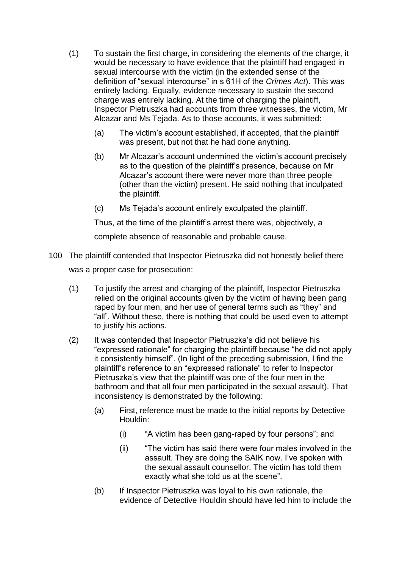- (1) To sustain the first charge, in considering the elements of the charge, it would be necessary to have evidence that the plaintiff had engaged in sexual intercourse with the victim (in the extended sense of the definition of "sexual intercourse" in s 61H of the *Crimes Act*). This was entirely lacking. Equally, evidence necessary to sustain the second charge was entirely lacking. At the time of charging the plaintiff, Inspector Pietruszka had accounts from three witnesses, the victim, Mr Alcazar and Ms Tejada. As to those accounts, it was submitted:
	- (a) The victim's account established, if accepted, that the plaintiff was present, but not that he had done anything.
	- (b) Mr Alcazar's account undermined the victim's account precisely as to the question of the plaintiff's presence, because on Mr Alcazar's account there were never more than three people (other than the victim) present. He said nothing that inculpated the plaintiff.
	- (c) Ms Tejada's account entirely exculpated the plaintiff.

Thus, at the time of the plaintiff's arrest there was, objectively, a

complete absence of reasonable and probable cause.

- 100 The plaintiff contended that Inspector Pietruszka did not honestly belief there was a proper case for prosecution:
	- (1) To justify the arrest and charging of the plaintiff, Inspector Pietruszka relied on the original accounts given by the victim of having been gang raped by four men, and her use of general terms such as "they" and "all". Without these, there is nothing that could be used even to attempt to justify his actions.
	- (2) It was contended that Inspector Pietruszka's did not believe his "expressed rationale" for charging the plaintiff because "he did not apply it consistently himself". (In light of the preceding submission, I find the plaintiff's reference to an "expressed rationale" to refer to Inspector Pietruszka's view that the plaintiff was one of the four men in the bathroom and that all four men participated in the sexual assault). That inconsistency is demonstrated by the following:
		- (a) First, reference must be made to the initial reports by Detective Houldin:
			- (i) "A victim has been gang-raped by four persons"; and
			- (ii) "The victim has said there were four males involved in the assault. They are doing the SAIK now. I've spoken with the sexual assault counsellor. The victim has told them exactly what she told us at the scene".
		- (b) If Inspector Pietruszka was loyal to his own rationale, the evidence of Detective Houldin should have led him to include the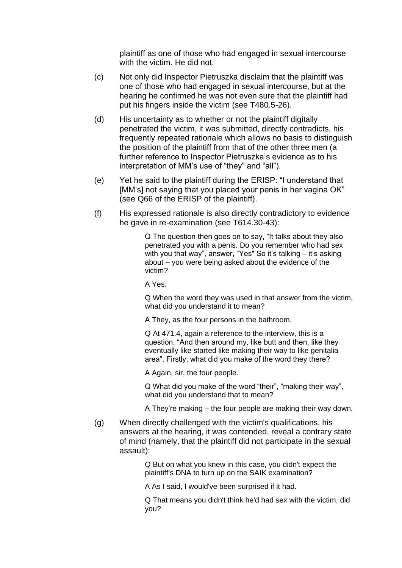plaintiff as one of those who had engaged in sexual intercourse with the victim. He did not.

- (c) Not only did Inspector Pietruszka disclaim that the plaintiff was one of those who had engaged in sexual intercourse, but at the hearing he confirmed he was not even sure that the plaintiff had put his fingers inside the victim (see T480.5-26).
- (d) His uncertainty as to whether or not the plaintiff digitally penetrated the victim, it was submitted, directly contradicts, his frequently repeated rationale which allows no basis to distinguish the position of the plaintiff from that of the other three men (a further reference to Inspector Pietruszka's evidence as to his interpretation of MM's use of "they" and "all").
- (e) Yet he said to the plaintiff during the ERISP: "I understand that [MM's] not saying that you placed your penis in her vagina OK" (see Q66 of the ERISP of the plaintiff).
- (f) His expressed rationale is also directly contradictory to evidence he gave in re-examination (see T614.30-43):

Q The question then goes on to say, "It talks about they also penetrated you with a penis. Do you remember who had sex with you that way", answer, "Yes" So it's talking – it's asking about – you were being asked about the evidence of the victim?

A Yes.

Q When the word they was used in that answer from the victim, what did you understand it to mean?

A They, as the four persons in the bathroom.

Q At 471.4, again a reference to the interview, this is a question. "And then around my, like butt and then, like they eventually like started like making their way to like genitalia area". Firstly, what did you make of the word they there?

A Again, sir, the four people.

Q What did you make of the word "their", "making their way", what did you understand that to mean?

A They're making – the four people are making their way down.

(g) When directly challenged with the victim's qualifications, his answers at the hearing, it was contended, reveal a contrary state of mind (namely, that the plaintiff did not participate in the sexual assault):

> Q But on what you knew in this case, you didn't expect the plaintiff's DNA to turn up on the SAIK examination?

A As I said, I would've been surprised if it had.

Q That means you didn't think he'd had sex with the victim, did you?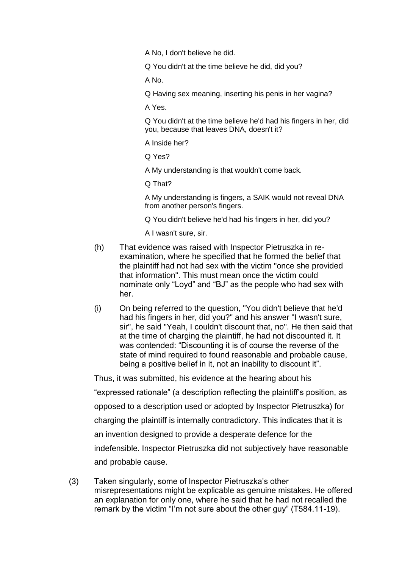A No, I don't believe he did.

Q You didn't at the time believe he did, did you?

A No.

Q Having sex meaning, inserting his penis in her vagina?

A Yes.

Q You didn't at the time believe he'd had his fingers in her, did you, because that leaves DNA, doesn't it?

A Inside her?

Q Yes?

A My understanding is that wouldn't come back.

Q That?

A My understanding is fingers, a SAIK would not reveal DNA from another person's fingers.

Q You didn't believe he'd had his fingers in her, did you?

A I wasn't sure, sir.

- (h) That evidence was raised with Inspector Pietruszka in reexamination, where he specified that he formed the belief that the plaintiff had not had sex with the victim "once she provided that information". This must mean once the victim could nominate only "Loyd" and "BJ" as the people who had sex with her.
- (i) On being referred to the question, "You didn't believe that he'd had his fingers in her, did you?" and his answer "I wasn't sure, sir", he said "Yeah, I couldn't discount that, no". He then said that at the time of charging the plaintiff, he had not discounted it. It was contended: "Discounting it is of course the reverse of the state of mind required to found reasonable and probable cause, being a positive belief in it, not an inability to discount it".

Thus, it was submitted, his evidence at the hearing about his "expressed rationale" (a description reflecting the plaintiff's position, as opposed to a description used or adopted by Inspector Pietruszka) for charging the plaintiff is internally contradictory. This indicates that it is an invention designed to provide a desperate defence for the indefensible. Inspector Pietruszka did not subjectively have reasonable and probable cause.

(3) Taken singularly, some of Inspector Pietruszka's other misrepresentations might be explicable as genuine mistakes. He offered an explanation for only one, where he said that he had not recalled the remark by the victim "I'm not sure about the other guy" (T584.11-19).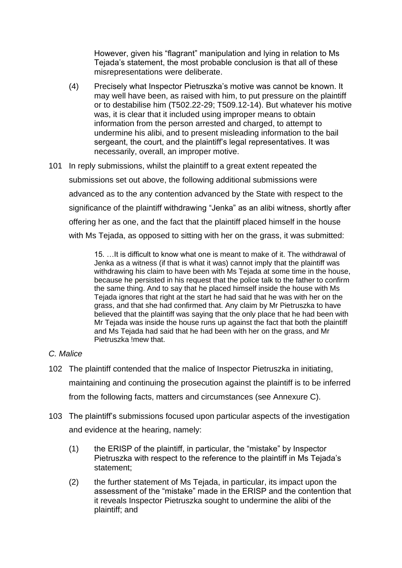However, given his "flagrant" manipulation and lying in relation to Ms Tejada's statement, the most probable conclusion is that all of these misrepresentations were deliberate.

- (4) Precisely what Inspector Pietruszka's motive was cannot be known. It may well have been, as raised with him, to put pressure on the plaintiff or to destabilise him (T502.22-29; T509.12-14). But whatever his motive was, it is clear that it included using improper means to obtain information from the person arrested and charged, to attempt to undermine his alibi, and to present misleading information to the bail sergeant, the court, and the plaintiff's legal representatives. It was necessarily, overall, an improper motive.
- 101 In reply submissions, whilst the plaintiff to a great extent repeated the submissions set out above, the following additional submissions were advanced as to the any contention advanced by the State with respect to the significance of the plaintiff withdrawing "Jenka" as an alibi witness, shortly after offering her as one, and the fact that the plaintiff placed himself in the house with Ms Tejada, as opposed to sitting with her on the grass, it was submitted:

15. …It is difficult to know what one is meant to make of it. The withdrawal of Jenka as a witness (if that is what it was) cannot imply that the plaintiff was withdrawing his claim to have been with Ms Tejada at some time in the house, because he persisted in his request that the police talk to the father to confirm the same thing. And to say that he placed himself inside the house with Ms Tejada ignores that right at the start he had said that he was with her on the grass, and that she had confirmed that. Any claim by Mr Pietruszka to have believed that the plaintiff was saying that the only place that he had been with Mr Tejada was inside the house runs up against the fact that both the plaintiff and Ms Tejada had said that he had been with her on the grass, and Mr Pietruszka !mew that.

## *C. Malice*

- 102 The plaintiff contended that the malice of Inspector Pietruszka in initiating, maintaining and continuing the prosecution against the plaintiff is to be inferred from the following facts, matters and circumstances (see Annexure C).
- 103 The plaintiff's submissions focused upon particular aspects of the investigation and evidence at the hearing, namely:
	- (1) the ERISP of the plaintiff, in particular, the "mistake" by Inspector Pietruszka with respect to the reference to the plaintiff in Ms Tejada's statement;
	- (2) the further statement of Ms Tejada, in particular, its impact upon the assessment of the "mistake" made in the ERISP and the contention that it reveals Inspector Pietruszka sought to undermine the alibi of the plaintiff; and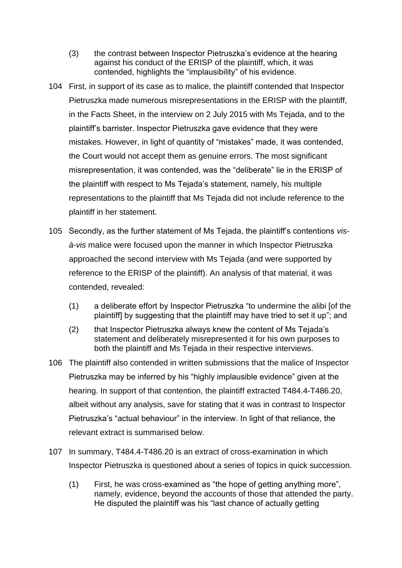- (3) the contrast between Inspector Pietruszka's evidence at the hearing against his conduct of the ERISP of the plaintiff, which, it was contended, highlights the "implausibility" of his evidence.
- 104 First, in support of its case as to malice, the plaintiff contended that Inspector Pietruszka made numerous misrepresentations in the ERISP with the plaintiff, in the Facts Sheet, in the interview on 2 July 2015 with Ms Tejada, and to the plaintiff's barrister. Inspector Pietruszka gave evidence that they were mistakes. However, in light of quantity of "mistakes" made, it was contended, the Court would not accept them as genuine errors. The most significant misrepresentation, it was contended, was the "deliberate" lie in the ERISP of the plaintiff with respect to Ms Tejada's statement, namely, his multiple representations to the plaintiff that Ms Tejada did not include reference to the plaintiff in her statement.
- 105 Secondly, as the further statement of Ms Tejada, the plaintiff's contentions *visà-vis* malice were focused upon the manner in which Inspector Pietruszka approached the second interview with Ms Tejada (and were supported by reference to the ERISP of the plaintiff). An analysis of that material, it was contended, revealed:
	- (1) a deliberate effort by Inspector Pietruszka "to undermine the alibi [of the plaintiff] by suggesting that the plaintiff may have tried to set it up"; and
	- (2) that Inspector Pietruszka always knew the content of Ms Tejada's statement and deliberately misrepresented it for his own purposes to both the plaintiff and Ms Tejada in their respective interviews.
- 106 The plaintiff also contended in written submissions that the malice of Inspector Pietruszka may be inferred by his "highly implausible evidence" given at the hearing. In support of that contention, the plaintiff extracted T484.4-T486.20, albeit without any analysis, save for stating that it was in contrast to Inspector Pietruszka's "actual behaviour" in the interview. In light of that reliance, the relevant extract is summarised below.
- 107 In summary, T484.4-T486.20 is an extract of cross-examination in which Inspector Pietruszka is questioned about a series of topics in quick succession.
	- (1) First, he was cross-examined as "the hope of getting anything more", namely, evidence, beyond the accounts of those that attended the party. He disputed the plaintiff was his "last chance of actually getting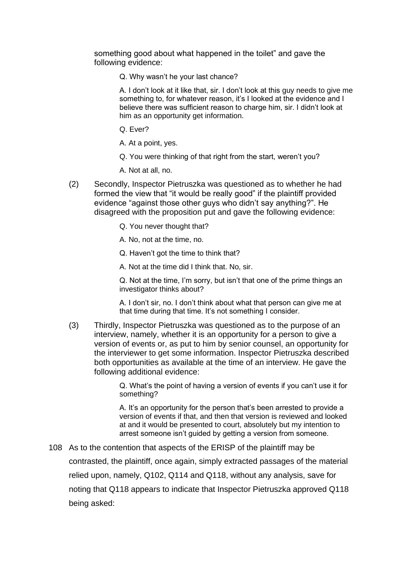something good about what happened in the toilet" and gave the following evidence:

Q. Why wasn't he your last chance?

A. I don't look at it like that, sir. I don't look at this guy needs to give me something to, for whatever reason, it's I looked at the evidence and I believe there was sufficient reason to charge him, sir. I didn't look at him as an opportunity get information.

Q. Ever?

A. At a point, yes.

Q. You were thinking of that right from the start, weren't you?

A. Not at all, no.

- (2) Secondly, Inspector Pietruszka was questioned as to whether he had formed the view that "it would be really good" if the plaintiff provided evidence "against those other guys who didn't say anything?". He disagreed with the proposition put and gave the following evidence:
	- Q. You never thought that?
	- A. No, not at the time, no.
	- Q. Haven't got the time to think that?

A. Not at the time did I think that. No, sir.

Q. Not at the time, I'm sorry, but isn't that one of the prime things an investigator thinks about?

A. I don't sir, no. I don't think about what that person can give me at that time during that time. It's not something I consider.

(3) Thirdly, Inspector Pietruszka was questioned as to the purpose of an interview, namely, whether it is an opportunity for a person to give a version of events or, as put to him by senior counsel, an opportunity for the interviewer to get some information. Inspector Pietruszka described both opportunities as available at the time of an interview. He gave the following additional evidence:

> Q. What's the point of having a version of events if you can't use it for something?

> A. It's an opportunity for the person that's been arrested to provide a version of events if that, and then that version is reviewed and looked at and it would be presented to court, absolutely but my intention to arrest someone isn't guided by getting a version from someone.

108 As to the contention that aspects of the ERISP of the plaintiff may be contrasted, the plaintiff, once again, simply extracted passages of the material relied upon, namely, Q102, Q114 and Q118, without any analysis, save for noting that Q118 appears to indicate that Inspector Pietruszka approved Q118 being asked: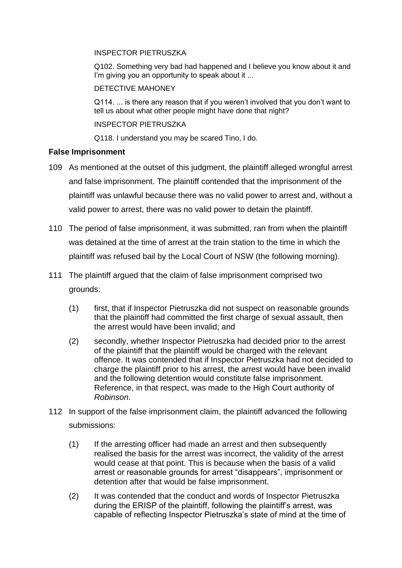#### INSPECTOR PIETRUSZKA

Q102. Something very bad had happened and I believe you know about it and I'm giving you an opportunity to speak about it ...

## DETECTIVE MAHONEY

Q114. ... is there any reason that if you weren't involved that you don't want to tell us about what other people might have done that night?

INSPECTOR PIETRUSZKA

Q118. I understand you may be scared Tino, I do.

## **False Imprisonment**

- 109 As mentioned at the outset of this judgment, the plaintiff alleged wrongful arrest and false imprisonment. The plaintiff contended that the imprisonment of the plaintiff was unlawful because there was no valid power to arrest and, without a valid power to arrest, there was no valid power to detain the plaintiff.
- 110 The period of false imprisonment, it was submitted, ran from when the plaintiff was detained at the time of arrest at the train station to the time in which the plaintiff was refused bail by the Local Court of NSW (the following morning).
- 111 The plaintiff argued that the claim of false imprisonment comprised two grounds:
	- (1) first, that if Inspector Pietruszka did not suspect on reasonable grounds that the plaintiff had committed the first charge of sexual assault, then the arrest would have been invalid; and
	- (2) secondly, whether Inspector Pietruszka had decided prior to the arrest of the plaintiff that the plaintiff would be charged with the relevant offence. It was contended that if Inspector Pietruszka had not decided to charge the plaintiff prior to his arrest, the arrest would have been invalid and the following detention would constitute false imprisonment. Reference, in that respect, was made to the High Court authority of *Robinson*.
- 112 In support of the false imprisonment claim, the plaintiff advanced the following submissions:
	- (1) If the arresting officer had made an arrest and then subsequently realised the basis for the arrest was incorrect, the validity of the arrest would cease at that point. This is because when the basis of a valid arrest or reasonable grounds for arrest "disappears", imprisonment or detention after that would be false imprisonment.
	- (2) It was contended that the conduct and words of Inspector Pietruszka during the ERISP of the plaintiff, following the plaintiff's arrest, was capable of reflecting Inspector Pietruszka's state of mind at the time of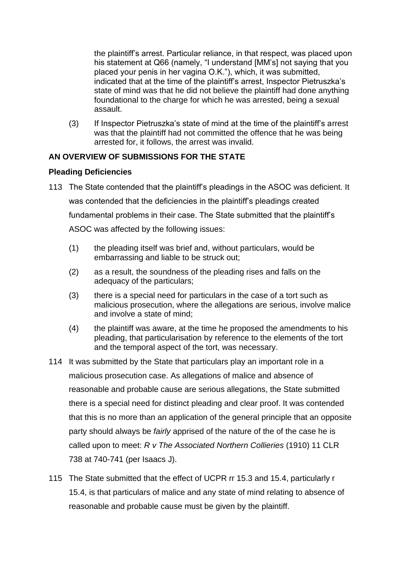the plaintiff's arrest. Particular reliance, in that respect, was placed upon his statement at Q66 (namely, "I understand [MM's] not saying that you placed your penis in her vagina O.K."), which, it was submitted, indicated that at the time of the plaintiff's arrest, Inspector Pietruszka's state of mind was that he did not believe the plaintiff had done anything foundational to the charge for which he was arrested, being a sexual assault.

(3) If Inspector Pietruszka's state of mind at the time of the plaintiff's arrest was that the plaintiff had not committed the offence that he was being arrested for, it follows, the arrest was invalid.

# **AN OVERVIEW OF SUBMISSIONS FOR THE STATE**

# **Pleading Deficiencies**

- 113 The State contended that the plaintiff's pleadings in the ASOC was deficient. It was contended that the deficiencies in the plaintiff's pleadings created fundamental problems in their case. The State submitted that the plaintiff's ASOC was affected by the following issues:
	- (1) the pleading itself was brief and, without particulars, would be embarrassing and liable to be struck out;
	- (2) as a result, the soundness of the pleading rises and falls on the adequacy of the particulars;
	- (3) there is a special need for particulars in the case of a tort such as malicious prosecution, where the allegations are serious, involve malice and involve a state of mind;
	- (4) the plaintiff was aware, at the time he proposed the amendments to his pleading, that particularisation by reference to the elements of the tort and the temporal aspect of the tort, was necessary.
- 114 It was submitted by the State that particulars play an important role in a malicious prosecution case. As allegations of malice and absence of reasonable and probable cause are serious allegations, the State submitted there is a special need for distinct pleading and clear proof. It was contended that this is no more than an application of the general principle that an opposite party should always be *fairly* apprised of the nature of the of the case he is called upon to meet: *R v The Associated Northern Collieries* (1910) 11 CLR 738 at 740-741 (per Isaacs J).
- 115 The State submitted that the effect of UCPR rr 15.3 and 15.4, particularly r 15.4, is that particulars of malice and any state of mind relating to absence of reasonable and probable cause must be given by the plaintiff.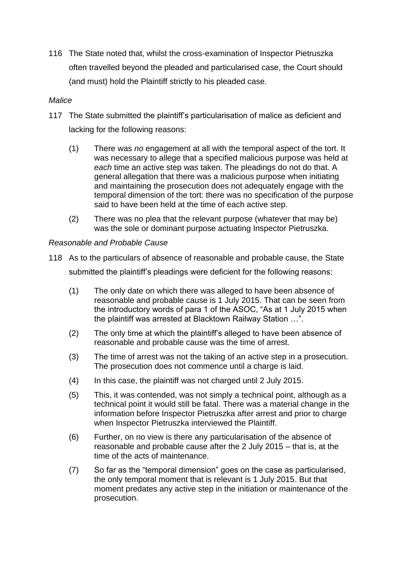116 The State noted that, whilst the cross-examination of Inspector Pietruszka often travelled beyond the pleaded and particularised case, the Court should (and must) hold the Plaintiff strictly to his pleaded case.

## *Malice*

- 117 The State submitted the plaintiff's particularisation of malice as deficient and lacking for the following reasons:
	- (1) There was *no* engagement at all with the temporal aspect of the tort. It was necessary to allege that a specified malicious purpose was held at *each* time an active step was taken. The pleadings do not do that. A general allegation that there was a malicious purpose when initiating and maintaining the prosecution does not adequately engage with the temporal dimension of the tort: there was no specification of the purpose said to have been held at the time of each active step.
	- (2) There was no plea that the relevant purpose (whatever that may be) was the sole or dominant purpose actuating Inspector Pietruszka.

# *Reasonable and Probable Cause*

- 118 As to the particulars of absence of reasonable and probable cause, the State submitted the plaintiff's pleadings were deficient for the following reasons:
	- (1) The only date on which there was alleged to have been absence of reasonable and probable cause is 1 July 2015. That can be seen from the introductory words of para 1 of the ASOC, "As at 1 July 2015 when the plaintiff was arrested at Blacktown Railway Station …".
	- (2) The only time at which the plaintiff's alleged to have been absence of reasonable and probable cause was the time of arrest.
	- (3) The time of arrest was not the taking of an active step in a prosecution. The prosecution does not commence until a charge is laid.
	- (4) In this case, the plaintiff was not charged until 2 July 2015.
	- (5) This, it was contended, was not simply a technical point, although as a technical point it would still be fatal. There was a material change in the information before Inspector Pietruszka after arrest and prior to charge when Inspector Pietruszka interviewed the Plaintiff.
	- (6) Further, on no view is there any particularisation of the absence of reasonable and probable cause after the 2 July 2015 – that is, at the time of the acts of maintenance.
	- (7) So far as the "temporal dimension" goes on the case as particularised, the only temporal moment that is relevant is 1 July 2015. But that moment predates any active step in the initiation or maintenance of the prosecution.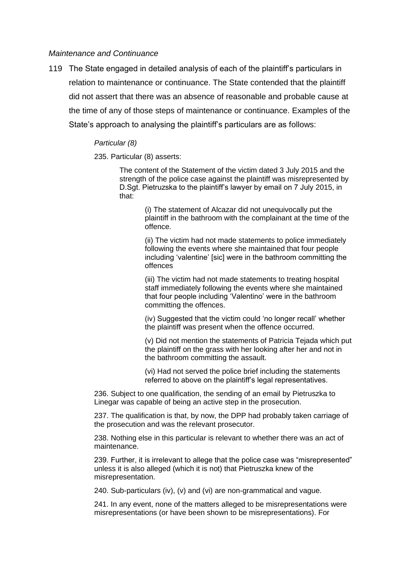#### *Maintenance and Continuance*

119 The State engaged in detailed analysis of each of the plaintiff's particulars in relation to maintenance or continuance. The State contended that the plaintiff did not assert that there was an absence of reasonable and probable cause at the time of any of those steps of maintenance or continuance. Examples of the State's approach to analysing the plaintiff's particulars are as follows:

#### *Particular (8)*

235. Particular (8) asserts:

The content of the Statement of the victim dated 3 July 2015 and the strength of the police case against the plaintiff was misrepresented by D.Sgt. Pietruzska to the plaintiff's lawyer by email on 7 July 2015, in that:

> (i) The statement of Alcazar did not unequivocally put the plaintiff in the bathroom with the complainant at the time of the offence.

(ii) The victim had not made statements to police immediately following the events where she maintained that four people including 'valentine' [sic] were in the bathroom committing the offences

(iii) The victim had not made statements to treating hospital staff immediately following the events where she maintained that four people including 'Valentino' were in the bathroom committing the offences.

(iv) Suggested that the victim could 'no longer recall' whether the plaintiff was present when the offence occurred.

(v) Did not mention the statements of Patricia Tejada which put the plaintiff on the grass with her looking after her and not in the bathroom committing the assault.

(vi) Had not served the police brief including the statements referred to above on the plaintiff's legal representatives.

236. Subject to one qualification, the sending of an email by Pietruszka to Linegar was capable of being an active step in the prosecution.

237. The qualification is that, by now, the DPP had probably taken carriage of the prosecution and was the relevant prosecutor.

238. Nothing else in this particular is relevant to whether there was an act of maintenance.

239. Further, it is irrelevant to allege that the police case was "misrepresented" unless it is also alleged (which it is not) that Pietruszka knew of the misrepresentation.

240. Sub-particulars (iv), (v) and (vi) are non-grammatical and vague.

241. In any event, none of the matters alleged to be misrepresentations were misrepresentations (or have been shown to be misrepresentations). For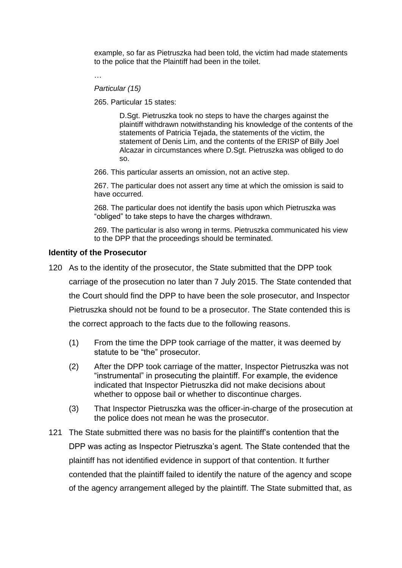example, so far as Pietruszka had been told, the victim had made statements to the police that the Plaintiff had been in the toilet.

…

#### *Particular (15)*

265. Particular 15 states:

D.Sgt. Pietruszka took no steps to have the charges against the plaintiff withdrawn notwithstanding his knowledge of the contents of the statements of Patricia Tejada, the statements of the victim, the statement of Denis Lim, and the contents of the ERISP of Billy Joel Alcazar in circumstances where D.Sgt. Pietruszka was obliged to do so.

266. This particular asserts an omission, not an active step.

267. The particular does not assert any time at which the omission is said to have occurred.

268. The particular does not identify the basis upon which Pietruszka was "obliged" to take steps to have the charges withdrawn.

269. The particular is also wrong in terms. Pietruszka communicated his view to the DPP that the proceedings should be terminated.

#### **Identity of the Prosecutor**

- 120 As to the identity of the prosecutor, the State submitted that the DPP took carriage of the prosecution no later than 7 July 2015. The State contended that the Court should find the DPP to have been the sole prosecutor, and Inspector Pietruszka should not be found to be a prosecutor. The State contended this is the correct approach to the facts due to the following reasons.
	- (1) From the time the DPP took carriage of the matter, it was deemed by statute to be "the" prosecutor.
	- (2) After the DPP took carriage of the matter, Inspector Pietruszka was not "instrumental" in prosecuting the plaintiff. For example, the evidence indicated that Inspector Pietruszka did not make decisions about whether to oppose bail or whether to discontinue charges.
	- (3) That Inspector Pietruszka was the officer-in-charge of the prosecution at the police does not mean he was the prosecutor.
- 121 The State submitted there was no basis for the plaintiff's contention that the DPP was acting as Inspector Pietruszka's agent. The State contended that the plaintiff has not identified evidence in support of that contention. It further contended that the plaintiff failed to identify the nature of the agency and scope of the agency arrangement alleged by the plaintiff. The State submitted that, as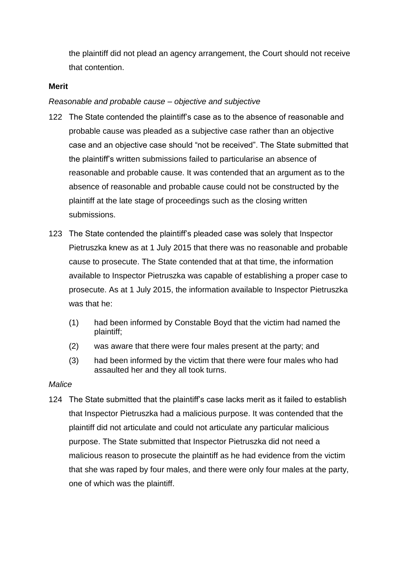the plaintiff did not plead an agency arrangement, the Court should not receive that contention.

#### **Merit**

#### *Reasonable and probable cause – objective and subjective*

- 122 The State contended the plaintiff's case as to the absence of reasonable and probable cause was pleaded as a subjective case rather than an objective case and an objective case should "not be received". The State submitted that the plaintiff's written submissions failed to particularise an absence of reasonable and probable cause. It was contended that an argument as to the absence of reasonable and probable cause could not be constructed by the plaintiff at the late stage of proceedings such as the closing written submissions.
- 123 The State contended the plaintiff's pleaded case was solely that Inspector Pietruszka knew as at 1 July 2015 that there was no reasonable and probable cause to prosecute. The State contended that at that time, the information available to Inspector Pietruszka was capable of establishing a proper case to prosecute. As at 1 July 2015, the information available to Inspector Pietruszka was that he:
	- (1) had been informed by Constable Boyd that the victim had named the plaintiff;
	- (2) was aware that there were four males present at the party; and
	- (3) had been informed by the victim that there were four males who had assaulted her and they all took turns.

#### *Malice*

124 The State submitted that the plaintiff's case lacks merit as it failed to establish that Inspector Pietruszka had a malicious purpose. It was contended that the plaintiff did not articulate and could not articulate any particular malicious purpose. The State submitted that Inspector Pietruszka did not need a malicious reason to prosecute the plaintiff as he had evidence from the victim that she was raped by four males, and there were only four males at the party, one of which was the plaintiff.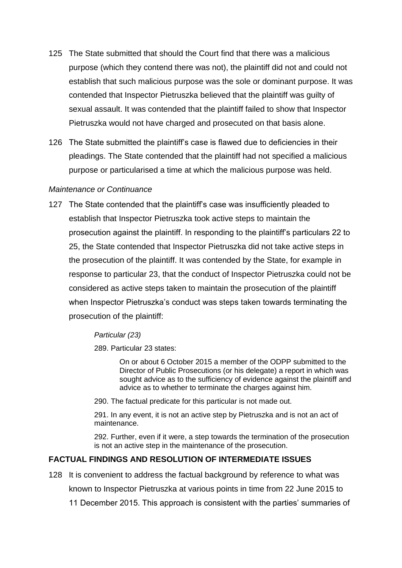- 125 The State submitted that should the Court find that there was a malicious purpose (which they contend there was not), the plaintiff did not and could not establish that such malicious purpose was the sole or dominant purpose. It was contended that Inspector Pietruszka believed that the plaintiff was guilty of sexual assault. It was contended that the plaintiff failed to show that Inspector Pietruszka would not have charged and prosecuted on that basis alone.
- 126 The State submitted the plaintiff's case is flawed due to deficiencies in their pleadings. The State contended that the plaintiff had not specified a malicious purpose or particularised a time at which the malicious purpose was held.

#### *Maintenance or Continuance*

127 The State contended that the plaintiff's case was insufficiently pleaded to establish that Inspector Pietruszka took active steps to maintain the prosecution against the plaintiff. In responding to the plaintiff's particulars 22 to 25, the State contended that Inspector Pietruszka did not take active steps in the prosecution of the plaintiff. It was contended by the State, for example in response to particular 23, that the conduct of Inspector Pietruszka could not be considered as active steps taken to maintain the prosecution of the plaintiff when Inspector Pietruszka's conduct was steps taken towards terminating the prosecution of the plaintiff:

## *Particular (23)*

289. Particular 23 states:

On or about 6 October 2015 a member of the ODPP submitted to the Director of Public Prosecutions (or his delegate) a report in which was sought advice as to the sufficiency of evidence against the plaintiff and advice as to whether to terminate the charges against him.

290. The factual predicate for this particular is not made out.

291. In any event, it is not an active step by Pietruszka and is not an act of maintenance.

292. Further, even if it were, a step towards the termination of the prosecution is not an active step in the maintenance of the prosecution.

## **FACTUAL FINDINGS AND RESOLUTION OF INTERMEDIATE ISSUES**

128 It is convenient to address the factual background by reference to what was

known to Inspector Pietruszka at various points in time from 22 June 2015 to

11 December 2015. This approach is consistent with the parties' summaries of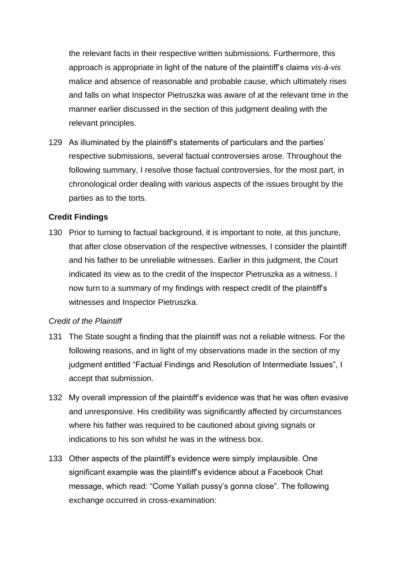the relevant facts in their respective written submissions. Furthermore, this approach is appropriate in light of the nature of the plaintiff's claims *vis-à-vis*  malice and absence of reasonable and probable cause, which ultimately rises and falls on what Inspector Pietruszka was aware of at the relevant time in the manner earlier discussed in the section of this judgment dealing with the relevant principles.

129 As illuminated by the plaintiff's statements of particulars and the parties' respective submissions, several factual controversies arose. Throughout the following summary, I resolve those factual controversies, for the most part, in chronological order dealing with various aspects of the issues brought by the parties as to the torts.

# **Credit Findings**

130 Prior to turning to factual background, it is important to note, at this juncture, that after close observation of the respective witnesses, I consider the plaintiff and his father to be unreliable witnesses. Earlier in this judgment, the Court indicated its view as to the credit of the Inspector Pietruszka as a witness. I now turn to a summary of my findings with respect credit of the plaintiff's witnesses and Inspector Pietruszka.

## *Credit of the Plaintiff*

- 131 The State sought a finding that the plaintiff was not a reliable witness. For the following reasons, and in light of my observations made in the section of my judgment entitled "Factual Findings and Resolution of Intermediate Issues", I accept that submission.
- 132 My overall impression of the plaintiff's evidence was that he was often evasive and unresponsive. His credibility was significantly affected by circumstances where his father was required to be cautioned about giving signals or indications to his son whilst he was in the witness box.
- 133 Other aspects of the plaintiff's evidence were simply implausible. One significant example was the plaintiff's evidence about a Facebook Chat message, which read: "Come Yallah pussy's gonna close". The following exchange occurred in cross-examination: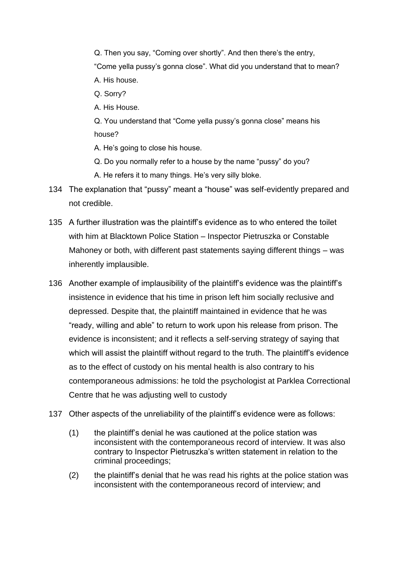Q. Then you say, "Coming over shortly". And then there's the entry, "Come yella pussy's gonna close". What did you understand that to mean? A. His house. Q. Sorry?

A. His House.

Q. You understand that "Come yella pussy's gonna close" means his house?

A. He's going to close his house.

- Q. Do you normally refer to a house by the name "pussy" do you?
- A. He refers it to many things. He's very silly bloke.
- 134 The explanation that "pussy" meant a "house" was self-evidently prepared and not credible.
- 135 A further illustration was the plaintiff's evidence as to who entered the toilet with him at Blacktown Police Station – Inspector Pietruszka or Constable Mahoney or both, with different past statements saying different things – was inherently implausible.
- 136 Another example of implausibility of the plaintiff's evidence was the plaintiff's insistence in evidence that his time in prison left him socially reclusive and depressed. Despite that, the plaintiff maintained in evidence that he was "ready, willing and able" to return to work upon his release from prison. The evidence is inconsistent; and it reflects a self-serving strategy of saying that which will assist the plaintiff without regard to the truth. The plaintiff's evidence as to the effect of custody on his mental health is also contrary to his contemporaneous admissions: he told the psychologist at Parklea Correctional Centre that he was adjusting well to custody
- 137 Other aspects of the unreliability of the plaintiff's evidence were as follows:
	- (1) the plaintiff's denial he was cautioned at the police station was inconsistent with the contemporaneous record of interview. It was also contrary to Inspector Pietruszka's written statement in relation to the criminal proceedings;
	- (2) the plaintiff's denial that he was read his rights at the police station was inconsistent with the contemporaneous record of interview; and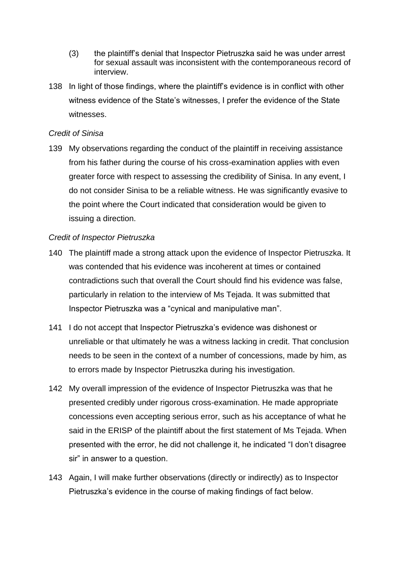- (3) the plaintiff's denial that Inspector Pietruszka said he was under arrest for sexual assault was inconsistent with the contemporaneous record of interview.
- 138 In light of those findings, where the plaintiff's evidence is in conflict with other witness evidence of the State's witnesses, I prefer the evidence of the State witnesses.

#### *Credit of Sinisa*

139 My observations regarding the conduct of the plaintiff in receiving assistance from his father during the course of his cross-examination applies with even greater force with respect to assessing the credibility of Sinisa. In any event, I do not consider Sinisa to be a reliable witness. He was significantly evasive to the point where the Court indicated that consideration would be given to issuing a direction.

## *Credit of Inspector Pietruszka*

- 140 The plaintiff made a strong attack upon the evidence of Inspector Pietruszka. It was contended that his evidence was incoherent at times or contained contradictions such that overall the Court should find his evidence was false, particularly in relation to the interview of Ms Tejada. It was submitted that Inspector Pietruszka was a "cynical and manipulative man".
- 141 I do not accept that Inspector Pietruszka's evidence was dishonest or unreliable or that ultimately he was a witness lacking in credit. That conclusion needs to be seen in the context of a number of concessions, made by him, as to errors made by Inspector Pietruszka during his investigation.
- 142 My overall impression of the evidence of Inspector Pietruszka was that he presented credibly under rigorous cross-examination. He made appropriate concessions even accepting serious error, such as his acceptance of what he said in the ERISP of the plaintiff about the first statement of Ms Tejada. When presented with the error, he did not challenge it, he indicated "I don't disagree sir" in answer to a question.
- 143 Again, I will make further observations (directly or indirectly) as to Inspector Pietruszka's evidence in the course of making findings of fact below.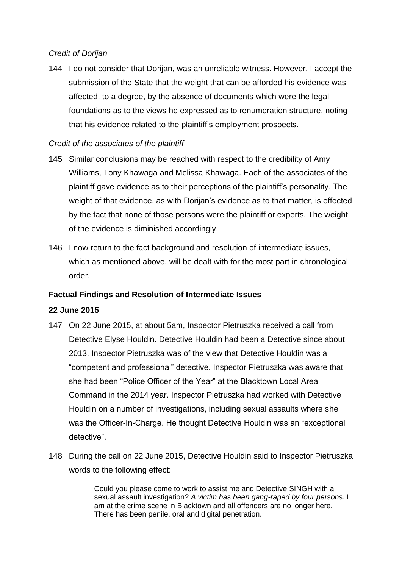# *Credit of Dorijan*

144 I do not consider that Dorijan, was an unreliable witness. However, I accept the submission of the State that the weight that can be afforded his evidence was affected, to a degree, by the absence of documents which were the legal foundations as to the views he expressed as to renumeration structure, noting that his evidence related to the plaintiff's employment prospects.

# *Credit of the associates of the plaintiff*

- 145 Similar conclusions may be reached with respect to the credibility of Amy Williams, Tony Khawaga and Melissa Khawaga. Each of the associates of the plaintiff gave evidence as to their perceptions of the plaintiff's personality. The weight of that evidence, as with Dorijan's evidence as to that matter, is effected by the fact that none of those persons were the plaintiff or experts. The weight of the evidence is diminished accordingly.
- 146 I now return to the fact background and resolution of intermediate issues, which as mentioned above, will be dealt with for the most part in chronological order.

## **Factual Findings and Resolution of Intermediate Issues**

## **22 June 2015**

- 147 On 22 June 2015, at about 5am, Inspector Pietruszka received a call from Detective Elyse Houldin. Detective Houldin had been a Detective since about 2013. Inspector Pietruszka was of the view that Detective Houldin was a "competent and professional" detective. Inspector Pietruszka was aware that she had been "Police Officer of the Year" at the Blacktown Local Area Command in the 2014 year. Inspector Pietruszka had worked with Detective Houldin on a number of investigations, including sexual assaults where she was the Officer-In-Charge. He thought Detective Houldin was an "exceptional detective".
- 148 During the call on 22 June 2015, Detective Houldin said to Inspector Pietruszka words to the following effect:

Could you please come to work to assist me and Detective SINGH with a sexual assault investigation? *A victim has been gang-raped by four persons.* I am at the crime scene in Blacktown and all offenders are no longer here. There has been penile, oral and digital penetration.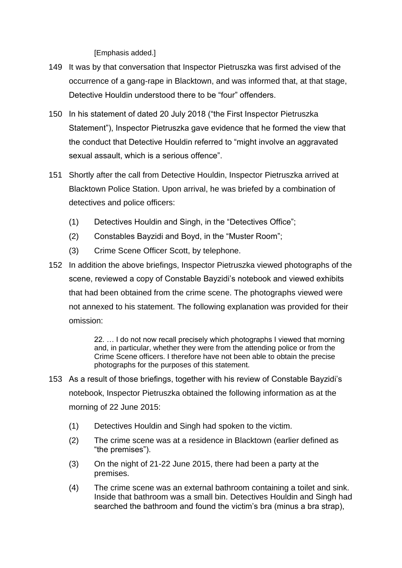[Emphasis added.]

- 149 It was by that conversation that Inspector Pietruszka was first advised of the occurrence of a gang-rape in Blacktown, and was informed that, at that stage, Detective Houldin understood there to be "four" offenders.
- 150 In his statement of dated 20 July 2018 ("the First Inspector Pietruszka Statement"), Inspector Pietruszka gave evidence that he formed the view that the conduct that Detective Houldin referred to "might involve an aggravated sexual assault, which is a serious offence".
- 151 Shortly after the call from Detective Houldin, Inspector Pietruszka arrived at Blacktown Police Station. Upon arrival, he was briefed by a combination of detectives and police officers:
	- (1) Detectives Houldin and Singh, in the "Detectives Office";
	- (2) Constables Bayzidi and Boyd, in the "Muster Room";
	- (3) Crime Scene Officer Scott, by telephone.
- 152 In addition the above briefings, Inspector Pietruszka viewed photographs of the scene, reviewed a copy of Constable Bayzidi's notebook and viewed exhibits that had been obtained from the crime scene. The photographs viewed were not annexed to his statement. The following explanation was provided for their omission:

22. … I do not now recall precisely which photographs I viewed that morning and, in particular, whether they were from the attending police or from the Crime Scene officers. I therefore have not been able to obtain the precise photographs for the purposes of this statement.

- 153 As a result of those briefings, together with his review of Constable Bayzidi's notebook, Inspector Pietruszka obtained the following information as at the morning of 22 June 2015:
	- (1) Detectives Houldin and Singh had spoken to the victim.
	- (2) The crime scene was at a residence in Blacktown (earlier defined as "the premises").
	- (3) On the night of 21-22 June 2015, there had been a party at the premises.
	- (4) The crime scene was an external bathroom containing a toilet and sink. Inside that bathroom was a small bin. Detectives Houldin and Singh had searched the bathroom and found the victim's bra (minus a bra strap),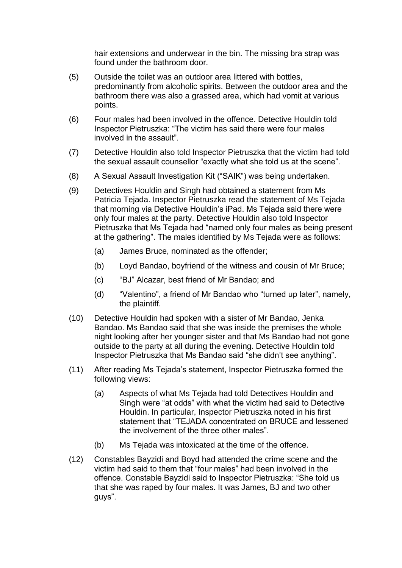hair extensions and underwear in the bin. The missing bra strap was found under the bathroom door.

- (5) Outside the toilet was an outdoor area littered with bottles, predominantly from alcoholic spirits. Between the outdoor area and the bathroom there was also a grassed area, which had vomit at various points.
- (6) Four males had been involved in the offence. Detective Houldin told Inspector Pietruszka: "The victim has said there were four males involved in the assault".
- (7) Detective Houldin also told Inspector Pietruszka that the victim had told the sexual assault counsellor "exactly what she told us at the scene".
- (8) A Sexual Assault Investigation Kit ("SAIK") was being undertaken.
- (9) Detectives Houldin and Singh had obtained a statement from Ms Patricia Tejada. Inspector Pietruszka read the statement of Ms Tejada that morning via Detective Houldin's iPad. Ms Tejada said there were only four males at the party. Detective Houldin also told Inspector Pietruszka that Ms Tejada had "named only four males as being present at the gathering". The males identified by Ms Tejada were as follows:
	- (a) James Bruce, nominated as the offender;
	- (b) Loyd Bandao, boyfriend of the witness and cousin of Mr Bruce;
	- (c) "BJ" Alcazar, best friend of Mr Bandao; and
	- (d) "Valentino", a friend of Mr Bandao who "turned up later", namely, the plaintiff.
- (10) Detective Houldin had spoken with a sister of Mr Bandao, Jenka Bandao. Ms Bandao said that she was inside the premises the whole night looking after her younger sister and that Ms Bandao had not gone outside to the party at all during the evening. Detective Houldin told Inspector Pietruszka that Ms Bandao said "she didn't see anything".
- (11) After reading Ms Tejada's statement, Inspector Pietruszka formed the following views:
	- (a) Aspects of what Ms Tejada had told Detectives Houldin and Singh were "at odds" with what the victim had said to Detective Houldin. In particular, Inspector Pietruszka noted in his first statement that "TEJADA concentrated on BRUCE and lessened the involvement of the three other males".
	- (b) Ms Tejada was intoxicated at the time of the offence.
- (12) Constables Bayzidi and Boyd had attended the crime scene and the victim had said to them that "four males" had been involved in the offence. Constable Bayzidi said to Inspector Pietruszka: "She told us that she was raped by four males. It was James, BJ and two other guys".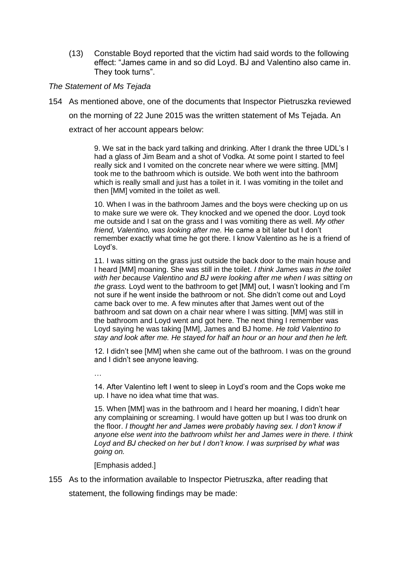(13) Constable Boyd reported that the victim had said words to the following effect: "James came in and so did Loyd. BJ and Valentino also came in. They took turns".

#### *The Statement of Ms Tejada*

154 As mentioned above, one of the documents that Inspector Pietruszka reviewed on the morning of 22 June 2015 was the written statement of Ms Tejada. An extract of her account appears below:

> 9. We sat in the back yard talking and drinking. After I drank the three UDL's I had a glass of Jim Beam and a shot of Vodka. At some point I started to feel really sick and I vomited on the concrete near where we were sitting. [MM] took me to the bathroom which is outside. We both went into the bathroom which is really small and just has a toilet in it. I was vomiting in the toilet and then [MM] vomited in the toilet as well.

> 10. When I was in the bathroom James and the boys were checking up on us to make sure we were ok. They knocked and we opened the door. Loyd took me outside and I sat on the grass and I was vomiting there as well. *My other friend, Valentino, was looking after me.* He came a bit later but I don't remember exactly what time he got there. I know Valentino as he is a friend of Loyd's.

11. I was sitting on the grass just outside the back door to the main house and I heard [MM] moaning. She was still in the toilet. *I think James was in the toilet with her because Valentino and BJ were looking after me when I was sitting on the grass.* Loyd went to the bathroom to get [MM] out, I wasn't looking and I'm not sure if he went inside the bathroom or not. She didn't come out and Loyd came back over to me. A few minutes after that James went out of the bathroom and sat down on a chair near where I was sitting. [MM] was still in the bathroom and Loyd went and got here. The next thing I remember was Loyd saying he was taking [MM], James and BJ home. *He told Valentino to stay and look after me. He stayed for half an hour or an hour and then he left.*

12. I didn't see [MM] when she came out of the bathroom. I was on the ground and I didn't see anyone leaving.

…

14. After Valentino left I went to sleep in Loyd's room and the Cops woke me up. I have no idea what time that was.

15. When [MM] was in the bathroom and I heard her moaning, I didn't hear any complaining or screaming. I would have gotten up but I was too drunk on the floor. *I thought her and James were probably having sex. I don't know if anyone else went into the bathroom whilst her and James were in there. I think Loyd and BJ checked on her but I don't know. I was surprised by what was going on.*

[Emphasis added.]

155 As to the information available to Inspector Pietruszka, after reading that statement, the following findings may be made: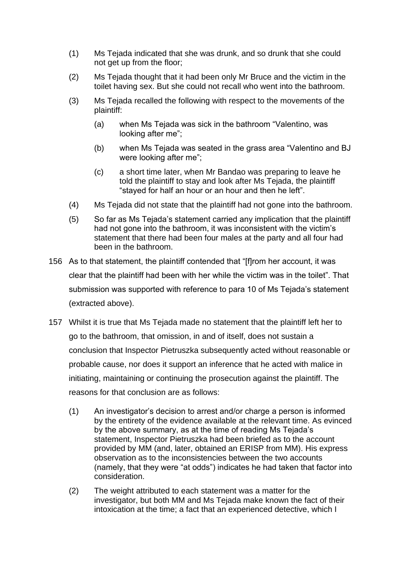- (1) Ms Tejada indicated that she was drunk, and so drunk that she could not get up from the floor;
- (2) Ms Tejada thought that it had been only Mr Bruce and the victim in the toilet having sex. But she could not recall who went into the bathroom.
- (3) Ms Tejada recalled the following with respect to the movements of the plaintiff:
	- (a) when Ms Tejada was sick in the bathroom "Valentino, was looking after me";
	- (b) when Ms Tejada was seated in the grass area "Valentino and BJ were looking after me";
	- (c) a short time later, when Mr Bandao was preparing to leave he told the plaintiff to stay and look after Ms Tejada, the plaintiff "stayed for half an hour or an hour and then he left".
- (4) Ms Tejada did not state that the plaintiff had not gone into the bathroom.
- (5) So far as Ms Tejada's statement carried any implication that the plaintiff had not gone into the bathroom, it was inconsistent with the victim's statement that there had been four males at the party and all four had been in the bathroom.
- 156 As to that statement, the plaintiff contended that "[f]rom her account, it was clear that the plaintiff had been with her while the victim was in the toilet". That submission was supported with reference to para 10 of Ms Tejada's statement (extracted above).
- 157 Whilst it is true that Ms Tejada made no statement that the plaintiff left her to go to the bathroom, that omission, in and of itself, does not sustain a conclusion that Inspector Pietruszka subsequently acted without reasonable or probable cause, nor does it support an inference that he acted with malice in initiating, maintaining or continuing the prosecution against the plaintiff. The reasons for that conclusion are as follows:
	- (1) An investigator's decision to arrest and/or charge a person is informed by the entirety of the evidence available at the relevant time. As evinced by the above summary, as at the time of reading Ms Tejada's statement, Inspector Pietruszka had been briefed as to the account provided by MM (and, later, obtained an ERISP from MM). His express observation as to the inconsistencies between the two accounts (namely, that they were "at odds") indicates he had taken that factor into consideration.
	- (2) The weight attributed to each statement was a matter for the investigator, but both MM and Ms Tejada make known the fact of their intoxication at the time; a fact that an experienced detective, which I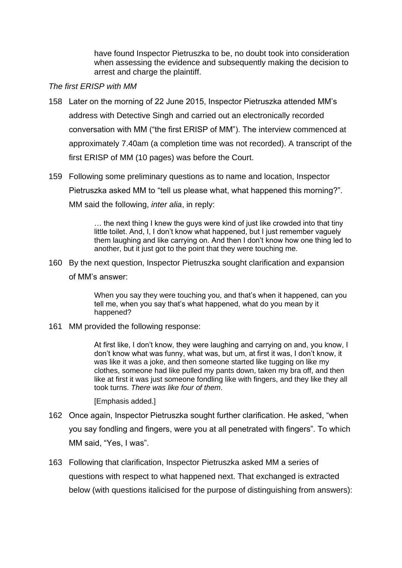have found Inspector Pietruszka to be, no doubt took into consideration when assessing the evidence and subsequently making the decision to arrest and charge the plaintiff.

#### *The first ERISP with MM*

- 158 Later on the morning of 22 June 2015, Inspector Pietruszka attended MM's address with Detective Singh and carried out an electronically recorded conversation with MM ("the first ERISP of MM"). The interview commenced at approximately 7.40am (a completion time was not recorded). A transcript of the first ERISP of MM (10 pages) was before the Court.
- 159 Following some preliminary questions as to name and location, Inspector Pietruszka asked MM to "tell us please what, what happened this morning?". MM said the following, *inter alia*, in reply:

… the next thing I knew the guys were kind of just like crowded into that tiny little toilet. And, I, I don't know what happened, but I just remember vaguely them laughing and like carrying on. And then I don't know how one thing led to another, but it just got to the point that they were touching me.

160 By the next question, Inspector Pietruszka sought clarification and expansion of MM's answer:

> When you say they were touching you, and that's when it happened, can you tell me, when you say that's what happened, what do you mean by it happened?

161 MM provided the following response:

At first like, I don't know, they were laughing and carrying on and, you know, I don't know what was funny, what was, but um, at first it was, I don't know, it was like it was a joke, and then someone started like tugging on like my clothes, someone had like pulled my pants down, taken my bra off, and then like at first it was just someone fondling like with fingers, and they like they all took turns. *There was like four of them*.

[Emphasis added.]

- 162 Once again, Inspector Pietruszka sought further clarification. He asked, "when you say fondling and fingers, were you at all penetrated with fingers". To which MM said, "Yes, I was".
- 163 Following that clarification, Inspector Pietruszka asked MM a series of questions with respect to what happened next. That exchanged is extracted below (with questions italicised for the purpose of distinguishing from answers):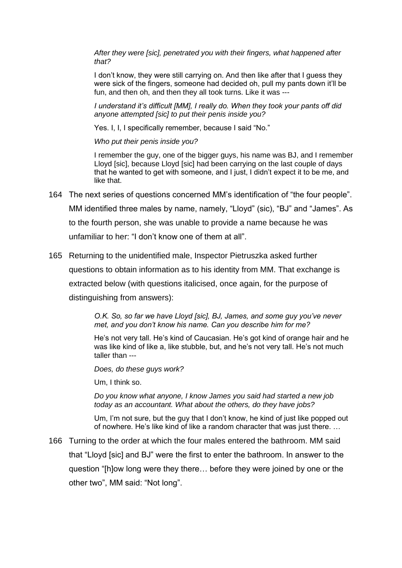*After they were [sic], penetrated you with their fingers, what happened after that?*

I don't know, they were still carrying on. And then like after that I guess they were sick of the fingers, someone had decided oh, pull my pants down it'll be fun, and then oh, and then they all took turns. Like it was ---

*I understand it's difficult [MM], I really do. When they took your pants off did anyone attempted [sic] to put their penis inside you?*

Yes. I, I, I specifically remember, because I said "No."

*Who put their penis inside you?*

I remember the guy, one of the bigger guys, his name was BJ, and I remember Lloyd [sic], because Lloyd [sic] had been carrying on the last couple of days that he wanted to get with someone, and I just, I didn't expect it to be me, and like that.

- 164 The next series of questions concerned MM's identification of "the four people". MM identified three males by name, namely, "Lloyd" (sic), "BJ" and "James". As to the fourth person, she was unable to provide a name because he was unfamiliar to her: "I don't know one of them at all".
- 165 Returning to the unidentified male, Inspector Pietruszka asked further questions to obtain information as to his identity from MM. That exchange is extracted below (with questions italicised, once again, for the purpose of distinguishing from answers):

*O.K. So, so far we have Lloyd [sic], BJ, James, and some guy you've never met, and you don't know his name. Can you describe him for me?*

He's not very tall. He's kind of Caucasian. He's got kind of orange hair and he was like kind of like a, like stubble, but, and he's not very tall. He's not much taller than ---

*Does, do these guys work?*

Um, I think so.

*Do you know what anyone, I know James you said had started a new job today as an accountant. What about the others, do they have jobs?*

Um, I'm not sure, but the guy that I don't know, he kind of just like popped out of nowhere. He's like kind of like a random character that was just there. …

166 Turning to the order at which the four males entered the bathroom. MM said that "Lloyd [sic] and BJ" were the first to enter the bathroom. In answer to the question "[h]ow long were they there… before they were joined by one or the other two", MM said: "Not long".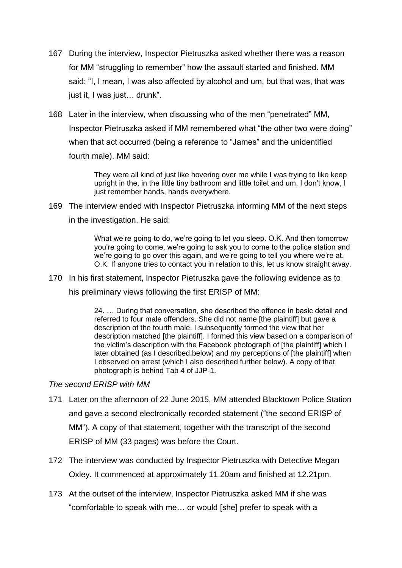- 167 During the interview, Inspector Pietruszka asked whether there was a reason for MM "struggling to remember" how the assault started and finished. MM said: "I, I mean, I was also affected by alcohol and um, but that was, that was just it, I was just… drunk".
- 168 Later in the interview, when discussing who of the men "penetrated" MM, Inspector Pietruszka asked if MM remembered what "the other two were doing" when that act occurred (being a reference to "James" and the unidentified fourth male). MM said:

They were all kind of just like hovering over me while I was trying to like keep upright in the, in the little tiny bathroom and little toilet and um, I don't know, I just remember hands, hands everywhere.

169 The interview ended with Inspector Pietruszka informing MM of the next steps in the investigation. He said:

> What we're going to do, we're going to let you sleep. O.K. And then tomorrow you're going to come, we're going to ask you to come to the police station and we're going to go over this again, and we're going to tell you where we're at. O.K. If anyone tries to contact you in relation to this, let us know straight away.

170 In his first statement, Inspector Pietruszka gave the following evidence as to his preliminary views following the first ERISP of MM:

> 24. … During that conversation, she described the offence in basic detail and referred to four male offenders. She did not name [the plaintiff] but gave a description of the fourth male. I subsequently formed the view that her description matched [the plaintiff]. I formed this view based on a comparison of the victim's description with the Facebook photograph of [the plaintiff] which I later obtained (as I described below) and my perceptions of [the plaintiff] when I observed on arrest (which I also described further below). A copy of that photograph is behind Tab 4 of JJP-1.

## *The second ERISP with MM*

- 171 Later on the afternoon of 22 June 2015, MM attended Blacktown Police Station and gave a second electronically recorded statement ("the second ERISP of MM"). A copy of that statement, together with the transcript of the second ERISP of MM (33 pages) was before the Court.
- 172 The interview was conducted by Inspector Pietruszka with Detective Megan Oxley. It commenced at approximately 11.20am and finished at 12.21pm.
- 173 At the outset of the interview, Inspector Pietruszka asked MM if she was "comfortable to speak with me… or would [she] prefer to speak with a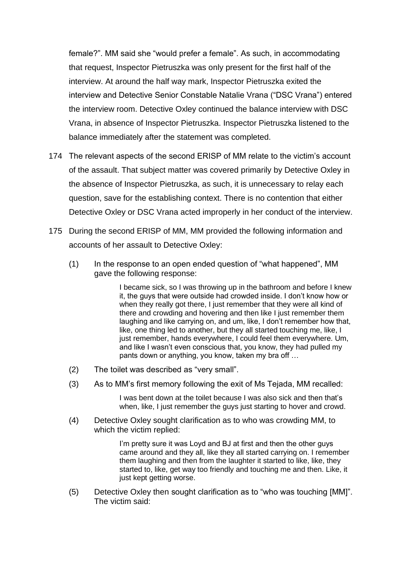female?". MM said she "would prefer a female". As such, in accommodating that request, Inspector Pietruszka was only present for the first half of the interview. At around the half way mark, Inspector Pietruszka exited the interview and Detective Senior Constable Natalie Vrana ("DSC Vrana") entered the interview room. Detective Oxley continued the balance interview with DSC Vrana, in absence of Inspector Pietruszka. Inspector Pietruszka listened to the balance immediately after the statement was completed.

- 174 The relevant aspects of the second ERISP of MM relate to the victim's account of the assault. That subject matter was covered primarily by Detective Oxley in the absence of Inspector Pietruszka, as such, it is unnecessary to relay each question, save for the establishing context. There is no contention that either Detective Oxley or DSC Vrana acted improperly in her conduct of the interview.
- 175 During the second ERISP of MM, MM provided the following information and accounts of her assault to Detective Oxley:
	- (1) In the response to an open ended question of "what happened", MM gave the following response:

I became sick, so I was throwing up in the bathroom and before I knew it, the guys that were outside had crowded inside. I don't know how or when they really got there, I just remember that they were all kind of there and crowding and hovering and then like I just remember them laughing and like carrying on, and um, like, I don't remember how that, like, one thing led to another, but they all started touching me, like, I just remember, hands everywhere. I could feel them everywhere. Um, and like I wasn't even conscious that, you know, they had pulled my pants down or anything, you know, taken my bra off …

- (2) The toilet was described as "very small".
- (3) As to MM's first memory following the exit of Ms Tejada, MM recalled:

I was bent down at the toilet because I was also sick and then that's when, like, I just remember the guys just starting to hover and crowd.

(4) Detective Oxley sought clarification as to who was crowding MM, to which the victim replied:

> I'm pretty sure it was Loyd and BJ at first and then the other guys came around and they all, like they all started carrying on. I remember them laughing and then from the laughter it started to like, like, they started to, like, get way too friendly and touching me and then. Like, it just kept getting worse.

(5) Detective Oxley then sought clarification as to "who was touching [MM]". The victim said: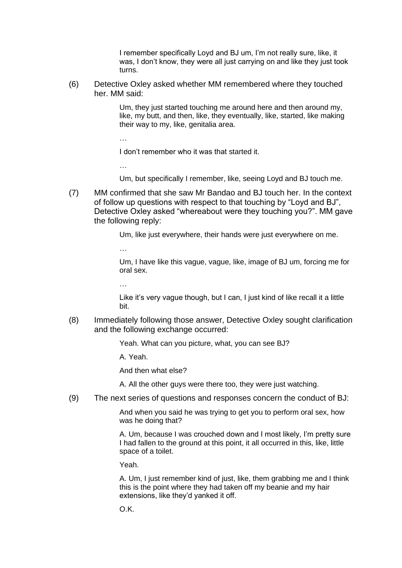I remember specifically Loyd and BJ um, I'm not really sure, like, it was, I don't know, they were all just carrying on and like they just took turns.

(6) Detective Oxley asked whether MM remembered where they touched her. MM said:

> Um, they just started touching me around here and then around my, like, my butt, and then, like, they eventually, like, started, like making their way to my, like, genitalia area.

I don't remember who it was that started it.

Um, but specifically I remember, like, seeing Loyd and BJ touch me.

(7) MM confirmed that she saw Mr Bandao and BJ touch her. In the context of follow up questions with respect to that touching by "Loyd and BJ", Detective Oxley asked "whereabout were they touching you?". MM gave the following reply:

Um, like just everywhere, their hands were just everywhere on me.

…

…

…

Um, I have like this vague, vague, like, image of BJ um, forcing me for oral sex.

…

Like it's very vague though, but I can, I just kind of like recall it a little bit.

(8) Immediately following those answer, Detective Oxley sought clarification and the following exchange occurred:

Yeah. What can you picture, what, you can see BJ?

A. Yeah.

And then what else?

A. All the other guys were there too, they were just watching.

(9) The next series of questions and responses concern the conduct of BJ:

And when you said he was trying to get you to perform oral sex, how was he doing that?

A. Um, because I was crouched down and I most likely, I'm pretty sure I had fallen to the ground at this point, it all occurred in this, like, little space of a toilet.

Yeah.

A. Um, I just remember kind of just, like, them grabbing me and I think this is the point where they had taken off my beanie and my hair extensions, like they'd yanked it off.

O.K.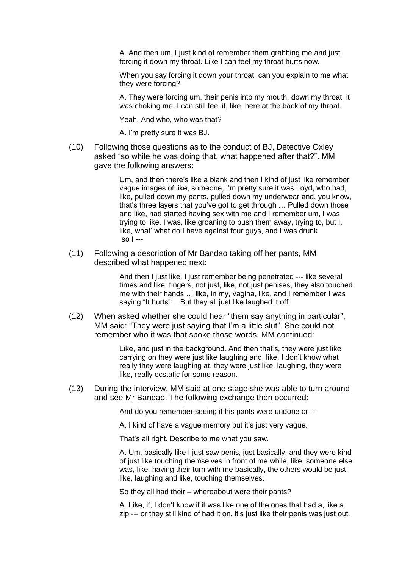A. And then um, I just kind of remember them grabbing me and just forcing it down my throat. Like I can feel my throat hurts now.

When you say forcing it down your throat, can you explain to me what they were forcing?

A. They were forcing um, their penis into my mouth, down my throat, it was choking me, I can still feel it, like, here at the back of my throat.

Yeah. And who, who was that?

A. I'm pretty sure it was BJ.

(10) Following those questions as to the conduct of BJ, Detective Oxley asked "so while he was doing that, what happened after that?". MM gave the following answers:

> Um, and then there's like a blank and then I kind of just like remember vague images of like, someone, I'm pretty sure it was Loyd, who had, like, pulled down my pants, pulled down my underwear and, you know, that's three layers that you've got to get through … Pulled down those and like, had started having sex with me and I remember um, I was trying to like, I was, like groaning to push them away, trying to, but I, like, what' what do I have against four guys, and I was drunk so I ---

(11) Following a description of Mr Bandao taking off her pants, MM described what happened next:

> And then I just like, I just remember being penetrated --- like several times and like, fingers, not just, like, not just penises, they also touched me with their hands … like, in my, vagina, like, and I remember I was saying "It hurts" …But they all just like laughed it off.

(12) When asked whether she could hear "them say anything in particular", MM said: "They were just saying that I'm a little slut". She could not remember who it was that spoke those words. MM continued:

> Like, and just in the background. And then that's, they were just like carrying on they were just like laughing and, like, I don't know what really they were laughing at, they were just like, laughing, they were like, really ecstatic for some reason.

(13) During the interview, MM said at one stage she was able to turn around and see Mr Bandao. The following exchange then occurred:

And do you remember seeing if his pants were undone or ---

A. I kind of have a vague memory but it's just very vague.

That's all right. Describe to me what you saw.

A. Um, basically like I just saw penis, just basically, and they were kind of just like touching themselves in front of me while, like, someone else was, like, having their turn with me basically, the others would be just like, laughing and like, touching themselves.

So they all had their – whereabout were their pants?

A. Like, if, I don't know if it was like one of the ones that had a, like a zip --- or they still kind of had it on, it's just like their penis was just out.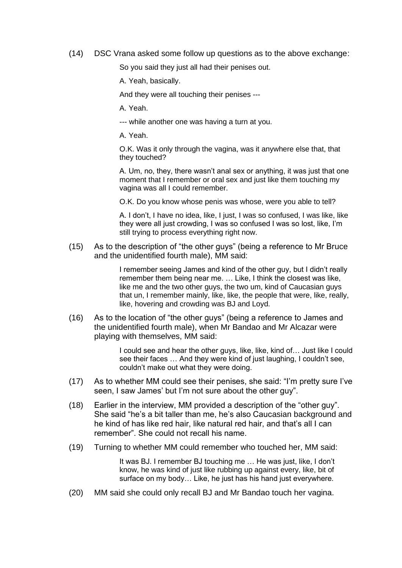(14) DSC Vrana asked some follow up questions as to the above exchange:

So you said they just all had their penises out.

A. Yeah, basically.

And they were all touching their penises ---

A. Yeah.

--- while another one was having a turn at you.

A. Yeah.

O.K. Was it only through the vagina, was it anywhere else that, that they touched?

A. Um, no, they, there wasn't anal sex or anything, it was just that one moment that I remember or oral sex and just like them touching my vagina was all I could remember.

O.K. Do you know whose penis was whose, were you able to tell?

A. I don't, I have no idea, like, I just, I was so confused, I was like, like they were all just crowding, I was so confused I was so lost, like, I'm still trying to process everything right now.

(15) As to the description of "the other guys" (being a reference to Mr Bruce and the unidentified fourth male), MM said:

> I remember seeing James and kind of the other guy, but I didn't really remember them being near me. … Like, I think the closest was like, like me and the two other guys, the two um, kind of Caucasian guys that un, I remember mainly, like, like, the people that were, like, really, like, hovering and crowding was BJ and Loyd.

(16) As to the location of "the other guys" (being a reference to James and the unidentified fourth male), when Mr Bandao and Mr Alcazar were playing with themselves, MM said:

> I could see and hear the other guys, like, like, kind of... Just like I could see their faces … And they were kind of just laughing, I couldn't see, couldn't make out what they were doing.

- (17) As to whether MM could see their penises, she said: "I'm pretty sure I've seen, I saw James' but I'm not sure about the other guy".
- (18) Earlier in the interview, MM provided a description of the "other guy". She said "he's a bit taller than me, he's also Caucasian background and he kind of has like red hair, like natural red hair, and that's all I can remember". She could not recall his name.
- (19) Turning to whether MM could remember who touched her, MM said:

It was BJ. I remember BJ touching me … He was just, like, I don't know, he was kind of just like rubbing up against every, like, bit of surface on my body… Like, he just has his hand just everywhere.

(20) MM said she could only recall BJ and Mr Bandao touch her vagina.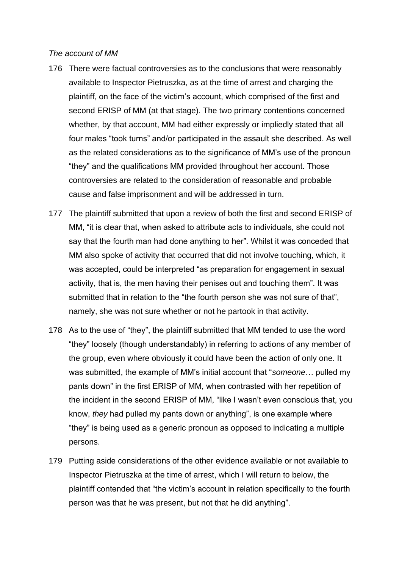#### *The account of MM*

- 176 There were factual controversies as to the conclusions that were reasonably available to Inspector Pietruszka, as at the time of arrest and charging the plaintiff, on the face of the victim's account, which comprised of the first and second ERISP of MM (at that stage). The two primary contentions concerned whether, by that account, MM had either expressly or impliedly stated that all four males "took turns" and/or participated in the assault she described. As well as the related considerations as to the significance of MM's use of the pronoun "they" and the qualifications MM provided throughout her account. Those controversies are related to the consideration of reasonable and probable cause and false imprisonment and will be addressed in turn.
- 177 The plaintiff submitted that upon a review of both the first and second ERISP of MM, "it is clear that, when asked to attribute acts to individuals, she could not say that the fourth man had done anything to her". Whilst it was conceded that MM also spoke of activity that occurred that did not involve touching, which, it was accepted, could be interpreted "as preparation for engagement in sexual activity, that is, the men having their penises out and touching them". It was submitted that in relation to the "the fourth person she was not sure of that", namely, she was not sure whether or not he partook in that activity.
- 178 As to the use of "they", the plaintiff submitted that MM tended to use the word "they" loosely (though understandably) in referring to actions of any member of the group, even where obviously it could have been the action of only one. It was submitted, the example of MM's initial account that "*someone*… pulled my pants down" in the first ERISP of MM, when contrasted with her repetition of the incident in the second ERISP of MM, "like I wasn't even conscious that, you know, *they* had pulled my pants down or anything", is one example where "they" is being used as a generic pronoun as opposed to indicating a multiple persons.
- 179 Putting aside considerations of the other evidence available or not available to Inspector Pietruszka at the time of arrest, which I will return to below, the plaintiff contended that "the victim's account in relation specifically to the fourth person was that he was present, but not that he did anything".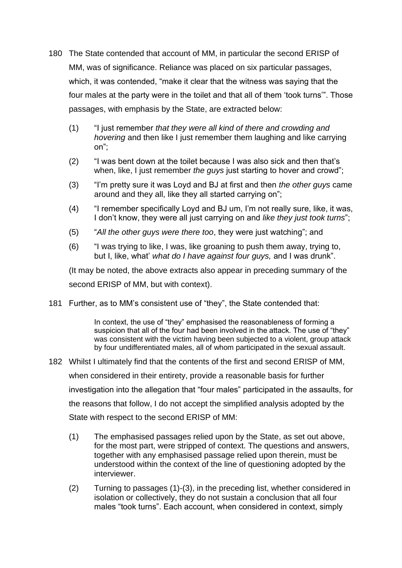- 180 The State contended that account of MM, in particular the second ERISP of MM, was of significance. Reliance was placed on six particular passages, which, it was contended, "make it clear that the witness was saying that the four males at the party were in the toilet and that all of them 'took turns'". Those passages, with emphasis by the State, are extracted below:
	- (1) "I just remember *that they were all kind of there and crowding and hovering* and then like I just remember them laughing and like carrying on";
	- (2) "I was bent down at the toilet because I was also sick and then that's when, like, I just remember *the guys* just starting to hover and crowd";
	- (3) "I'm pretty sure it was Loyd and BJ at first and then *the other guys* came around and they all, like they all started carrying on";
	- (4) "I remember specifically Loyd and BJ um, I'm not really sure, like, it was, I don't know, they were all just carrying on and *like they just took turns*";
	- (5) "*All the other guys were there too*, they were just watching"; and
	- (6) "I was trying to like, I was, like groaning to push them away, trying to, but I, like, what' *what do I have against four guys,* and I was drunk".

(It may be noted, the above extracts also appear in preceding summary of the second ERISP of MM, but with context).

181 Further, as to MM's consistent use of "they", the State contended that:

In context, the use of "they" emphasised the reasonableness of forming a suspicion that all of the four had been involved in the attack. The use of "they" was consistent with the victim having been subjected to a violent, group attack by four undifferentiated males, all of whom participated in the sexual assault.

- 182 Whilst I ultimately find that the contents of the first and second ERISP of MM, when considered in their entirety, provide a reasonable basis for further investigation into the allegation that "four males" participated in the assaults, for the reasons that follow, I do not accept the simplified analysis adopted by the State with respect to the second ERISP of MM:
	- (1) The emphasised passages relied upon by the State, as set out above, for the most part, were stripped of context. The questions and answers, together with any emphasised passage relied upon therein, must be understood within the context of the line of questioning adopted by the interviewer.
	- (2) Turning to passages (1)-(3), in the preceding list, whether considered in isolation or collectively, they do not sustain a conclusion that all four males "took turns". Each account, when considered in context, simply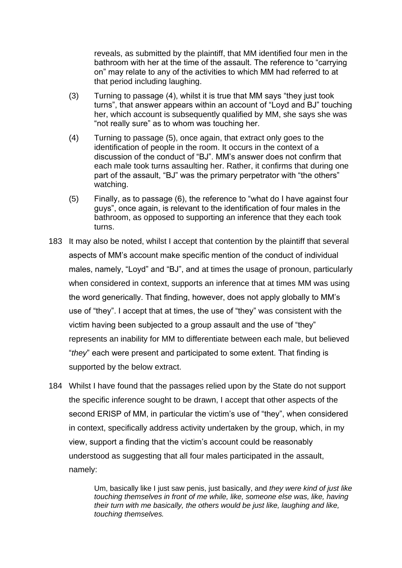reveals, as submitted by the plaintiff, that MM identified four men in the bathroom with her at the time of the assault. The reference to "carrying on" may relate to any of the activities to which MM had referred to at that period including laughing.

- (3) Turning to passage (4), whilst it is true that MM says "they just took turns", that answer appears within an account of "Loyd and BJ" touching her, which account is subsequently qualified by MM, she says she was "not really sure" as to whom was touching her.
- (4) Turning to passage (5), once again, that extract only goes to the identification of people in the room. It occurs in the context of a discussion of the conduct of "BJ". MM's answer does not confirm that each male took turns assaulting her. Rather, it confirms that during one part of the assault, "BJ" was the primary perpetrator with "the others" watching.
- (5) Finally, as to passage (6), the reference to "what do I have against four guys", once again, is relevant to the identification of four males in the bathroom, as opposed to supporting an inference that they each took turns.
- 183 It may also be noted, whilst I accept that contention by the plaintiff that several aspects of MM's account make specific mention of the conduct of individual males, namely, "Loyd" and "BJ", and at times the usage of pronoun, particularly when considered in context, supports an inference that at times MM was using the word generically. That finding, however, does not apply globally to MM's use of "they". I accept that at times, the use of "they" was consistent with the victim having been subjected to a group assault and the use of "they" represents an inability for MM to differentiate between each male, but believed "*they*" each were present and participated to some extent. That finding is supported by the below extract.
- 184 Whilst I have found that the passages relied upon by the State do not support the specific inference sought to be drawn, I accept that other aspects of the second ERISP of MM, in particular the victim's use of "they", when considered in context, specifically address activity undertaken by the group, which, in my view, support a finding that the victim's account could be reasonably understood as suggesting that all four males participated in the assault, namely:

Um, basically like I just saw penis, just basically, and *they were kind of just like touching themselves in front of me while, like, someone else was, like, having their turn with me basically, the others would be just like, laughing and like, touching themselves.*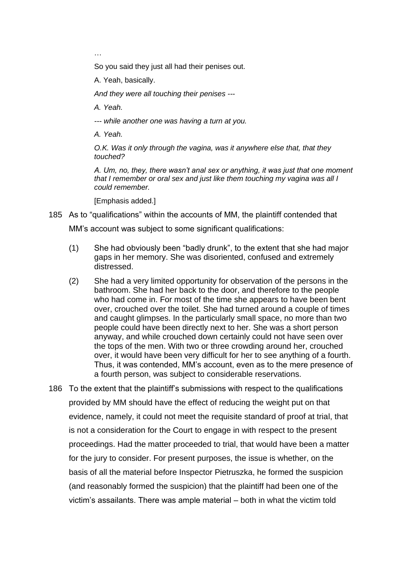…

So you said they just all had their penises out.

A. Yeah, basically.

*And they were all touching their penises ---*

*A. Yeah.*

*--- while another one was having a turn at you.*

*A. Yeah.* 

*O.K. Was it only through the vagina, was it anywhere else that, that they touched?*

*A. Um, no, they, there wasn't anal sex or anything, it was just that one moment that I remember or oral sex and just like them touching my vagina was all I could remember.* 

[Emphasis added.]

185 As to "qualifications" within the accounts of MM, the plaintiff contended that MM's account was subject to some significant qualifications:

- (1) She had obviously been "badly drunk", to the extent that she had major gaps in her memory. She was disoriented, confused and extremely distressed.
- (2) She had a very limited opportunity for observation of the persons in the bathroom. She had her back to the door, and therefore to the people who had come in. For most of the time she appears to have been bent over, crouched over the toilet. She had turned around a couple of times and caught glimpses. In the particularly small space, no more than two people could have been directly next to her. She was a short person anyway, and while crouched down certainly could not have seen over the tops of the men. With two or three crowding around her, crouched over, it would have been very difficult for her to see anything of a fourth. Thus, it was contended, MM's account, even as to the mere presence of a fourth person, was subject to considerable reservations.
- 186 To the extent that the plaintiff's submissions with respect to the qualifications provided by MM should have the effect of reducing the weight put on that evidence, namely, it could not meet the requisite standard of proof at trial, that is not a consideration for the Court to engage in with respect to the present proceedings. Had the matter proceeded to trial, that would have been a matter for the jury to consider. For present purposes, the issue is whether, on the basis of all the material before Inspector Pietruszka, he formed the suspicion (and reasonably formed the suspicion) that the plaintiff had been one of the victim's assailants. There was ample material – both in what the victim told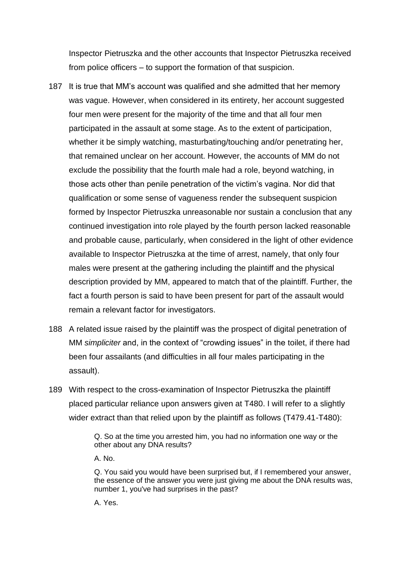Inspector Pietruszka and the other accounts that Inspector Pietruszka received from police officers – to support the formation of that suspicion.

- 187 It is true that MM's account was qualified and she admitted that her memory was vague. However, when considered in its entirety, her account suggested four men were present for the majority of the time and that all four men participated in the assault at some stage. As to the extent of participation, whether it be simply watching, masturbating/touching and/or penetrating her, that remained unclear on her account. However, the accounts of MM do not exclude the possibility that the fourth male had a role, beyond watching, in those acts other than penile penetration of the victim's vagina. Nor did that qualification or some sense of vagueness render the subsequent suspicion formed by Inspector Pietruszka unreasonable nor sustain a conclusion that any continued investigation into role played by the fourth person lacked reasonable and probable cause, particularly, when considered in the light of other evidence available to Inspector Pietruszka at the time of arrest, namely, that only four males were present at the gathering including the plaintiff and the physical description provided by MM, appeared to match that of the plaintiff. Further, the fact a fourth person is said to have been present for part of the assault would remain a relevant factor for investigators.
- 188 A related issue raised by the plaintiff was the prospect of digital penetration of MM *simpliciter* and, in the context of "crowding issues" in the toilet, if there had been four assailants (and difficulties in all four males participating in the assault).
- 189 With respect to the cross-examination of Inspector Pietruszka the plaintiff placed particular reliance upon answers given at T480. I will refer to a slightly wider extract than that relied upon by the plaintiff as follows (T479.41-T480):

Q. So at the time you arrested him, you had no information one way or the other about any DNA results?

A. No.

Q. You said you would have been surprised but, if I remembered your answer, the essence of the answer you were just giving me about the DNA results was, number 1, you've had surprises in the past?

A. Yes.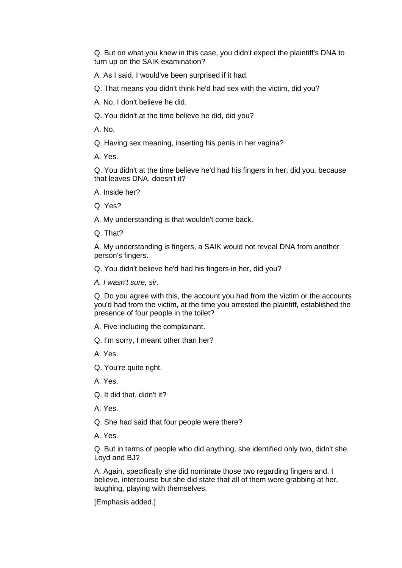Q. But on what you knew in this case, you didn't expect the plaintiff's DNA to turn up on the SAIK examination?

A. As I said, I would've been surprised if it had.

Q. That means you didn't think he'd had sex with the victim, did you?

A. No, I don't believe he did.

Q. You didn't at the time believe he did, did you?

A. No.

Q. Having sex meaning, inserting his penis in her vagina?

A. Yes.

Q. You didn't at the time believe he'd had his fingers in her, did you, because that leaves DNA, doesn't it?

A. Inside her?

Q. Yes?

A. My understanding is that wouldn't come back.

Q. That?

A. My understanding is fingers, a SAIK would not reveal DNA from another person's fingers.

Q. You didn't believe he'd had his fingers in her, did you?

*A. I wasn't sure, sir.*

Q. Do you agree with this, the account you had from the victim or the accounts you'd had from the victim, at the time you arrested the plaintiff, established the presence of four people in the toilet?

A. Five including the complainant.

Q. I'm sorry, I meant other than her?

A. Yes.

Q. You're quite right.

A. Yes.

Q. It did that, didn't it?

A. Yes.

Q. She had said that four people were there?

A. Yes.

Q. But in terms of people who did anything, she identified only two, didn't she, Loyd and BJ?

A. Again, specifically she did nominate those two regarding fingers and, I believe, intercourse but she did state that all of them were grabbing at her, laughing, playing with themselves.

[Emphasis added.]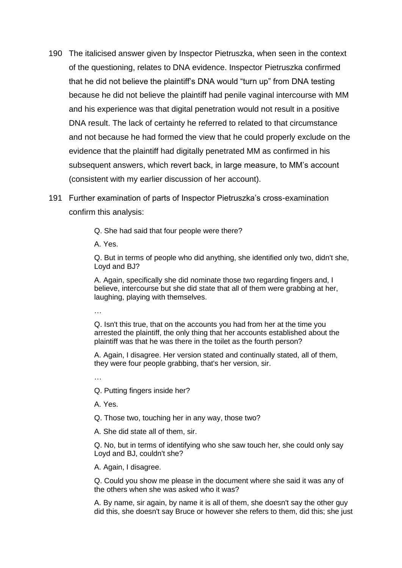- 190 The italicised answer given by Inspector Pietruszka, when seen in the context of the questioning, relates to DNA evidence. Inspector Pietruszka confirmed that he did not believe the plaintiff's DNA would "turn up" from DNA testing because he did not believe the plaintiff had penile vaginal intercourse with MM and his experience was that digital penetration would not result in a positive DNA result. The lack of certainty he referred to related to that circumstance and not because he had formed the view that he could properly exclude on the evidence that the plaintiff had digitally penetrated MM as confirmed in his subsequent answers, which revert back, in large measure, to MM's account (consistent with my earlier discussion of her account).
- 191 Further examination of parts of Inspector Pietruszka's cross-examination confirm this analysis:
	- Q. She had said that four people were there?

A. Yes.

Q. But in terms of people who did anything, she identified only two, didn't she, Loyd and BJ?

A. Again, specifically she did nominate those two regarding fingers and, I believe, intercourse but she did state that all of them were grabbing at her, laughing, playing with themselves.

…

Q. Isn't this true, that on the accounts you had from her at the time you arrested the plaintiff, the only thing that her accounts established about the plaintiff was that he was there in the toilet as the fourth person?

A. Again, I disagree. Her version stated and continually stated, all of them, they were four people grabbing, that's her version, sir.

…

Q. Putting fingers inside her?

A. Yes.

Q. Those two, touching her in any way, those two?

A. She did state all of them, sir.

Q. No, but in terms of identifying who she saw touch her, she could only say Loyd and BJ, couldn't she?

A. Again, I disagree.

Q. Could you show me please in the document where she said it was any of the others when she was asked who it was?

A. By name, sir again, by name it is all of them, she doesn't say the other guy did this, she doesn't say Bruce or however she refers to them, did this; she just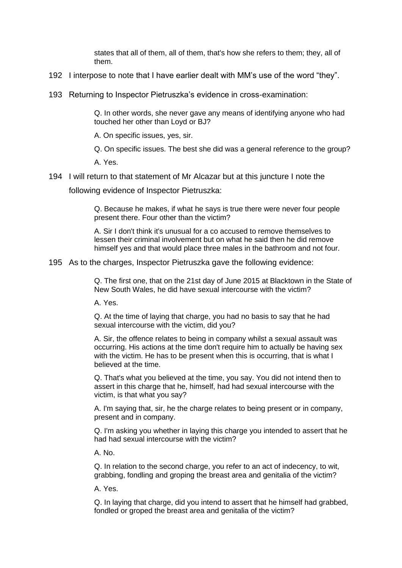states that all of them, all of them, that's how she refers to them; they, all of them.

- 192 I interpose to note that I have earlier dealt with MM's use of the word "they".
- 193 Returning to Inspector Pietruszka's evidence in cross-examination:

Q. In other words, she never gave any means of identifying anyone who had touched her other than Loyd or BJ?

A. On specific issues, yes, sir.

Q. On specific issues. The best she did was a general reference to the group?

A. Yes.

194 I will return to that statement of Mr Alcazar but at this juncture I note the

following evidence of Inspector Pietruszka:

Q. Because he makes, if what he says is true there were never four people present there. Four other than the victim?

A. Sir I don't think it's unusual for a co accused to remove themselves to lessen their criminal involvement but on what he said then he did remove himself yes and that would place three males in the bathroom and not four.

195 As to the charges, Inspector Pietruszka gave the following evidence:

Q. The first one, that on the 21st day of June 2015 at Blacktown in the State of New South Wales, he did have sexual intercourse with the victim?

A. Yes.

Q. At the time of laying that charge, you had no basis to say that he had sexual intercourse with the victim, did you?

A. Sir, the offence relates to being in company whilst a sexual assault was occurring. His actions at the time don't require him to actually be having sex with the victim. He has to be present when this is occurring, that is what I believed at the time.

Q. That's what you believed at the time, you say. You did not intend then to assert in this charge that he, himself, had had sexual intercourse with the victim, is that what you say?

A. I'm saying that, sir, he the charge relates to being present or in company, present and in company.

Q. I'm asking you whether in laying this charge you intended to assert that he had had sexual intercourse with the victim?

A. No.

Q. In relation to the second charge, you refer to an act of indecency, to wit, grabbing, fondling and groping the breast area and genitalia of the victim?

A. Yes.

Q. In laying that charge, did you intend to assert that he himself had grabbed, fondled or groped the breast area and genitalia of the victim?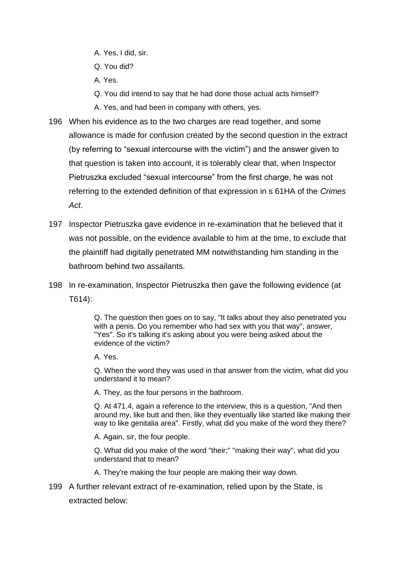- A. Yes, I did, sir.
- Q. You did?
- A. Yes.
- Q. You did intend to say that he had done those actual acts himself?
- A. Yes, and had been in company with others, yes.
- 196 When his evidence as to the two charges are read together, and some allowance is made for confusion created by the second question in the extract (by referring to "sexual intercourse with the victim") and the answer given to that question is taken into account, it is tolerably clear that, when Inspector Pietruszka excluded "sexual intercourse" from the first charge, he was not referring to the extended definition of that expression in s 61HA of the *Crimes Act*.
- 197 Inspector Pietruszka gave evidence in re-examination that he believed that it was not possible, on the evidence available to him at the time, to exclude that the plaintiff had digitally penetrated MM notwithstanding him standing in the bathroom behind two assailants.
- 198 In re-examination, Inspector Pietruszka then gave the following evidence (at T614):

Q. The question then goes on to say, "It talks about they also penetrated you with a penis. Do you remember who had sex with you that way", answer, "Yes". So it's talking it's asking about you were being asked about the evidence of the victim?

A. Yes.

Q. When the word they was used in that answer from the victim, what did you understand it to mean?

A. They, as the four persons in the bathroom.

Q. At 471.4, again a reference to the interview, this is a question, "And then around my, like butt and then, like they eventually like started like making their way to like genitalia area". Firstly, what did you make of the word they there?

A. Again, sir, the four people.

Q. What did you make of the word "their;" "making their way", what did you understand that to mean?

A. They're making the four people are making their way down.

199 A further relevant extract of re-examination, relied upon by the State, is extracted below: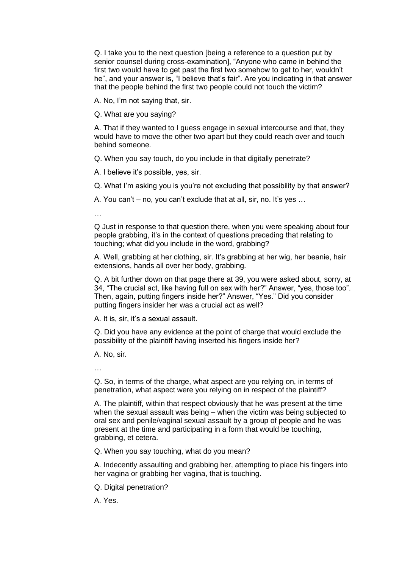Q. I take you to the next question [being a reference to a question put by senior counsel during cross-examination], "Anyone who came in behind the first two would have to get past the first two somehow to get to her, wouldn't he", and your answer is, "I believe that's fair". Are you indicating in that answer that the people behind the first two people could not touch the victim?

A. No, I'm not saying that, sir.

Q. What are you saying?

A. That if they wanted to I guess engage in sexual intercourse and that, they would have to move the other two apart but they could reach over and touch behind someone.

Q. When you say touch, do you include in that digitally penetrate?

A. I believe it's possible, yes, sir.

Q. What I'm asking you is you're not excluding that possibility by that answer?

A. You can't – no, you can't exclude that at all, sir, no. It's yes …

…

Q Just in response to that question there, when you were speaking about four people grabbing, it's in the context of questions preceding that relating to touching; what did you include in the word, grabbing?

A. Well, grabbing at her clothing, sir. It's grabbing at her wig, her beanie, hair extensions, hands all over her body, grabbing.

Q. A bit further down on that page there at 39, you were asked about, sorry, at 34, "The crucial act, like having full on sex with her?" Answer, "yes, those too". Then, again, putting fingers inside her?" Answer, "Yes." Did you consider putting fingers insider her was a crucial act as well?

A. It is, sir, it's a sexual assault.

Q. Did you have any evidence at the point of charge that would exclude the possibility of the plaintiff having inserted his fingers inside her?

A. No, sir.

…

Q. So, in terms of the charge, what aspect are you relying on, in terms of penetration, what aspect were you relying on in respect of the plaintiff?

A. The plaintiff, within that respect obviously that he was present at the time when the sexual assault was being – when the victim was being subjected to oral sex and penile/vaginal sexual assault by a group of people and he was present at the time and participating in a form that would be touching, grabbing, et cetera.

Q. When you say touching, what do you mean?

A. Indecently assaulting and grabbing her, attempting to place his fingers into her vagina or grabbing her vagina, that is touching.

Q. Digital penetration?

A. Yes.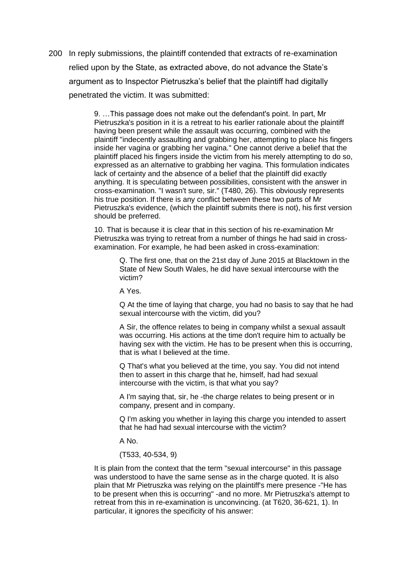200 In reply submissions, the plaintiff contended that extracts of re-examination relied upon by the State, as extracted above, do not advance the State's argument as to Inspector Pietruszka's belief that the plaintiff had digitally penetrated the victim. It was submitted:

> 9. …This passage does not make out the defendant's point. In part, Mr Pietruszka's position in it is a retreat to his earlier rationale about the plaintiff having been present while the assault was occurring, combined with the plaintiff "indecently assaulting and grabbing her, attempting to place his fingers inside her vagina or grabbing her vagina." One cannot derive a belief that the plaintiff placed his fingers inside the victim from his merely attempting to do so, expressed as an alternative to grabbing her vagina. This formulation indicates lack of certainty and the absence of a belief that the plaintiff did exactly anything. It is speculating between possibilities, consistent with the answer in cross-examination. "I wasn't sure, sir." (T480, 26). This obviously represents his true position. If there is any conflict between these two parts of Mr Pietruszka's evidence, (which the plaintiff submits there is not), his first version should be preferred.

10. That is because it is clear that in this section of his re-examination Mr Pietruszka was trying to retreat from a number of things he had said in crossexamination. For example, he had been asked in cross-examination:

Q. The first one, that on the 21st day of June 2015 at Blacktown in the State of New South Wales, he did have sexual intercourse with the victim?

A Yes.

Q At the time of laying that charge, you had no basis to say that he had sexual intercourse with the victim, did you?

A Sir, the offence relates to being in company whilst a sexual assault was occurring. His actions at the time don't require him to actually be having sex with the victim. He has to be present when this is occurring, that is what I believed at the time.

Q That's what you believed at the time, you say. You did not intend then to assert in this charge that he, himself, had had sexual intercourse with the victim, is that what you say?

A I'm saying that, sir, he -the charge relates to being present or in company, present and in company.

Q I'm asking you whether in laying this charge you intended to assert that he had had sexual intercourse with the victim?

A No.

(T533, 40-534, 9)

It is plain from the context that the term "sexual intercourse" in this passage was understood to have the same sense as in the charge quoted. It is also plain that Mr Pietruszka was relying on the plaintiff's mere presence -"He has to be present when this is occurring" -and no more. Mr Pietruszka's attempt to retreat from this in re-examination is unconvincing. (at T620, 36-621, 1). In particular, it ignores the specificity of his answer: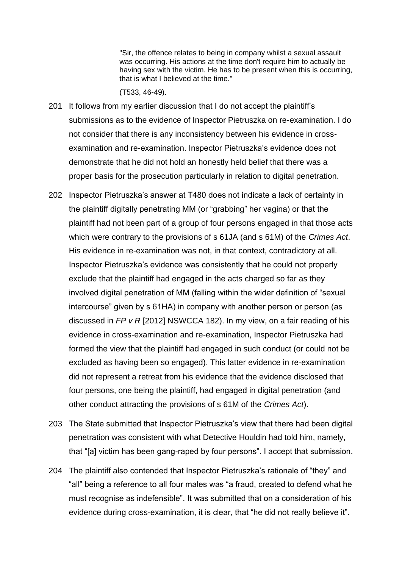"Sir, the offence relates to being in company whilst a sexual assault was occurring. His actions at the time don't require him to actually be having sex with the victim. He has to be present when this is occurring, that is what I believed at the time."

(T533, 46-49).

- 201 It follows from my earlier discussion that I do not accept the plaintiff's submissions as to the evidence of Inspector Pietruszka on re-examination. I do not consider that there is any inconsistency between his evidence in crossexamination and re-examination. Inspector Pietruszka's evidence does not demonstrate that he did not hold an honestly held belief that there was a proper basis for the prosecution particularly in relation to digital penetration.
- 202 Inspector Pietruszka's answer at T480 does not indicate a lack of certainty in the plaintiff digitally penetrating MM (or "grabbing" her vagina) or that the plaintiff had not been part of a group of four persons engaged in that those acts which were contrary to the provisions of s 61JA (and s 61M) of the *Crimes Act*. His evidence in re-examination was not, in that context, contradictory at all. Inspector Pietruszka's evidence was consistently that he could not properly exclude that the plaintiff had engaged in the acts charged so far as they involved digital penetration of MM (falling within the wider definition of "sexual intercourse" given by s 61HA) in company with another person or person (as discussed in *FP v R* [2012] NSWCCA 182). In my view, on a fair reading of his evidence in cross-examination and re-examination, Inspector Pietruszka had formed the view that the plaintiff had engaged in such conduct (or could not be excluded as having been so engaged). This latter evidence in re-examination did not represent a retreat from his evidence that the evidence disclosed that four persons, one being the plaintiff, had engaged in digital penetration (and other conduct attracting the provisions of s 61M of the *Crimes Act*).
- 203 The State submitted that Inspector Pietruszka's view that there had been digital penetration was consistent with what Detective Houldin had told him, namely, that "[a] victim has been gang-raped by four persons". I accept that submission.
- 204 The plaintiff also contended that Inspector Pietruszka's rationale of "they" and "all" being a reference to all four males was "a fraud, created to defend what he must recognise as indefensible". It was submitted that on a consideration of his evidence during cross-examination, it is clear, that "he did not really believe it".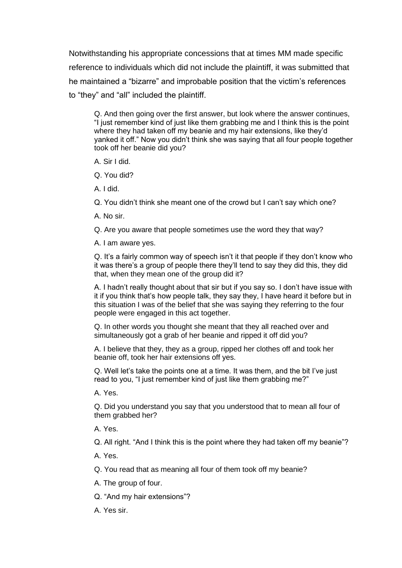Notwithstanding his appropriate concessions that at times MM made specific reference to individuals which did not include the plaintiff, it was submitted that he maintained a "bizarre" and improbable position that the victim's references to "they" and "all" included the plaintiff.

Q. And then going over the first answer, but look where the answer continues, "I just remember kind of just like them grabbing me and I think this is the point where they had taken off my beanie and my hair extensions, like they'd yanked it off." Now you didn't think she was saying that all four people together took off her beanie did you?

A. Sir I did.

Q. You did?

A. I did.

Q. You didn't think she meant one of the crowd but I can't say which one?

A. No sir.

Q. Are you aware that people sometimes use the word they that way?

A. I am aware yes.

Q. It's a fairly common way of speech isn't it that people if they don't know who it was there's a group of people there they'll tend to say they did this, they did that, when they mean one of the group did it?

A. I hadn't really thought about that sir but if you say so. I don't have issue with it if you think that's how people talk, they say they, I have heard it before but in this situation I was of the belief that she was saying they referring to the four people were engaged in this act together.

Q. In other words you thought she meant that they all reached over and simultaneously got a grab of her beanie and ripped it off did you?

A. I believe that they, they as a group, ripped her clothes off and took her beanie off, took her hair extensions off yes.

Q. Well let's take the points one at a time. It was them, and the bit I've just read to you, "I just remember kind of just like them grabbing me?"

A. Yes.

Q. Did you understand you say that you understood that to mean all four of them grabbed her?

A. Yes.

Q. All right. "And I think this is the point where they had taken off my beanie"?

A. Yes.

Q. You read that as meaning all four of them took off my beanie?

A. The group of four.

Q. "And my hair extensions"?

A. Yes sir.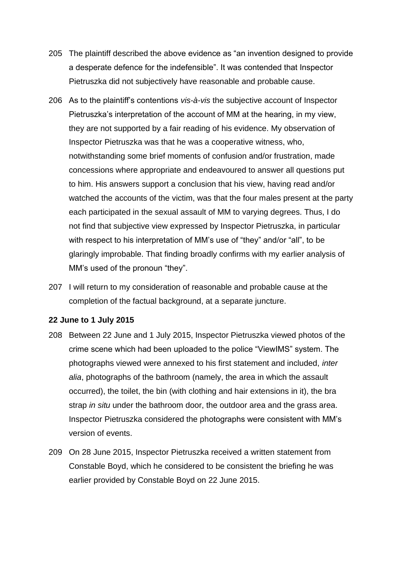- 205 The plaintiff described the above evidence as "an invention designed to provide a desperate defence for the indefensible". It was contended that Inspector Pietruszka did not subjectively have reasonable and probable cause.
- 206 As to the plaintiff's contentions *vis-à-vis* the subjective account of Inspector Pietruszka's interpretation of the account of MM at the hearing, in my view, they are not supported by a fair reading of his evidence. My observation of Inspector Pietruszka was that he was a cooperative witness, who, notwithstanding some brief moments of confusion and/or frustration, made concessions where appropriate and endeavoured to answer all questions put to him. His answers support a conclusion that his view, having read and/or watched the accounts of the victim, was that the four males present at the party each participated in the sexual assault of MM to varying degrees. Thus, I do not find that subjective view expressed by Inspector Pietruszka, in particular with respect to his interpretation of MM's use of "they" and/or "all", to be glaringly improbable. That finding broadly confirms with my earlier analysis of MM's used of the pronoun "they".
- 207 I will return to my consideration of reasonable and probable cause at the completion of the factual background, at a separate juncture.

#### **22 June to 1 July 2015**

- 208 Between 22 June and 1 July 2015, Inspector Pietruszka viewed photos of the crime scene which had been uploaded to the police "ViewIMS" system. The photographs viewed were annexed to his first statement and included, *inter alia*, photographs of the bathroom (namely, the area in which the assault occurred), the toilet, the bin (with clothing and hair extensions in it), the bra strap *in situ* under the bathroom door, the outdoor area and the grass area. Inspector Pietruszka considered the photographs were consistent with MM's version of events.
- 209 On 28 June 2015, Inspector Pietruszka received a written statement from Constable Boyd, which he considered to be consistent the briefing he was earlier provided by Constable Boyd on 22 June 2015.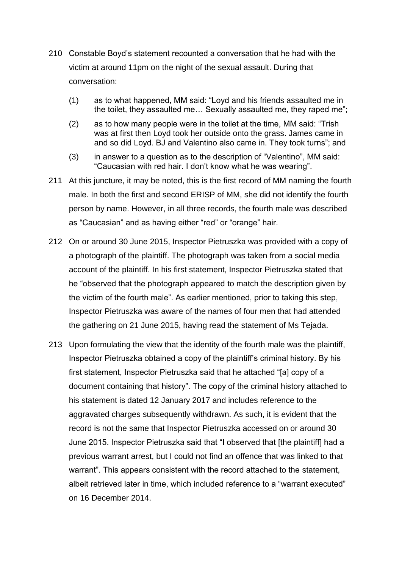- 210 Constable Boyd's statement recounted a conversation that he had with the victim at around 11pm on the night of the sexual assault. During that conversation:
	- (1) as to what happened, MM said: "Loyd and his friends assaulted me in the toilet, they assaulted me… Sexually assaulted me, they raped me";
	- (2) as to how many people were in the toilet at the time, MM said: "Trish was at first then Loyd took her outside onto the grass. James came in and so did Loyd. BJ and Valentino also came in. They took turns"; and
	- (3) in answer to a question as to the description of "Valentino", MM said: "Caucasian with red hair. I don't know what he was wearing".
- 211 At this juncture, it may be noted, this is the first record of MM naming the fourth male. In both the first and second ERISP of MM, she did not identify the fourth person by name. However, in all three records, the fourth male was described as "Caucasian" and as having either "red" or "orange" hair.
- 212 On or around 30 June 2015, Inspector Pietruszka was provided with a copy of a photograph of the plaintiff. The photograph was taken from a social media account of the plaintiff. In his first statement, Inspector Pietruszka stated that he "observed that the photograph appeared to match the description given by the victim of the fourth male". As earlier mentioned, prior to taking this step, Inspector Pietruszka was aware of the names of four men that had attended the gathering on 21 June 2015, having read the statement of Ms Tejada.
- 213 Upon formulating the view that the identity of the fourth male was the plaintiff, Inspector Pietruszka obtained a copy of the plaintiff's criminal history. By his first statement, Inspector Pietruszka said that he attached "[a] copy of a document containing that history". The copy of the criminal history attached to his statement is dated 12 January 2017 and includes reference to the aggravated charges subsequently withdrawn. As such, it is evident that the record is not the same that Inspector Pietruszka accessed on or around 30 June 2015. Inspector Pietruszka said that "I observed that [the plaintiff] had a previous warrant arrest, but I could not find an offence that was linked to that warrant". This appears consistent with the record attached to the statement, albeit retrieved later in time, which included reference to a "warrant executed" on 16 December 2014.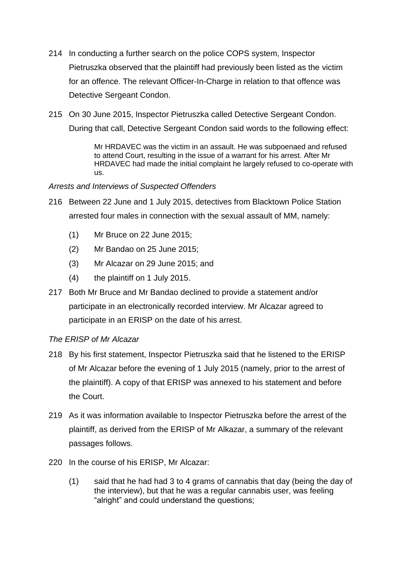- 214 In conducting a further search on the police COPS system, Inspector Pietruszka observed that the plaintiff had previously been listed as the victim for an offence. The relevant Officer-In-Charge in relation to that offence was Detective Sergeant Condon.
- 215 On 30 June 2015, Inspector Pietruszka called Detective Sergeant Condon. During that call, Detective Sergeant Condon said words to the following effect:

Mr HRDAVEC was the victim in an assault. He was subpoenaed and refused to attend Court, resulting in the issue of a warrant for his arrest. After Mr HRDAVEC had made the initial complaint he largely refused to co-operate with us.

## *Arrests and Interviews of Suspected Offenders*

- 216 Between 22 June and 1 July 2015, detectives from Blacktown Police Station arrested four males in connection with the sexual assault of MM, namely:
	- (1) Mr Bruce on 22 June 2015;
	- (2) Mr Bandao on 25 June 2015;
	- (3) Mr Alcazar on 29 June 2015; and
	- (4) the plaintiff on 1 July 2015.
- 217 Both Mr Bruce and Mr Bandao declined to provide a statement and/or participate in an electronically recorded interview. Mr Alcazar agreed to participate in an ERISP on the date of his arrest.

## *The ERISP of Mr Alcazar*

- 218 By his first statement, Inspector Pietruszka said that he listened to the ERISP of Mr Alcazar before the evening of 1 July 2015 (namely, prior to the arrest of the plaintiff). A copy of that ERISP was annexed to his statement and before the Court.
- 219 As it was information available to Inspector Pietruszka before the arrest of the plaintiff, as derived from the ERISP of Mr Alkazar, a summary of the relevant passages follows.
- 220 In the course of his ERISP, Mr Alcazar:
	- (1) said that he had had 3 to 4 grams of cannabis that day (being the day of the interview), but that he was a regular cannabis user, was feeling "alright" and could understand the questions;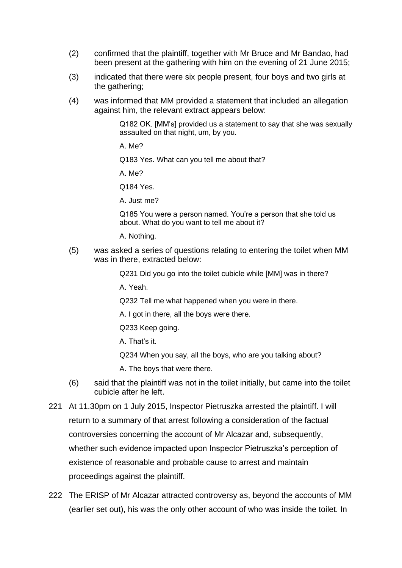- (2) confirmed that the plaintiff, together with Mr Bruce and Mr Bandao, had been present at the gathering with him on the evening of 21 June 2015;
- (3) indicated that there were six people present, four boys and two girls at the gathering:
- (4) was informed that MM provided a statement that included an allegation against him, the relevant extract appears below:

Q182 OK. [MM's] provided us a statement to say that she was sexually assaulted on that night, um, by you.

A. Me?

Q183 Yes. What can you tell me about that?

A. Me?

Q184 Yes.

A. Just me?

Q185 You were a person named. You're a person that she told us about. What do you want to tell me about it?

A. Nothing.

(5) was asked a series of questions relating to entering the toilet when MM was in there, extracted below:

Q231 Did you go into the toilet cubicle while [MM] was in there?

A. Yeah.

Q232 Tell me what happened when you were in there.

A. I got in there, all the boys were there.

Q233 Keep going.

A. That's it.

Q234 When you say, all the boys, who are you talking about?

A. The boys that were there.

- (6) said that the plaintiff was not in the toilet initially, but came into the toilet cubicle after he left.
- 221 At 11.30pm on 1 July 2015, Inspector Pietruszka arrested the plaintiff. I will return to a summary of that arrest following a consideration of the factual controversies concerning the account of Mr Alcazar and, subsequently, whether such evidence impacted upon Inspector Pietruszka's perception of existence of reasonable and probable cause to arrest and maintain proceedings against the plaintiff.
- 222 The ERISP of Mr Alcazar attracted controversy as, beyond the accounts of MM (earlier set out), his was the only other account of who was inside the toilet. In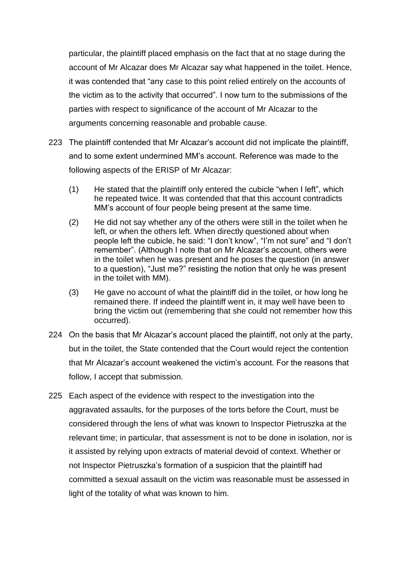particular, the plaintiff placed emphasis on the fact that at no stage during the account of Mr Alcazar does Mr Alcazar say what happened in the toilet. Hence, it was contended that "any case to this point relied entirely on the accounts of the victim as to the activity that occurred". I now turn to the submissions of the parties with respect to significance of the account of Mr Alcazar to the arguments concerning reasonable and probable cause.

- 223 The plaintiff contended that Mr Alcazar's account did not implicate the plaintiff, and to some extent undermined MM's account. Reference was made to the following aspects of the ERISP of Mr Alcazar:
	- (1) He stated that the plaintiff only entered the cubicle "when I left", which he repeated twice. It was contended that that this account contradicts MM's account of four people being present at the same time.
	- (2) He did not say whether any of the others were still in the toilet when he left, or when the others left. When directly questioned about when people left the cubicle, he said: "I don't know", "I'm not sure" and "I don't remember". (Although I note that on Mr Alcazar's account, others were in the toilet when he was present and he poses the question (in answer to a question), "Just me?" resisting the notion that only he was present in the toilet with MM).
	- (3) He gave no account of what the plaintiff did in the toilet, or how long he remained there. If indeed the plaintiff went in, it may well have been to bring the victim out (remembering that she could not remember how this occurred).
- 224 On the basis that Mr Alcazar's account placed the plaintiff, not only at the party, but in the toilet, the State contended that the Court would reject the contention that Mr Alcazar's account weakened the victim's account. For the reasons that follow, I accept that submission.
- 225 Each aspect of the evidence with respect to the investigation into the aggravated assaults, for the purposes of the torts before the Court, must be considered through the lens of what was known to Inspector Pietruszka at the relevant time; in particular, that assessment is not to be done in isolation, nor is it assisted by relying upon extracts of material devoid of context. Whether or not Inspector Pietruszka's formation of a suspicion that the plaintiff had committed a sexual assault on the victim was reasonable must be assessed in light of the totality of what was known to him.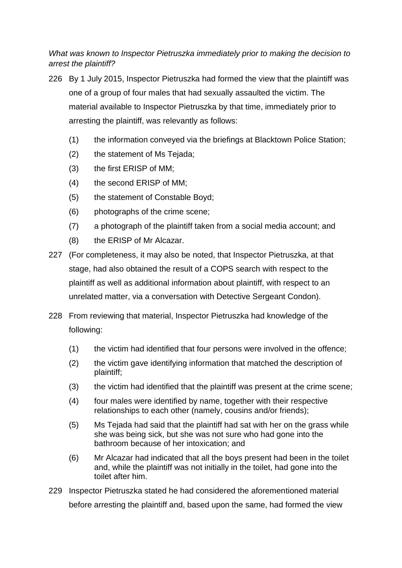*What was known to Inspector Pietruszka immediately prior to making the decision to arrest the plaintiff?*

- 226 By 1 July 2015, Inspector Pietruszka had formed the view that the plaintiff was one of a group of four males that had sexually assaulted the victim. The material available to Inspector Pietruszka by that time, immediately prior to arresting the plaintiff, was relevantly as follows:
	- (1) the information conveyed via the briefings at Blacktown Police Station;
	- (2) the statement of Ms Tejada;
	- (3) the first ERISP of MM;
	- (4) the second ERISP of MM;
	- (5) the statement of Constable Boyd;
	- (6) photographs of the crime scene;
	- (7) a photograph of the plaintiff taken from a social media account; and
	- (8) the ERISP of Mr Alcazar.
- 227 (For completeness, it may also be noted, that Inspector Pietruszka, at that stage, had also obtained the result of a COPS search with respect to the plaintiff as well as additional information about plaintiff, with respect to an unrelated matter, via a conversation with Detective Sergeant Condon).
- 228 From reviewing that material, Inspector Pietruszka had knowledge of the following:
	- (1) the victim had identified that four persons were involved in the offence;
	- (2) the victim gave identifying information that matched the description of plaintiff;
	- (3) the victim had identified that the plaintiff was present at the crime scene;
	- (4) four males were identified by name, together with their respective relationships to each other (namely, cousins and/or friends);
	- (5) Ms Tejada had said that the plaintiff had sat with her on the grass while she was being sick, but she was not sure who had gone into the bathroom because of her intoxication; and
	- (6) Mr Alcazar had indicated that all the boys present had been in the toilet and, while the plaintiff was not initially in the toilet, had gone into the toilet after him.
- 229 Inspector Pietruszka stated he had considered the aforementioned material before arresting the plaintiff and, based upon the same, had formed the view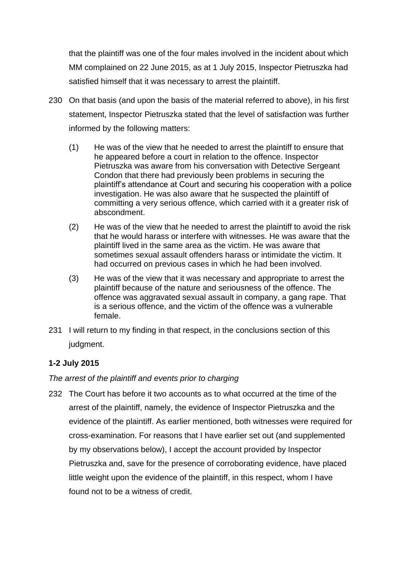that the plaintiff was one of the four males involved in the incident about which MM complained on 22 June 2015, as at 1 July 2015, Inspector Pietruszka had satisfied himself that it was necessary to arrest the plaintiff.

- 230 On that basis (and upon the basis of the material referred to above), in his first statement, Inspector Pietruszka stated that the level of satisfaction was further informed by the following matters:
	- (1) He was of the view that he needed to arrest the plaintiff to ensure that he appeared before a court in relation to the offence. Inspector Pietruszka was aware from his conversation with Detective Sergeant Condon that there had previously been problems in securing the plaintiff's attendance at Court and securing his cooperation with a police investigation. He was also aware that he suspected the plaintiff of committing a very serious offence, which carried with it a greater risk of abscondment.
	- (2) He was of the view that he needed to arrest the plaintiff to avoid the risk that he would harass or interfere with witnesses. He was aware that the plaintiff lived in the same area as the victim. He was aware that sometimes sexual assault offenders harass or intimidate the victim. It had occurred on previous cases in which he had been involved.
	- (3) He was of the view that it was necessary and appropriate to arrest the plaintiff because of the nature and seriousness of the offence. The offence was aggravated sexual assault in company, a gang rape. That is a serious offence, and the victim of the offence was a vulnerable female.
- 231 I will return to my finding in that respect, in the conclusions section of this judgment.

# **1-2 July 2015**

*The arrest of the plaintiff and events prior to charging*

232 The Court has before it two accounts as to what occurred at the time of the arrest of the plaintiff, namely, the evidence of Inspector Pietruszka and the evidence of the plaintiff. As earlier mentioned, both witnesses were required for cross-examination. For reasons that I have earlier set out (and supplemented by my observations below), I accept the account provided by Inspector Pietruszka and, save for the presence of corroborating evidence, have placed little weight upon the evidence of the plaintiff, in this respect, whom I have found not to be a witness of credit.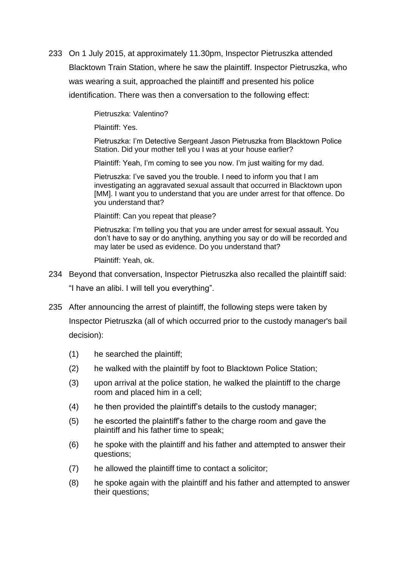233 On 1 July 2015, at approximately 11.30pm, Inspector Pietruszka attended Blacktown Train Station, where he saw the plaintiff. Inspector Pietruszka, who was wearing a suit, approached the plaintiff and presented his police identification. There was then a conversation to the following effect:

Pietruszka: Valentino?

Plaintiff: Yes.

Pietruszka: I'm Detective Sergeant Jason Pietruszka from Blacktown Police Station. Did your mother tell you I was at your house earlier?

Plaintiff: Yeah, I'm coming to see you now. I'm just waiting for my dad.

Pietruszka: I've saved you the trouble. I need to inform you that I am investigating an aggravated sexual assault that occurred in Blacktown upon [MM]. I want you to understand that you are under arrest for that offence. Do you understand that?

Plaintiff: Can you repeat that please?

Pietruszka: I'm telling you that you are under arrest for sexual assault. You don't have to say or do anything, anything you say or do will be recorded and may later be used as evidence. Do you understand that?

Plaintiff: Yeah, ok.

- 234 Beyond that conversation, Inspector Pietruszka also recalled the plaintiff said: "I have an alibi. I will tell you everything".
- 235 After announcing the arrest of plaintiff, the following steps were taken by Inspector Pietruszka (all of which occurred prior to the custody manager's bail decision):
	- (1) he searched the plaintiff;
	- (2) he walked with the plaintiff by foot to Blacktown Police Station;
	- (3) upon arrival at the police station, he walked the plaintiff to the charge room and placed him in a cell;
	- (4) he then provided the plaintiff's details to the custody manager;
	- (5) he escorted the plaintiff's father to the charge room and gave the plaintiff and his father time to speak;
	- (6) he spoke with the plaintiff and his father and attempted to answer their questions;
	- (7) he allowed the plaintiff time to contact a solicitor;
	- (8) he spoke again with the plaintiff and his father and attempted to answer their questions;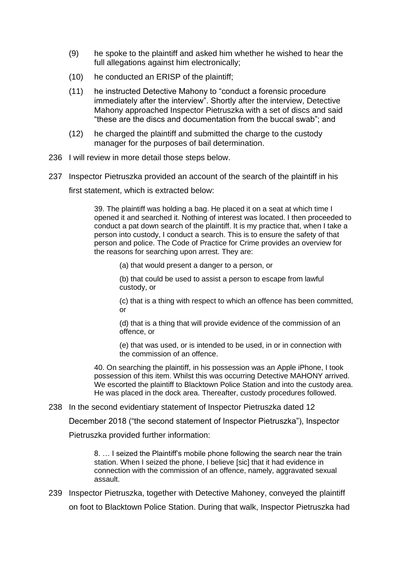- (9) he spoke to the plaintiff and asked him whether he wished to hear the full allegations against him electronically;
- (10) he conducted an ERISP of the plaintiff;
- (11) he instructed Detective Mahony to "conduct a forensic procedure immediately after the interview". Shortly after the interview, Detective Mahony approached Inspector Pietruszka with a set of discs and said "these are the discs and documentation from the buccal swab"; and
- (12) he charged the plaintiff and submitted the charge to the custody manager for the purposes of bail determination.
- 236 I will review in more detail those steps below.
- 237 Inspector Pietruszka provided an account of the search of the plaintiff in his

first statement, which is extracted below:

39. The plaintiff was holding a bag. He placed it on a seat at which time I opened it and searched it. Nothing of interest was located. I then proceeded to conduct a pat down search of the plaintiff. It is my practice that, when I take a person into custody, I conduct a search. This is to ensure the safety of that person and police. The Code of Practice for Crime provides an overview for the reasons for searching upon arrest. They are:

(a) that would present a danger to a person, or

(b) that could be used to assist a person to escape from lawful custody, or

(c) that is a thing with respect to which an offence has been committed, or

(d) that is a thing that will provide evidence of the commission of an offence, or

(e) that was used, or is intended to be used, in or in connection with the commission of an offence.

40. On searching the plaintiff, in his possession was an Apple iPhone, I took possession of this item. Whilst this was occurring Detective MAHONY arrived. We escorted the plaintiff to Blacktown Police Station and into the custody area. He was placed in the dock area. Thereafter, custody procedures followed.

#### 238 In the second evidentiary statement of Inspector Pietruszka dated 12

December 2018 ("the second statement of Inspector Pietruszka"), Inspector

Pietruszka provided further information:

8. … I seized the Plaintiff's mobile phone following the search near the train station. When I seized the phone, I believe [sic] that it had evidence in connection with the commission of an offence, namely, aggravated sexual assault.

239 Inspector Pietruszka, together with Detective Mahoney, conveyed the plaintiff on foot to Blacktown Police Station. During that walk, Inspector Pietruszka had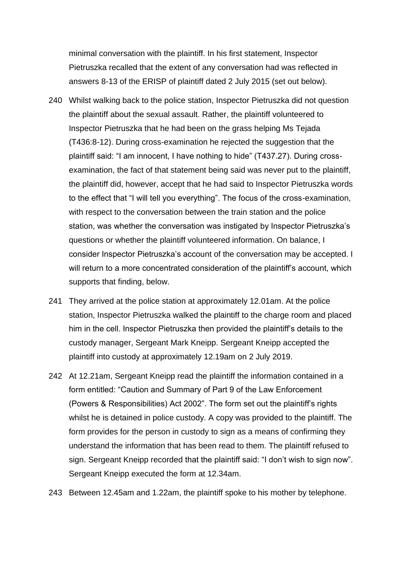minimal conversation with the plaintiff. In his first statement, Inspector Pietruszka recalled that the extent of any conversation had was reflected in answers 8-13 of the ERISP of plaintiff dated 2 July 2015 (set out below).

- 240 Whilst walking back to the police station, Inspector Pietruszka did not question the plaintiff about the sexual assault. Rather, the plaintiff volunteered to Inspector Pietruszka that he had been on the grass helping Ms Tejada (T436:8-12). During cross-examination he rejected the suggestion that the plaintiff said: "I am innocent, I have nothing to hide" (T437.27). During crossexamination, the fact of that statement being said was never put to the plaintiff, the plaintiff did, however, accept that he had said to Inspector Pietruszka words to the effect that "I will tell you everything". The focus of the cross-examination, with respect to the conversation between the train station and the police station, was whether the conversation was instigated by Inspector Pietruszka's questions or whether the plaintiff volunteered information. On balance, I consider Inspector Pietruszka's account of the conversation may be accepted. I will return to a more concentrated consideration of the plaintiff's account, which supports that finding, below.
- 241 They arrived at the police station at approximately 12.01am. At the police station, Inspector Pietruszka walked the plaintiff to the charge room and placed him in the cell. Inspector Pietruszka then provided the plaintiff's details to the custody manager, Sergeant Mark Kneipp. Sergeant Kneipp accepted the plaintiff into custody at approximately 12.19am on 2 July 2019.
- 242 At 12.21am, Sergeant Kneipp read the plaintiff the information contained in a form entitled: "Caution and Summary of Part 9 of the Law Enforcement (Powers & Responsibilities) Act 2002". The form set out the plaintiff's rights whilst he is detained in police custody. A copy was provided to the plaintiff. The form provides for the person in custody to sign as a means of confirming they understand the information that has been read to them. The plaintiff refused to sign. Sergeant Kneipp recorded that the plaintiff said: "I don't wish to sign now". Sergeant Kneipp executed the form at 12.34am.
- 243 Between 12.45am and 1.22am, the plaintiff spoke to his mother by telephone.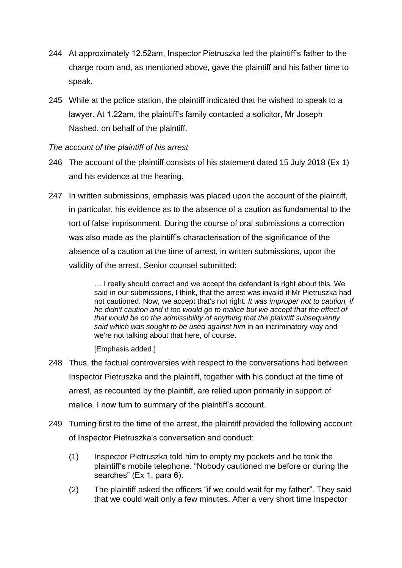- 244 At approximately 12.52am, Inspector Pietruszka led the plaintiff's father to the charge room and, as mentioned above, gave the plaintiff and his father time to speak.
- 245 While at the police station, the plaintiff indicated that he wished to speak to a lawyer. At 1.22am, the plaintiff's family contacted a solicitor, Mr Joseph Nashed, on behalf of the plaintiff.

## *The account of the plaintiff of his arrest*

- 246 The account of the plaintiff consists of his statement dated 15 July 2018 (Ex 1) and his evidence at the hearing.
- 247 In written submissions, emphasis was placed upon the account of the plaintiff, in particular, his evidence as to the absence of a caution as fundamental to the tort of false imprisonment. During the course of oral submissions a correction was also made as the plaintiff's characterisation of the significance of the absence of a caution at the time of arrest, in written submissions, upon the validity of the arrest. Senior counsel submitted:

… I really should correct and we accept the defendant is right about this. We said in our submissions, I think, that the arrest was invalid if Mr Pietruszka had not cautioned. Now, we accept that's not right. *It was improper not to caution, if he didn't caution and it too would go to malice but we accept that the effect of that would be on the admissibility of anything that the plaintiff subsequently said which was sought to be used against him* in an incriminatory way and we're not talking about that here, of course.

[Emphasis added.]

- 248 Thus, the factual controversies with respect to the conversations had between Inspector Pietruszka and the plaintiff, together with his conduct at the time of arrest, as recounted by the plaintiff, are relied upon primarily in support of malice. I now turn to summary of the plaintiff's account.
- 249 Turning first to the time of the arrest, the plaintiff provided the following account of Inspector Pietruszka's conversation and conduct:
	- (1) Inspector Pietruszka told him to empty my pockets and he took the plaintiff's mobile telephone. "Nobody cautioned me before or during the searches" (Ex 1, para 6).
	- (2) The plaintiff asked the officers "if we could wait for my father". They said that we could wait only a few minutes. After a very short time Inspector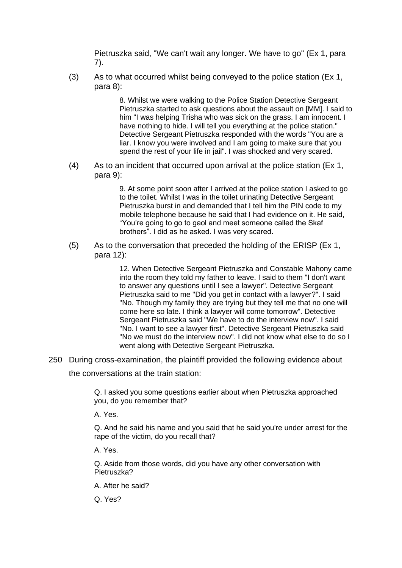Pietruszka said, "We can't wait any longer. We have to go" (Ex 1, para 7).

(3) As to what occurred whilst being conveyed to the police station (Ex 1, para 8):

> 8. Whilst we were walking to the Police Station Detective Sergeant Pietruszka started to ask questions about the assault on [MM]. I said to him "I was helping Trisha who was sick on the grass. I am innocent. I have nothing to hide. I will tell you everything at the police station." Detective Sergeant Pietruszka responded with the words "You are a liar. I know you were involved and I am going to make sure that you spend the rest of your life in jail". I was shocked and very scared.

(4) As to an incident that occurred upon arrival at the police station (Ex 1, para 9):

> 9. At some point soon after I arrived at the police station I asked to go to the toilet. Whilst I was in the toilet urinating Detective Sergeant Pietruszka burst in and demanded that I tell him the PIN code to my mobile telephone because he said that I had evidence on it. He said, "You're going to go to gaol and meet someone called the Skaf brothers". I did as he asked. I was very scared.

(5) As to the conversation that preceded the holding of the ERISP (Ex 1, para 12):

> 12. When Detective Sergeant Pietruszka and Constable Mahony came into the room they told my father to leave. I said to them "I don't want to answer any questions until I see a lawyer". Detective Sergeant Pietruszka said to me "Did you get in contact with a lawyer?". I said "No. Though my family they are trying but they tell me that no one will come here so late. I think a lawyer will come tomorrow". Detective Sergeant Pietruszka said "We have to do the interview now". I said "No. I want to see a lawyer first". Detective Sergeant Pietruszka said "No we must do the interview now". I did not know what else to do so I went along with Detective Sergeant Pietruszka.

250 During cross-examination, the plaintiff provided the following evidence about

the conversations at the train station:

Q. I asked you some questions earlier about when Pietruszka approached you, do you remember that?

A. Yes.

Q. And he said his name and you said that he said you're under arrest for the rape of the victim, do you recall that?

A. Yes.

Q. Aside from those words, did you have any other conversation with Pietruszka?

A. After he said?

Q. Yes?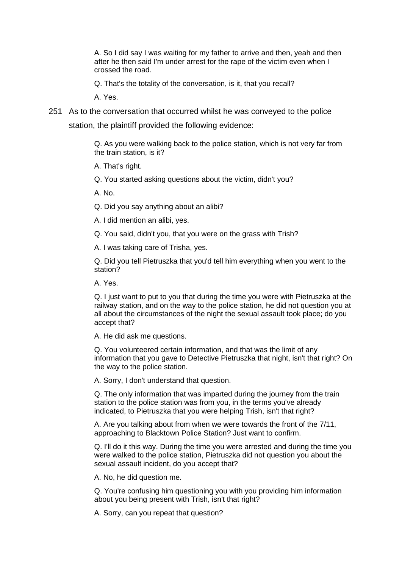A. So I did say I was waiting for my father to arrive and then, yeah and then after he then said I'm under arrest for the rape of the victim even when I crossed the road.

Q. That's the totality of the conversation, is it, that you recall?

A. Yes.

251 As to the conversation that occurred whilst he was conveyed to the police

station, the plaintiff provided the following evidence:

Q. As you were walking back to the police station, which is not very far from the train station, is it?

A. That's right.

Q. You started asking questions about the victim, didn't you?

A. No.

Q. Did you say anything about an alibi?

A. I did mention an alibi, yes.

Q. You said, didn't you, that you were on the grass with Trish?

A. I was taking care of Trisha, yes.

Q. Did you tell Pietruszka that you'd tell him everything when you went to the station?

A. Yes.

Q. I just want to put to you that during the time you were with Pietruszka at the railway station, and on the way to the police station, he did not question you at all about the circumstances of the night the sexual assault took place; do you accept that?

A. He did ask me questions.

Q. You volunteered certain information, and that was the limit of any information that you gave to Detective Pietruszka that night, isn't that right? On the way to the police station.

A. Sorry, I don't understand that question.

Q. The only information that was imparted during the journey from the train station to the police station was from you, in the terms you've already indicated, to Pietruszka that you were helping Trish, isn't that right?

A. Are you talking about from when we were towards the front of the 7/11, approaching to Blacktown Police Station? Just want to confirm.

Q. I'll do it this way. During the time you were arrested and during the time you were walked to the police station, Pietruszka did not question you about the sexual assault incident, do you accept that?

A. No, he did question me.

Q. You're confusing him questioning you with you providing him information about you being present with Trish, isn't that right?

A. Sorry, can you repeat that question?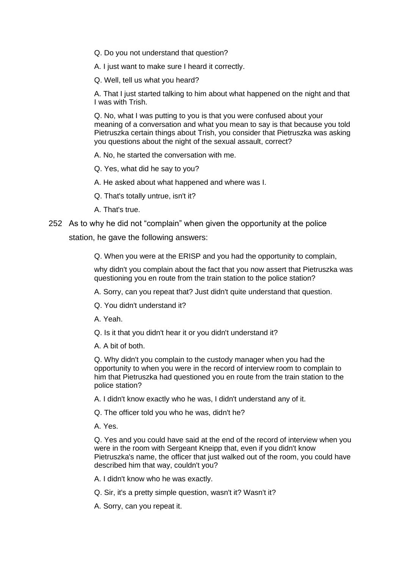Q. Do you not understand that question?

A. I just want to make sure I heard it correctly.

Q. Well, tell us what you heard?

A. That I just started talking to him about what happened on the night and that I was with Trish.

Q. No, what I was putting to you is that you were confused about your meaning of a conversation and what you mean to say is that because you told Pietruszka certain things about Trish, you consider that Pietruszka was asking you questions about the night of the sexual assault, correct?

A. No, he started the conversation with me.

Q. Yes, what did he say to you?

A. He asked about what happened and where was I.

Q. That's totally untrue, isn't it?

A. That's true.

#### 252 As to why he did not "complain" when given the opportunity at the police

station, he gave the following answers:

Q. When you were at the ERISP and you had the opportunity to complain,

why didn't you complain about the fact that you now assert that Pietruszka was questioning you en route from the train station to the police station?

A. Sorry, can you repeat that? Just didn't quite understand that question.

Q. You didn't understand it?

A. Yeah.

Q. Is it that you didn't hear it or you didn't understand it?

A. A bit of both.

Q. Why didn't you complain to the custody manager when you had the opportunity to when you were in the record of interview room to complain to him that Pietruszka had questioned you en route from the train station to the police station?

A. I didn't know exactly who he was, I didn't understand any of it.

Q. The officer told you who he was, didn't he?

A. Yes.

Q. Yes and you could have said at the end of the record of interview when you were in the room with Sergeant Kneipp that, even if you didn't know Pietruszka's name, the officer that just walked out of the room, you could have described him that way, couldn't you?

A. I didn't know who he was exactly.

Q. Sir, it's a pretty simple question, wasn't it? Wasn't it?

A. Sorry, can you repeat it.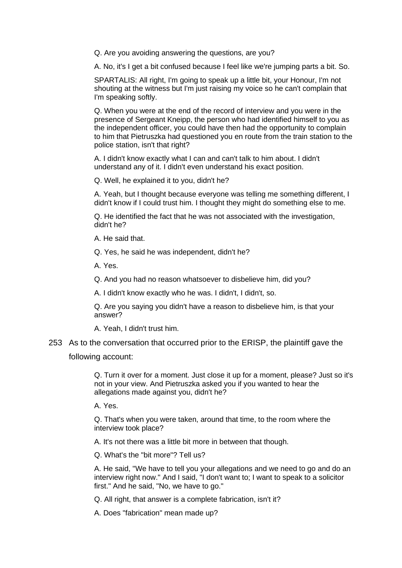Q. Are you avoiding answering the questions, are you?

A. No, it's I get a bit confused because I feel like we're jumping parts a bit. So.

SPARTALIS: All right, I'm going to speak up a little bit, your Honour, I'm not shouting at the witness but I'm just raising my voice so he can't complain that I'm speaking softly.

Q. When you were at the end of the record of interview and you were in the presence of Sergeant Kneipp, the person who had identified himself to you as the independent officer, you could have then had the opportunity to complain to him that Pietruszka had questioned you en route from the train station to the police station, isn't that right?

A. I didn't know exactly what I can and can't talk to him about. I didn't understand any of it. I didn't even understand his exact position.

Q. Well, he explained it to you, didn't he?

A. Yeah, but I thought because everyone was telling me something different, I didn't know if I could trust him. I thought they might do something else to me.

Q. He identified the fact that he was not associated with the investigation, didn't he?

A. He said that.

Q. Yes, he said he was independent, didn't he?

A. Yes.

Q. And you had no reason whatsoever to disbelieve him, did you?

A. I didn't know exactly who he was. I didn't, I didn't, so.

Q. Are you saying you didn't have a reason to disbelieve him, is that your answer?

A. Yeah, I didn't trust him.

253 As to the conversation that occurred prior to the ERISP, the plaintiff gave the

following account:

Q. Turn it over for a moment. Just close it up for a moment, please? Just so it's not in your view. And Pietruszka asked you if you wanted to hear the allegations made against you, didn't he?

A. Yes.

Q. That's when you were taken, around that time, to the room where the interview took place?

A. It's not there was a little bit more in between that though.

Q. What's the "bit more"? Tell us?

A. He said, "We have to tell you your allegations and we need to go and do an interview right now." And I said, "I don't want to; I want to speak to a solicitor first." And he said, "No, we have to go."

Q. All right, that answer is a complete fabrication, isn't it?

A. Does "fabrication" mean made up?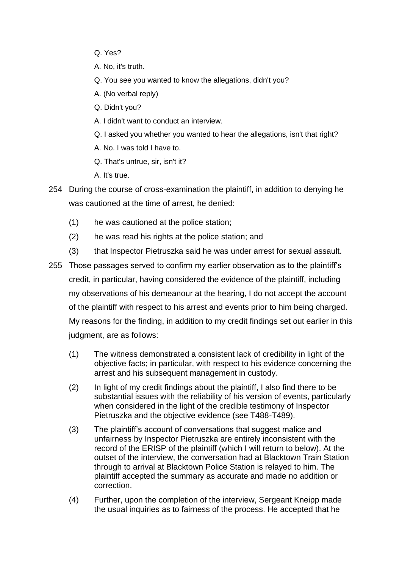- Q. Yes?
- A. No, it's truth.
- Q. You see you wanted to know the allegations, didn't you?
- A. (No verbal reply)
- Q. Didn't you?
- A. I didn't want to conduct an interview.
- Q. I asked you whether you wanted to hear the allegations, isn't that right?
- A. No. I was told I have to.
- Q. That's untrue, sir, isn't it?
- A. It's true.
- 254 During the course of cross-examination the plaintiff, in addition to denying he was cautioned at the time of arrest, he denied:
	- (1) he was cautioned at the police station;
	- (2) he was read his rights at the police station; and
	- (3) that Inspector Pietruszka said he was under arrest for sexual assault.
- 255 Those passages served to confirm my earlier observation as to the plaintiff's credit, in particular, having considered the evidence of the plaintiff, including my observations of his demeanour at the hearing, I do not accept the account of the plaintiff with respect to his arrest and events prior to him being charged. My reasons for the finding, in addition to my credit findings set out earlier in this judgment, are as follows:
	- (1) The witness demonstrated a consistent lack of credibility in light of the objective facts; in particular, with respect to his evidence concerning the arrest and his subsequent management in custody.
	- (2) In light of my credit findings about the plaintiff, I also find there to be substantial issues with the reliability of his version of events, particularly when considered in the light of the credible testimony of Inspector Pietruszka and the objective evidence (see T488-T489).
	- (3) The plaintiff's account of conversations that suggest malice and unfairness by Inspector Pietruszka are entirely inconsistent with the record of the ERISP of the plaintiff (which I will return to below). At the outset of the interview, the conversation had at Blacktown Train Station through to arrival at Blacktown Police Station is relayed to him. The plaintiff accepted the summary as accurate and made no addition or correction.
	- (4) Further, upon the completion of the interview, Sergeant Kneipp made the usual inquiries as to fairness of the process. He accepted that he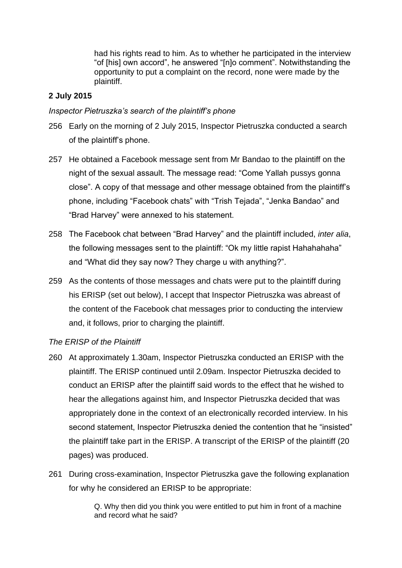had his rights read to him. As to whether he participated in the interview "of [his] own accord", he answered "[n]o comment". Notwithstanding the opportunity to put a complaint on the record, none were made by the plaintiff.

# **2 July 2015**

## *Inspector Pietruszka's search of the plaintiff's phone*

- 256 Early on the morning of 2 July 2015, Inspector Pietruszka conducted a search of the plaintiff's phone.
- 257 He obtained a Facebook message sent from Mr Bandao to the plaintiff on the night of the sexual assault. The message read: "Come Yallah pussys gonna close". A copy of that message and other message obtained from the plaintiff's phone, including "Facebook chats" with "Trish Tejada", "Jenka Bandao" and "Brad Harvey" were annexed to his statement.
- 258 The Facebook chat between "Brad Harvey" and the plaintiff included, *inter alia*, the following messages sent to the plaintiff: "Ok my little rapist Hahahahaha" and "What did they say now? They charge u with anything?".
- 259 As the contents of those messages and chats were put to the plaintiff during his ERISP (set out below), I accept that Inspector Pietruszka was abreast of the content of the Facebook chat messages prior to conducting the interview and, it follows, prior to charging the plaintiff.

## *The ERISP of the Plaintiff*

- 260 At approximately 1.30am, Inspector Pietruszka conducted an ERISP with the plaintiff. The ERISP continued until 2.09am. Inspector Pietruszka decided to conduct an ERISP after the plaintiff said words to the effect that he wished to hear the allegations against him, and Inspector Pietruszka decided that was appropriately done in the context of an electronically recorded interview. In his second statement, Inspector Pietruszka denied the contention that he "insisted" the plaintiff take part in the ERISP. A transcript of the ERISP of the plaintiff (20 pages) was produced.
- 261 During cross-examination, Inspector Pietruszka gave the following explanation for why he considered an ERISP to be appropriate:

Q. Why then did you think you were entitled to put him in front of a machine and record what he said?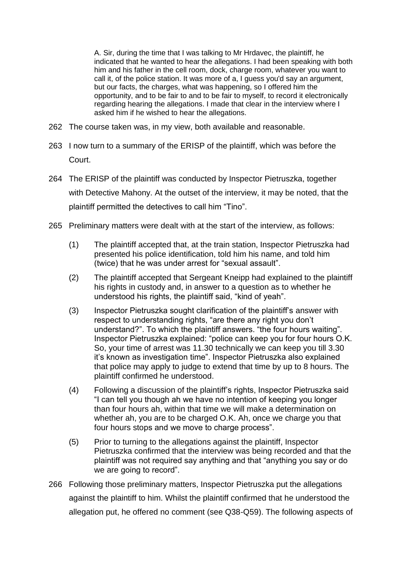A. Sir, during the time that I was talking to Mr Hrdavec, the plaintiff, he indicated that he wanted to hear the allegations. I had been speaking with both him and his father in the cell room, dock, charge room, whatever you want to call it, of the police station. It was more of a, I guess you'd say an argument, but our facts, the charges, what was happening, so I offered him the opportunity, and to be fair to and to be fair to myself, to record it electronically regarding hearing the allegations. I made that clear in the interview where I asked him if he wished to hear the allegations.

- 262 The course taken was, in my view, both available and reasonable.
- 263 I now turn to a summary of the ERISP of the plaintiff, which was before the Court.
- 264 The ERISP of the plaintiff was conducted by Inspector Pietruszka, together with Detective Mahony. At the outset of the interview, it may be noted, that the plaintiff permitted the detectives to call him "Tino".
- 265 Preliminary matters were dealt with at the start of the interview, as follows:
	- (1) The plaintiff accepted that, at the train station, Inspector Pietruszka had presented his police identification, told him his name, and told him (twice) that he was under arrest for "sexual assault".
	- (2) The plaintiff accepted that Sergeant Kneipp had explained to the plaintiff his rights in custody and, in answer to a question as to whether he understood his rights, the plaintiff said, "kind of yeah".
	- (3) Inspector Pietruszka sought clarification of the plaintiff's answer with respect to understanding rights, "are there any right you don't understand?". To which the plaintiff answers. "the four hours waiting". Inspector Pietruszka explained: "police can keep you for four hours O.K. So, your time of arrest was 11.30 technically we can keep you till 3.30 it's known as investigation time". Inspector Pietruszka also explained that police may apply to judge to extend that time by up to 8 hours. The plaintiff confirmed he understood.
	- (4) Following a discussion of the plaintiff's rights, Inspector Pietruszka said "I can tell you though ah we have no intention of keeping you longer than four hours ah, within that time we will make a determination on whether ah, you are to be charged O.K. Ah, once we charge you that four hours stops and we move to charge process".
	- (5) Prior to turning to the allegations against the plaintiff, Inspector Pietruszka confirmed that the interview was being recorded and that the plaintiff was not required say anything and that "anything you say or do we are going to record".
- 266 Following those preliminary matters, Inspector Pietruszka put the allegations against the plaintiff to him. Whilst the plaintiff confirmed that he understood the allegation put, he offered no comment (see Q38-Q59). The following aspects of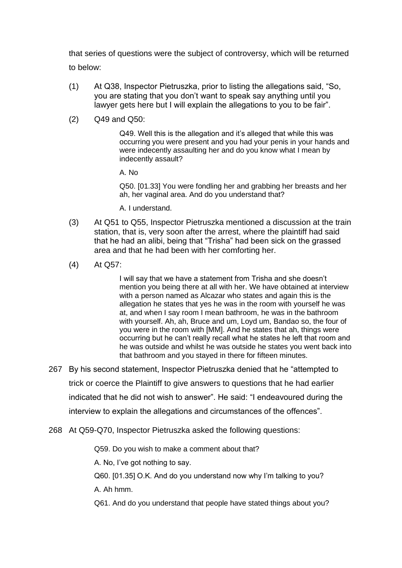that series of questions were the subject of controversy, which will be returned to below:

- (1) At Q38, Inspector Pietruszka, prior to listing the allegations said, "So, you are stating that you don't want to speak say anything until you lawyer gets here but I will explain the allegations to you to be fair".
- (2) Q49 and Q50:

Q49. Well this is the allegation and it's alleged that while this was occurring you were present and you had your penis in your hands and were indecently assaulting her and do you know what I mean by indecently assault?

A. No

Q50. [01.33] You were fondling her and grabbing her breasts and her ah, her vaginal area. And do you understand that?

A. I understand.

- (3) At Q51 to Q55, Inspector Pietruszka mentioned a discussion at the train station, that is, very soon after the arrest, where the plaintiff had said that he had an alibi, being that "Trisha" had been sick on the grassed area and that he had been with her comforting her.
- (4) At Q57:

I will say that we have a statement from Trisha and she doesn't mention you being there at all with her. We have obtained at interview with a person named as Alcazar who states and again this is the allegation he states that yes he was in the room with yourself he was at, and when I say room I mean bathroom, he was in the bathroom with yourself. Ah, ah, Bruce and um, Loyd um, Bandao so, the four of you were in the room with [MM]. And he states that ah, things were occurring but he can't really recall what he states he left that room and he was outside and whilst he was outside he states you went back into that bathroom and you stayed in there for fifteen minutes.

- 267 By his second statement, Inspector Pietruszka denied that he "attempted to trick or coerce the Plaintiff to give answers to questions that he had earlier indicated that he did not wish to answer". He said: "I endeavoured during the interview to explain the allegations and circumstances of the offences".
- 268 At Q59-Q70, Inspector Pietruszka asked the following questions:

Q59. Do you wish to make a comment about that?

A. No, I've got nothing to say.

Q60. [01.35] O.K. And do you understand now why I'm talking to you?

A. Ah hmm.

Q61. And do you understand that people have stated things about you?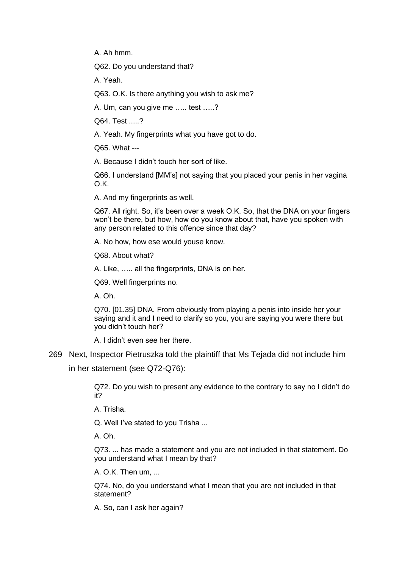A. Ah hmm.

Q62. Do you understand that?

A. Yeah.

Q63. O.K. Is there anything you wish to ask me?

A. Um, can you give me ….. test …..?

Q64. Test .....?

A. Yeah. My fingerprints what you have got to do.

Q65. What ---

A. Because I didn't touch her sort of like.

Q66. I understand [MM's] not saying that you placed your penis in her vagina O.K.

A. And my fingerprints as well.

Q67. All right. So, it's been over a week O.K. So, that the DNA on your fingers won't be there, but how, how do you know about that, have you spoken with any person related to this offence since that day?

A. No how, how ese would youse know.

Q68. About what?

A. Like, ….. all the fingerprints, DNA is on her.

Q69. Well fingerprints no.

A. Oh.

Q70. [01.35] DNA. From obviously from playing a penis into inside her your saying and it and I need to clarify so you, you are saying you were there but you didn't touch her?

A. I didn't even see her there.

#### 269 Next, Inspector Pietruszka told the plaintiff that Ms Tejada did not include him

in her statement (see Q72-Q76):

Q72. Do you wish to present any evidence to the contrary to say no I didn't do it?

A. Trisha.

Q. Well I've stated to you Trisha ...

A. Oh.

Q73. ... has made a statement and you are not included in that statement. Do you understand what I mean by that?

A. O.K. Then um, ...

Q74. No, do you understand what I mean that you are not included in that statement?

A. So, can I ask her again?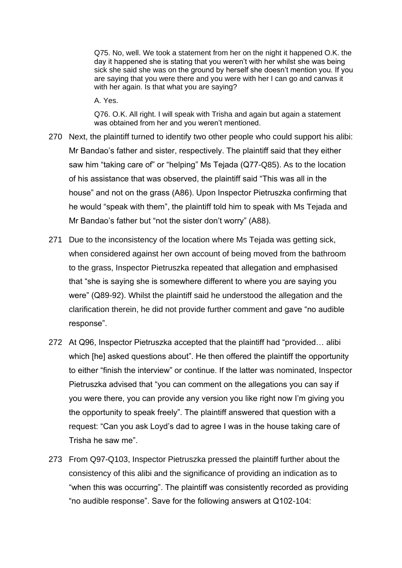Q75. No, well. We took a statement from her on the night it happened O.K. the day it happened she is stating that you weren't with her whilst she was being sick she said she was on the ground by herself she doesn't mention you. If you are saying that you were there and you were with her I can go and canvas it with her again. Is that what you are saving?

A. Yes.

Q76. O.K. All right. I will speak with Trisha and again but again a statement was obtained from her and you weren't mentioned.

- 270 Next, the plaintiff turned to identify two other people who could support his alibi: Mr Bandao's father and sister, respectively. The plaintiff said that they either saw him "taking care of" or "helping" Ms Tejada (Q77-Q85). As to the location of his assistance that was observed, the plaintiff said "This was all in the house" and not on the grass (A86). Upon Inspector Pietruszka confirming that he would "speak with them", the plaintiff told him to speak with Ms Tejada and Mr Bandao's father but "not the sister don't worry" (A88).
- 271 Due to the inconsistency of the location where Ms Tejada was getting sick, when considered against her own account of being moved from the bathroom to the grass, Inspector Pietruszka repeated that allegation and emphasised that "she is saying she is somewhere different to where you are saying you were" (Q89-92). Whilst the plaintiff said he understood the allegation and the clarification therein, he did not provide further comment and gave "no audible response".
- 272 At Q96, Inspector Pietruszka accepted that the plaintiff had "provided… alibi which [he] asked questions about". He then offered the plaintiff the opportunity to either "finish the interview" or continue. If the latter was nominated, Inspector Pietruszka advised that "you can comment on the allegations you can say if you were there, you can provide any version you like right now I'm giving you the opportunity to speak freely". The plaintiff answered that question with a request: "Can you ask Loyd's dad to agree I was in the house taking care of Trisha he saw me".
- 273 From Q97-Q103, Inspector Pietruszka pressed the plaintiff further about the consistency of this alibi and the significance of providing an indication as to "when this was occurring". The plaintiff was consistently recorded as providing "no audible response". Save for the following answers at Q102-104: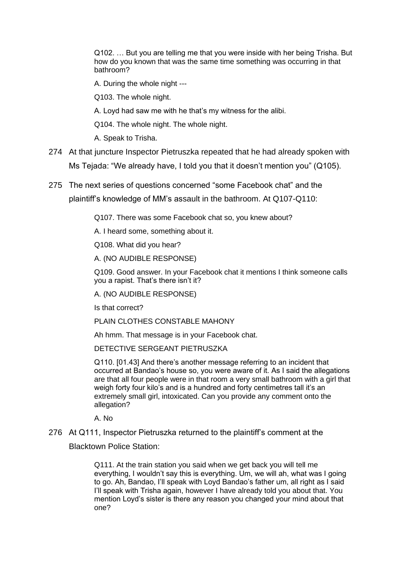Q102. … But you are telling me that you were inside with her being Trisha. But how do you known that was the same time something was occurring in that bathroom?

A. During the whole night ---

Q103. The whole night.

A. Loyd had saw me with he that's my witness for the alibi.

Q104. The whole night. The whole night.

A. Speak to Trisha.

- 274 At that juncture Inspector Pietruszka repeated that he had already spoken with Ms Tejada: "We already have, I told you that it doesn't mention you" (Q105).
- 275 The next series of questions concerned "some Facebook chat" and the plaintiff's knowledge of MM's assault in the bathroom. At Q107-Q110:

Q107. There was some Facebook chat so, you knew about?

A. I heard some, something about it.

Q108. What did you hear?

A. (NO AUDIBLE RESPONSE)

Q109. Good answer. In your Facebook chat it mentions I think someone calls you a rapist. That's there isn't it?

A. (NO AUDIBLE RESPONSE)

Is that correct?

PLAIN CLOTHES CONSTABLE MAHONY

Ah hmm. That message is in your Facebook chat.

DETECTIVE SERGEANT PIETRUSZKA

Q110. [01.43] And there's another message referring to an incident that occurred at Bandao's house so, you were aware of it. As I said the allegations are that all four people were in that room a very small bathroom with a girl that weigh forty four kilo's and is a hundred and forty centimetres tall it's an extremely small girl, intoxicated. Can you provide any comment onto the allegation?

A. No

#### 276 At Q111, Inspector Pietruszka returned to the plaintiff's comment at the

Blacktown Police Station:

Q111. At the train station you said when we get back you will tell me everything, I wouldn't say this is everything. Um, we will ah, what was I going to go. Ah, Bandao, I'll speak with Loyd Bandao's father um, all right as I said I'll speak with Trisha again, however I have already told you about that. You mention Loyd's sister is there any reason you changed your mind about that one?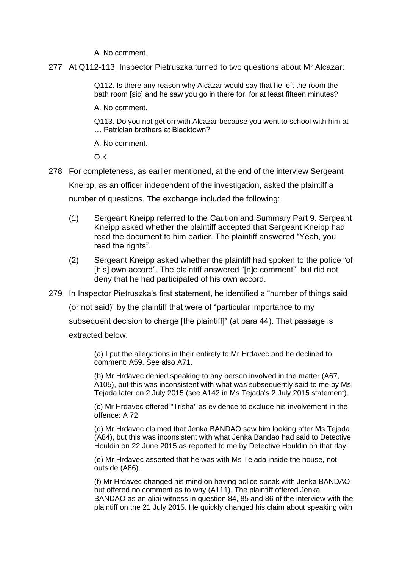A. No comment.

277 At Q112-113, Inspector Pietruszka turned to two questions about Mr Alcazar:

Q112. Is there any reason why Alcazar would say that he left the room the bath room [sic] and he saw you go in there for, for at least fifteen minutes?

A. No comment.

Q113. Do you not get on with Alcazar because you went to school with him at … Patrician brothers at Blacktown?

A. No comment.

O.K.

278 For completeness, as earlier mentioned, at the end of the interview Sergeant Kneipp, as an officer independent of the investigation, asked the plaintiff a number of questions. The exchange included the following:

- (1) Sergeant Kneipp referred to the Caution and Summary Part 9. Sergeant Kneipp asked whether the plaintiff accepted that Sergeant Kneipp had read the document to him earlier. The plaintiff answered "Yeah, you read the rights".
- (2) Sergeant Kneipp asked whether the plaintiff had spoken to the police "of [his] own accord". The plaintiff answered "[n]o comment", but did not deny that he had participated of his own accord.
- 279 In Inspector Pietruszka's first statement, he identified a "number of things said (or not said)" by the plaintiff that were of "particular importance to my subsequent decision to charge [the plaintiff]" (at para 44). That passage is extracted below:

(a) I put the allegations in their entirety to Mr Hrdavec and he declined to comment: A59. See also A71.

(b) Mr Hrdavec denied speaking to any person involved in the matter (A67, A105), but this was inconsistent with what was subsequently said to me by Ms Tejada later on 2 July 2015 (see A142 in Ms Tejada's 2 July 2015 statement).

(c) Mr Hrdavec offered "Trisha" as evidence to exclude his involvement in the offence: A 72.

(d) Mr Hrdavec claimed that Jenka BANDAO saw him looking after Ms Tejada (A84), but this was inconsistent with what Jenka Bandao had said to Detective Houldin on 22 June 2015 as reported to me by Detective Houldin on that day.

(e) Mr Hrdavec asserted that he was with Ms Tejada inside the house, not outside (A86).

(f) Mr Hrdavec changed his mind on having police speak with Jenka BANDAO but offered no comment as to why (A111). The plaintiff offered Jenka BANDAO as an alibi witness in question 84, 85 and 86 of the interview with the plaintiff on the 21 July 2015. He quickly changed his claim about speaking with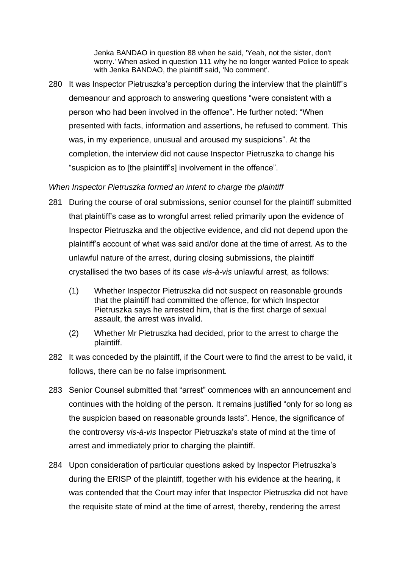Jenka BANDAO in question 88 when he said, 'Yeah, not the sister, don't worry.' When asked in question 111 why he no longer wanted Police to speak with Jenka BANDAO, the plaintiff said, 'No comment'.

280 It was Inspector Pietruszka's perception during the interview that the plaintiff's demeanour and approach to answering questions "were consistent with a person who had been involved in the offence". He further noted: "When presented with facts, information and assertions, he refused to comment. This was, in my experience, unusual and aroused my suspicions". At the completion, the interview did not cause Inspector Pietruszka to change his "suspicion as to [the plaintiff's] involvement in the offence".

## *When Inspector Pietruszka formed an intent to charge the plaintiff*

- 281 During the course of oral submissions, senior counsel for the plaintiff submitted that plaintiff's case as to wrongful arrest relied primarily upon the evidence of Inspector Pietruszka and the objective evidence, and did not depend upon the plaintiff's account of what was said and/or done at the time of arrest. As to the unlawful nature of the arrest, during closing submissions, the plaintiff crystallised the two bases of its case *vis-à-vis* unlawful arrest, as follows:
	- (1) Whether Inspector Pietruszka did not suspect on reasonable grounds that the plaintiff had committed the offence, for which Inspector Pietruszka says he arrested him, that is the first charge of sexual assault, the arrest was invalid.
	- (2) Whether Mr Pietruszka had decided, prior to the arrest to charge the plaintiff.
- 282 It was conceded by the plaintiff, if the Court were to find the arrest to be valid, it follows, there can be no false imprisonment.
- 283 Senior Counsel submitted that "arrest" commences with an announcement and continues with the holding of the person. It remains justified "only for so long as the suspicion based on reasonable grounds lasts". Hence, the significance of the controversy *vis-à-vis* Inspector Pietruszka's state of mind at the time of arrest and immediately prior to charging the plaintiff.
- 284 Upon consideration of particular questions asked by Inspector Pietruszka's during the ERISP of the plaintiff, together with his evidence at the hearing, it was contended that the Court may infer that Inspector Pietruszka did not have the requisite state of mind at the time of arrest, thereby, rendering the arrest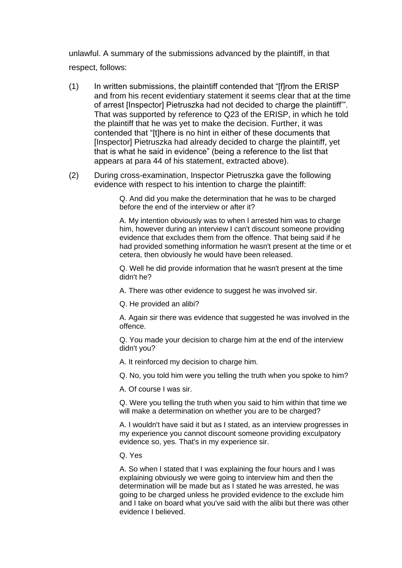unlawful. A summary of the submissions advanced by the plaintiff, in that respect, follows:

- (1) In written submissions, the plaintiff contended that "[f]rom the ERISP and from his recent evidentiary statement it seems clear that at the time of arrest [Inspector] Pietruszka had not decided to charge the plaintiff'". That was supported by reference to Q23 of the ERISP, in which he told the plaintiff that he was yet to make the decision. Further, it was contended that "[t]here is no hint in either of these documents that [Inspector] Pietruszka had already decided to charge the plaintiff, yet that is what he said in evidence" (being a reference to the list that appears at para 44 of his statement, extracted above).
- (2) During cross-examination, Inspector Pietruszka gave the following evidence with respect to his intention to charge the plaintiff:

Q. And did you make the determination that he was to be charged before the end of the interview or after it?

A. My intention obviously was to when I arrested him was to charge him, however during an interview I can't discount someone providing evidence that excludes them from the offence. That being said if he had provided something information he wasn't present at the time or et cetera, then obviously he would have been released.

Q. Well he did provide information that he wasn't present at the time didn't he?

A. There was other evidence to suggest he was involved sir.

Q. He provided an alibi?

A. Again sir there was evidence that suggested he was involved in the offence.

Q. You made your decision to charge him at the end of the interview didn't you?

A. It reinforced my decision to charge him.

Q. No, you told him were you telling the truth when you spoke to him?

A. Of course I was sir.

Q. Were you telling the truth when you said to him within that time we will make a determination on whether you are to be charged?

A. I wouldn't have said it but as I stated, as an interview progresses in my experience you cannot discount someone providing exculpatory evidence so, yes. That's in my experience sir.

Q. Yes

A. So when I stated that I was explaining the four hours and I was explaining obviously we were going to interview him and then the determination will be made but as I stated he was arrested, he was going to be charged unless he provided evidence to the exclude him and I take on board what you've said with the alibi but there was other evidence I believed.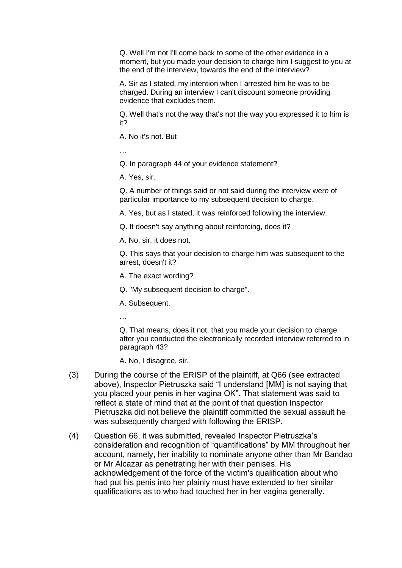Q. Well I'm not I'll come back to some of the other evidence in a moment, but you made your decision to charge him I suggest to you at the end of the interview, towards the end of the interview?

A. Sir as I stated, my intention when I arrested him he was to be charged. During an interview I can't discount someone providing evidence that excludes them.

Q. Well that's not the way that's not the way you expressed it to him is it?

A. No it's not. But

…

Q. In paragraph 44 of your evidence statement?

A. Yes, sir.

Q. A number of things said or not said during the interview were of particular importance to my subsequent decision to charge.

A. Yes, but as I stated, it was reinforced following the interview.

Q. It doesn't say anything about reinforcing, does it?

A. No, sir, it does not.

Q. This says that your decision to charge him was subsequent to the arrest, doesn't it?

A. The exact wording?

Q. "My subsequent decision to charge".

A. Subsequent.

…

Q. That means, does it not, that you made your decision to charge after you conducted the electronically recorded interview referred to in paragraph 43?

A. No, I disagree, sir.

- (3) During the course of the ERISP of the plaintiff, at Q66 (see extracted above), Inspector Pietruszka said "I understand [MM] is not saying that you placed your penis in her vagina OK". That statement was said to reflect a state of mind that at the point of that question Inspector Pietruszka did not believe the plaintiff committed the sexual assault he was subsequently charged with following the ERISP.
- (4) Question 66, it was submitted, revealed Inspector Pietruszka's consideration and recognition of "quantifications" by MM throughout her account, namely, her inability to nominate anyone other than Mr Bandao or Mr Alcazar as penetrating her with their penises. His acknowledgement of the force of the victim's qualification about who had put his penis into her plainly must have extended to her similar qualifications as to who had touched her in her vagina generally.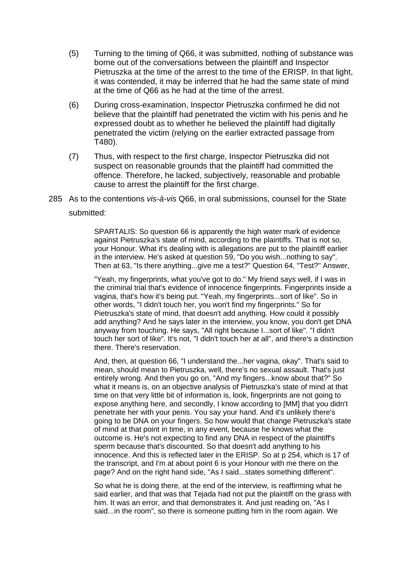- (5) Turning to the timing of Q66, it was submitted, nothing of substance was borne out of the conversations between the plaintiff and Inspector Pietruszka at the time of the arrest to the time of the ERISP. In that light, it was contended, it may be inferred that he had the same state of mind at the time of Q66 as he had at the time of the arrest.
- (6) During cross-examination, Inspector Pietruszka confirmed he did not believe that the plaintiff had penetrated the victim with his penis and he expressed doubt as to whether he believed the plaintiff had digitally penetrated the victim (relying on the earlier extracted passage from T480).
- (7) Thus, with respect to the first charge, Inspector Pietruszka did not suspect on reasonable grounds that the plaintiff had committed the offence. Therefore, he lacked, subjectively, reasonable and probable cause to arrest the plaintiff for the first charge.
- 285 As to the contentions *vis-à-vis* Q66, in oral submissions, counsel for the State submitted:

SPARTALIS: So question 66 is apparently the high water mark of evidence against Pietruszka's state of mind, according to the plaintiffs. That is not so, your Honour. What it's dealing with is allegations are put to the plaintiff earlier in the interview. He's asked at question 59, "Do you wish...nothing to say". Then at 63, "Is there anything...give me a test?" Question 64, "Test?" Answer,

"Yeah, my fingerprints, what you've got to do." My friend says well, if I was in the criminal trial that's evidence of innocence fingerprints. Fingerprints inside a vagina, that's how it's being put. "Yeah, my fingerprints...sort of like". So in other words, "I didn't touch her, you won't find my fingerprints." So for Pietruszka's state of mind, that doesn't add anything. How could it possibly add anything? And he says later in the interview, you know, you don't get DNA anyway from touching. He says, "All right because I...sort of like". "I didn't touch her sort of like". It's not, "I didn't touch her at all", and there's a distinction there. There's reservation.

And, then, at question 66, "I understand the...her vagina, okay". That's said to mean, should mean to Pietruszka, well, there's no sexual assault. That's just entirely wrong. And then you go on, "And my fingers...know about that?" So what it means is, on an objective analysis of Pietruszka's state of mind at that time on that very little bit of information is, look, fingerprints are not going to expose anything here, and secondly, I know according to [MM] that you didn't penetrate her with your penis. You say your hand. And it's unlikely there's going to be DNA on your fingers. So how would that change Pietruszka's state of mind at that point in time, in any event, because he knows what the outcome is. He's not expecting to find any DNA in respect of the plaintiff's sperm because that's discounted. So that doesn't add anything to his innocence. And this is reflected later in the ERISP. So at p 254, which is 17 of the transcript, and I'm at about point 6 is your Honour with me there on the page? And on the right hand side, "As I said...states something different".

So what he is doing there, at the end of the interview, is reaffirming what he said earlier, and that was that Tejada had not put the plaintiff on the grass with him. It was an error, and that demonstrates it. And just reading on, "As I said...in the room", so there is someone putting him in the room again. We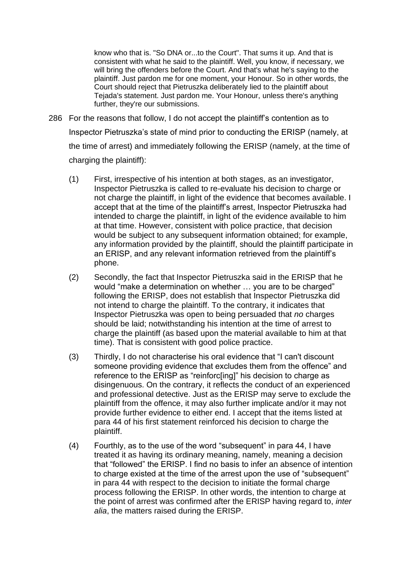know who that is. "So DNA or...to the Court". That sums it up. And that is consistent with what he said to the plaintiff. Well, you know, if necessary, we will bring the offenders before the Court. And that's what he's saying to the plaintiff. Just pardon me for one moment, your Honour. So in other words, the Court should reject that Pietruszka deliberately lied to the plaintiff about Tejada's statement. Just pardon me. Your Honour, unless there's anything further, they're our submissions.

- 286 For the reasons that follow, I do not accept the plaintiff's contention as to Inspector Pietruszka's state of mind prior to conducting the ERISP (namely, at the time of arrest) and immediately following the ERISP (namely, at the time of charging the plaintiff):
	- (1) First, irrespective of his intention at both stages, as an investigator, Inspector Pietruszka is called to re-evaluate his decision to charge or not charge the plaintiff, in light of the evidence that becomes available. I accept that at the time of the plaintiff's arrest, Inspector Pietruszka had intended to charge the plaintiff, in light of the evidence available to him at that time. However, consistent with police practice, that decision would be subject to any subsequent information obtained; for example, any information provided by the plaintiff, should the plaintiff participate in an ERISP, and any relevant information retrieved from the plaintiff's phone.
	- (2) Secondly, the fact that Inspector Pietruszka said in the ERISP that he would "make a determination on whether … you are to be charged" following the ERISP, does not establish that Inspector Pietruszka did not intend to charge the plaintiff. To the contrary, it indicates that Inspector Pietruszka was open to being persuaded that *no* charges should be laid; notwithstanding his intention at the time of arrest to charge the plaintiff (as based upon the material available to him at that time). That is consistent with good police practice.
	- (3) Thirdly, I do not characterise his oral evidence that "I can't discount someone providing evidence that excludes them from the offence" and reference to the ERISP as "reinforc[ing]" his decision to charge as disingenuous. On the contrary, it reflects the conduct of an experienced and professional detective. Just as the ERISP may serve to exclude the plaintiff from the offence, it may also further implicate and/or it may not provide further evidence to either end. I accept that the items listed at para 44 of his first statement reinforced his decision to charge the plaintiff.
	- (4) Fourthly, as to the use of the word "subsequent" in para 44, I have treated it as having its ordinary meaning, namely, meaning a decision that "followed" the ERISP. I find no basis to infer an absence of intention to charge existed at the time of the arrest upon the use of "subsequent" in para 44 with respect to the decision to initiate the formal charge process following the ERISP. In other words, the intention to charge at the point of arrest was confirmed after the ERISP having regard to, *inter alia*, the matters raised during the ERISP.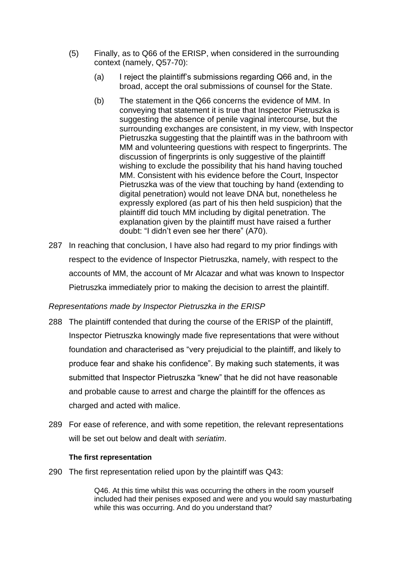- (5) Finally, as to Q66 of the ERISP, when considered in the surrounding context (namely, Q57-70):
	- (a) I reject the plaintiff's submissions regarding Q66 and, in the broad, accept the oral submissions of counsel for the State.
	- (b) The statement in the Q66 concerns the evidence of MM. In conveying that statement it is true that Inspector Pietruszka is suggesting the absence of penile vaginal intercourse, but the surrounding exchanges are consistent, in my view, with Inspector Pietruszka suggesting that the plaintiff was in the bathroom with MM and volunteering questions with respect to fingerprints. The discussion of fingerprints is only suggestive of the plaintiff wishing to exclude the possibility that his hand having touched MM. Consistent with his evidence before the Court, Inspector Pietruszka was of the view that touching by hand (extending to digital penetration) would not leave DNA but, nonetheless he expressly explored (as part of his then held suspicion) that the plaintiff did touch MM including by digital penetration. The explanation given by the plaintiff must have raised a further doubt: "I didn't even see her there" (A70).
- 287 In reaching that conclusion, I have also had regard to my prior findings with respect to the evidence of Inspector Pietruszka, namely, with respect to the accounts of MM, the account of Mr Alcazar and what was known to Inspector Pietruszka immediately prior to making the decision to arrest the plaintiff.

## *Representations made by Inspector Pietruszka in the ERISP*

- 288 The plaintiff contended that during the course of the ERISP of the plaintiff, Inspector Pietruszka knowingly made five representations that were without foundation and characterised as "very prejudicial to the plaintiff, and likely to produce fear and shake his confidence". By making such statements, it was submitted that Inspector Pietruszka "knew" that he did not have reasonable and probable cause to arrest and charge the plaintiff for the offences as charged and acted with malice.
- 289 For ease of reference, and with some repetition, the relevant representations will be set out below and dealt with *seriatim*.

## **The first representation**

290 The first representation relied upon by the plaintiff was Q43:

Q46. At this time whilst this was occurring the others in the room yourself included had their penises exposed and were and you would say masturbating while this was occurring. And do you understand that?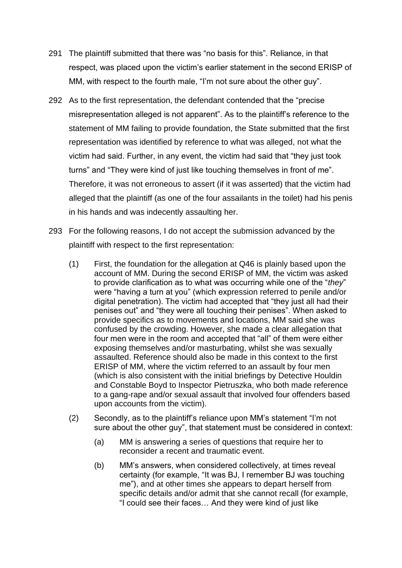- 291 The plaintiff submitted that there was "no basis for this". Reliance, in that respect, was placed upon the victim's earlier statement in the second ERISP of MM, with respect to the fourth male, "I'm not sure about the other guy".
- 292 As to the first representation, the defendant contended that the "precise misrepresentation alleged is not apparent". As to the plaintiff's reference to the statement of MM failing to provide foundation, the State submitted that the first representation was identified by reference to what was alleged, not what the victim had said. Further, in any event, the victim had said that "they just took turns" and "They were kind of just like touching themselves in front of me". Therefore, it was not erroneous to assert (if it was asserted) that the victim had alleged that the plaintiff (as one of the four assailants in the toilet) had his penis in his hands and was indecently assaulting her.
- 293 For the following reasons, I do not accept the submission advanced by the plaintiff with respect to the first representation:
	- (1) First, the foundation for the allegation at Q46 is plainly based upon the account of MM. During the second ERISP of MM, the victim was asked to provide clarification as to what was occurring while one of the "*they*" were "having a turn at you" (which expression referred to penile and/or digital penetration). The victim had accepted that "they just all had their penises out" and "they were all touching their penises". When asked to provide specifics as to movements and locations, MM said she was confused by the crowding. However, she made a clear allegation that four men were in the room and accepted that "all" of them were either exposing themselves and/or masturbating, whilst she was sexually assaulted. Reference should also be made in this context to the first ERISP of MM, where the victim referred to an assault by four men (which is also consistent with the initial briefings by Detective Houldin and Constable Boyd to Inspector Pietruszka, who both made reference to a gang-rape and/or sexual assault that involved four offenders based upon accounts from the victim).
	- (2) Secondly, as to the plaintiff's reliance upon MM's statement "I'm not sure about the other guy", that statement must be considered in context:
		- (a) MM is answering a series of questions that require her to reconsider a recent and traumatic event.
		- (b) MM's answers, when considered collectively, at times reveal certainty (for example, "It was BJ, I remember BJ was touching me"), and at other times she appears to depart herself from specific details and/or admit that she cannot recall (for example, "I could see their faces… And they were kind of just like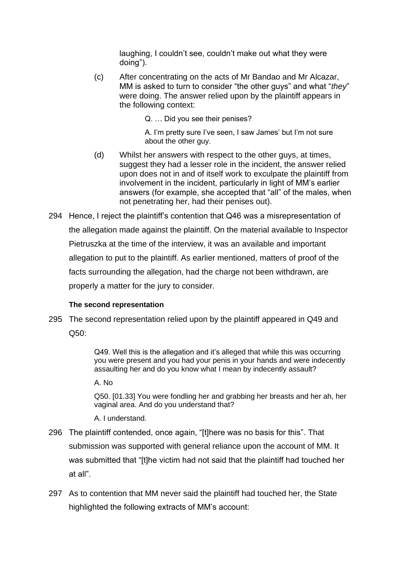laughing, I couldn't see, couldn't make out what they were doing").

(c) After concentrating on the acts of Mr Bandao and Mr Alcazar, MM is asked to turn to consider "the other guys" and what "*they*" were doing. The answer relied upon by the plaintiff appears in the following context:

Q. … Did you see their penises?

A. I'm pretty sure I've seen, I saw James' but I'm not sure about the other guy.

- (d) Whilst her answers with respect to the other guys, at times, suggest they had a lesser role in the incident, the answer relied upon does not in and of itself work to exculpate the plaintiff from involvement in the incident, particularly in light of MM's earlier answers (for example, she accepted that "all" of the males, when not penetrating her, had their penises out).
- 294 Hence, I reject the plaintiff's contention that Q46 was a misrepresentation of the allegation made against the plaintiff. On the material available to Inspector Pietruszka at the time of the interview, it was an available and important allegation to put to the plaintiff. As earlier mentioned, matters of proof of the facts surrounding the allegation, had the charge not been withdrawn, are properly a matter for the jury to consider.

## **The second representation**

295 The second representation relied upon by the plaintiff appeared in Q49 and  $Q50:$ 

> Q49. Well this is the allegation and it's alleged that while this was occurring you were present and you had your penis in your hands and were indecently assaulting her and do you know what I mean by indecently assault?

A. No

Q50. [01.33] You were fondling her and grabbing her breasts and her ah, her vaginal area. And do you understand that?

A. I understand.

- 296 The plaintiff contended, once again, "[t]here was no basis for this". That submission was supported with general reliance upon the account of MM. It was submitted that "[t]he victim had not said that the plaintiff had touched her at all".
- 297 As to contention that MM never said the plaintiff had touched her, the State highlighted the following extracts of MM's account: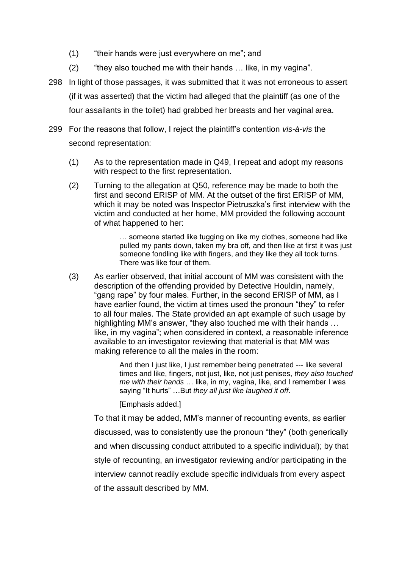- (1) "their hands were just everywhere on me"; and
- (2) "they also touched me with their hands … like, in my vagina".
- 298 In light of those passages, it was submitted that it was not erroneous to assert (if it was asserted) that the victim had alleged that the plaintiff (as one of the four assailants in the toilet) had grabbed her breasts and her vaginal area.
- 299 For the reasons that follow, I reject the plaintiff's contention *vis-à-vis* the second representation:
	- (1) As to the representation made in Q49, I repeat and adopt my reasons with respect to the first representation.
	- (2) Turning to the allegation at Q50, reference may be made to both the first and second ERISP of MM. At the outset of the first ERISP of MM, which it may be noted was Inspector Pietruszka's first interview with the victim and conducted at her home, MM provided the following account of what happened to her:

… someone started like tugging on like my clothes, someone had like pulled my pants down, taken my bra off, and then like at first it was just someone fondling like with fingers, and they like they all took turns. There was like four of them.

(3) As earlier observed, that initial account of MM was consistent with the description of the offending provided by Detective Houldin, namely, "gang rape" by four males. Further, in the second ERISP of MM, as I have earlier found, the victim at times used the pronoun "they" to refer to all four males. The State provided an apt example of such usage by highlighting MM's answer, "they also touched me with their hands … like, in my vagina"; when considered in context, a reasonable inference available to an investigator reviewing that material is that MM was making reference to all the males in the room:

> And then I just like, I just remember being penetrated --- like several times and like, fingers, not just, like, not just penises, *they also touched me with their hands* … like, in my, vagina, like, and I remember I was saying "It hurts" …But *they all just like laughed it off*.

[Emphasis added.]

To that it may be added, MM's manner of recounting events, as earlier discussed, was to consistently use the pronoun "they" (both generically and when discussing conduct attributed to a specific individual); by that style of recounting, an investigator reviewing and/or participating in the interview cannot readily exclude specific individuals from every aspect of the assault described by MM.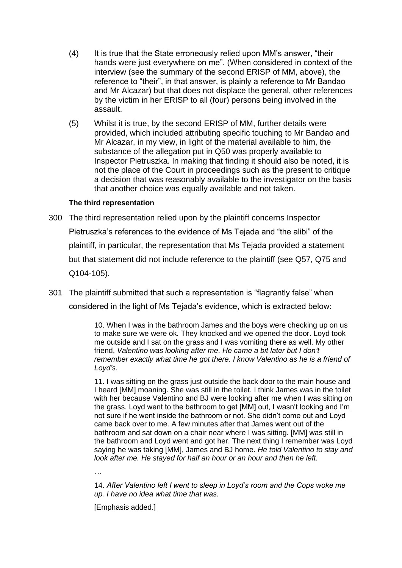- (4) It is true that the State erroneously relied upon MM's answer, "their hands were just everywhere on me". (When considered in context of the interview (see the summary of the second ERISP of MM, above), the reference to "their", in that answer, is plainly a reference to Mr Bandao and Mr Alcazar) but that does not displace the general, other references by the victim in her ERISP to all (four) persons being involved in the assault.
- (5) Whilst it is true, by the second ERISP of MM, further details were provided, which included attributing specific touching to Mr Bandao and Mr Alcazar, in my view, in light of the material available to him, the substance of the allegation put in Q50 was properly available to Inspector Pietruszka. In making that finding it should also be noted, it is not the place of the Court in proceedings such as the present to critique a decision that was reasonably available to the investigator on the basis that another choice was equally available and not taken.

## **The third representation**

- 300 The third representation relied upon by the plaintiff concerns Inspector Pietruszka's references to the evidence of Ms Tejada and "the alibi" of the plaintiff, in particular, the representation that Ms Tejada provided a statement but that statement did not include reference to the plaintiff (see Q57, Q75 and Q104-105).
- 301 The plaintiff submitted that such a representation is "flagrantly false" when considered in the light of Ms Tejada's evidence, which is extracted below:

10. When I was in the bathroom James and the boys were checking up on us to make sure we were ok. They knocked and we opened the door. Loyd took me outside and I sat on the grass and I was vomiting there as well. My other friend, *Valentino was looking after me*. *He came a bit later but I don't remember exactly what time he got there. I know Valentino as he is a friend of Loyd's.*

11. I was sitting on the grass just outside the back door to the main house and I heard [MM] moaning. She was still in the toilet. I think James was in the toilet with her because Valentino and BJ were looking after me when I was sitting on the grass. Loyd went to the bathroom to get [MM] out, I wasn't looking and I'm not sure if he went inside the bathroom or not. She didn't come out and Loyd came back over to me. A few minutes after that James went out of the bathroom and sat down on a chair near where I was sitting. [MM] was still in the bathroom and Loyd went and got her. The next thing I remember was Loyd saying he was taking [MM], James and BJ home. *He told Valentino to stay and look after me. He stayed for half an hour or an hour and then he left.*

*…*

14. *After Valentino left I went to sleep in Loyd's room and the Cops woke me up. I have no idea what time that was.*

[Emphasis added.]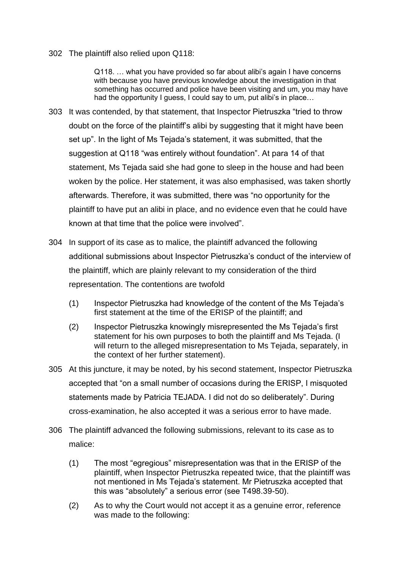302 The plaintiff also relied upon Q118:

Q118. … what you have provided so far about alibi's again I have concerns with because you have previous knowledge about the investigation in that something has occurred and police have been visiting and um, you may have had the opportunity I guess, I could say to um, put alibi's in place...

- 303 It was contended, by that statement, that Inspector Pietruszka "tried to throw doubt on the force of the plaintiff's alibi by suggesting that it might have been set up". In the light of Ms Tejada's statement, it was submitted, that the suggestion at Q118 "was entirely without foundation". At para 14 of that statement, Ms Tejada said she had gone to sleep in the house and had been woken by the police. Her statement, it was also emphasised, was taken shortly afterwards. Therefore, it was submitted, there was "no opportunity for the plaintiff to have put an alibi in place, and no evidence even that he could have known at that time that the police were involved".
- 304 In support of its case as to malice, the plaintiff advanced the following additional submissions about Inspector Pietruszka's conduct of the interview of the plaintiff, which are plainly relevant to my consideration of the third representation. The contentions are twofold
	- (1) Inspector Pietruszka had knowledge of the content of the Ms Tejada's first statement at the time of the ERISP of the plaintiff; and
	- (2) Inspector Pietruszka knowingly misrepresented the Ms Tejada's first statement for his own purposes to both the plaintiff and Ms Tejada. (I will return to the alleged misrepresentation to Ms Tejada, separately, in the context of her further statement).
- 305 At this juncture, it may be noted, by his second statement, Inspector Pietruszka accepted that "on a small number of occasions during the ERISP, I misquoted statements made by Patricia TEJADA. I did not do so deliberately". During cross-examination, he also accepted it was a serious error to have made.
- 306 The plaintiff advanced the following submissions, relevant to its case as to malice:
	- (1) The most "egregious" misrepresentation was that in the ERISP of the plaintiff, when Inspector Pietruszka repeated twice, that the plaintiff was not mentioned in Ms Tejada's statement. Mr Pietruszka accepted that this was "absolutely" a serious error (see T498.39-50).
	- (2) As to why the Court would not accept it as a genuine error, reference was made to the following: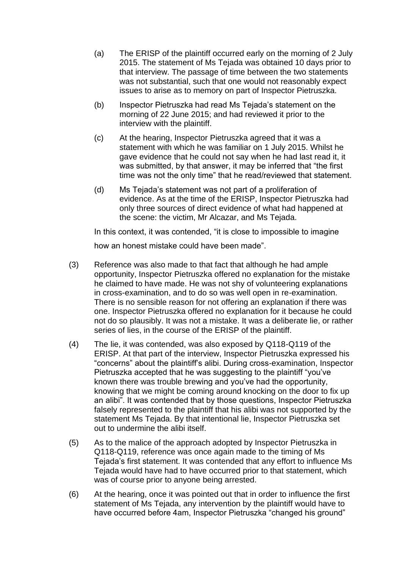- (a) The ERISP of the plaintiff occurred early on the morning of 2 July 2015. The statement of Ms Tejada was obtained 10 days prior to that interview. The passage of time between the two statements was not substantial, such that one would not reasonably expect issues to arise as to memory on part of Inspector Pietruszka.
- (b) Inspector Pietruszka had read Ms Tejada's statement on the morning of 22 June 2015; and had reviewed it prior to the interview with the plaintiff.
- (c) At the hearing, Inspector Pietruszka agreed that it was a statement with which he was familiar on 1 July 2015. Whilst he gave evidence that he could not say when he had last read it, it was submitted, by that answer, it may be inferred that "the first time was not the only time" that he read/reviewed that statement.
- (d) Ms Tejada's statement was not part of a proliferation of evidence. As at the time of the ERISP, Inspector Pietruszka had only three sources of direct evidence of what had happened at the scene: the victim, Mr Alcazar, and Ms Tejada.

In this context, it was contended, "it is close to impossible to imagine

how an honest mistake could have been made".

- (3) Reference was also made to that fact that although he had ample opportunity, Inspector Pietruszka offered no explanation for the mistake he claimed to have made. He was not shy of volunteering explanations in cross-examination, and to do so was well open in re-examination. There is no sensible reason for not offering an explanation if there was one. Inspector Pietruszka offered no explanation for it because he could not do so plausibly. It was not a mistake. It was a deliberate lie, or rather series of lies, in the course of the ERISP of the plaintiff.
- (4) The lie, it was contended, was also exposed by Q118-Q119 of the ERISP. At that part of the interview, Inspector Pietruszka expressed his "concerns" about the plaintiff's alibi. During cross-examination, Inspector Pietruszka accepted that he was suggesting to the plaintiff "you've known there was trouble brewing and you've had the opportunity, knowing that we might be coming around knocking on the door to fix up an alibi". It was contended that by those questions, Inspector Pietruszka falsely represented to the plaintiff that his alibi was not supported by the statement Ms Tejada. By that intentional lie, Inspector Pietruszka set out to undermine the alibi itself.
- (5) As to the malice of the approach adopted by Inspector Pietruszka in Q118-Q119, reference was once again made to the timing of Ms Tejada's first statement. It was contended that any effort to influence Ms Tejada would have had to have occurred prior to that statement, which was of course prior to anyone being arrested.
- (6) At the hearing, once it was pointed out that in order to influence the first statement of Ms Tejada, any intervention by the plaintiff would have to have occurred before 4am, Inspector Pietruszka "changed his ground"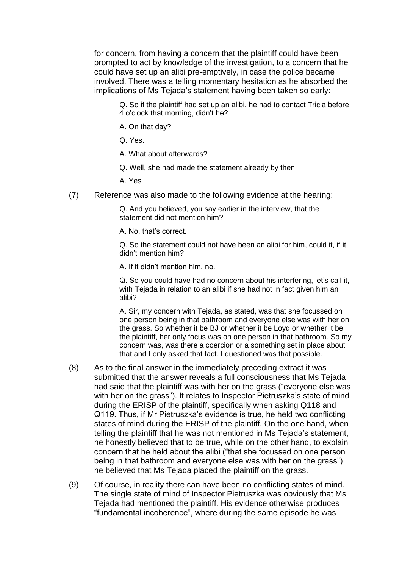for concern, from having a concern that the plaintiff could have been prompted to act by knowledge of the investigation, to a concern that he could have set up an alibi pre-emptively, in case the police became involved. There was a telling momentary hesitation as he absorbed the implications of Ms Tejada's statement having been taken so early:

Q. So if the plaintiff had set up an alibi, he had to contact Tricia before 4 o'clock that morning, didn't he?

- A. On that day?
- Q. Yes.
- A. What about afterwards?
- Q. Well, she had made the statement already by then.
- A. Yes
- (7) Reference was also made to the following evidence at the hearing:

Q. And you believed, you say earlier in the interview, that the statement did not mention him?

A. No, that's correct.

Q. So the statement could not have been an alibi for him, could it, if it didn't mention him?

A. If it didn't mention him, no.

Q. So you could have had no concern about his interfering, let's call it, with Tejada in relation to an alibi if she had not in fact given him an alibi?

A. Sir, my concern with Tejada, as stated, was that she focussed on one person being in that bathroom and everyone else was with her on the grass. So whether it be BJ or whether it be Loyd or whether it be the plaintiff, her only focus was on one person in that bathroom. So my concern was, was there a coercion or a something set in place about that and I only asked that fact. I questioned was that possible.

- (8) As to the final answer in the immediately preceding extract it was submitted that the answer reveals a full consciousness that Ms Tejada had said that the plaintiff was with her on the grass ("everyone else was with her on the grass"). It relates to Inspector Pietruszka's state of mind during the ERISP of the plaintiff, specifically when asking Q118 and Q119. Thus, if Mr Pietruszka's evidence is true, he held two conflicting states of mind during the ERISP of the plaintiff. On the one hand, when telling the plaintiff that he was not mentioned in Ms Tejada's statement, he honestly believed that to be true, while on the other hand, to explain concern that he held about the alibi ("that she focussed on one person being in that bathroom and everyone else was with her on the grass") he believed that Ms Tejada placed the plaintiff on the grass.
- (9) Of course, in reality there can have been no conflicting states of mind. The single state of mind of Inspector Pietruszka was obviously that Ms Tejada had mentioned the plaintiff. His evidence otherwise produces "fundamental incoherence", where during the same episode he was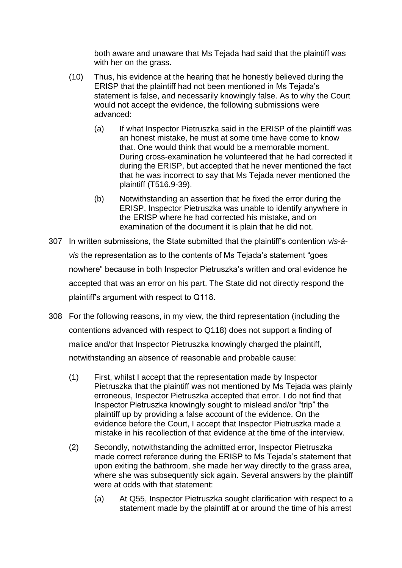both aware and unaware that Ms Tejada had said that the plaintiff was with her on the grass.

- (10) Thus, his evidence at the hearing that he honestly believed during the ERISP that the plaintiff had not been mentioned in Ms Tejada's statement is false, and necessarily knowingly false. As to why the Court would not accept the evidence, the following submissions were advanced:
	- (a) If what Inspector Pietruszka said in the ERISP of the plaintiff was an honest mistake, he must at some time have come to know that. One would think that would be a memorable moment. During cross-examination he volunteered that he had corrected it during the ERISP, but accepted that he never mentioned the fact that he was incorrect to say that Ms Tejada never mentioned the plaintiff (T516.9-39).
	- (b) Notwithstanding an assertion that he fixed the error during the ERISP, Inspector Pietruszka was unable to identify anywhere in the ERISP where he had corrected his mistake, and on examination of the document it is plain that he did not.
- 307 In written submissions, the State submitted that the plaintiff's contention *vis-àvis* the representation as to the contents of Ms Tejada's statement "goes nowhere" because in both Inspector Pietruszka's written and oral evidence he accepted that was an error on his part. The State did not directly respond the plaintiff's argument with respect to Q118.
- 308 For the following reasons, in my view, the third representation (including the contentions advanced with respect to Q118) does not support a finding of malice and/or that Inspector Pietruszka knowingly charged the plaintiff, notwithstanding an absence of reasonable and probable cause:
	- (1) First, whilst I accept that the representation made by Inspector Pietruszka that the plaintiff was not mentioned by Ms Tejada was plainly erroneous, Inspector Pietruszka accepted that error. I do not find that Inspector Pietruszka knowingly sought to mislead and/or "trip" the plaintiff up by providing a false account of the evidence. On the evidence before the Court, I accept that Inspector Pietruszka made a mistake in his recollection of that evidence at the time of the interview.
	- (2) Secondly, notwithstanding the admitted error, Inspector Pietruszka made correct reference during the ERISP to Ms Tejada's statement that upon exiting the bathroom, she made her way directly to the grass area, where she was subsequently sick again. Several answers by the plaintiff were at odds with that statement:
		- (a) At Q55, Inspector Pietruszka sought clarification with respect to a statement made by the plaintiff at or around the time of his arrest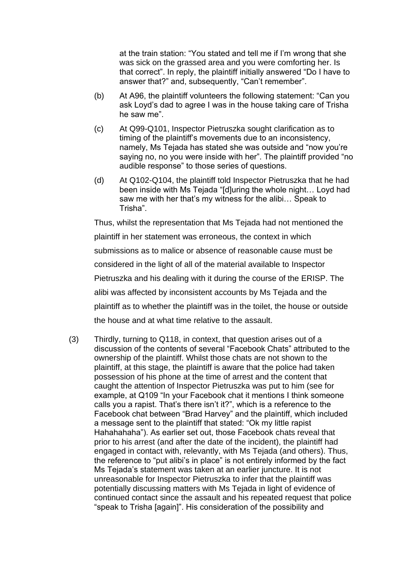at the train station: "You stated and tell me if I'm wrong that she was sick on the grassed area and you were comforting her. Is that correct". In reply, the plaintiff initially answered "Do I have to answer that?" and, subsequently, "Can't remember".

- (b) At A96, the plaintiff volunteers the following statement: "Can you ask Loyd's dad to agree I was in the house taking care of Trisha he saw me".
- (c) At Q99-Q101, Inspector Pietruszka sought clarification as to timing of the plaintiff's movements due to an inconsistency, namely, Ms Tejada has stated she was outside and "now you're saying no, no you were inside with her". The plaintiff provided "no audible response" to those series of questions.
- (d) At Q102-Q104, the plaintiff told Inspector Pietruszka that he had been inside with Ms Tejada "[d]uring the whole night… Loyd had saw me with her that's my witness for the alibi… Speak to Trisha".

Thus, whilst the representation that Ms Tejada had not mentioned the plaintiff in her statement was erroneous, the context in which submissions as to malice or absence of reasonable cause must be considered in the light of all of the material available to Inspector Pietruszka and his dealing with it during the course of the ERISP. The alibi was affected by inconsistent accounts by Ms Tejada and the plaintiff as to whether the plaintiff was in the toilet, the house or outside the house and at what time relative to the assault.

(3) Thirdly, turning to Q118, in context, that question arises out of a discussion of the contents of several "Facebook Chats" attributed to the ownership of the plaintiff. Whilst those chats are not shown to the plaintiff, at this stage, the plaintiff is aware that the police had taken possession of his phone at the time of arrest and the content that caught the attention of Inspector Pietruszka was put to him (see for example, at Q109 "In your Facebook chat it mentions I think someone calls you a rapist. That's there isn't it?", which is a reference to the Facebook chat between "Brad Harvey" and the plaintiff, which included a message sent to the plaintiff that stated: "Ok my little rapist Hahahahaha"). As earlier set out, those Facebook chats reveal that prior to his arrest (and after the date of the incident), the plaintiff had engaged in contact with, relevantly, with Ms Tejada (and others). Thus, the reference to "put alibi's in place" is not entirely informed by the fact Ms Tejada's statement was taken at an earlier juncture. It is not unreasonable for Inspector Pietruszka to infer that the plaintiff was potentially discussing matters with Ms Tejada in light of evidence of continued contact since the assault and his repeated request that police "speak to Trisha [again]". His consideration of the possibility and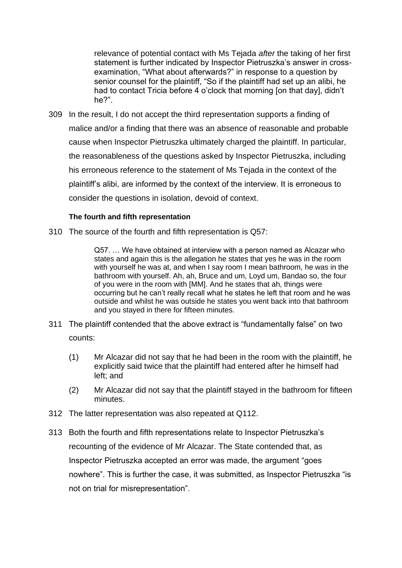relevance of potential contact with Ms Tejada *after* the taking of her first statement is further indicated by Inspector Pietruszka's answer in crossexamination, "What about afterwards?" in response to a question by senior counsel for the plaintiff, "So if the plaintiff had set up an alibi, he had to contact Tricia before 4 o'clock that morning [on that day], didn't he?".

309 In the result, I do not accept the third representation supports a finding of malice and/or a finding that there was an absence of reasonable and probable cause when Inspector Pietruszka ultimately charged the plaintiff. In particular, the reasonableness of the questions asked by Inspector Pietruszka, including his erroneous reference to the statement of Ms Tejada in the context of the plaintiff's alibi, are informed by the context of the interview. It is erroneous to consider the questions in isolation, devoid of context.

## **The fourth and fifth representation**

310 The source of the fourth and fifth representation is Q57:

Q57. … We have obtained at interview with a person named as Alcazar who states and again this is the allegation he states that yes he was in the room with yourself he was at, and when I say room I mean bathroom, he was in the bathroom with yourself. Ah, ah, Bruce and um, Loyd um, Bandao so, the four of you were in the room with [MM]. And he states that ah, things were occurring but he can't really recall what he states he left that room and he was outside and whilst he was outside he states you went back into that bathroom and you stayed in there for fifteen minutes.

- 311 The plaintiff contended that the above extract is "fundamentally false" on two counts:
	- (1) Mr Alcazar did not say that he had been in the room with the plaintiff, he explicitly said twice that the plaintiff had entered after he himself had left; and
	- (2) Mr Alcazar did not say that the plaintiff stayed in the bathroom for fifteen minutes.
- 312 The latter representation was also repeated at Q112.
- 313 Both the fourth and fifth representations relate to Inspector Pietruszka's recounting of the evidence of Mr Alcazar. The State contended that, as Inspector Pietruszka accepted an error was made, the argument "goes nowhere". This is further the case, it was submitted, as Inspector Pietruszka "is not on trial for misrepresentation".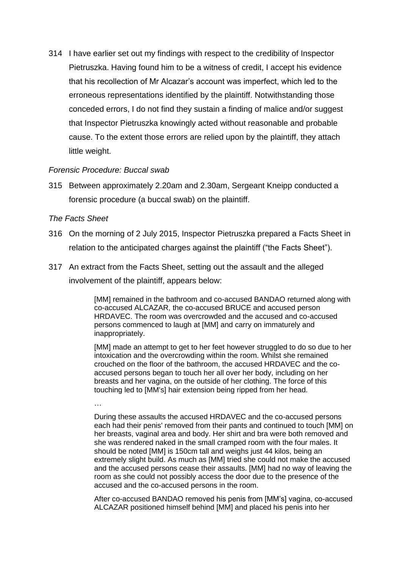314 I have earlier set out my findings with respect to the credibility of Inspector Pietruszka. Having found him to be a witness of credit, I accept his evidence that his recollection of Mr Alcazar's account was imperfect, which led to the erroneous representations identified by the plaintiff. Notwithstanding those conceded errors, I do not find they sustain a finding of malice and/or suggest that Inspector Pietruszka knowingly acted without reasonable and probable cause. To the extent those errors are relied upon by the plaintiff, they attach little weight.

### *Forensic Procedure: Buccal swab*

315 Between approximately 2.20am and 2.30am, Sergeant Kneipp conducted a forensic procedure (a buccal swab) on the plaintiff.

#### *The Facts Sheet*

…

- 316 On the morning of 2 July 2015, Inspector Pietruszka prepared a Facts Sheet in relation to the anticipated charges against the plaintiff ("the Facts Sheet").
- 317 An extract from the Facts Sheet, setting out the assault and the alleged involvement of the plaintiff, appears below:

[MM] remained in the bathroom and co-accused BANDAO returned along with co-accused ALCAZAR, the co-accused BRUCE and accused person HRDAVEC. The room was overcrowded and the accused and co-accused persons commenced to laugh at [MM] and carry on immaturely and inappropriately.

[MM] made an attempt to get to her feet however struggled to do so due to her intoxication and the overcrowding within the room. Whilst she remained crouched on the floor of the bathroom, the accused HRDAVEC and the coaccused persons began to touch her all over her body, including on her breasts and her vagina, on the outside of her clothing. The force of this touching led to [MM's] hair extension being ripped from her head.

During these assaults the accused HRDAVEC and the co-accused persons each had their penis' removed from their pants and continued to touch [MM] on her breasts, vaginal area and body. Her shirt and bra were both removed and she was rendered naked in the small cramped room with the four males. It should be noted [MM] is 150cm tall and weighs just 44 kilos, being an extremely slight build. As much as [MM] tried she could not make the accused and the accused persons cease their assaults. [MM] had no way of leaving the room as she could not possibly access the door due to the presence of the accused and the co-accused persons in the room.

After co-accused BANDAO removed his penis from [MM's] vagina, co-accused ALCAZAR positioned himself behind [MM] and placed his penis into her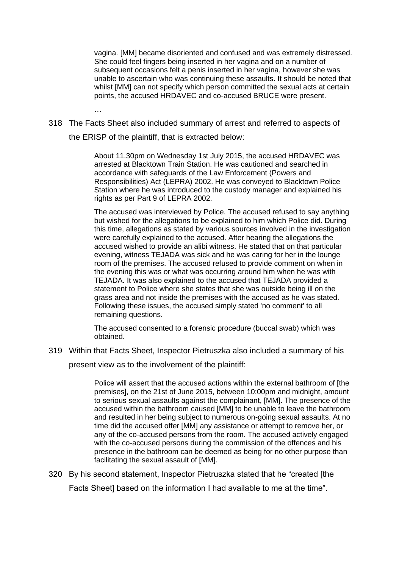vagina. [MM] became disoriented and confused and was extremely distressed. She could feel fingers being inserted in her vagina and on a number of subsequent occasions felt a penis inserted in her vagina, however she was unable to ascertain who was continuing these assaults. It should be noted that whilst [MM] can not specify which person committed the sexual acts at certain points, the accused HRDAVEC and co-accused BRUCE were present.

318 The Facts Sheet also included summary of arrest and referred to aspects of the ERISP of the plaintiff, that is extracted below:

…

About 11.30pm on Wednesday 1st July 2015, the accused HRDAVEC was arrested at Blacktown Train Station. He was cautioned and searched in accordance with safeguards of the Law Enforcement (Powers and Responsibilities) Act (LEPRA) 2002. He was conveyed to Blacktown Police Station where he was introduced to the custody manager and explained his rights as per Part 9 of LEPRA 2002.

The accused was interviewed by Police. The accused refused to say anything but wished for the allegations to be explained to him which Police did. During this time, allegations as stated by various sources involved in the investigation were carefully explained to the accused. After hearing the allegations the accused wished to provide an alibi witness. He stated that on that particular evening, witness TEJADA was sick and he was caring for her in the lounge room of the premises. The accused refused to provide comment on when in the evening this was or what was occurring around him when he was with TEJADA. It was also explained to the accused that TEJADA provided a statement to Police where she states that she was outside being ill on the grass area and not inside the premises with the accused as he was stated. Following these issues, the accused simply stated 'no comment' to all remaining questions.

The accused consented to a forensic procedure (buccal swab) which was obtained.

319 Within that Facts Sheet, Inspector Pietruszka also included a summary of his

present view as to the involvement of the plaintiff:

Police will assert that the accused actions within the external bathroom of [the premises], on the 21st of June 2015, between 10:00pm and midnight, amount to serious sexual assaults against the complainant, [MM]. The presence of the accused within the bathroom caused [MM] to be unable to leave the bathroom and resulted in her being subject to numerous on-going sexual assaults. At no time did the accused offer [MM] any assistance or attempt to remove her, or any of the co-accused persons from the room. The accused actively engaged with the co-accused persons during the commission of the offences and his presence in the bathroom can be deemed as being for no other purpose than facilitating the sexual assault of [MM].

320 By his second statement, Inspector Pietruszka stated that he "created [the Facts Sheet based on the information I had available to me at the time".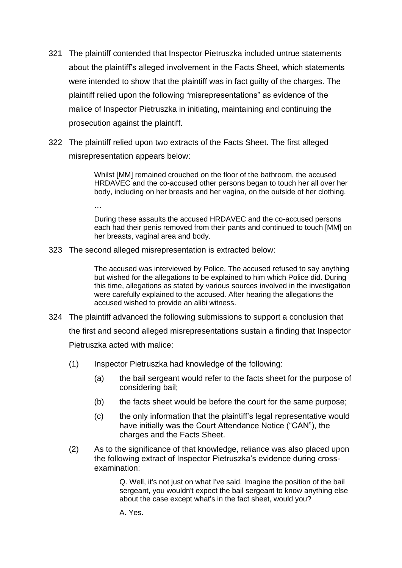- 321 The plaintiff contended that Inspector Pietruszka included untrue statements about the plaintiff's alleged involvement in the Facts Sheet, which statements were intended to show that the plaintiff was in fact guilty of the charges. The plaintiff relied upon the following "misrepresentations" as evidence of the malice of Inspector Pietruszka in initiating, maintaining and continuing the prosecution against the plaintiff.
- 322 The plaintiff relied upon two extracts of the Facts Sheet. The first alleged misrepresentation appears below:

Whilst [MM] remained crouched on the floor of the bathroom, the accused HRDAVEC and the co-accused other persons began to touch her all over her body, including on her breasts and her vagina, on the outside of her clothing.

…

During these assaults the accused HRDAVEC and the co-accused persons each had their penis removed from their pants and continued to touch [MM] on her breasts, vaginal area and body.

323 The second alleged misrepresentation is extracted below:

The accused was interviewed by Police. The accused refused to say anything but wished for the allegations to be explained to him which Police did. During this time, allegations as stated by various sources involved in the investigation were carefully explained to the accused. After hearing the allegations the accused wished to provide an alibi witness.

- 324 The plaintiff advanced the following submissions to support a conclusion that the first and second alleged misrepresentations sustain a finding that Inspector Pietruszka acted with malice:
	- (1) Inspector Pietruszka had knowledge of the following:
		- (a) the bail sergeant would refer to the facts sheet for the purpose of considering bail;
		- (b) the facts sheet would be before the court for the same purpose;
		- (c) the only information that the plaintiff's legal representative would have initially was the Court Attendance Notice ("CAN"), the charges and the Facts Sheet.
	- (2) As to the significance of that knowledge, reliance was also placed upon the following extract of Inspector Pietruszka's evidence during crossexamination:

Q. Well, it's not just on what I've said. Imagine the position of the bail sergeant, you wouldn't expect the bail sergeant to know anything else about the case except what's in the fact sheet, would you?

A. Yes.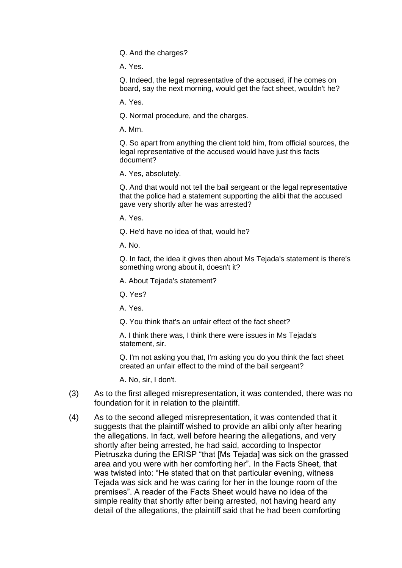Q. And the charges?

A. Yes.

Q. Indeed, the legal representative of the accused, if he comes on board, say the next morning, would get the fact sheet, wouldn't he?

A. Yes.

Q. Normal procedure, and the charges.

A. Mm.

Q. So apart from anything the client told him, from official sources, the legal representative of the accused would have just this facts document?

A. Yes, absolutely.

Q. And that would not tell the bail sergeant or the legal representative that the police had a statement supporting the alibi that the accused gave very shortly after he was arrested?

A. Yes.

Q. He'd have no idea of that, would he?

A. No.

Q. In fact, the idea it gives then about Ms Tejada's statement is there's something wrong about it, doesn't it?

A. About Tejada's statement?

Q. Yes?

A. Yes.

Q. You think that's an unfair effect of the fact sheet?

A. I think there was, I think there were issues in Ms Tejada's statement, sir.

Q. I'm not asking you that, I'm asking you do you think the fact sheet created an unfair effect to the mind of the bail sergeant?

A. No, sir, I don't.

- (3) As to the first alleged misrepresentation, it was contended, there was no foundation for it in relation to the plaintiff.
- (4) As to the second alleged misrepresentation, it was contended that it suggests that the plaintiff wished to provide an alibi only after hearing the allegations. In fact, well before hearing the allegations, and very shortly after being arrested, he had said, according to Inspector Pietruszka during the ERISP "that [Ms Tejada] was sick on the grassed area and you were with her comforting her". In the Facts Sheet, that was twisted into: "He stated that on that particular evening, witness Tejada was sick and he was caring for her in the lounge room of the premises". A reader of the Facts Sheet would have no idea of the simple reality that shortly after being arrested, not having heard any detail of the allegations, the plaintiff said that he had been comforting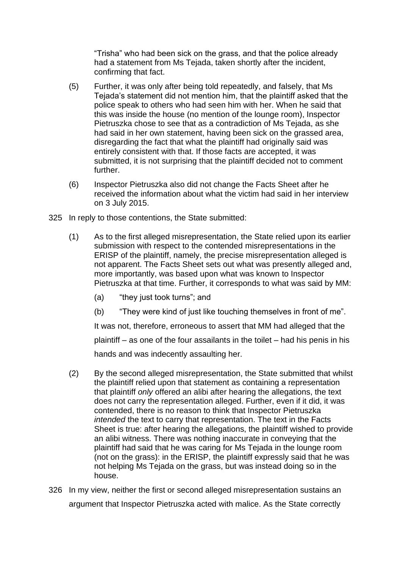"Trisha" who had been sick on the grass, and that the police already had a statement from Ms Tejada, taken shortly after the incident, confirming that fact.

- (5) Further, it was only after being told repeatedly, and falsely, that Ms Tejada's statement did not mention him, that the plaintiff asked that the police speak to others who had seen him with her. When he said that this was inside the house (no mention of the lounge room), Inspector Pietruszka chose to see that as a contradiction of Ms Tejada, as she had said in her own statement, having been sick on the grassed area, disregarding the fact that what the plaintiff had originally said was entirely consistent with that. If those facts are accepted, it was submitted, it is not surprising that the plaintiff decided not to comment further.
- (6) Inspector Pietruszka also did not change the Facts Sheet after he received the information about what the victim had said in her interview on 3 July 2015.
- 325 In reply to those contentions, the State submitted:
	- (1) As to the first alleged misrepresentation, the State relied upon its earlier submission with respect to the contended misrepresentations in the ERISP of the plaintiff, namely, the precise misrepresentation alleged is not apparent. The Facts Sheet sets out what was presently alleged and, more importantly, was based upon what was known to Inspector Pietruszka at that time. Further, it corresponds to what was said by MM:
		- (a) "they just took turns"; and
		- (b) "They were kind of just like touching themselves in front of me".

It was not, therefore, erroneous to assert that MM had alleged that the plaintiff – as one of the four assailants in the toilet – had his penis in his hands and was indecently assaulting her.

- (2) By the second alleged misrepresentation, the State submitted that whilst the plaintiff relied upon that statement as containing a representation that plaintiff *only* offered an alibi after hearing the allegations, the text does not carry the representation alleged. Further, even if it did, it was contended, there is no reason to think that Inspector Pietruszka *intended* the text to carry that representation. The text in the Facts Sheet is true: after hearing the allegations, the plaintiff wished to provide an alibi witness. There was nothing inaccurate in conveying that the plaintiff had said that he was caring for Ms Tejada in the lounge room (not on the grass): in the ERISP, the plaintiff expressly said that he was not helping Ms Tejada on the grass, but was instead doing so in the house.
- 326 In my view, neither the first or second alleged misrepresentation sustains an argument that Inspector Pietruszka acted with malice. As the State correctly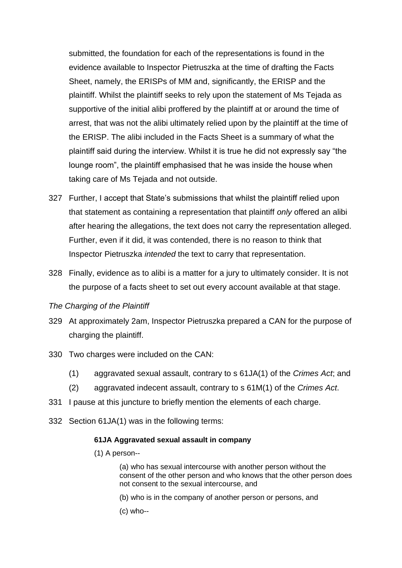submitted, the foundation for each of the representations is found in the evidence available to Inspector Pietruszka at the time of drafting the Facts Sheet, namely, the ERISPs of MM and, significantly, the ERISP and the plaintiff. Whilst the plaintiff seeks to rely upon the statement of Ms Tejada as supportive of the initial alibi proffered by the plaintiff at or around the time of arrest, that was not the alibi ultimately relied upon by the plaintiff at the time of the ERISP. The alibi included in the Facts Sheet is a summary of what the plaintiff said during the interview. Whilst it is true he did not expressly say "the lounge room", the plaintiff emphasised that he was inside the house when taking care of Ms Tejada and not outside.

- 327 Further, I accept that State's submissions that whilst the plaintiff relied upon that statement as containing a representation that plaintiff *only* offered an alibi after hearing the allegations, the text does not carry the representation alleged. Further, even if it did, it was contended, there is no reason to think that Inspector Pietruszka *intended* the text to carry that representation.
- 328 Finally, evidence as to alibi is a matter for a jury to ultimately consider. It is not the purpose of a facts sheet to set out every account available at that stage.

### *The Charging of the Plaintiff*

- 329 At approximately 2am, Inspector Pietruszka prepared a CAN for the purpose of charging the plaintiff.
- 330 Two charges were included on the CAN:
	- (1) aggravated sexual assault, contrary to s 61JA(1) of the *Crimes Act*; and
	- (2) aggravated indecent assault, contrary to s 61M(1) of the *Crimes Act*.
- 331 I pause at this juncture to briefly mention the elements of each charge.
- 332 Section 61JA(1) was in the following terms:

#### **61JA Aggravated sexual assault in company**

(1) A person--

(a) who has sexual intercourse with another person without the consent of the other person and who knows that the other person does not consent to the sexual intercourse, and

- (b) who is in the company of another person or persons, and
- (c) who--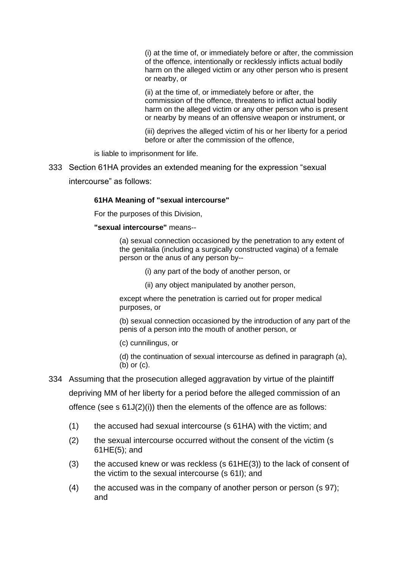(i) at the time of, or immediately before or after, the commission of the offence, intentionally or recklessly inflicts actual bodily harm on the alleged victim or any other person who is present or nearby, or

(ii) at the time of, or immediately before or after, the commission of the offence, threatens to inflict actual bodily harm on the alleged victim or any other person who is present or nearby by means of an offensive weapon or instrument, or

(iii) deprives the alleged victim of his or her liberty for a period before or after the commission of the offence,

is liable to imprisonment for life.

333 Section 61HA provides an extended meaning for the expression "sexual intercourse" as follows:

#### **61HA Meaning of "sexual intercourse"**

For the purposes of this Division,

#### **"sexual intercourse"** means--

(a) sexual connection occasioned by the penetration to any extent of the genitalia (including a surgically constructed vagina) of a female person or the anus of any person by--

- (i) any part of the body of another person, or
- (ii) any object manipulated by another person,

except where the penetration is carried out for proper medical purposes, or

(b) sexual connection occasioned by the introduction of any part of the penis of a person into the mouth of another person, or

(c) cunnilingus, or

(d) the continuation of sexual intercourse as defined in paragraph (a), (b) or (c).

- 334 Assuming that the prosecution alleged aggravation by virtue of the plaintiff depriving MM of her liberty for a period before the alleged commission of an offence (see s 61J(2)(i)) then the elements of the offence are as follows:
	- (1) the accused had sexual intercourse (s 61HA) with the victim; and
	- (2) the sexual intercourse occurred without the consent of the victim (s 61HE(5); and
	- (3) the accused knew or was reckless (s  $61HE(3)$ ) to the lack of consent of the victim to the sexual intercourse (s 61I); and
	- (4) the accused was in the company of another person or person (s 97); and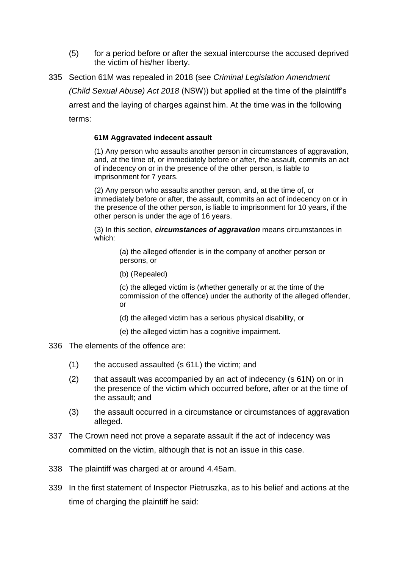- (5) for a period before or after the sexual intercourse the accused deprived the victim of his/her liberty.
- 335 Section 61M was repealed in 2018 (see *Criminal Legislation Amendment (Child Sexual Abuse) Act 2018* (NSW)) but applied at the time of the plaintiff's arrest and the laying of charges against him. At the time was in the following terms:

### **61M Aggravated indecent assault**

(1) Any person who assaults another person in circumstances of aggravation, and, at the time of, or immediately before or after, the assault, commits an act of indecency on or in the presence of the other person, is liable to imprisonment for 7 years.

(2) Any person who assaults another person, and, at the time of, or immediately before or after, the assault, commits an act of indecency on or in the presence of the other person, is liable to imprisonment for 10 years, if the other person is under the age of 16 years.

(3) In this section, *circumstances of aggravation* means circumstances in which:

> (a) the alleged offender is in the company of another person or persons, or

(b) (Repealed)

(c) the alleged victim is (whether generally or at the time of the commission of the offence) under the authority of the alleged offender, or

- (d) the alleged victim has a serious physical disability, or
- (e) the alleged victim has a cognitive impairment.
- 336 The elements of the offence are:
	- (1) the accused assaulted (s 61L) the victim; and
	- (2) that assault was accompanied by an act of indecency (s 61N) on or in the presence of the victim which occurred before, after or at the time of the assault; and
	- (3) the assault occurred in a circumstance or circumstances of aggravation alleged.
- 337 The Crown need not prove a separate assault if the act of indecency was committed on the victim, although that is not an issue in this case.
- 338 The plaintiff was charged at or around 4.45am.
- 339 In the first statement of Inspector Pietruszka, as to his belief and actions at the time of charging the plaintiff he said: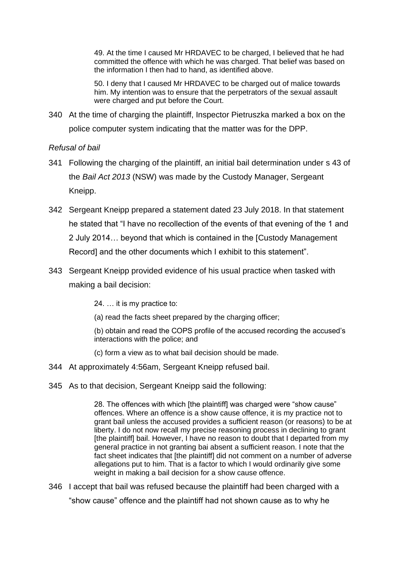49. At the time I caused Mr HRDAVEC to be charged, I believed that he had committed the offence with which he was charged. That belief was based on the information I then had to hand, as identified above.

50. I deny that I caused Mr HRDAVEC to be charged out of malice towards him. My intention was to ensure that the perpetrators of the sexual assault were charged and put before the Court.

340 At the time of charging the plaintiff, Inspector Pietruszka marked a box on the police computer system indicating that the matter was for the DPP.

## *Refusal of bail*

- 341 Following the charging of the plaintiff, an initial bail determination under s 43 of the *Bail Act 2013* (NSW) was made by the Custody Manager, Sergeant Kneipp.
- 342 Sergeant Kneipp prepared a statement dated 23 July 2018. In that statement he stated that "I have no recollection of the events of that evening of the 1 and 2 July 2014… beyond that which is contained in the [Custody Management Record] and the other documents which I exhibit to this statement".
- 343 Sergeant Kneipp provided evidence of his usual practice when tasked with making a bail decision:

24. … it is my practice to:

(a) read the facts sheet prepared by the charging officer;

(b) obtain and read the COPS profile of the accused recording the accused's interactions with the police; and

(c) form a view as to what bail decision should be made.

- 344 At approximately 4:56am, Sergeant Kneipp refused bail.
- 345 As to that decision, Sergeant Kneipp said the following:

28. The offences with which [the plaintiff] was charged were "show cause" offences. Where an offence is a show cause offence, it is my practice not to grant bail unless the accused provides a sufficient reason (or reasons) to be at liberty. I do not now recall my precise reasoning process in declining to grant [the plaintiff] bail. However, I have no reason to doubt that I departed from my general practice in not granting bai absent a sufficient reason. I note that the fact sheet indicates that [the plaintiff] did not comment on a number of adverse allegations put to him. That is a factor to which I would ordinarily give some weight in making a bail decision for a show cause offence.

346 I accept that bail was refused because the plaintiff had been charged with a "show cause" offence and the plaintiff had not shown cause as to why he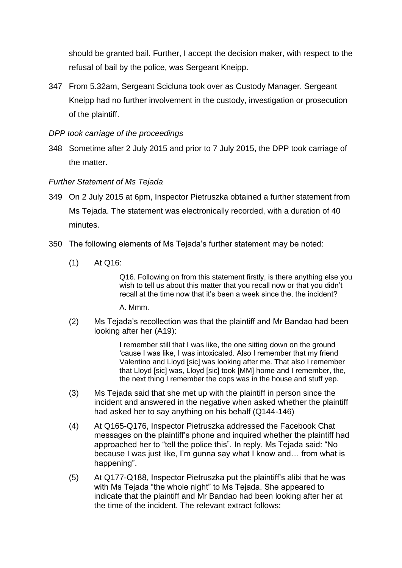should be granted bail. Further, I accept the decision maker, with respect to the refusal of bail by the police, was Sergeant Kneipp.

347 From 5.32am, Sergeant Scicluna took over as Custody Manager. Sergeant Kneipp had no further involvement in the custody, investigation or prosecution of the plaintiff.

## *DPP took carriage of the proceedings*

348 Sometime after 2 July 2015 and prior to 7 July 2015, the DPP took carriage of the matter.

## *Further Statement of Ms Tejada*

- 349 On 2 July 2015 at 6pm, Inspector Pietruszka obtained a further statement from Ms Tejada. The statement was electronically recorded, with a duration of 40 minutes.
- 350 The following elements of Ms Tejada's further statement may be noted:
	- (1) At Q16:

Q16. Following on from this statement firstly, is there anything else you wish to tell us about this matter that you recall now or that you didn't recall at the time now that it's been a week since the, the incident?

A. Mmm.

(2) Ms Tejada's recollection was that the plaintiff and Mr Bandao had been looking after her (A19):

> I remember still that I was like, the one sitting down on the ground 'cause I was like, I was intoxicated. Also I remember that my friend Valentino and Lloyd [sic] was looking after me. That also I remember that Lloyd [sic] was, Lloyd [sic] took [MM] home and I remember, the, the next thing I remember the cops was in the house and stuff yep.

- (3) Ms Tejada said that she met up with the plaintiff in person since the incident and answered in the negative when asked whether the plaintiff had asked her to say anything on his behalf (Q144-146)
- (4) At Q165-Q176, Inspector Pietruszka addressed the Facebook Chat messages on the plaintiff's phone and inquired whether the plaintiff had approached her to "tell the police this". In reply, Ms Tejada said: "No because I was just like, I'm gunna say what I know and… from what is happening".
- (5) At Q177-Q188, Inspector Pietruszka put the plaintiff's alibi that he was with Ms Tejada "the whole night" to Ms Tejada. She appeared to indicate that the plaintiff and Mr Bandao had been looking after her at the time of the incident. The relevant extract follows: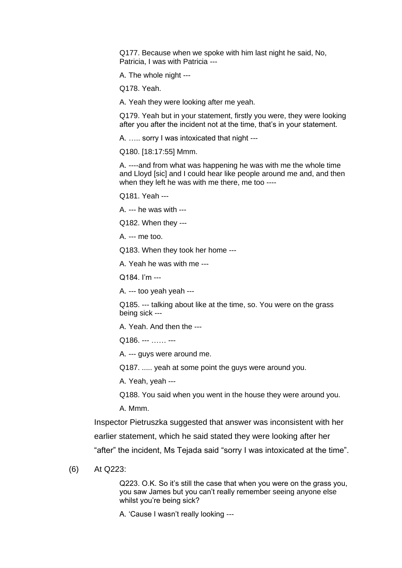Q177. Because when we spoke with him last night he said, No, Patricia, I was with Patricia ---

A. The whole night ---

Q178. Yeah.

A. Yeah they were looking after me yeah.

Q179. Yeah but in your statement, firstly you were, they were looking after you after the incident not at the time, that's in your statement.

A. ….. sorry I was intoxicated that night ---

Q180. [18:17:55] Mmm.

A. ----and from what was happening he was with me the whole time and Lloyd [sic] and I could hear like people around me and, and then when they left he was with me there, me too ----

Q181. Yeah ---

A. --- he was with ---

Q182. When they ---

A. --- me too.

Q183. When they took her home ---

A. Yeah he was with me ---

Q184. I'm ---

A. --- too yeah yeah ---

Q185. --- talking about like at the time, so. You were on the grass being sick ---

A. Yeah. And then the ---

Q186. --- …… ---

A. --- guys were around me.

Q187. ..... yeah at some point the guys were around you.

A. Yeah, yeah ---

Q188. You said when you went in the house they were around you.

A. Mmm.

Inspector Pietruszka suggested that answer was inconsistent with her earlier statement, which he said stated they were looking after her "after" the incident, Ms Tejada said "sorry I was intoxicated at the time".

(6) At Q223:

Q223. O.K. So it's still the case that when you were on the grass you, you saw James but you can't really remember seeing anyone else whilst you're being sick?

A. 'Cause I wasn't really looking ---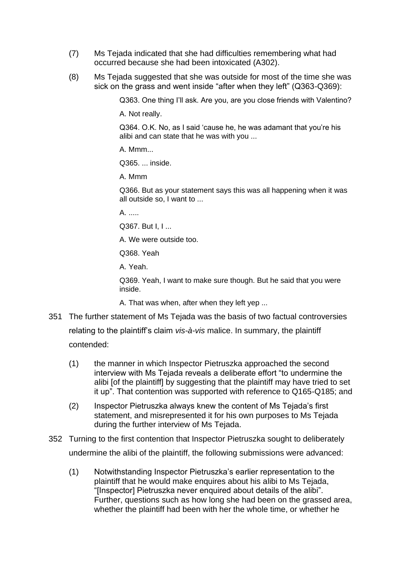- (7) Ms Tejada indicated that she had difficulties remembering what had occurred because she had been intoxicated (A302).
- (8) Ms Tejada suggested that she was outside for most of the time she was sick on the grass and went inside "after when they left" (Q363-Q369):

Q363. One thing I'll ask. Are you, are you close friends with Valentino?

A. Not really.

Q364. O.K. No, as I said 'cause he, he was adamant that you're his alibi and can state that he was with you ...

A. Mmm...

Q365. ... inside.

A. Mmm

Q366. But as your statement says this was all happening when it was all outside so, I want to ...

 $\mathsf{A}$ 

Q367. But I, I ...

A. We were outside too.

Q368. Yeah

A. Yeah.

Q369. Yeah, I want to make sure though. But he said that you were inside.

A. That was when, after when they left yep ...

- 351 The further statement of Ms Tejada was the basis of two factual controversies relating to the plaintiff's claim *vis-à-vis* malice. In summary, the plaintiff contended:
	- (1) the manner in which Inspector Pietruszka approached the second interview with Ms Tejada reveals a deliberate effort "to undermine the alibi [of the plaintiff] by suggesting that the plaintiff may have tried to set it up". That contention was supported with reference to Q165-Q185; and
	- (2) Inspector Pietruszka always knew the content of Ms Tejada's first statement, and misrepresented it for his own purposes to Ms Tejada during the further interview of Ms Tejada.
- 352 Turning to the first contention that Inspector Pietruszka sought to deliberately undermine the alibi of the plaintiff, the following submissions were advanced:
	- (1) Notwithstanding Inspector Pietruszka's earlier representation to the plaintiff that he would make enquires about his alibi to Ms Tejada, "[Inspector] Pietruszka never enquired about details of the alibi". Further, questions such as how long she had been on the grassed area, whether the plaintiff had been with her the whole time, or whether he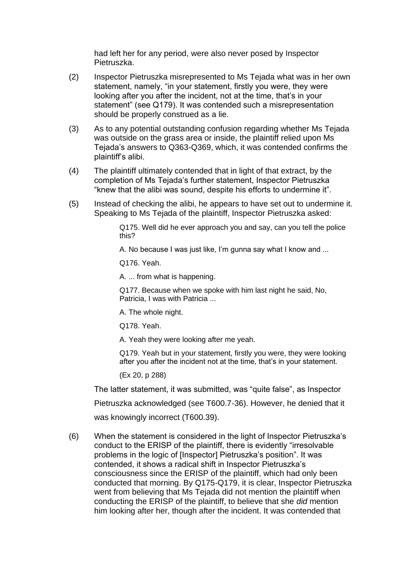had left her for any period, were also never posed by Inspector Pietruszka.

- (2) Inspector Pietruszka misrepresented to Ms Tejada what was in her own statement, namely, "in your statement, firstly you were, they were looking after you after the incident, not at the time, that's in your statement" (see Q179). It was contended such a misrepresentation should be properly construed as a lie.
- (3) As to any potential outstanding confusion regarding whether Ms Tejada was outside on the grass area or inside, the plaintiff relied upon Ms Tejada's answers to Q363-Q369, which, it was contended confirms the plaintiff's alibi.
- (4) The plaintiff ultimately contended that in light of that extract, by the completion of Ms Tejada's further statement, Inspector Pietruszka "knew that the alibi was sound, despite his efforts to undermine it".
- (5) Instead of checking the alibi, he appears to have set out to undermine it. Speaking to Ms Tejada of the plaintiff, Inspector Pietruszka asked:

Q175. Well did he ever approach you and say, can you tell the police this?

A. No because I was just like, I'm gunna say what I know and ...

Q176. Yeah.

A. ... from what is happening.

Q177. Because when we spoke with him last night he said, No, Patricia, I was with Patricia ...

A. The whole night.

Q178. Yeah.

A. Yeah they were looking after me yeah.

Q179. Yeah but in your statement, firstly you were, they were looking after you after the incident not at the time, that's in your statement.

(Ex 20, p 288)

The latter statement, it was submitted, was "quite false", as Inspector

Pietruszka acknowledged (see T600.7-36). However, he denied that it

was knowingly incorrect (T600.39).

(6) When the statement is considered in the light of Inspector Pietruszka's conduct to the ERISP of the plaintiff, there is evidently "irresolvable problems in the logic of [Inspector] Pietruszka's position". It was contended, it shows a radical shift in Inspector Pietruszka's consciousness since the ERISP of the plaintiff, which had only been conducted that morning. By Q175-Q179, it is clear, Inspector Pietruszka went from believing that Ms Tejada did not mention the plaintiff when conducting the ERISP of the plaintiff, to believe that she *did* mention him looking after her, though after the incident. It was contended that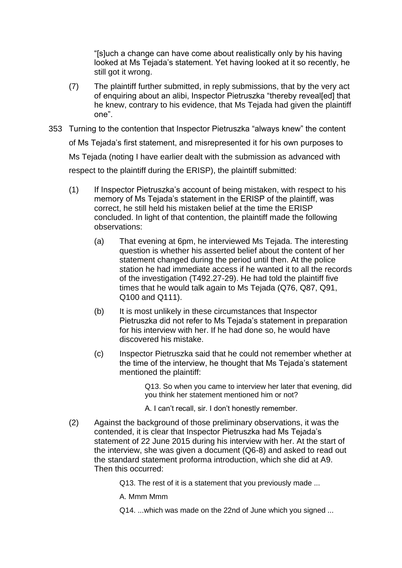"[s]uch a change can have come about realistically only by his having looked at Ms Tejada's statement. Yet having looked at it so recently, he still got it wrong.

- (7) The plaintiff further submitted, in reply submissions, that by the very act of enquiring about an alibi, Inspector Pietruszka "thereby reveal[ed] that he knew, contrary to his evidence, that Ms Tejada had given the plaintiff one".
- 353 Turning to the contention that Inspector Pietruszka "always knew" the content of Ms Tejada's first statement, and misrepresented it for his own purposes to Ms Tejada (noting I have earlier dealt with the submission as advanced with respect to the plaintiff during the ERISP), the plaintiff submitted:
	- (1) If Inspector Pietruszka's account of being mistaken, with respect to his memory of Ms Tejada's statement in the ERISP of the plaintiff, was correct, he still held his mistaken belief at the time the ERISP concluded. In light of that contention, the plaintiff made the following observations:
		- (a) That evening at 6pm, he interviewed Ms Tejada. The interesting question is whether his asserted belief about the content of her statement changed during the period until then. At the police station he had immediate access if he wanted it to all the records of the investigation (T492.27-29). He had told the plaintiff five times that he would talk again to Ms Tejada (Q76, Q87, Q91, Q100 and Q111).
		- (b) It is most unlikely in these circumstances that Inspector Pietruszka did not refer to Ms Tejada's statement in preparation for his interview with her. If he had done so, he would have discovered his mistake.
		- (c) Inspector Pietruszka said that he could not remember whether at the time of the interview, he thought that Ms Tejada's statement mentioned the plaintiff:

Q13. So when you came to interview her later that evening, did you think her statement mentioned him or not?

- A. I can't recall, sir. I don't honestly remember.
- (2) Against the background of those preliminary observations, it was the contended, it is clear that Inspector Pietruszka had Ms Tejada's statement of 22 June 2015 during his interview with her. At the start of the interview, she was given a document (Q6-8) and asked to read out the standard statement proforma introduction, which she did at A9. Then this occurred:

Q13. The rest of it is a statement that you previously made ...

A. Mmm Mmm

Q14. ...which was made on the 22nd of June which you signed ...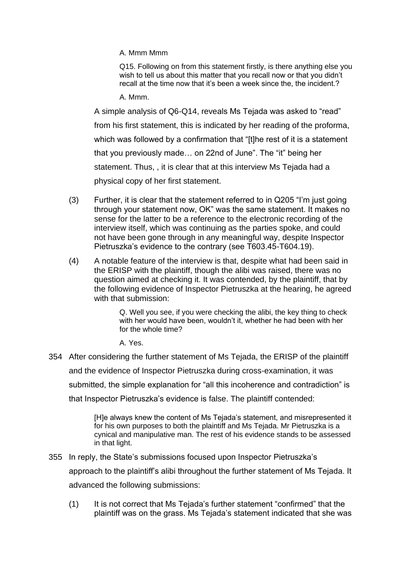A. Mmm Mmm

Q15. Following on from this statement firstly, is there anything else you wish to tell us about this matter that you recall now or that you didn't recall at the time now that it's been a week since the, the incident.?

A. Mmm.

A simple analysis of Q6-Q14, reveals Ms Tejada was asked to "read" from his first statement, this is indicated by her reading of the proforma, which was followed by a confirmation that "[t]he rest of it is a statement that you previously made… on 22nd of June". The "it" being her statement. Thus, , it is clear that at this interview Ms Tejada had a physical copy of her first statement.

- (3) Further, it is clear that the statement referred to in Q205 "I'm just going through your statement now, OK" was the same statement. It makes no sense for the latter to be a reference to the electronic recording of the interview itself, which was continuing as the parties spoke, and could not have been gone through in any meaningful way, despite Inspector Pietruszka's evidence to the contrary (see T603.45-T604.19).
- (4) A notable feature of the interview is that, despite what had been said in the ERISP with the plaintiff, though the alibi was raised, there was no question aimed at checking it. It was contended, by the plaintiff, that by the following evidence of Inspector Pietruszka at the hearing, he agreed with that submission:

Q. Well you see, if you were checking the alibi, the key thing to check with her would have been, wouldn't it, whether he had been with her for the whole time?

A. Yes.

354 After considering the further statement of Ms Tejada, the ERISP of the plaintiff and the evidence of Inspector Pietruszka during cross-examination, it was submitted, the simple explanation for "all this incoherence and contradiction" is

that Inspector Pietruszka's evidence is false. The plaintiff contended:

[H]e always knew the content of Ms Tejada's statement, and misrepresented it for his own purposes to both the plaintiff and Ms Tejada. Mr Pietruszka is a cynical and manipulative man. The rest of his evidence stands to be assessed in that light.

355 In reply, the State's submissions focused upon Inspector Pietruszka's

approach to the plaintiff's alibi throughout the further statement of Ms Tejada. It advanced the following submissions:

(1) It is not correct that Ms Tejada's further statement "confirmed" that the plaintiff was on the grass. Ms Tejada's statement indicated that she was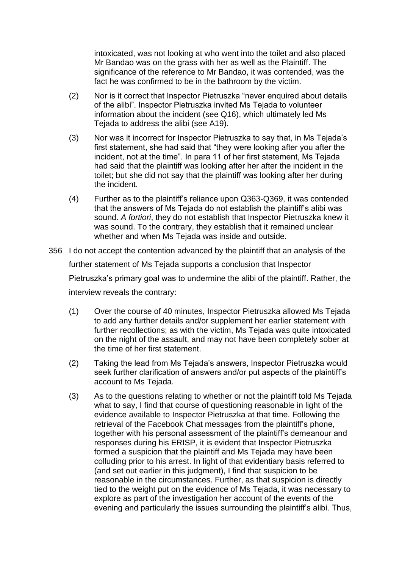intoxicated, was not looking at who went into the toilet and also placed Mr Bandao was on the grass with her as well as the Plaintiff. The significance of the reference to Mr Bandao, it was contended, was the fact he was confirmed to be in the bathroom by the victim.

- (2) Nor is it correct that Inspector Pietruszka "never enquired about details of the alibi". Inspector Pietruszka invited Ms Tejada to volunteer information about the incident (see Q16), which ultimately led Ms Tejada to address the alibi (see A19).
- (3) Nor was it incorrect for Inspector Pietruszka to say that, in Ms Tejada's first statement, she had said that "they were looking after you after the incident, not at the time". In para 11 of her first statement, Ms Tejada had said that the plaintiff was looking after her after the incident in the toilet; but she did not say that the plaintiff was looking after her during the incident.
- (4) Further as to the plaintiff's reliance upon Q363-Q369, it was contended that the answers of Ms Tejada do not establish the plaintiff's alibi was sound. *A fortiori*, they do not establish that Inspector Pietruszka knew it was sound. To the contrary, they establish that it remained unclear whether and when Ms Tejada was inside and outside.
- 356 I do not accept the contention advanced by the plaintiff that an analysis of the further statement of Ms Tejada supports a conclusion that Inspector Pietruszka's primary goal was to undermine the alibi of the plaintiff. Rather, the interview reveals the contrary:
	- (1) Over the course of 40 minutes, Inspector Pietruszka allowed Ms Tejada to add any further details and/or supplement her earlier statement with further recollections; as with the victim, Ms Tejada was quite intoxicated on the night of the assault, and may not have been completely sober at the time of her first statement.
	- (2) Taking the lead from Ms Tejada's answers, Inspector Pietruszka would seek further clarification of answers and/or put aspects of the plaintiff's account to Ms Tejada.
	- (3) As to the questions relating to whether or not the plaintiff told Ms Tejada what to say, I find that course of questioning reasonable in light of the evidence available to Inspector Pietruszka at that time. Following the retrieval of the Facebook Chat messages from the plaintiff's phone, together with his personal assessment of the plaintiff's demeanour and responses during his ERISP, it is evident that Inspector Pietruszka formed a suspicion that the plaintiff and Ms Tejada may have been colluding prior to his arrest. In light of that evidentiary basis referred to (and set out earlier in this judgment), I find that suspicion to be reasonable in the circumstances. Further, as that suspicion is directly tied to the weight put on the evidence of Ms Tejada, it was necessary to explore as part of the investigation her account of the events of the evening and particularly the issues surrounding the plaintiff's alibi. Thus,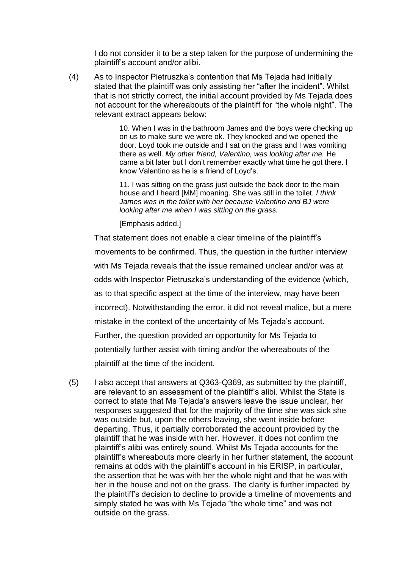I do not consider it to be a step taken for the purpose of undermining the plaintiff's account and/or alibi.

(4) As to Inspector Pietruszka's contention that Ms Tejada had initially stated that the plaintiff was only assisting her "after the incident". Whilst that is not strictly correct, the initial account provided by Ms Tejada does not account for the whereabouts of the plaintiff for "the whole night". The relevant extract appears below:

> 10. When I was in the bathroom James and the boys were checking up on us to make sure we were ok. They knocked and we opened the door. Loyd took me outside and I sat on the grass and I was vomiting there as well. *My other friend, Valentino, was looking after me.* He came a bit later but I don't remember exactly what time he got there. I know Valentino as he is a friend of Loyd's.

11. I was sitting on the grass just outside the back door to the main house and I heard [MM] moaning. She was still in the toilet. *I think James was in the toilet with her because Valentino and BJ were looking after me when I was sitting on the grass.*

[Emphasis added.]

That statement does not enable a clear timeline of the plaintiff's movements to be confirmed. Thus, the question in the further interview with Ms Tejada reveals that the issue remained unclear and/or was at odds with Inspector Pietruszka's understanding of the evidence (which, as to that specific aspect at the time of the interview, may have been incorrect). Notwithstanding the error, it did not reveal malice, but a mere mistake in the context of the uncertainty of Ms Tejada's account. Further, the question provided an opportunity for Ms Tejada to potentially further assist with timing and/or the whereabouts of the plaintiff at the time of the incident.

(5) I also accept that answers at Q363-Q369, as submitted by the plaintiff, are relevant to an assessment of the plaintiff's alibi. Whilst the State is correct to state that Ms Tejada's answers leave the issue unclear, her responses suggested that for the majority of the time she was sick she was outside but, upon the others leaving, she went inside before departing. Thus, it partially corroborated the account provided by the plaintiff that he was inside with her. However, it does not confirm the plaintiff's alibi was entirely sound. Whilst Ms Tejada accounts for the plaintiff's whereabouts more clearly in her further statement, the account remains at odds with the plaintiff's account in his ERISP, in particular, the assertion that he was with her the whole night and that he was with her in the house and not on the grass. The clarity is further impacted by the plaintiff's decision to decline to provide a timeline of movements and simply stated he was with Ms Tejada "the whole time" and was not outside on the grass.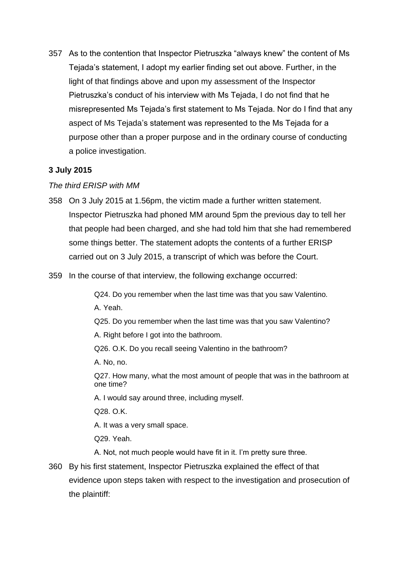357 As to the contention that Inspector Pietruszka "always knew" the content of Ms Tejada's statement, I adopt my earlier finding set out above. Further, in the light of that findings above and upon my assessment of the Inspector Pietruszka's conduct of his interview with Ms Tejada, I do not find that he misrepresented Ms Tejada's first statement to Ms Tejada. Nor do I find that any aspect of Ms Tejada's statement was represented to the Ms Tejada for a purpose other than a proper purpose and in the ordinary course of conducting a police investigation.

# **3 July 2015**

## *The third ERISP with MM*

- 358 On 3 July 2015 at 1.56pm, the victim made a further written statement. Inspector Pietruszka had phoned MM around 5pm the previous day to tell her that people had been charged, and she had told him that she had remembered some things better. The statement adopts the contents of a further ERISP carried out on 3 July 2015, a transcript of which was before the Court.
- 359 In the course of that interview, the following exchange occurred:

Q24. Do you remember when the last time was that you saw Valentino.

A. Yeah.

Q25. Do you remember when the last time was that you saw Valentino?

A. Right before I got into the bathroom.

Q26. O.K. Do you recall seeing Valentino in the bathroom?

A. No, no.

Q27. How many, what the most amount of people that was in the bathroom at one time?

A. I would say around three, including myself.

Q28. O.K.

A. It was a very small space.

Q29. Yeah.

A. Not, not much people would have fit in it. I'm pretty sure three.

360 By his first statement, Inspector Pietruszka explained the effect of that evidence upon steps taken with respect to the investigation and prosecution of the plaintiff: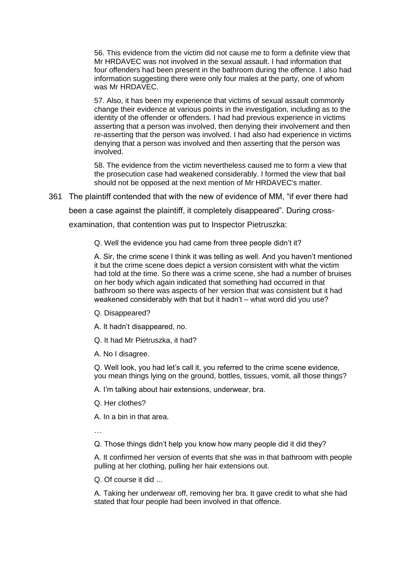56. This evidence from the victim did not cause me to form a definite view that Mr HRDAVEC was not involved in the sexual assault. I had information that four offenders had been present in the bathroom during the offence. I also had information suggesting there were only four males at the party, one of whom was Mr HRDAVEC.

57. Also, it has been my experience that victims of sexual assault commonly change their evidence at various points in the investigation, including as to the identity of the offender or offenders. I had had previous experience in victims asserting that a person was involved, then denying their involvement and then re-asserting that the person was involved. I had also had experience in victims denying that a person was involved and then asserting that the person was involved.

58. The evidence from the victim nevertheless caused me to form a view that the prosecution case had weakened considerably. I formed the view that bail should not be opposed at the next mention of Mr HRDAVEC's matter.

361 The plaintiff contended that with the new of evidence of MM, "if ever there had

been a case against the plaintiff, it completely disappeared". During cross-

examination, that contention was put to Inspector Pietruszka:

Q. Well the evidence you had came from three people didn't it?

A. Sir, the crime scene I think it was telling as well. And you haven't mentioned it but the crime scene does depict a version consistent with what the victim had told at the time. So there was a crime scene, she had a number of bruises on her body which again indicated that something had occurred in that bathroom so there was aspects of her version that was consistent but it had weakened considerably with that but it hadn't – what word did you use?

Q. Disappeared?

A. It hadn't disappeared, no.

Q. It had Mr Pietruszka, it had?

A. No I disagree.

Q. Well look, you had let's call it, you referred to the crime scene evidence, you mean things lying on the ground, bottles, tissues, vomit, all those things?

A. I'm talking about hair extensions, underwear, bra.

Q. Her clothes?

A. In a bin in that area.

…

Q. Those things didn't help you know how many people did it did they?

A. It confirmed her version of events that she was in that bathroom with people pulling at her clothing, pulling her hair extensions out.

Q. Of course it did ...

A. Taking her underwear off, removing her bra. It gave credit to what she had stated that four people had been involved in that offence.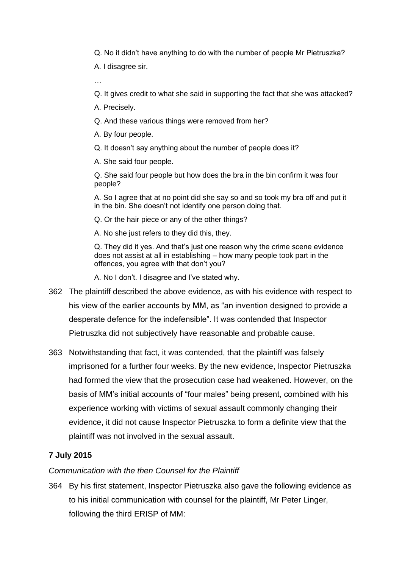Q. No it didn't have anything to do with the number of people Mr Pietruszka? A. I disagree sir.

Q. It gives credit to what she said in supporting the fact that she was attacked?

A. Precisely.

…

Q. And these various things were removed from her?

A. By four people.

Q. It doesn't say anything about the number of people does it?

A. She said four people.

Q. She said four people but how does the bra in the bin confirm it was four people?

A. So I agree that at no point did she say so and so took my bra off and put it in the bin. She doesn't not identify one person doing that.

Q. Or the hair piece or any of the other things?

A. No she just refers to they did this, they.

Q. They did it yes. And that's just one reason why the crime scene evidence does not assist at all in establishing – how many people took part in the offences, you agree with that don't you?

A. No I don't. I disagree and I've stated why.

- 362 The plaintiff described the above evidence, as with his evidence with respect to his view of the earlier accounts by MM, as "an invention designed to provide a desperate defence for the indefensible". It was contended that Inspector Pietruszka did not subjectively have reasonable and probable cause.
- 363 Notwithstanding that fact, it was contended, that the plaintiff was falsely imprisoned for a further four weeks. By the new evidence, Inspector Pietruszka had formed the view that the prosecution case had weakened. However, on the basis of MM's initial accounts of "four males" being present, combined with his experience working with victims of sexual assault commonly changing their evidence, it did not cause Inspector Pietruszka to form a definite view that the plaintiff was not involved in the sexual assault.

# **7 July 2015**

### *Communication with the then Counsel for the Plaintiff*

364 By his first statement, Inspector Pietruszka also gave the following evidence as to his initial communication with counsel for the plaintiff, Mr Peter Linger, following the third ERISP of MM: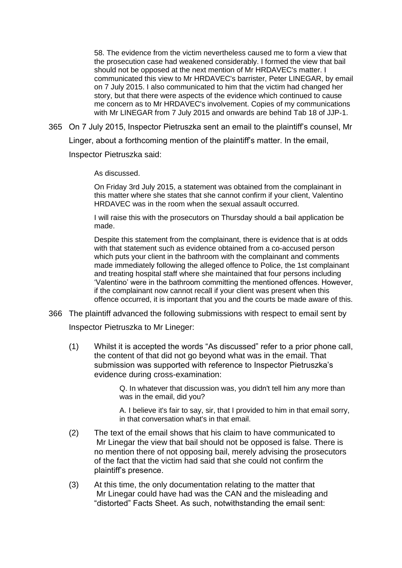58. The evidence from the victim nevertheless caused me to form a view that the prosecution case had weakened considerably. I formed the view that bail should not be opposed at the next mention of Mr HRDAVEC's matter. I communicated this view to Mr HRDAVEC's barrister, Peter LINEGAR, by email on 7 July 2015. I also communicated to him that the victim had changed her story, but that there were aspects of the evidence which continued to cause me concern as to Mr HRDAVEC's involvement. Copies of my communications with Mr LINEGAR from 7 July 2015 and onwards are behind Tab 18 of JJP-1.

365 On 7 July 2015, Inspector Pietruszka sent an email to the plaintiff's counsel, Mr

Linger, about a forthcoming mention of the plaintiff's matter. In the email,

Inspector Pietruszka said:

As discussed.

On Friday 3rd July 2015, a statement was obtained from the complainant in this matter where she states that she cannot confirm if your client, Valentino HRDAVEC was in the room when the sexual assault occurred.

I will raise this with the prosecutors on Thursday should a bail application be made.

Despite this statement from the complainant, there is evidence that is at odds with that statement such as evidence obtained from a co-accused person which puts your client in the bathroom with the complainant and comments made immediately following the alleged offence to Police, the 1st complainant and treating hospital staff where she maintained that four persons including 'Valentino' were in the bathroom committing the mentioned offences. However, if the complainant now cannot recall if your client was present when this offence occurred, it is important that you and the courts be made aware of this.

366 The plaintiff advanced the following submissions with respect to email sent by

Inspector Pietruszka to Mr Lineger:

(1) Whilst it is accepted the words "As discussed" refer to a prior phone call, the content of that did not go beyond what was in the email. That submission was supported with reference to Inspector Pietruszka's evidence during cross-examination:

> Q. In whatever that discussion was, you didn't tell him any more than was in the email, did you?

A. I believe it's fair to say, sir, that I provided to him in that email sorry, in that conversation what's in that email.

- (2) The text of the email shows that his claim to have communicated to Mr Linegar the view that bail should not be opposed is false. There is no mention there of not opposing bail, merely advising the prosecutors of the fact that the victim had said that she could not confirm the plaintiff's presence.
- (3) At this time, the only documentation relating to the matter that Mr Linegar could have had was the CAN and the misleading and "distorted" Facts Sheet. As such, notwithstanding the email sent: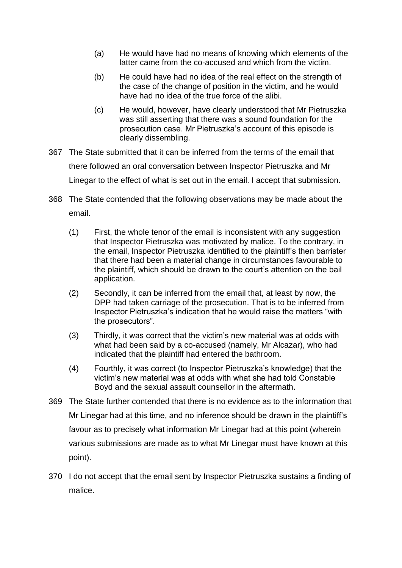- (a) He would have had no means of knowing which elements of the latter came from the co-accused and which from the victim.
- (b) He could have had no idea of the real effect on the strength of the case of the change of position in the victim, and he would have had no idea of the true force of the alibi.
- (c) He would, however, have clearly understood that Mr Pietruszka was still asserting that there was a sound foundation for the prosecution case. Mr Pietruszka's account of this episode is clearly dissembling.
- 367 The State submitted that it can be inferred from the terms of the email that there followed an oral conversation between Inspector Pietruszka and Mr Linegar to the effect of what is set out in the email. I accept that submission.
- 368 The State contended that the following observations may be made about the email.
	- (1) First, the whole tenor of the email is inconsistent with any suggestion that Inspector Pietruszka was motivated by malice. To the contrary, in the email, Inspector Pietruszka identified to the plaintiff's then barrister that there had been a material change in circumstances favourable to the plaintiff, which should be drawn to the court's attention on the bail application.
	- (2) Secondly, it can be inferred from the email that, at least by now, the DPP had taken carriage of the prosecution. That is to be inferred from Inspector Pietruszka's indication that he would raise the matters "with the prosecutors".
	- (3) Thirdly, it was correct that the victim's new material was at odds with what had been said by a co-accused (namely, Mr Alcazar), who had indicated that the plaintiff had entered the bathroom.
	- (4) Fourthly, it was correct (to Inspector Pietruszka's knowledge) that the victim's new material was at odds with what she had told Constable Boyd and the sexual assault counsellor in the aftermath.
- 369 The State further contended that there is no evidence as to the information that Mr Linegar had at this time, and no inference should be drawn in the plaintiff's favour as to precisely what information Mr Linegar had at this point (wherein various submissions are made as to what Mr Linegar must have known at this point).
- 370 I do not accept that the email sent by Inspector Pietruszka sustains a finding of malice.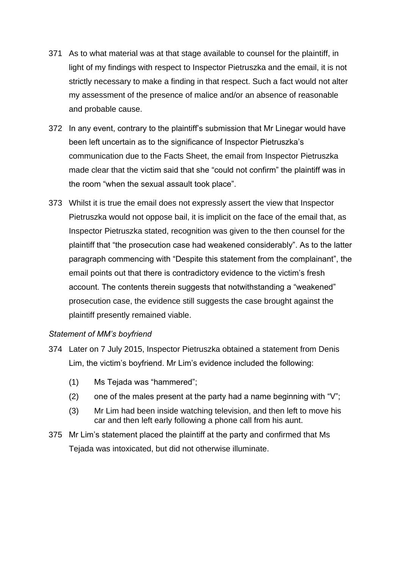- 371 As to what material was at that stage available to counsel for the plaintiff, in light of my findings with respect to Inspector Pietruszka and the email, it is not strictly necessary to make a finding in that respect. Such a fact would not alter my assessment of the presence of malice and/or an absence of reasonable and probable cause.
- 372 In any event, contrary to the plaintiff's submission that Mr Linegar would have been left uncertain as to the significance of Inspector Pietruszka's communication due to the Facts Sheet, the email from Inspector Pietruszka made clear that the victim said that she "could not confirm" the plaintiff was in the room "when the sexual assault took place".
- 373 Whilst it is true the email does not expressly assert the view that Inspector Pietruszka would not oppose bail, it is implicit on the face of the email that, as Inspector Pietruszka stated, recognition was given to the then counsel for the plaintiff that "the prosecution case had weakened considerably". As to the latter paragraph commencing with "Despite this statement from the complainant", the email points out that there is contradictory evidence to the victim's fresh account. The contents therein suggests that notwithstanding a "weakened" prosecution case, the evidence still suggests the case brought against the plaintiff presently remained viable.

### *Statement of MM's boyfriend*

- 374 Later on 7 July 2015, Inspector Pietruszka obtained a statement from Denis Lim, the victim's boyfriend. Mr Lim's evidence included the following:
	- (1) Ms Tejada was "hammered";
	- (2) one of the males present at the party had a name beginning with " $V$ ";
	- (3) Mr Lim had been inside watching television, and then left to move his car and then left early following a phone call from his aunt.
- 375 Mr Lim's statement placed the plaintiff at the party and confirmed that Ms Tejada was intoxicated, but did not otherwise illuminate.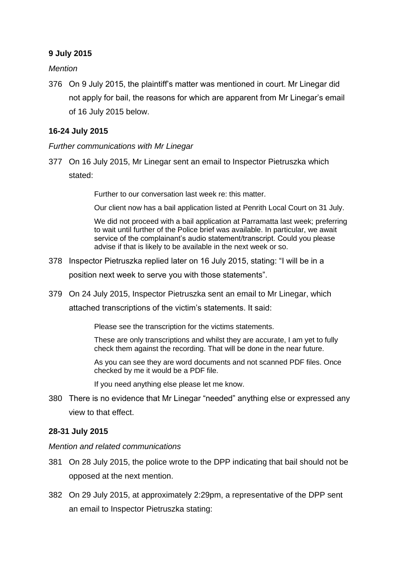## **9 July 2015**

*Mention*

376 On 9 July 2015, the plaintiff's matter was mentioned in court. Mr Linegar did not apply for bail, the reasons for which are apparent from Mr Linegar's email of 16 July 2015 below.

### **16-24 July 2015**

*Further communications with Mr Linegar*

377 On 16 July 2015, Mr Linegar sent an email to Inspector Pietruszka which

stated:

Further to our conversation last week re: this matter.

Our client now has a bail application listed at Penrith Local Court on 31 July.

We did not proceed with a bail application at Parramatta last week; preferring to wait until further of the Police brief was available. In particular, we await service of the complainant's audio statement/transcript. Could you please advise if that is likely to be available in the next week or so.

378 Inspector Pietruszka replied later on 16 July 2015, stating: "I will be in a

position next week to serve you with those statements".

379 On 24 July 2015, Inspector Pietruszka sent an email to Mr Linegar, which attached transcriptions of the victim's statements. It said:

Please see the transcription for the victims statements.

These are only transcriptions and whilst they are accurate, I am yet to fully check them against the recording. That will be done in the near future.

As you can see they are word documents and not scanned PDF files. Once checked by me it would be a PDF file.

If you need anything else please let me know.

380 There is no evidence that Mr Linegar "needed" anything else or expressed any view to that effect.

# **28-31 July 2015**

*Mention and related communications*

- 381 On 28 July 2015, the police wrote to the DPP indicating that bail should not be opposed at the next mention.
- 382 On 29 July 2015, at approximately 2:29pm, a representative of the DPP sent an email to Inspector Pietruszka stating: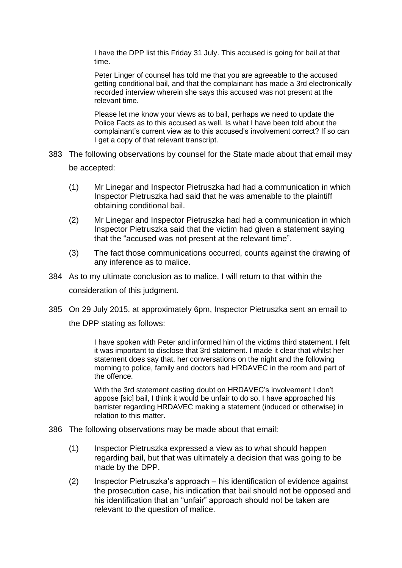I have the DPP list this Friday 31 July. This accused is going for bail at that time.

Peter Linger of counsel has told me that you are agreeable to the accused getting conditional bail, and that the complainant has made a 3rd electronically recorded interview wherein she says this accused was not present at the relevant time.

Please let me know your views as to bail, perhaps we need to update the Police Facts as to this accused as well. Is what I have been told about the complainant's current view as to this accused's involvement correct? If so can I get a copy of that relevant transcript.

- 383 The following observations by counsel for the State made about that email may be accepted:
	- (1) Mr Linegar and Inspector Pietruszka had had a communication in which Inspector Pietruszka had said that he was amenable to the plaintiff obtaining conditional bail.
	- (2) Mr Linegar and Inspector Pietruszka had had a communication in which Inspector Pietruszka said that the victim had given a statement saying that the "accused was not present at the relevant time".
	- (3) The fact those communications occurred, counts against the drawing of any inference as to malice.
- 384 As to my ultimate conclusion as to malice, I will return to that within the consideration of this judgment.
- 385 On 29 July 2015, at approximately 6pm, Inspector Pietruszka sent an email to the DPP stating as follows:

I have spoken with Peter and informed him of the victims third statement. I felt it was important to disclose that 3rd statement. I made it clear that whilst her statement does say that, her conversations on the night and the following morning to police, family and doctors had HRDAVEC in the room and part of the offence.

With the 3rd statement casting doubt on HRDAVEC's involvement I don't appose [sic] bail, I think it would be unfair to do so. I have approached his barrister regarding HRDAVEC making a statement (induced or otherwise) in relation to this matter.

- 386 The following observations may be made about that email:
	- (1) Inspector Pietruszka expressed a view as to what should happen regarding bail, but that was ultimately a decision that was going to be made by the DPP.
	- (2) Inspector Pietruszka's approach his identification of evidence against the prosecution case, his indication that bail should not be opposed and his identification that an "unfair" approach should not be taken are relevant to the question of malice.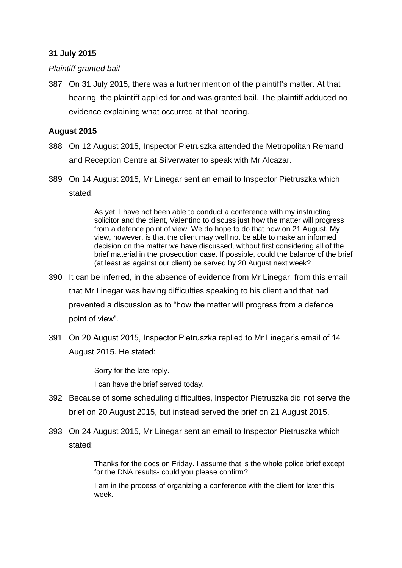# **31 July 2015**

## *Plaintiff granted bail*

387 On 31 July 2015, there was a further mention of the plaintiff's matter. At that hearing, the plaintiff applied for and was granted bail. The plaintiff adduced no evidence explaining what occurred at that hearing.

## **August 2015**

- 388 On 12 August 2015, Inspector Pietruszka attended the Metropolitan Remand and Reception Centre at Silverwater to speak with Mr Alcazar.
- 389 On 14 August 2015, Mr Linegar sent an email to Inspector Pietruszka which stated:

As yet, I have not been able to conduct a conference with my instructing solicitor and the client, Valentino to discuss just how the matter will progress from a defence point of view. We do hope to do that now on 21 August. My view, however, is that the client may well not be able to make an informed decision on the matter we have discussed, without first considering all of the brief material in the prosecution case. If possible, could the balance of the brief (at least as against our client) be served by 20 August next week?

- 390 It can be inferred, in the absence of evidence from Mr Linegar, from this email that Mr Linegar was having difficulties speaking to his client and that had prevented a discussion as to "how the matter will progress from a defence point of view".
- 391 On 20 August 2015, Inspector Pietruszka replied to Mr Linegar's email of 14 August 2015. He stated:

Sorry for the late reply.

I can have the brief served today.

- 392 Because of some scheduling difficulties, Inspector Pietruszka did not serve the brief on 20 August 2015, but instead served the brief on 21 August 2015.
- 393 On 24 August 2015, Mr Linegar sent an email to Inspector Pietruszka which stated:

Thanks for the docs on Friday. I assume that is the whole police brief except for the DNA results- could you please confirm?

I am in the process of organizing a conference with the client for later this week.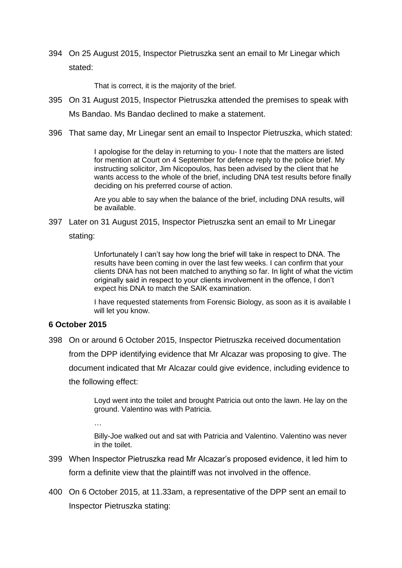394 On 25 August 2015, Inspector Pietruszka sent an email to Mr Linegar which stated:

That is correct, it is the majority of the brief.

- 395 On 31 August 2015, Inspector Pietruszka attended the premises to speak with Ms Bandao. Ms Bandao declined to make a statement.
- 396 That same day, Mr Linegar sent an email to Inspector Pietruszka, which stated:

I apologise for the delay in returning to you- I note that the matters are listed for mention at Court on 4 September for defence reply to the police brief. My instructing solicitor, Jim Nicopoulos, has been advised by the client that he wants access to the whole of the brief, including DNA test results before finally deciding on his preferred course of action.

Are you able to say when the balance of the brief, including DNA results, will be available.

397 Later on 31 August 2015, Inspector Pietruszka sent an email to Mr Linegar

stating:

Unfortunately I can't say how long the brief will take in respect to DNA. The results have been coming in over the last few weeks. I can confirm that your clients DNA has not been matched to anything so far. In light of what the victim originally said in respect to your clients involvement in the offence, I don't expect his DNA to match the SAIK examination.

I have requested statements from Forensic Biology, as soon as it is available I will let you know.

#### **6 October 2015**

398 On or around 6 October 2015, Inspector Pietruszka received documentation from the DPP identifying evidence that Mr Alcazar was proposing to give. The document indicated that Mr Alcazar could give evidence, including evidence to the following effect:

> Loyd went into the toilet and brought Patricia out onto the lawn. He lay on the ground. Valentino was with Patricia.

…

Billy-Joe walked out and sat with Patricia and Valentino. Valentino was never in the toilet.

- 399 When Inspector Pietruszka read Mr Alcazar's proposed evidence, it led him to form a definite view that the plaintiff was not involved in the offence.
- 400 On 6 October 2015, at 11.33am, a representative of the DPP sent an email to Inspector Pietruszka stating: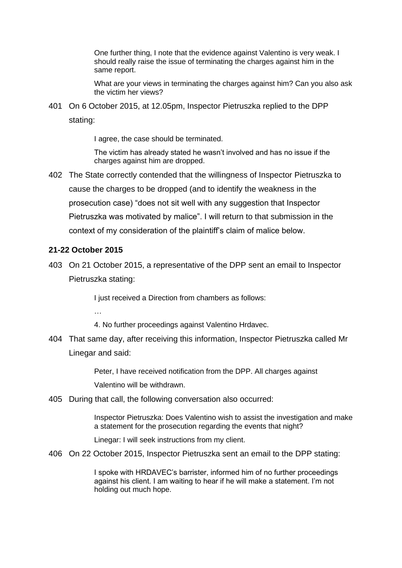One further thing, I note that the evidence against Valentino is very weak. I should really raise the issue of terminating the charges against him in the same report.

What are your views in terminating the charges against him? Can you also ask the victim her views?

401 On 6 October 2015, at 12.05pm, Inspector Pietruszka replied to the DPP stating:

I agree, the case should be terminated.

The victim has already stated he wasn't involved and has no issue if the charges against him are dropped.

402 The State correctly contended that the willingness of Inspector Pietruszka to cause the charges to be dropped (and to identify the weakness in the prosecution case) "does not sit well with any suggestion that Inspector Pietruszka was motivated by malice". I will return to that submission in the context of my consideration of the plaintiff's claim of malice below.

#### **21-22 October 2015**

…

403 On 21 October 2015, a representative of the DPP sent an email to Inspector Pietruszka stating:

I just received a Direction from chambers as follows:

- 4. No further proceedings against Valentino Hrdavec.
- 404 That same day, after receiving this information, Inspector Pietruszka called Mr Linegar and said:

Peter, I have received notification from the DPP. All charges against Valentino will be withdrawn.

405 During that call, the following conversation also occurred:

Inspector Pietruszka: Does Valentino wish to assist the investigation and make a statement for the prosecution regarding the events that night?

Linegar: I will seek instructions from my client.

406 On 22 October 2015, Inspector Pietruszka sent an email to the DPP stating:

I spoke with HRDAVEC's barrister, informed him of no further proceedings against his client. I am waiting to hear if he will make a statement. I'm not holding out much hope.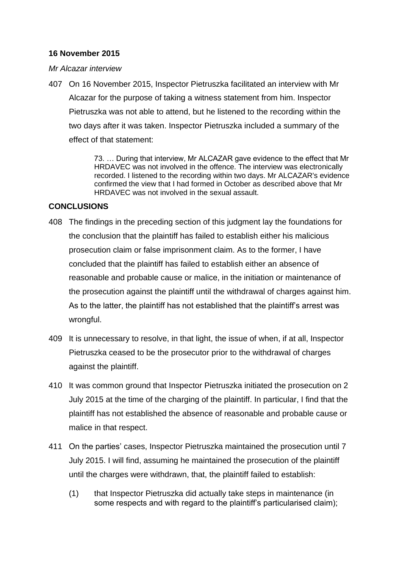## **16 November 2015**

### *Mr Alcazar interview*

407 On 16 November 2015, Inspector Pietruszka facilitated an interview with Mr Alcazar for the purpose of taking a witness statement from him. Inspector Pietruszka was not able to attend, but he listened to the recording within the two days after it was taken. Inspector Pietruszka included a summary of the effect of that statement:

> 73. … During that interview, Mr ALCAZAR gave evidence to the effect that Mr HRDAVEC was not involved in the offence. The interview was electronically recorded. I listened to the recording within two days. Mr ALCAZAR's evidence confirmed the view that I had formed in October as described above that Mr HRDAVEC was not involved in the sexual assault.

### **CONCLUSIONS**

- 408 The findings in the preceding section of this judgment lay the foundations for the conclusion that the plaintiff has failed to establish either his malicious prosecution claim or false imprisonment claim. As to the former, I have concluded that the plaintiff has failed to establish either an absence of reasonable and probable cause or malice, in the initiation or maintenance of the prosecution against the plaintiff until the withdrawal of charges against him. As to the latter, the plaintiff has not established that the plaintiff's arrest was wrongful.
- 409 It is unnecessary to resolve, in that light, the issue of when, if at all, Inspector Pietruszka ceased to be the prosecutor prior to the withdrawal of charges against the plaintiff.
- 410 It was common ground that Inspector Pietruszka initiated the prosecution on 2 July 2015 at the time of the charging of the plaintiff. In particular, I find that the plaintiff has not established the absence of reasonable and probable cause or malice in that respect.
- 411 On the parties' cases, Inspector Pietruszka maintained the prosecution until 7 July 2015. I will find, assuming he maintained the prosecution of the plaintiff until the charges were withdrawn, that, the plaintiff failed to establish:
	- (1) that Inspector Pietruszka did actually take steps in maintenance (in some respects and with regard to the plaintiff's particularised claim);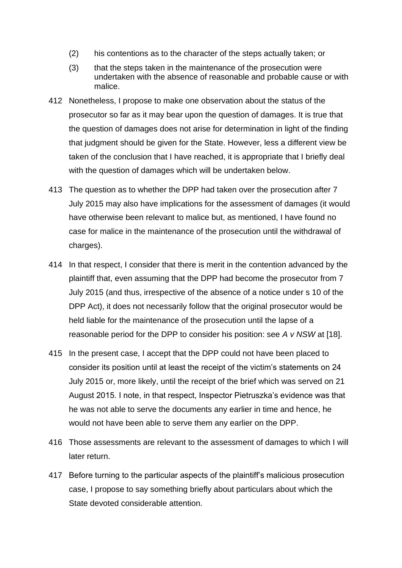- (2) his contentions as to the character of the steps actually taken; or
- (3) that the steps taken in the maintenance of the prosecution were undertaken with the absence of reasonable and probable cause or with malice.
- 412 Nonetheless, I propose to make one observation about the status of the prosecutor so far as it may bear upon the question of damages. It is true that the question of damages does not arise for determination in light of the finding that judgment should be given for the State. However, less a different view be taken of the conclusion that I have reached, it is appropriate that I briefly deal with the question of damages which will be undertaken below.
- 413 The question as to whether the DPP had taken over the prosecution after 7 July 2015 may also have implications for the assessment of damages (it would have otherwise been relevant to malice but, as mentioned, I have found no case for malice in the maintenance of the prosecution until the withdrawal of charges).
- 414 In that respect, I consider that there is merit in the contention advanced by the plaintiff that, even assuming that the DPP had become the prosecutor from 7 July 2015 (and thus, irrespective of the absence of a notice under s 10 of the DPP Act), it does not necessarily follow that the original prosecutor would be held liable for the maintenance of the prosecution until the lapse of a reasonable period for the DPP to consider his position: see *A v NSW* at [18].
- 415 In the present case, I accept that the DPP could not have been placed to consider its position until at least the receipt of the victim's statements on 24 July 2015 or, more likely, until the receipt of the brief which was served on 21 August 2015. I note, in that respect, Inspector Pietruszka's evidence was that he was not able to serve the documents any earlier in time and hence, he would not have been able to serve them any earlier on the DPP.
- 416 Those assessments are relevant to the assessment of damages to which I will later return.
- 417 Before turning to the particular aspects of the plaintiff's malicious prosecution case, I propose to say something briefly about particulars about which the State devoted considerable attention.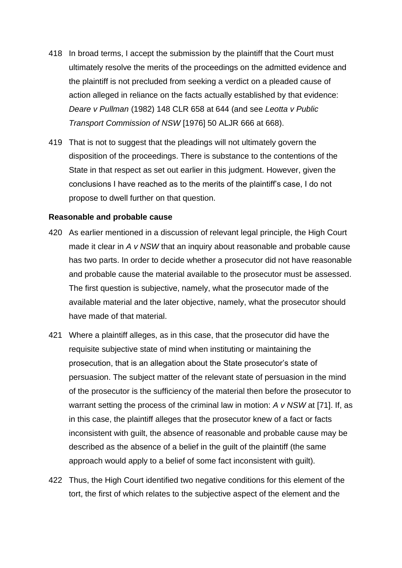- 418 In broad terms, I accept the submission by the plaintiff that the Court must ultimately resolve the merits of the proceedings on the admitted evidence and the plaintiff is not precluded from seeking a verdict on a pleaded cause of action alleged in reliance on the facts actually established by that evidence: *Deare v Pullman* (1982) 148 CLR 658 at 644 (and see *Leotta v Public Transport Commission of NSW* [1976] 50 ALJR 666 at 668).
- 419 That is not to suggest that the pleadings will not ultimately govern the disposition of the proceedings. There is substance to the contentions of the State in that respect as set out earlier in this judgment. However, given the conclusions I have reached as to the merits of the plaintiff's case, I do not propose to dwell further on that question.

## **Reasonable and probable cause**

- 420 As earlier mentioned in a discussion of relevant legal principle, the High Court made it clear in *A v NSW* that an inquiry about reasonable and probable cause has two parts. In order to decide whether a prosecutor did not have reasonable and probable cause the material available to the prosecutor must be assessed. The first question is subjective, namely, what the prosecutor made of the available material and the later objective, namely, what the prosecutor should have made of that material.
- 421 Where a plaintiff alleges, as in this case, that the prosecutor did have the requisite subjective state of mind when instituting or maintaining the prosecution, that is an allegation about the State prosecutor's state of persuasion. The subject matter of the relevant state of persuasion in the mind of the prosecutor is the sufficiency of the material then before the prosecutor to warrant setting the process of the criminal law in motion: *A v NSW* at [71]. If, as in this case, the plaintiff alleges that the prosecutor knew of a fact or facts inconsistent with guilt, the absence of reasonable and probable cause may be described as the absence of a belief in the guilt of the plaintiff (the same approach would apply to a belief of some fact inconsistent with guilt).
- 422 Thus, the High Court identified two negative conditions for this element of the tort, the first of which relates to the subjective aspect of the element and the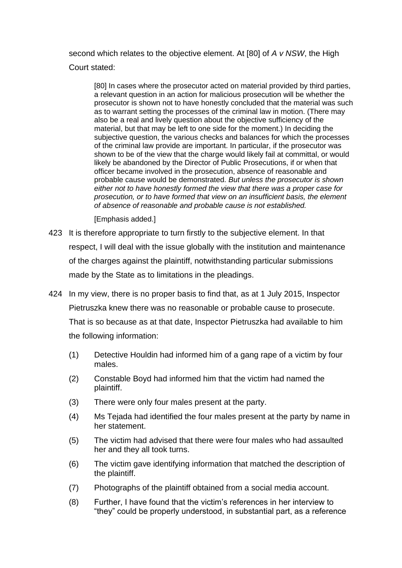second which relates to the objective element. At [80] of *A v NSW*, the High Court stated:

[80] In cases where the prosecutor acted on material provided by third parties, a relevant question in an action for malicious prosecution will be whether the prosecutor is shown not to have honestly concluded that the material was such as to warrant setting the processes of the criminal law in motion. (There may also be a real and lively question about the objective sufficiency of the material, but that may be left to one side for the moment.) In deciding the subjective question, the various checks and balances for which the processes of the criminal law provide are important. In particular, if the prosecutor was shown to be of the view that the charge would likely fail at committal, or would likely be abandoned by the Director of Public Prosecutions, if or when that officer became involved in the prosecution, absence of reasonable and probable cause would be demonstrated. *But unless the prosecutor is shown either not to have honestly formed the view that there was a proper case for prosecution, or to have formed that view on an insufficient basis, the element of absence of reasonable and probable cause is not established.*

[Emphasis added.]

- 423 It is therefore appropriate to turn firstly to the subjective element. In that respect, I will deal with the issue globally with the institution and maintenance of the charges against the plaintiff, notwithstanding particular submissions made by the State as to limitations in the pleadings.
- 424 In my view, there is no proper basis to find that, as at 1 July 2015, Inspector Pietruszka knew there was no reasonable or probable cause to prosecute. That is so because as at that date, Inspector Pietruszka had available to him the following information:
	- (1) Detective Houldin had informed him of a gang rape of a victim by four males.
	- (2) Constable Boyd had informed him that the victim had named the plaintiff.
	- (3) There were only four males present at the party.
	- (4) Ms Tejada had identified the four males present at the party by name in her statement.
	- (5) The victim had advised that there were four males who had assaulted her and they all took turns.
	- (6) The victim gave identifying information that matched the description of the plaintiff.
	- (7) Photographs of the plaintiff obtained from a social media account.
	- (8) Further, I have found that the victim's references in her interview to "they" could be properly understood, in substantial part, as a reference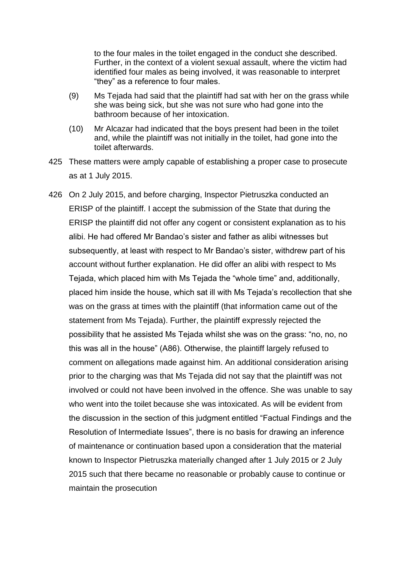to the four males in the toilet engaged in the conduct she described. Further, in the context of a violent sexual assault, where the victim had identified four males as being involved, it was reasonable to interpret "they" as a reference to four males.

- (9) Ms Tejada had said that the plaintiff had sat with her on the grass while she was being sick, but she was not sure who had gone into the bathroom because of her intoxication.
- (10) Mr Alcazar had indicated that the boys present had been in the toilet and, while the plaintiff was not initially in the toilet, had gone into the toilet afterwards.
- 425 These matters were amply capable of establishing a proper case to prosecute as at 1 July 2015.
- 426 On 2 July 2015, and before charging, Inspector Pietruszka conducted an ERISP of the plaintiff. I accept the submission of the State that during the ERISP the plaintiff did not offer any cogent or consistent explanation as to his alibi. He had offered Mr Bandao's sister and father as alibi witnesses but subsequently, at least with respect to Mr Bandao's sister, withdrew part of his account without further explanation. He did offer an alibi with respect to Ms Tejada, which placed him with Ms Tejada the "whole time" and, additionally, placed him inside the house, which sat ill with Ms Tejada's recollection that she was on the grass at times with the plaintiff (that information came out of the statement from Ms Tejada). Further, the plaintiff expressly rejected the possibility that he assisted Ms Tejada whilst she was on the grass: "no, no, no this was all in the house" (A86). Otherwise, the plaintiff largely refused to comment on allegations made against him. An additional consideration arising prior to the charging was that Ms Tejada did not say that the plaintiff was not involved or could not have been involved in the offence. She was unable to say who went into the toilet because she was intoxicated. As will be evident from the discussion in the section of this judgment entitled "Factual Findings and the Resolution of Intermediate Issues", there is no basis for drawing an inference of maintenance or continuation based upon a consideration that the material known to Inspector Pietruszka materially changed after 1 July 2015 or 2 July 2015 such that there became no reasonable or probably cause to continue or maintain the prosecution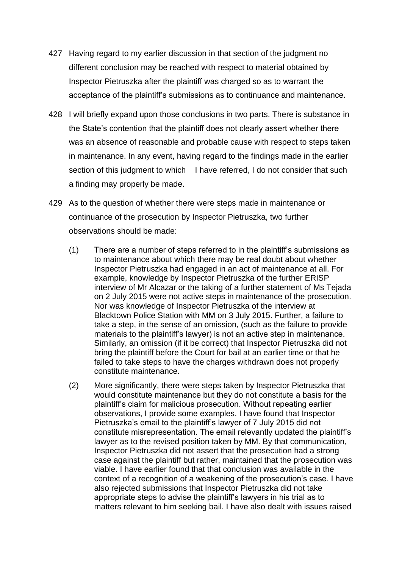- 427 Having regard to my earlier discussion in that section of the judgment no different conclusion may be reached with respect to material obtained by Inspector Pietruszka after the plaintiff was charged so as to warrant the acceptance of the plaintiff's submissions as to continuance and maintenance.
- 428 I will briefly expand upon those conclusions in two parts. There is substance in the State's contention that the plaintiff does not clearly assert whether there was an absence of reasonable and probable cause with respect to steps taken in maintenance. In any event, having regard to the findings made in the earlier section of this judgment to which I have referred, I do not consider that such a finding may properly be made.
- 429 As to the question of whether there were steps made in maintenance or continuance of the prosecution by Inspector Pietruszka, two further observations should be made:
	- (1) There are a number of steps referred to in the plaintiff's submissions as to maintenance about which there may be real doubt about whether Inspector Pietruszka had engaged in an act of maintenance at all. For example, knowledge by Inspector Pietruszka of the further ERISP interview of Mr Alcazar or the taking of a further statement of Ms Tejada on 2 July 2015 were not active steps in maintenance of the prosecution. Nor was knowledge of Inspector Pietruszka of the interview at Blacktown Police Station with MM on 3 July 2015. Further, a failure to take a step, in the sense of an omission, (such as the failure to provide materials to the plaintiff's lawyer) is not an active step in maintenance. Similarly, an omission (if it be correct) that Inspector Pietruszka did not bring the plaintiff before the Court for bail at an earlier time or that he failed to take steps to have the charges withdrawn does not properly constitute maintenance.
	- (2) More significantly, there were steps taken by Inspector Pietruszka that would constitute maintenance but they do not constitute a basis for the plaintiff's claim for malicious prosecution. Without repeating earlier observations, I provide some examples. I have found that Inspector Pietruszka's email to the plaintiff's lawyer of 7 July 2015 did not constitute misrepresentation. The email relevantly updated the plaintiff's lawyer as to the revised position taken by MM. By that communication, Inspector Pietruszka did not assert that the prosecution had a strong case against the plaintiff but rather, maintained that the prosecution was viable. I have earlier found that that conclusion was available in the context of a recognition of a weakening of the prosecution's case. I have also rejected submissions that Inspector Pietruszka did not take appropriate steps to advise the plaintiff's lawyers in his trial as to matters relevant to him seeking bail. I have also dealt with issues raised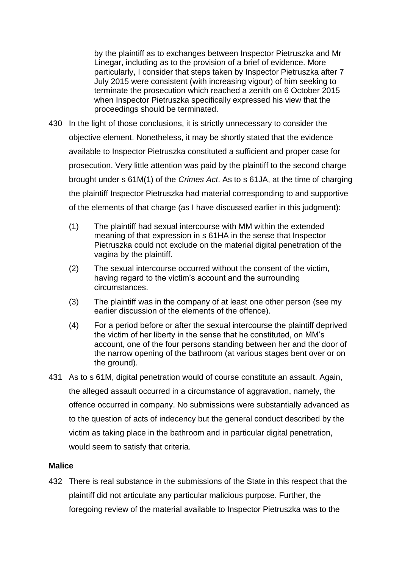by the plaintiff as to exchanges between Inspector Pietruszka and Mr Linegar, including as to the provision of a brief of evidence. More particularly, I consider that steps taken by Inspector Pietruszka after 7 July 2015 were consistent (with increasing vigour) of him seeking to terminate the prosecution which reached a zenith on 6 October 2015 when Inspector Pietruszka specifically expressed his view that the proceedings should be terminated.

- 430 In the light of those conclusions, it is strictly unnecessary to consider the objective element. Nonetheless, it may be shortly stated that the evidence available to Inspector Pietruszka constituted a sufficient and proper case for prosecution. Very little attention was paid by the plaintiff to the second charge brought under s 61M(1) of the *Crimes Act*. As to s 61JA, at the time of charging the plaintiff Inspector Pietruszka had material corresponding to and supportive of the elements of that charge (as I have discussed earlier in this judgment):
	- (1) The plaintiff had sexual intercourse with MM within the extended meaning of that expression in s 61HA in the sense that Inspector Pietruszka could not exclude on the material digital penetration of the vagina by the plaintiff.
	- (2) The sexual intercourse occurred without the consent of the victim, having regard to the victim's account and the surrounding circumstances.
	- (3) The plaintiff was in the company of at least one other person (see my earlier discussion of the elements of the offence).
	- (4) For a period before or after the sexual intercourse the plaintiff deprived the victim of her liberty in the sense that he constituted, on MM's account, one of the four persons standing between her and the door of the narrow opening of the bathroom (at various stages bent over or on the ground).
- 431 As to s 61M, digital penetration would of course constitute an assault. Again, the alleged assault occurred in a circumstance of aggravation, namely, the offence occurred in company. No submissions were substantially advanced as to the question of acts of indecency but the general conduct described by the victim as taking place in the bathroom and in particular digital penetration, would seem to satisfy that criteria.

# **Malice**

432 There is real substance in the submissions of the State in this respect that the plaintiff did not articulate any particular malicious purpose. Further, the foregoing review of the material available to Inspector Pietruszka was to the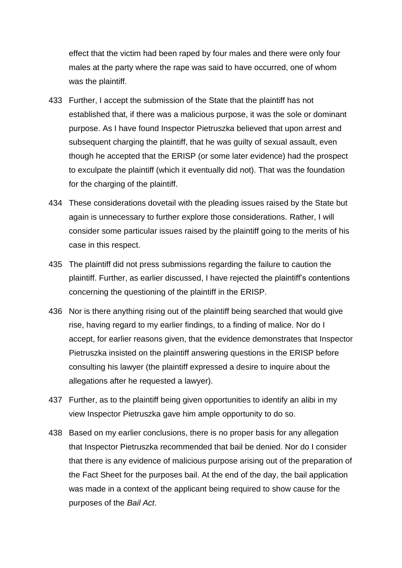effect that the victim had been raped by four males and there were only four males at the party where the rape was said to have occurred, one of whom was the plaintiff.

- 433 Further, I accept the submission of the State that the plaintiff has not established that, if there was a malicious purpose, it was the sole or dominant purpose. As I have found Inspector Pietruszka believed that upon arrest and subsequent charging the plaintiff, that he was guilty of sexual assault, even though he accepted that the ERISP (or some later evidence) had the prospect to exculpate the plaintiff (which it eventually did not). That was the foundation for the charging of the plaintiff.
- 434 These considerations dovetail with the pleading issues raised by the State but again is unnecessary to further explore those considerations. Rather, I will consider some particular issues raised by the plaintiff going to the merits of his case in this respect.
- 435 The plaintiff did not press submissions regarding the failure to caution the plaintiff. Further, as earlier discussed, I have rejected the plaintiff's contentions concerning the questioning of the plaintiff in the ERISP.
- 436 Nor is there anything rising out of the plaintiff being searched that would give rise, having regard to my earlier findings, to a finding of malice. Nor do I accept, for earlier reasons given, that the evidence demonstrates that Inspector Pietruszka insisted on the plaintiff answering questions in the ERISP before consulting his lawyer (the plaintiff expressed a desire to inquire about the allegations after he requested a lawyer).
- 437 Further, as to the plaintiff being given opportunities to identify an alibi in my view Inspector Pietruszka gave him ample opportunity to do so.
- 438 Based on my earlier conclusions, there is no proper basis for any allegation that Inspector Pietruszka recommended that bail be denied. Nor do I consider that there is any evidence of malicious purpose arising out of the preparation of the Fact Sheet for the purposes bail. At the end of the day, the bail application was made in a context of the applicant being required to show cause for the purposes of the *Bail Act*.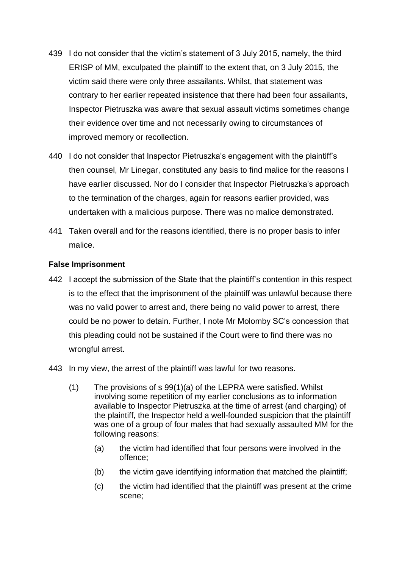- 439 I do not consider that the victim's statement of 3 July 2015, namely, the third ERISP of MM, exculpated the plaintiff to the extent that, on 3 July 2015, the victim said there were only three assailants. Whilst, that statement was contrary to her earlier repeated insistence that there had been four assailants, Inspector Pietruszka was aware that sexual assault victims sometimes change their evidence over time and not necessarily owing to circumstances of improved memory or recollection.
- 440 I do not consider that Inspector Pietruszka's engagement with the plaintiff's then counsel, Mr Linegar, constituted any basis to find malice for the reasons I have earlier discussed. Nor do I consider that Inspector Pietruszka's approach to the termination of the charges, again for reasons earlier provided, was undertaken with a malicious purpose. There was no malice demonstrated.
- 441 Taken overall and for the reasons identified, there is no proper basis to infer malice.

# **False Imprisonment**

- 442 I accept the submission of the State that the plaintiff's contention in this respect is to the effect that the imprisonment of the plaintiff was unlawful because there was no valid power to arrest and, there being no valid power to arrest, there could be no power to detain. Further, I note Mr Molomby SC's concession that this pleading could not be sustained if the Court were to find there was no wrongful arrest.
- 443 In my view, the arrest of the plaintiff was lawful for two reasons.
	- (1) The provisions of s 99(1)(a) of the LEPRA were satisfied. Whilst involving some repetition of my earlier conclusions as to information available to Inspector Pietruszka at the time of arrest (and charging) of the plaintiff, the Inspector held a well-founded suspicion that the plaintiff was one of a group of four males that had sexually assaulted MM for the following reasons:
		- (a) the victim had identified that four persons were involved in the offence;
		- (b) the victim gave identifying information that matched the plaintiff;
		- (c) the victim had identified that the plaintiff was present at the crime scene;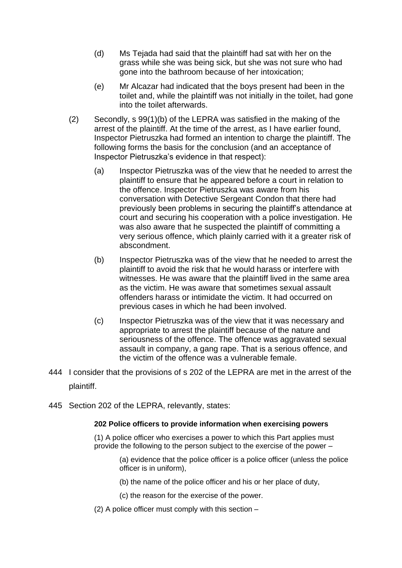- (d) Ms Tejada had said that the plaintiff had sat with her on the grass while she was being sick, but she was not sure who had gone into the bathroom because of her intoxication;
- (e) Mr Alcazar had indicated that the boys present had been in the toilet and, while the plaintiff was not initially in the toilet, had gone into the toilet afterwards.
- (2) Secondly, s 99(1)(b) of the LEPRA was satisfied in the making of the arrest of the plaintiff. At the time of the arrest, as I have earlier found, Inspector Pietruszka had formed an intention to charge the plaintiff. The following forms the basis for the conclusion (and an acceptance of Inspector Pietruszka's evidence in that respect):
	- (a) Inspector Pietruszka was of the view that he needed to arrest the plaintiff to ensure that he appeared before a court in relation to the offence. Inspector Pietruszka was aware from his conversation with Detective Sergeant Condon that there had previously been problems in securing the plaintiff's attendance at court and securing his cooperation with a police investigation. He was also aware that he suspected the plaintiff of committing a very serious offence, which plainly carried with it a greater risk of abscondment.
	- (b) Inspector Pietruszka was of the view that he needed to arrest the plaintiff to avoid the risk that he would harass or interfere with witnesses. He was aware that the plaintiff lived in the same area as the victim. He was aware that sometimes sexual assault offenders harass or intimidate the victim. It had occurred on previous cases in which he had been involved.
	- (c) Inspector Pietruszka was of the view that it was necessary and appropriate to arrest the plaintiff because of the nature and seriousness of the offence. The offence was aggravated sexual assault in company, a gang rape. That is a serious offence, and the victim of the offence was a vulnerable female.
- 444 I consider that the provisions of s 202 of the LEPRA are met in the arrest of the plaintiff.
- 445 Section 202 of the LEPRA, relevantly, states:

## **202 Police officers to provide information when exercising powers**

(1) A police officer who exercises a power to which this Part applies must provide the following to the person subject to the exercise of the power –

- (a) evidence that the police officer is a police officer (unless the police officer is in uniform),
- (b) the name of the police officer and his or her place of duty,
- (c) the reason for the exercise of the power.
- (2) A police officer must comply with this section –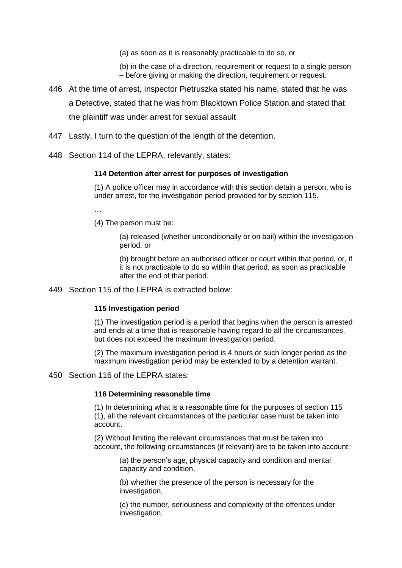(a) as soon as it is reasonably practicable to do so, or

(b) in the case of a direction, requirement or request to a single person – before giving or making the direction, requirement or request.

- 446 At the time of arrest, Inspector Pietruszka stated his name, stated that he was a Detective, stated that he was from Blacktown Police Station and stated that the plaintiff was under arrest for sexual assault
- 447 Lastly, I turn to the question of the length of the detention.
- 448 Section 114 of the LEPRA, relevantly, states:

## **114 Detention after arrest for purposes of investigation**

(1) A police officer may in accordance with this section detain a person, who is under arrest, for the investigation period provided for by section 115.

…

(4) The person must be:

(a) released (whether unconditionally or on bail) within the investigation period, or

(b) brought before an authorised officer or court within that period, or, if it is not practicable to do so within that period, as soon as practicable after the end of that period.

449 Section 115 of the LEPRA is extracted below:

## **115 Investigation period**

(1) The investigation period is a period that begins when the person is arrested and ends at a time that is reasonable having regard to all the circumstances, but does not exceed the maximum investigation period.

(2) The maximum investigation period is 4 hours or such longer period as the maximum investigation period may be extended to by a detention warrant.

450 Section 116 of the LEPRA states:

## **116 Determining reasonable time**

(1) In determining what is a reasonable time for the purposes of section 115 (1), all the relevant circumstances of the particular case must be taken into account.

(2) Without limiting the relevant circumstances that must be taken into account, the following circumstances (if relevant) are to be taken into account:

(a) the person's age, physical capacity and condition and mental capacity and condition,

(b) whether the presence of the person is necessary for the investigation,

(c) the number, seriousness and complexity of the offences under investigation.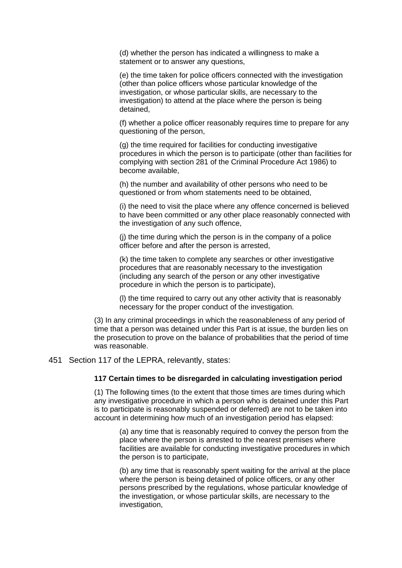(d) whether the person has indicated a willingness to make a statement or to answer any questions,

(e) the time taken for police officers connected with the investigation (other than police officers whose particular knowledge of the investigation, or whose particular skills, are necessary to the investigation) to attend at the place where the person is being detained,

(f) whether a police officer reasonably requires time to prepare for any questioning of the person,

(g) the time required for facilities for conducting investigative procedures in which the person is to participate (other than facilities for complying with section 281 of the Criminal Procedure Act 1986) to become available,

(h) the number and availability of other persons who need to be questioned or from whom statements need to be obtained,

(i) the need to visit the place where any offence concerned is believed to have been committed or any other place reasonably connected with the investigation of any such offence,

(j) the time during which the person is in the company of a police officer before and after the person is arrested,

(k) the time taken to complete any searches or other investigative procedures that are reasonably necessary to the investigation (including any search of the person or any other investigative procedure in which the person is to participate),

(l) the time required to carry out any other activity that is reasonably necessary for the proper conduct of the investigation.

(3) In any criminal proceedings in which the reasonableness of any period of time that a person was detained under this Part is at issue, the burden lies on the prosecution to prove on the balance of probabilities that the period of time was reasonable.

#### 451 Section 117 of the LEPRA, relevantly, states:

#### **117 Certain times to be disregarded in calculating investigation period**

(1) The following times (to the extent that those times are times during which any investigative procedure in which a person who is detained under this Part is to participate is reasonably suspended or deferred) are not to be taken into account in determining how much of an investigation period has elapsed:

(a) any time that is reasonably required to convey the person from the place where the person is arrested to the nearest premises where facilities are available for conducting investigative procedures in which the person is to participate,

(b) any time that is reasonably spent waiting for the arrival at the place where the person is being detained of police officers, or any other persons prescribed by the regulations, whose particular knowledge of the investigation, or whose particular skills, are necessary to the investigation,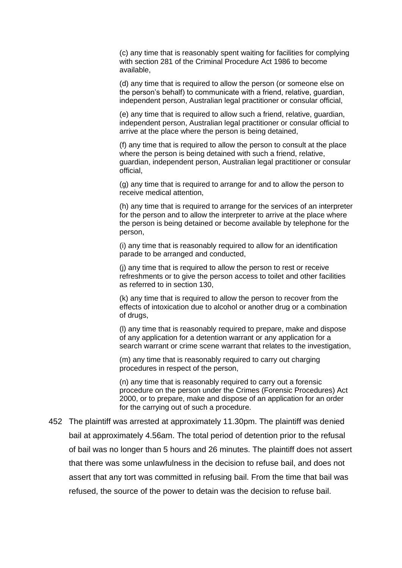(c) any time that is reasonably spent waiting for facilities for complying with section 281 of the Criminal Procedure Act 1986 to become available,

(d) any time that is required to allow the person (or someone else on the person's behalf) to communicate with a friend, relative, guardian, independent person, Australian legal practitioner or consular official,

(e) any time that is required to allow such a friend, relative, guardian, independent person, Australian legal practitioner or consular official to arrive at the place where the person is being detained,

(f) any time that is required to allow the person to consult at the place where the person is being detained with such a friend, relative, guardian, independent person, Australian legal practitioner or consular official,

(g) any time that is required to arrange for and to allow the person to receive medical attention,

(h) any time that is required to arrange for the services of an interpreter for the person and to allow the interpreter to arrive at the place where the person is being detained or become available by telephone for the person,

(i) any time that is reasonably required to allow for an identification parade to be arranged and conducted,

(j) any time that is required to allow the person to rest or receive refreshments or to give the person access to toilet and other facilities as referred to in section 130,

(k) any time that is required to allow the person to recover from the effects of intoxication due to alcohol or another drug or a combination of drugs,

(l) any time that is reasonably required to prepare, make and dispose of any application for a detention warrant or any application for a search warrant or crime scene warrant that relates to the investigation,

(m) any time that is reasonably required to carry out charging procedures in respect of the person,

(n) any time that is reasonably required to carry out a forensic procedure on the person under the Crimes (Forensic Procedures) Act 2000, or to prepare, make and dispose of an application for an order for the carrying out of such a procedure.

452 The plaintiff was arrested at approximately 11.30pm. The plaintiff was denied bail at approximately 4.56am. The total period of detention prior to the refusal of bail was no longer than 5 hours and 26 minutes. The plaintiff does not assert that there was some unlawfulness in the decision to refuse bail, and does not assert that any tort was committed in refusing bail. From the time that bail was refused, the source of the power to detain was the decision to refuse bail.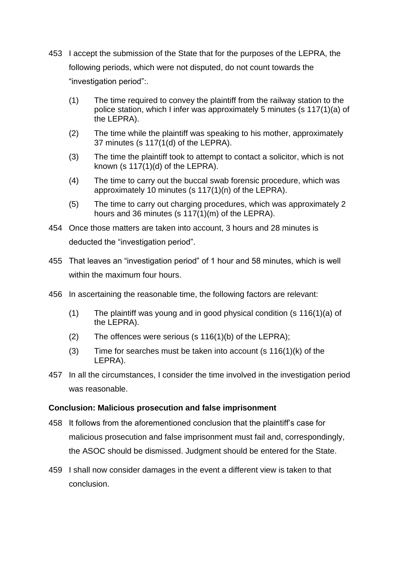- 453 I accept the submission of the State that for the purposes of the LEPRA, the following periods, which were not disputed, do not count towards the "investigation period":.
	- (1) The time required to convey the plaintiff from the railway station to the police station, which I infer was approximately 5 minutes (s 117(1)(a) of the LEPRA).
	- (2) The time while the plaintiff was speaking to his mother, approximately 37 minutes (s 117(1(d) of the LEPRA).
	- (3) The time the plaintiff took to attempt to contact a solicitor, which is not known (s 117(1)(d) of the LEPRA).
	- (4) The time to carry out the buccal swab forensic procedure, which was approximately 10 minutes (s 117(1)(n) of the LEPRA).
	- (5) The time to carry out charging procedures, which was approximately 2 hours and 36 minutes (s 117(1)(m) of the LEPRA).
- 454 Once those matters are taken into account, 3 hours and 28 minutes is deducted the "investigation period".
- 455 That leaves an "investigation period" of 1 hour and 58 minutes, which is well within the maximum four hours.
- 456 In ascertaining the reasonable time, the following factors are relevant:
	- (1) The plaintiff was young and in good physical condition (s 116(1)(a) of the LEPRA).
	- (2) The offences were serious (s  $116(1)(b)$  of the LEPRA);
	- (3) Time for searches must be taken into account  $(s 116(1)(k))$  of the LEPRA).
- 457 In all the circumstances, I consider the time involved in the investigation period was reasonable.

# **Conclusion: Malicious prosecution and false imprisonment**

- 458 It follows from the aforementioned conclusion that the plaintiff's case for malicious prosecution and false imprisonment must fail and, correspondingly, the ASOC should be dismissed. Judgment should be entered for the State.
- 459 I shall now consider damages in the event a different view is taken to that conclusion.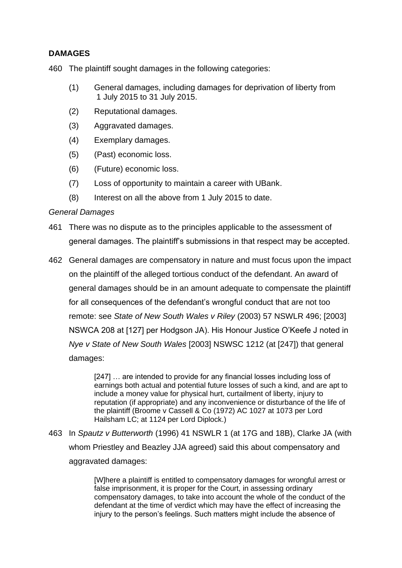# **DAMAGES**

460 The plaintiff sought damages in the following categories:

- (1) General damages, including damages for deprivation of liberty from 1 July 2015 to 31 July 2015.
- (2) Reputational damages.
- (3) Aggravated damages.
- (4) Exemplary damages.
- (5) (Past) economic loss.
- (6) (Future) economic loss.
- (7) Loss of opportunity to maintain a career with UBank.
- (8) Interest on all the above from 1 July 2015 to date.

# *General Damages*

- 461 There was no dispute as to the principles applicable to the assessment of general damages. The plaintiff's submissions in that respect may be accepted.
- 462 General damages are compensatory in nature and must focus upon the impact on the plaintiff of the alleged tortious conduct of the defendant. An award of general damages should be in an amount adequate to compensate the plaintiff for all consequences of the defendant's wrongful conduct that are not too remote: see *State of New South Wales v Riley* (2003) 57 NSWLR 496; [2003] NSWCA 208 at [127] per Hodgson JA). His Honour Justice O'Keefe J noted in *Nye v State of New South Wales* [2003] NSWSC 1212 (at [247]) that general damages:

[247] ... are intended to provide for any financial losses including loss of earnings both actual and potential future losses of such a kind, and are apt to include a money value for physical hurt, curtailment of liberty, injury to reputation (if appropriate) and any inconvenience or disturbance of the life of the plaintiff (Broome v Cassell & Co (1972) AC 1027 at 1073 per Lord Hailsham LC; at 1124 per Lord Diplock.)

463 In *Spautz v Butterworth* (1996) 41 NSWLR 1 (at 17G and 18B), Clarke JA (with whom Priestley and Beazley JJA agreed) said this about compensatory and aggravated damages:

> [W]here a plaintiff is entitled to compensatory damages for wrongful arrest or false imprisonment, it is proper for the Court, in assessing ordinary compensatory damages, to take into account the whole of the conduct of the defendant at the time of verdict which may have the effect of increasing the injury to the person's feelings. Such matters might include the absence of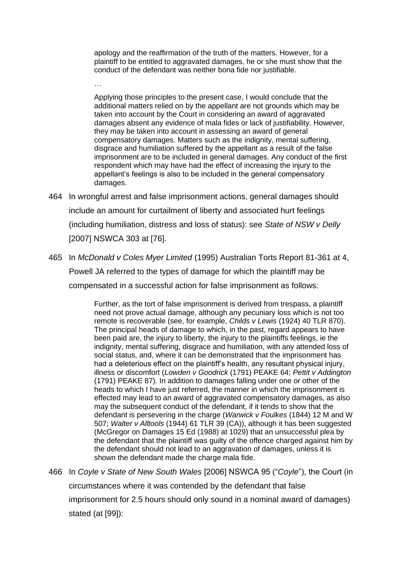apology and the reaffirmation of the truth of the matters. However, for a plaintiff to be entitled to aggravated damages, he or she must show that the conduct of the defendant was neither bona fide nor justifiable.

Applying those principles to the present case, I would conclude that the additional matters relied on by the appellant are not grounds which may be taken into account by the Court in considering an award of aggravated damages absent any evidence of mala fides or lack of justifiability. However, they may be taken into account in assessing an award of general compensatory damages. Matters such as the indignity, mental suffering, disgrace and humiliation suffered by the appellant as a result of the false imprisonment are to be included in general damages. Any conduct of the first respondent which may have had the effect of increasing the injury to the appellant's feelings is also to be included in the general compensatory damages.

464 In wrongful arrest and false imprisonment actions, general damages should include an amount for curtailment of liberty and associated hurt feelings (including humiliation, distress and loss of status): see *State of NSW v Delly*  [2007] NSWCA 303 at [76].

…

465 In *McDonald v Coles Myer Limited* (1995) Australian Torts Report 81-361 at 4, Powell JA referred to the types of damage for which the plaintiff may be compensated in a successful action for false imprisonment as follows:

> Further, as the tort of false imprisonment is derived from trespass, a plaintiff need not prove actual damage, although any pecuniary loss which is not too remote is recoverable (see, for example, *Childs v Lewis* (1924) 40 TLR 870). The principal heads of damage to which, in the past, regard appears to have been paid are, the injury to liberty, the injury to the plaintiffs feelings, ie the indignity, mental suffering, disgrace and humiliation, with any attended loss of social status, and, where it can be demonstrated that the imprisonment has had a deleterious effect on the plaintiff's health, any resultant physical injury, illness or discomfort (*Lowden v Goodrick* (1791) PEAKE 64; *Pettit v Addington* (1791) PEAKE 87). In addition to damages falling under one or other of the heads to which I have just referred, the manner in which the imprisonment is effected may lead to an award of aggravated compensatory damages, as also may the subsequent conduct of the defendant, if it tends to show that the defendant is persevering in the charge (*Warwick v Foulkes* (1844) 12 M and W 507; *Walter v Alltools* (1944) 61 TLR 39 (CA)), although it has been suggested (McGregor on Damages 15 Ed (1988) at 1029) that an unsuccessful plea by the defendant that the plaintiff was guilty of the offence charged against him by the defendant should not lead to an aggravation of damages, unless it is shown the defendant made the charge mala fide.

466 In *Coyle v State of New South Wales* [2006] NSWCA 95 ("*Coyle*"), the Court (in circumstances where it was contended by the defendant that false imprisonment for 2.5 hours should only sound in a nominal award of damages) stated (at [99]):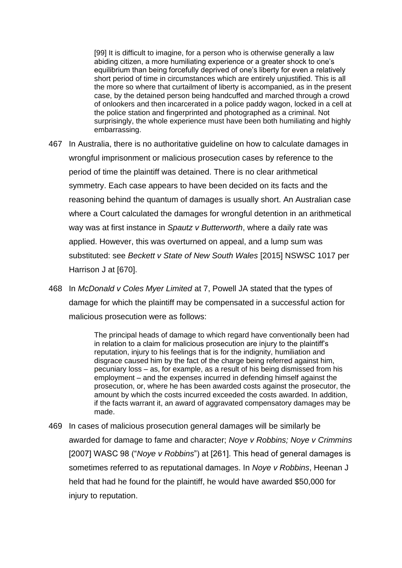[99] It is difficult to imagine, for a person who is otherwise generally a law abiding citizen, a more humiliating experience or a greater shock to one's equilibrium than being forcefully deprived of one's liberty for even a relatively short period of time in circumstances which are entirely unjustified. This is all the more so where that curtailment of liberty is accompanied, as in the present case, by the detained person being handcuffed and marched through a crowd of onlookers and then incarcerated in a police paddy wagon, locked in a cell at the police station and fingerprinted and photographed as a criminal. Not surprisingly, the whole experience must have been both humiliating and highly embarrassing.

- 467 In Australia, there is no authoritative guideline on how to calculate damages in wrongful imprisonment or malicious prosecution cases by reference to the period of time the plaintiff was detained. There is no clear arithmetical symmetry. Each case appears to have been decided on its facts and the reasoning behind the quantum of damages is usually short. An Australian case where a Court calculated the damages for wrongful detention in an arithmetical way was at first instance in *Spautz v Butterworth*, where a daily rate was applied. However, this was overturned on appeal, and a lump sum was substituted: see *Beckett v State of New South Wales* [2015] NSWSC 1017 per Harrison J at [670].
- 468 In *McDonald v Coles Myer Limited* at 7, Powell JA stated that the types of damage for which the plaintiff may be compensated in a successful action for malicious prosecution were as follows:

The principal heads of damage to which regard have conventionally been had in relation to a claim for malicious prosecution are injury to the plaintiff's reputation, injury to his feelings that is for the indignity, humiliation and disgrace caused him by the fact of the charge being referred against him, pecuniary loss – as, for example, as a result of his being dismissed from his employment – and the expenses incurred in defending himself against the prosecution, or, where he has been awarded costs against the prosecutor, the amount by which the costs incurred exceeded the costs awarded. In addition, if the facts warrant it, an award of aggravated compensatory damages may be made.

469 In cases of malicious prosecution general damages will be similarly be awarded for damage to fame and character; *Noye v Robbins; Noye v Crimmins*  [2007] WASC 98 ("*Noye v Robbins*") at [261]. This head of general damages is sometimes referred to as reputational damages. In *Noye v Robbins*, Heenan J held that had he found for the plaintiff, he would have awarded \$50,000 for injury to reputation.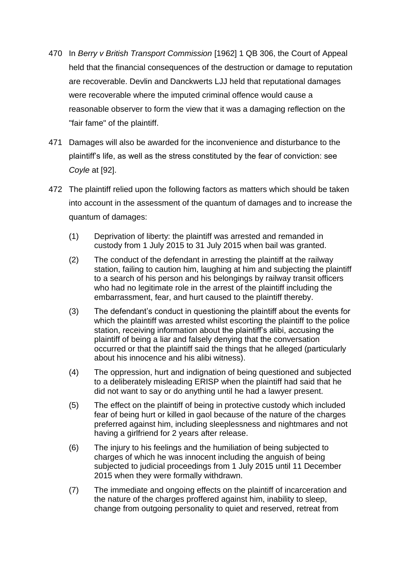- 470 In *Berry v British Transport Commission* [1962] 1 QB 306, the Court of Appeal held that the financial consequences of the destruction or damage to reputation are recoverable. Devlin and Danckwerts LJJ held that reputational damages were recoverable where the imputed criminal offence would cause a reasonable observer to form the view that it was a damaging reflection on the "fair fame" of the plaintiff.
- 471 Damages will also be awarded for the inconvenience and disturbance to the plaintiff's life, as well as the stress constituted by the fear of conviction: see *Coyle* at [92].
- 472 The plaintiff relied upon the following factors as matters which should be taken into account in the assessment of the quantum of damages and to increase the quantum of damages:
	- (1) Deprivation of liberty: the plaintiff was arrested and remanded in custody from 1 July 2015 to 31 July 2015 when bail was granted.
	- (2) The conduct of the defendant in arresting the plaintiff at the railway station, failing to caution him, laughing at him and subjecting the plaintiff to a search of his person and his belongings by railway transit officers who had no legitimate role in the arrest of the plaintiff including the embarrassment, fear, and hurt caused to the plaintiff thereby.
	- (3) The defendant's conduct in questioning the plaintiff about the events for which the plaintiff was arrested whilst escorting the plaintiff to the police station, receiving information about the plaintiff's alibi, accusing the plaintiff of being a liar and falsely denying that the conversation occurred or that the plaintiff said the things that he alleged (particularly about his innocence and his alibi witness).
	- (4) The oppression, hurt and indignation of being questioned and subjected to a deliberately misleading ERISP when the plaintiff had said that he did not want to say or do anything until he had a lawyer present.
	- (5) The effect on the plaintiff of being in protective custody which included fear of being hurt or killed in gaol because of the nature of the charges preferred against him, including sleeplessness and nightmares and not having a girlfriend for 2 years after release.
	- (6) The injury to his feelings and the humiliation of being subjected to charges of which he was innocent including the anguish of being subjected to judicial proceedings from 1 July 2015 until 11 December 2015 when they were formally withdrawn.
	- (7) The immediate and ongoing effects on the plaintiff of incarceration and the nature of the charges proffered against him, inability to sleep, change from outgoing personality to quiet and reserved, retreat from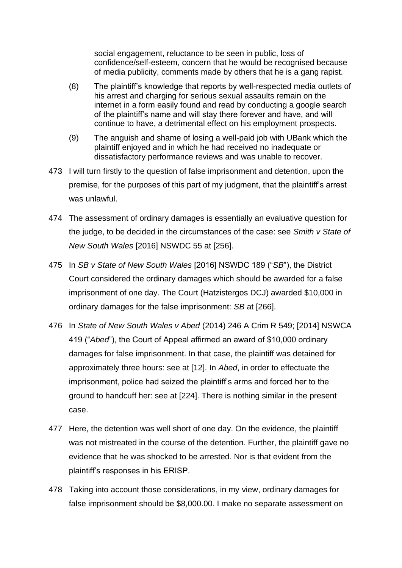social engagement, reluctance to be seen in public, loss of confidence/self-esteem, concern that he would be recognised because of media publicity, comments made by others that he is a gang rapist.

- (8) The plaintiff's knowledge that reports by well-respected media outlets of his arrest and charging for serious sexual assaults remain on the internet in a form easily found and read by conducting a google search of the plaintiff's name and will stay there forever and have, and will continue to have, a detrimental effect on his employment prospects.
- (9) The anguish and shame of losing a well-paid job with UBank which the plaintiff enjoyed and in which he had received no inadequate or dissatisfactory performance reviews and was unable to recover.
- 473 I will turn firstly to the question of false imprisonment and detention, upon the premise, for the purposes of this part of my judgment, that the plaintiff's arrest was unlawful.
- 474 The assessment of ordinary damages is essentially an evaluative question for the judge, to be decided in the circumstances of the case: see *Smith v State of New South Wales* [2016] NSWDC 55 at [256].
- 475 In *SB v State of New South Wales* [2016] NSWDC 189 ("*SB*"), the District Court considered the ordinary damages which should be awarded for a false imprisonment of one day. The Court (Hatzistergos DCJ) awarded \$10,000 in ordinary damages for the false imprisonment: *SB* at [266].
- 476 In *State of New South Wales v Abed* (2014) 246 A Crim R 549; [2014] NSWCA 419 ("*Abed*"), the Court of Appeal affirmed an award of \$10,000 ordinary damages for false imprisonment. In that case, the plaintiff was detained for approximately three hours: see at [12]. In *Abed*, in order to effectuate the imprisonment, police had seized the plaintiff's arms and forced her to the ground to handcuff her: see at [224]. There is nothing similar in the present case.
- 477 Here, the detention was well short of one day. On the evidence, the plaintiff was not mistreated in the course of the detention. Further, the plaintiff gave no evidence that he was shocked to be arrested. Nor is that evident from the plaintiff's responses in his ERISP.
- 478 Taking into account those considerations, in my view, ordinary damages for false imprisonment should be \$8,000.00. I make no separate assessment on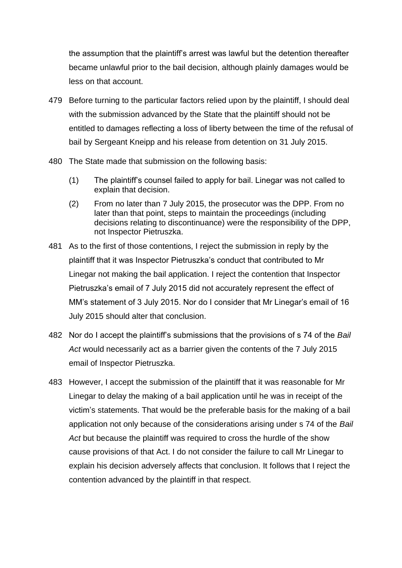the assumption that the plaintiff's arrest was lawful but the detention thereafter became unlawful prior to the bail decision, although plainly damages would be less on that account.

- 479 Before turning to the particular factors relied upon by the plaintiff, I should deal with the submission advanced by the State that the plaintiff should not be entitled to damages reflecting a loss of liberty between the time of the refusal of bail by Sergeant Kneipp and his release from detention on 31 July 2015.
- 480 The State made that submission on the following basis:
	- (1) The plaintiff's counsel failed to apply for bail. Linegar was not called to explain that decision.
	- (2) From no later than 7 July 2015, the prosecutor was the DPP. From no later than that point, steps to maintain the proceedings (including decisions relating to discontinuance) were the responsibility of the DPP, not Inspector Pietruszka.
- 481 As to the first of those contentions, I reject the submission in reply by the plaintiff that it was Inspector Pietruszka's conduct that contributed to Mr Linegar not making the bail application. I reject the contention that Inspector Pietruszka's email of 7 July 2015 did not accurately represent the effect of MM's statement of 3 July 2015. Nor do I consider that Mr Linegar's email of 16 July 2015 should alter that conclusion.
- 482 Nor do I accept the plaintiff's submissions that the provisions of s 74 of the *Bail Act* would necessarily act as a barrier given the contents of the 7 July 2015 email of Inspector Pietruszka.
- 483 However, I accept the submission of the plaintiff that it was reasonable for Mr Linegar to delay the making of a bail application until he was in receipt of the victim's statements. That would be the preferable basis for the making of a bail application not only because of the considerations arising under s 74 of the *Bail Act* but because the plaintiff was required to cross the hurdle of the show cause provisions of that Act. I do not consider the failure to call Mr Linegar to explain his decision adversely affects that conclusion. It follows that I reject the contention advanced by the plaintiff in that respect.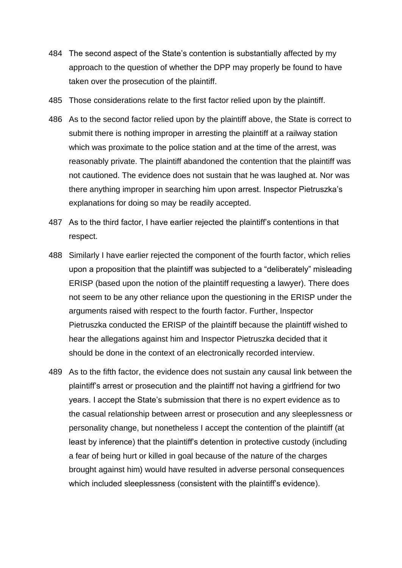- 484 The second aspect of the State's contention is substantially affected by my approach to the question of whether the DPP may properly be found to have taken over the prosecution of the plaintiff.
- 485 Those considerations relate to the first factor relied upon by the plaintiff.
- 486 As to the second factor relied upon by the plaintiff above, the State is correct to submit there is nothing improper in arresting the plaintiff at a railway station which was proximate to the police station and at the time of the arrest, was reasonably private. The plaintiff abandoned the contention that the plaintiff was not cautioned. The evidence does not sustain that he was laughed at. Nor was there anything improper in searching him upon arrest. Inspector Pietruszka's explanations for doing so may be readily accepted.
- 487 As to the third factor, I have earlier rejected the plaintiff's contentions in that respect.
- 488 Similarly I have earlier rejected the component of the fourth factor, which relies upon a proposition that the plaintiff was subjected to a "deliberately" misleading ERISP (based upon the notion of the plaintiff requesting a lawyer). There does not seem to be any other reliance upon the questioning in the ERISP under the arguments raised with respect to the fourth factor. Further, Inspector Pietruszka conducted the ERISP of the plaintiff because the plaintiff wished to hear the allegations against him and Inspector Pietruszka decided that it should be done in the context of an electronically recorded interview.
- 489 As to the fifth factor, the evidence does not sustain any causal link between the plaintiff's arrest or prosecution and the plaintiff not having a girlfriend for two years. I accept the State's submission that there is no expert evidence as to the casual relationship between arrest or prosecution and any sleeplessness or personality change, but nonetheless I accept the contention of the plaintiff (at least by inference) that the plaintiff's detention in protective custody (including a fear of being hurt or killed in goal because of the nature of the charges brought against him) would have resulted in adverse personal consequences which included sleeplessness (consistent with the plaintiff's evidence).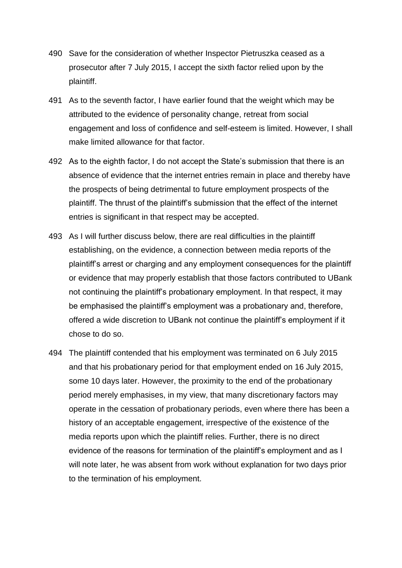- 490 Save for the consideration of whether Inspector Pietruszka ceased as a prosecutor after 7 July 2015, I accept the sixth factor relied upon by the plaintiff.
- 491 As to the seventh factor, I have earlier found that the weight which may be attributed to the evidence of personality change, retreat from social engagement and loss of confidence and self-esteem is limited. However, I shall make limited allowance for that factor.
- 492 As to the eighth factor, I do not accept the State's submission that there is an absence of evidence that the internet entries remain in place and thereby have the prospects of being detrimental to future employment prospects of the plaintiff. The thrust of the plaintiff's submission that the effect of the internet entries is significant in that respect may be accepted.
- 493 As I will further discuss below, there are real difficulties in the plaintiff establishing, on the evidence, a connection between media reports of the plaintiff's arrest or charging and any employment consequences for the plaintiff or evidence that may properly establish that those factors contributed to UBank not continuing the plaintiff's probationary employment. In that respect, it may be emphasised the plaintiff's employment was a probationary and, therefore, offered a wide discretion to UBank not continue the plaintiff's employment if it chose to do so.
- 494 The plaintiff contended that his employment was terminated on 6 July 2015 and that his probationary period for that employment ended on 16 July 2015, some 10 days later. However, the proximity to the end of the probationary period merely emphasises, in my view, that many discretionary factors may operate in the cessation of probationary periods, even where there has been a history of an acceptable engagement, irrespective of the existence of the media reports upon which the plaintiff relies. Further, there is no direct evidence of the reasons for termination of the plaintiff's employment and as I will note later, he was absent from work without explanation for two days prior to the termination of his employment.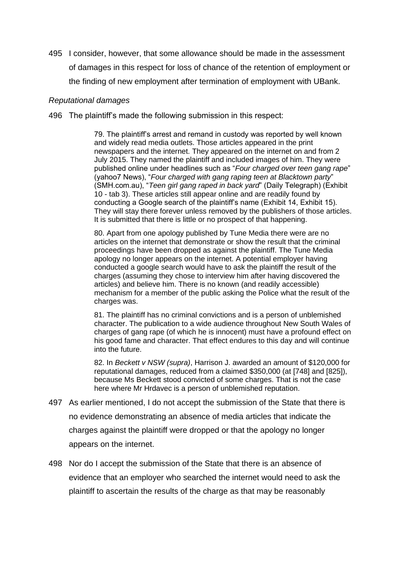495 I consider, however, that some allowance should be made in the assessment of damages in this respect for loss of chance of the retention of employment or the finding of new employment after termination of employment with UBank.

## *Reputational damages*

496 The plaintiff's made the following submission in this respect:

79. The plaintiff's arrest and remand in custody was reported by well known and widely read media outlets. Those articles appeared in the print newspapers and the internet. They appeared on the internet on and from 2 July 2015. They named the plaintiff and included images of him. They were published online under headlines such as "*Four charged over teen gang rape*" (yahoo7 News), "*Four charged with gang raping teen at Blacktown party*" (SMH.com.au), "*Teen girl gang raped in back yard*" (Daily Telegraph) (Exhibit 10 - tab 3). These articles still appear online and are readily found by conducting a Google search of the plaintiff's name (Exhibit 14, Exhibit 15). They will stay there forever unless removed by the publishers of those articles. It is submitted that there is little or no prospect of that happening.

80. Apart from one apology published by Tune Media there were are no articles on the internet that demonstrate or show the result that the criminal proceedings have been dropped as against the plaintiff. The Tune Media apology no longer appears on the internet. A potential employer having conducted a google search would have to ask the plaintiff the result of the charges (assuming they chose to interview him after having discovered the articles) and believe him. There is no known (and readily accessible) mechanism for a member of the public asking the Police what the result of the charges was.

81. The plaintiff has no criminal convictions and is a person of unblemished character. The publication to a wide audience throughout New South Wales of charges of gang rape (of which he is innocent) must have a profound effect on his good fame and character. That effect endures to this day and will continue into the future.

82. In *Beckett v NSW (supra)*, Harrison J. awarded an amount of \$120,000 for reputational damages, reduced from a claimed \$350,000 (at [748] and [825]), because Ms Beckett stood convicted of some charges. That is not the case here where Mr Hrdavec is a person of unblemished reputation.

- 497 As earlier mentioned, I do not accept the submission of the State that there is no evidence demonstrating an absence of media articles that indicate the charges against the plaintiff were dropped or that the apology no longer appears on the internet.
- 498 Nor do I accept the submission of the State that there is an absence of evidence that an employer who searched the internet would need to ask the plaintiff to ascertain the results of the charge as that may be reasonably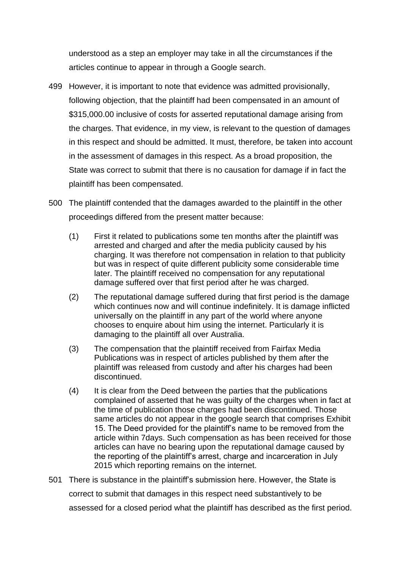understood as a step an employer may take in all the circumstances if the articles continue to appear in through a Google search.

- 499 However, it is important to note that evidence was admitted provisionally, following objection, that the plaintiff had been compensated in an amount of \$315,000.00 inclusive of costs for asserted reputational damage arising from the charges. That evidence, in my view, is relevant to the question of damages in this respect and should be admitted. It must, therefore, be taken into account in the assessment of damages in this respect. As a broad proposition, the State was correct to submit that there is no causation for damage if in fact the plaintiff has been compensated.
- 500 The plaintiff contended that the damages awarded to the plaintiff in the other proceedings differed from the present matter because:
	- (1) First it related to publications some ten months after the plaintiff was arrested and charged and after the media publicity caused by his charging. It was therefore not compensation in relation to that publicity but was in respect of quite different publicity some considerable time later. The plaintiff received no compensation for any reputational damage suffered over that first period after he was charged.
	- (2) The reputational damage suffered during that first period is the damage which continues now and will continue indefinitely. It is damage inflicted universally on the plaintiff in any part of the world where anyone chooses to enquire about him using the internet. Particularly it is damaging to the plaintiff all over Australia.
	- (3) The compensation that the plaintiff received from Fairfax Media Publications was in respect of articles published by them after the plaintiff was released from custody and after his charges had been discontinued.
	- (4) It is clear from the Deed between the parties that the publications complained of asserted that he was guilty of the charges when in fact at the time of publication those charges had been discontinued. Those same articles do not appear in the google search that comprises Exhibit 15. The Deed provided for the plaintiff's name to be removed from the article within 7days. Such compensation as has been received for those articles can have no bearing upon the reputational damage caused by the reporting of the plaintiff's arrest, charge and incarceration in July 2015 which reporting remains on the internet.
- 501 There is substance in the plaintiff's submission here. However, the State is correct to submit that damages in this respect need substantively to be assessed for a closed period what the plaintiff has described as the first period.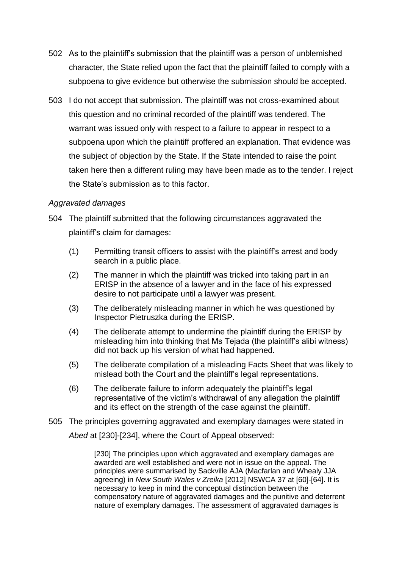- 502 As to the plaintiff's submission that the plaintiff was a person of unblemished character, the State relied upon the fact that the plaintiff failed to comply with a subpoena to give evidence but otherwise the submission should be accepted.
- 503 I do not accept that submission. The plaintiff was not cross-examined about this question and no criminal recorded of the plaintiff was tendered. The warrant was issued only with respect to a failure to appear in respect to a subpoena upon which the plaintiff proffered an explanation. That evidence was the subject of objection by the State. If the State intended to raise the point taken here then a different ruling may have been made as to the tender. I reject the State's submission as to this factor.

# *Aggravated damages*

- 504 The plaintiff submitted that the following circumstances aggravated the plaintiff's claim for damages:
	- (1) Permitting transit officers to assist with the plaintiff's arrest and body search in a public place.
	- (2) The manner in which the plaintiff was tricked into taking part in an ERISP in the absence of a lawyer and in the face of his expressed desire to not participate until a lawyer was present.
	- (3) The deliberately misleading manner in which he was questioned by Inspector Pietruszka during the ERISP.
	- (4) The deliberate attempt to undermine the plaintiff during the ERISP by misleading him into thinking that Ms Tejada (the plaintiff's alibi witness) did not back up his version of what had happened.
	- (5) The deliberate compilation of a misleading Facts Sheet that was likely to mislead both the Court and the plaintiff's legal representations.
	- (6) The deliberate failure to inform adequately the plaintiff's legal representative of the victim's withdrawal of any allegation the plaintiff and its effect on the strength of the case against the plaintiff.
- 505 The principles governing aggravated and exemplary damages were stated in *Abed* at [230]-[234], where the Court of Appeal observed:

[230] The principles upon which aggravated and exemplary damages are awarded are well established and were not in issue on the appeal. The principles were summarised by Sackville AJA (Macfarlan and Whealy JJA agreeing) in *New South Wales v Zreika* [2012] NSWCA 37 at [60]-[64]. It is necessary to keep in mind the conceptual distinction between the compensatory nature of aggravated damages and the punitive and deterrent nature of exemplary damages. The assessment of aggravated damages is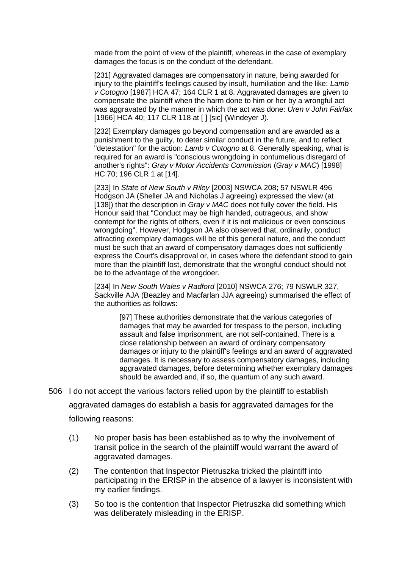made from the point of view of the plaintiff, whereas in the case of exemplary damages the focus is on the conduct of the defendant.

[231] Aggravated damages are compensatory in nature, being awarded for injury to the plaintiff's feelings caused by insult, humiliation and the like: *Lamb v Cotogno* [1987] HCA 47; 164 CLR 1 at 8. Aggravated damages are given to compensate the plaintiff when the harm done to him or her by a wrongful act was aggravated by the manner in which the act was done: *Uren v John Fairfax*  [1966] HCA 40; 117 CLR 118 at [] [sic] (Windeyer J).

[232] Exemplary damages go beyond compensation and are awarded as a punishment to the guilty, to deter similar conduct in the future, and to reflect "detestation" for the action: *Lamb v Cotogno* at 8. Generally speaking, what is required for an award is "conscious wrongdoing in contumelious disregard of another's rights": *Gray v Motor Accidents Commission* (*Gray v MAC*) [1998] HC 70; 196 CLR 1 at [14].

[233] In *State of New South v Riley* [2003] NSWCA 208; 57 NSWLR 496 Hodgson JA (Sheller JA and Nicholas J agreeing) expressed the view (at [138]) that the description in *Gray v MAC* does not fully cover the field. His Honour said that "Conduct may be high handed, outrageous, and show contempt for the rights of others, even if it is not malicious or even conscious wrongdoing". However, Hodgson JA also observed that, ordinarily, conduct attracting exemplary damages will be of this general nature, and the conduct must be such that an award of compensatory damages does not sufficiently express the Court's disapproval or, in cases where the defendant stood to gain more than the plaintiff lost, demonstrate that the wrongful conduct should not be to the advantage of the wrongdoer.

[234] In *New South Wales v Radford* [2010] NSWCA 276; 79 NSWLR 327, Sackville AJA (Beazley and Macfarlan JJA agreeing) summarised the effect of the authorities as follows:

[97] These authorities demonstrate that the various categories of damages that may be awarded for trespass to the person, including assault and false imprisonment, are not self-contained. There is a close relationship between an award of ordinary compensatory damages or injury to the plaintiff's feelings and an award of aggravated damages. It is necessary to assess compensatory damages, including aggravated damages, before determining whether exemplary damages should be awarded and, if so, the quantum of any such award.

506 I do not accept the various factors relied upon by the plaintiff to establish aggravated damages do establish a basis for aggravated damages for the following reasons:

- (1) No proper basis has been established as to why the involvement of transit police in the search of the plaintiff would warrant the award of aggravated damages.
- (2) The contention that Inspector Pietruszka tricked the plaintiff into participating in the ERISP in the absence of a lawyer is inconsistent with my earlier findings.
- (3) So too is the contention that Inspector Pietruszka did something which was deliberately misleading in the ERISP.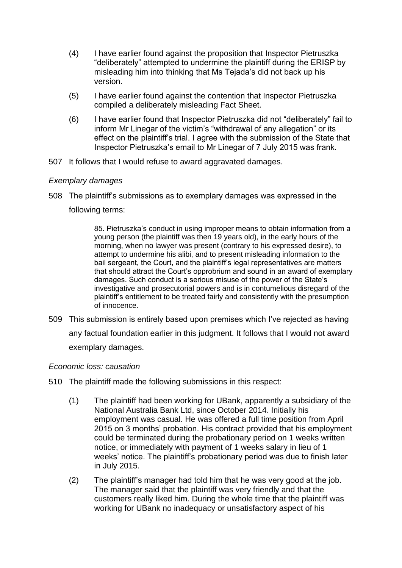- (4) I have earlier found against the proposition that Inspector Pietruszka "deliberately" attempted to undermine the plaintiff during the ERISP by misleading him into thinking that Ms Tejada's did not back up his version.
- (5) I have earlier found against the contention that Inspector Pietruszka compiled a deliberately misleading Fact Sheet.
- (6) I have earlier found that Inspector Pietruszka did not "deliberately" fail to inform Mr Linegar of the victim's "withdrawal of any allegation" or its effect on the plaintiff's trial. I agree with the submission of the State that Inspector Pietruszka's email to Mr Linegar of 7 July 2015 was frank.
- 507 It follows that I would refuse to award aggravated damages.

# *Exemplary damages*

508 The plaintiff's submissions as to exemplary damages was expressed in the following terms:

> 85. Pietruszka's conduct in using improper means to obtain information from a young person (the plaintiff was then 19 years old), in the early hours of the morning, when no lawyer was present (contrary to his expressed desire), to attempt to undermine his alibi, and to present misleading information to the bail sergeant, the Court, and the plaintiff's legal representatives are matters that should attract the Court's opprobrium and sound in an award of exemplary damages. Such conduct is a serious misuse of the power of the State's investigative and prosecutorial powers and is in contumelious disregard of the plaintiff's entitlement to be treated fairly and consistently with the presumption of innocence.

509 This submission is entirely based upon premises which I've rejected as having any factual foundation earlier in this judgment. It follows that I would not award exemplary damages.

## *Economic loss: causation*

- 510 The plaintiff made the following submissions in this respect:
	- (1) The plaintiff had been working for UBank, apparently a subsidiary of the National Australia Bank Ltd, since October 2014. Initially his employment was casual. He was offered a full time position from April 2015 on 3 months' probation. His contract provided that his employment could be terminated during the probationary period on 1 weeks written notice, or immediately with payment of 1 weeks salary in lieu of 1 weeks' notice. The plaintiff's probationary period was due to finish later in July 2015.
	- (2) The plaintiff's manager had told him that he was very good at the job. The manager said that the plaintiff was very friendly and that the customers really liked him. During the whole time that the plaintiff was working for UBank no inadequacy or unsatisfactory aspect of his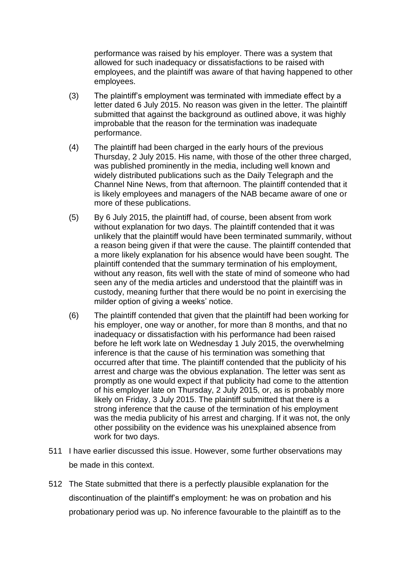performance was raised by his employer. There was a system that allowed for such inadequacy or dissatisfactions to be raised with employees, and the plaintiff was aware of that having happened to other employees.

- (3) The plaintiff's employment was terminated with immediate effect by a letter dated 6 July 2015. No reason was given in the letter. The plaintiff submitted that against the background as outlined above, it was highly improbable that the reason for the termination was inadequate performance.
- (4) The plaintiff had been charged in the early hours of the previous Thursday, 2 July 2015. His name, with those of the other three charged, was published prominently in the media, including well known and widely distributed publications such as the Daily Telegraph and the Channel Nine News, from that afternoon. The plaintiff contended that it is likely employees and managers of the NAB became aware of one or more of these publications.
- (5) By 6 July 2015, the plaintiff had, of course, been absent from work without explanation for two days. The plaintiff contended that it was unlikely that the plaintiff would have been terminated summarily, without a reason being given if that were the cause. The plaintiff contended that a more likely explanation for his absence would have been sought. The plaintiff contended that the summary termination of his employment, without any reason, fits well with the state of mind of someone who had seen any of the media articles and understood that the plaintiff was in custody, meaning further that there would be no point in exercising the milder option of giving a weeks' notice.
- (6) The plaintiff contended that given that the plaintiff had been working for his employer, one way or another, for more than 8 months, and that no inadequacy or dissatisfaction with his performance had been raised before he left work late on Wednesday 1 July 2015, the overwhelming inference is that the cause of his termination was something that occurred after that time. The plaintiff contended that the publicity of his arrest and charge was the obvious explanation. The letter was sent as promptly as one would expect if that publicity had come to the attention of his employer late on Thursday, 2 July 2015, or, as is probably more likely on Friday, 3 July 2015. The plaintiff submitted that there is a strong inference that the cause of the termination of his employment was the media publicity of his arrest and charging. If it was not, the only other possibility on the evidence was his unexplained absence from work for two days.
- 511 I have earlier discussed this issue. However, some further observations may be made in this context.
- 512 The State submitted that there is a perfectly plausible explanation for the discontinuation of the plaintiff's employment: he was on probation and his probationary period was up. No inference favourable to the plaintiff as to the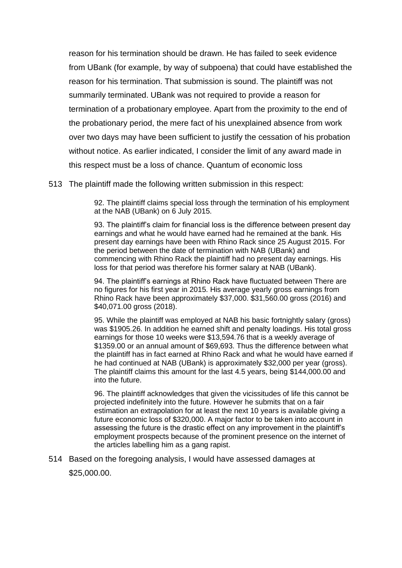reason for his termination should be drawn. He has failed to seek evidence from UBank (for example, by way of subpoena) that could have established the reason for his termination. That submission is sound. The plaintiff was not summarily terminated. UBank was not required to provide a reason for termination of a probationary employee. Apart from the proximity to the end of the probationary period, the mere fact of his unexplained absence from work over two days may have been sufficient to justify the cessation of his probation without notice. As earlier indicated, I consider the limit of any award made in this respect must be a loss of chance. Quantum of economic loss

513 The plaintiff made the following written submission in this respect:

92. The plaintiff claims special loss through the termination of his employment at the NAB (UBank) on 6 July 2015.

93. The plaintiff's claim for financial loss is the difference between present day earnings and what he would have earned had he remained at the bank. His present day earnings have been with Rhino Rack since 25 August 2015. For the period between the date of termination with NAB (UBank) and commencing with Rhino Rack the plaintiff had no present day earnings. His loss for that period was therefore his former salary at NAB (UBank).

94. The plaintiff's earnings at Rhino Rack have fluctuated between There are no figures for his first year in 2015. His average yearly gross earnings from Rhino Rack have been approximately \$37,000. \$31,560.00 gross (2016) and \$40,071.00 gross (2018).

95. While the plaintiff was employed at NAB his basic fortnightly salary (gross) was \$1905.26. In addition he earned shift and penalty loadings. His total gross earnings for those 10 weeks were \$13,594.76 that is a weekly average of \$1359.00 or an annual amount of \$69,693. Thus the difference between what the plaintiff has in fact earned at Rhino Rack and what he would have earned if he had continued at NAB (UBank) is approximately \$32,000 per year (gross). The plaintiff claims this amount for the last 4.5 years, being \$144,000.00 and into the future.

96. The plaintiff acknowledges that given the vicissitudes of life this cannot be projected indefinitely into the future. However he submits that on a fair estimation an extrapolation for at least the next 10 years is available giving a future economic loss of \$320,000. A major factor to be taken into account in assessing the future is the drastic effect on any improvement in the plaintiff's employment prospects because of the prominent presence on the internet of the articles labelling him as a gang rapist.

514 Based on the foregoing analysis, I would have assessed damages at

\$25,000.00.